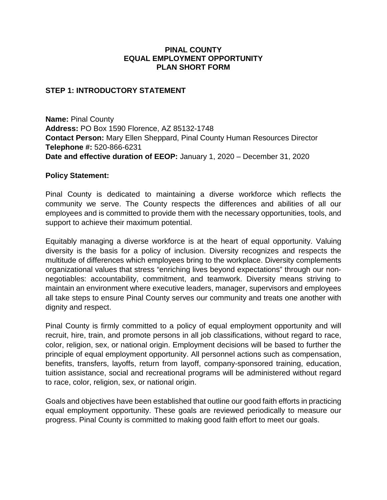### **PINAL COUNTY EQUAL EMPLOYMENT OPPORTUNITY PLAN SHORT FORM**

# **STEP 1: INTRODUCTORY STATEMENT**

**Name:** Pinal County **Address:** PO Box 1590 Florence, AZ 85132-1748 **Contact Person:** Mary Ellen Sheppard, Pinal County Human Resources Director **Telephone #:** 520-866-6231 **Date and effective duration of EEOP:** January 1, 2020 – December 31, 2020

### **Policy Statement:**

Pinal County is dedicated to maintaining a diverse workforce which reflects the community we serve. The County respects the differences and abilities of all our employees and is committed to provide them with the necessary opportunities, tools, and support to achieve their maximum potential.

Equitably managing a diverse workforce is at the heart of equal opportunity. Valuing diversity is the basis for a policy of inclusion. Diversity recognizes and respects the multitude of differences which employees bring to the workplace. Diversity complements organizational values that stress "enriching lives beyond expectations" through our nonnegotiables: accountability, commitment, and teamwork. Diversity means striving to maintain an environment where executive leaders, manager, supervisors and employees all take steps to ensure Pinal County serves our community and treats one another with dignity and respect.

Pinal County is firmly committed to a policy of equal employment opportunity and will recruit, hire, train, and promote persons in all job classifications, without regard to race, color, religion, sex, or national origin. Employment decisions will be based to further the principle of equal employment opportunity. All personnel actions such as compensation, benefits, transfers, layoffs, return from layoff, company-sponsored training, education, tuition assistance, social and recreational programs will be administered without regard to race, color, religion, sex, or national origin.

Goals and objectives have been established that outline our good faith efforts in practicing equal employment opportunity. These goals are reviewed periodically to measure our progress. Pinal County is committed to making good faith effort to meet our goals.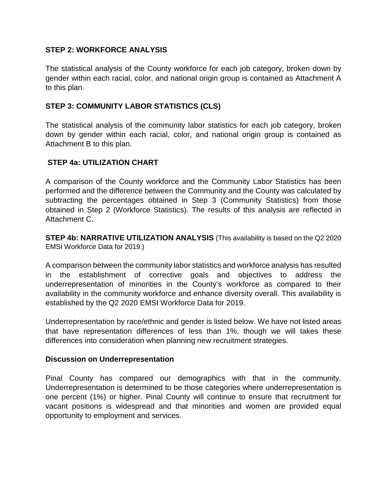# **STEP 2: WORKFORCE ANALYSIS**

The statistical analysis of the County workforce for each job category, broken down by gender within each racial, color, and national origin group is contained as Attachment A to this plan.

# **STEP 3: COMMUNITY LABOR STATISTICS (CLS)**

The statistical analysis of the community labor statistics for each job category, broken down by gender within each racial, color, and national origin group is contained as Attachment B to this plan.

# **STEP 4a: UTILIZATION CHART**

A comparison of the County workforce and the Community Labor Statistics has been performed and the difference between the Community and the County was calculated by subtracting the percentages obtained in Step 3 (Community Statistics) from those obtained in Step 2 (Workforce Statistics). The results of this analysis are reflected in Attachment C.

**STEP 4b: NARRATIVE UTILIZATION ANALYSIS** (This availability is based on the Q2 2020 EMSI Workforce Data for 2019.)

A comparison between the community labor statistics and workforce analysis has resulted in the establishment of corrective goals and objectives to address the underrepresentation of minorities in the County's workforce as compared to their availability in the community workforce and enhance diversity overall. This availability is established by the Q2 2020 EMSI Workforce Data for 2019.

Underrepresentation by race/ethnic and gender is listed below. We have not listed areas that have representation differences of less than 1%, though we will takes these differences into consideration when planning new recruitment strategies.

### **Discussion on Underrepresentation**

Pinal County has compared our demographics with that in the community. Underrepresentation is determined to be those categories where underrepresentation is one percent (1%) or higher. Pinal County will continue to ensure that recruitment for vacant positions is widespread and that minorities and women are provided equal opportunity to employment and services.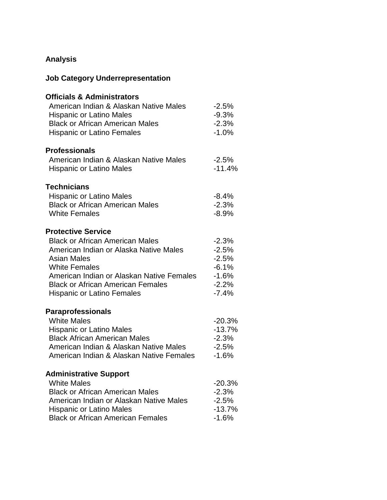# **Analysis**

# **Job Category Underrepresentation**

| <b>Officials &amp; Administrators</b><br>American Indian & Alaskan Native Males<br><b>Hispanic or Latino Males</b><br><b>Black or African American Males</b><br><b>Hispanic or Latino Females</b>                                                                                         | $-2.5%$<br>$-9.3%$<br>$-2.3%$<br>$-1.0%$                                  |
|-------------------------------------------------------------------------------------------------------------------------------------------------------------------------------------------------------------------------------------------------------------------------------------------|---------------------------------------------------------------------------|
| <b>Professionals</b><br>American Indian & Alaskan Native Males<br><b>Hispanic or Latino Males</b>                                                                                                                                                                                         | $-2.5%$<br>$-11.4%$                                                       |
| <b>Technicians</b><br><b>Hispanic or Latino Males</b><br><b>Black or African American Males</b><br><b>White Females</b>                                                                                                                                                                   | $-8.4%$<br>$-2.3%$<br>$-8.9%$                                             |
| <b>Protective Service</b><br><b>Black or African American Males</b><br>American Indian or Alaska Native Males<br><b>Asian Males</b><br><b>White Females</b><br>American Indian or Alaskan Native Females<br><b>Black or African American Females</b><br><b>Hispanic or Latino Females</b> | $-2.3%$<br>$-2.5%$<br>$-2.5%$<br>$-6.1%$<br>$-1.6%$<br>$-2.2%$<br>$-7.4%$ |
| <b>Paraprofessionals</b><br><b>White Males</b><br><b>Hispanic or Latino Males</b><br><b>Black African American Males</b><br>American Indian & Alaskan Native Males<br>American Indian & Alaskan Native Females                                                                            | $-20.3%$<br>$-13.7%$<br>$-2.3%$<br>$-2.5%$<br>$-1.6%$                     |
| <b>Administrative Support</b><br><b>White Males</b><br><b>Black or African American Males</b><br>American Indian or Alaskan Native Males<br><b>Hispanic or Latino Males</b><br><b>Black or African American Females</b>                                                                   | $-20.3%$<br>$-2.3%$<br>$-2.5%$<br>$-13.7%$<br>$-1.6%$                     |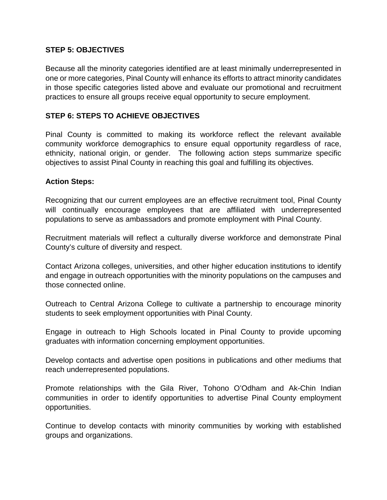# **STEP 5: OBJECTIVES**

Because all the minority categories identified are at least minimally underrepresented in one or more categories, Pinal County will enhance its efforts to attract minority candidates in those specific categories listed above and evaluate our promotional and recruitment practices to ensure all groups receive equal opportunity to secure employment.

# **STEP 6: STEPS TO ACHIEVE OBJECTIVES**

Pinal County is committed to making its workforce reflect the relevant available community workforce demographics to ensure equal opportunity regardless of race, ethnicity, national origin, or gender. The following action steps summarize specific objectives to assist Pinal County in reaching this goal and fulfilling its objectives.

### **Action Steps:**

Recognizing that our current employees are an effective recruitment tool, Pinal County will continually encourage employees that are affiliated with underrepresented populations to serve as ambassadors and promote employment with Pinal County.

Recruitment materials will reflect a culturally diverse workforce and demonstrate Pinal County's culture of diversity and respect.

Contact Arizona colleges, universities, and other higher education institutions to identify and engage in outreach opportunities with the minority populations on the campuses and those connected online.

Outreach to Central Arizona College to cultivate a partnership to encourage minority students to seek employment opportunities with Pinal County.

Engage in outreach to High Schools located in Pinal County to provide upcoming graduates with information concerning employment opportunities.

Develop contacts and advertise open positions in publications and other mediums that reach underrepresented populations.

Promote relationships with the Gila River, Tohono O'Odham and Ak-Chin Indian communities in order to identify opportunities to advertise Pinal County employment opportunities.

Continue to develop contacts with minority communities by working with established groups and organizations.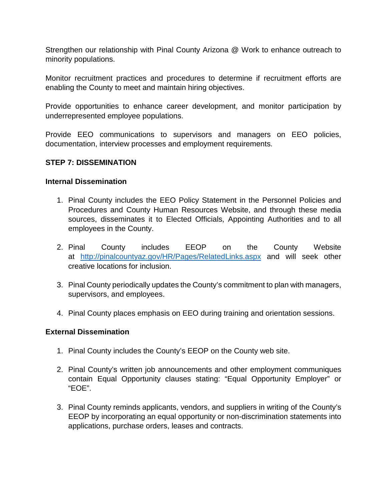Strengthen our relationship with Pinal County Arizona @ Work to enhance outreach to minority populations.

Monitor recruitment practices and procedures to determine if recruitment efforts are enabling the County to meet and maintain hiring objectives.

Provide opportunities to enhance career development, and monitor participation by underrepresented employee populations.

Provide EEO communications to supervisors and managers on EEO policies, documentation, interview processes and employment requirements.

### **STEP 7: DISSEMINATION**

# **Internal Dissemination**

- 1. Pinal County includes the EEO Policy Statement in the Personnel Policies and Procedures and County Human Resources Website, and through these media sources, disseminates it to Elected Officials, Appointing Authorities and to all employees in the County.
- 2. Pinal County includes EEOP on the County Website at <http://pinalcountyaz.gov/HR/Pages/RelatedLinks.aspx> and will seek other creative locations for inclusion.
- 3. Pinal County periodically updates the County's commitment to plan with managers, supervisors, and employees.
- 4. Pinal County places emphasis on EEO during training and orientation sessions.

### **External Dissemination**

- 1. Pinal County includes the County's EEOP on the County web site.
- 2. Pinal County's written job announcements and other employment communiques contain Equal Opportunity clauses stating: "Equal Opportunity Employer" or "EOE".
- 3. Pinal County reminds applicants, vendors, and suppliers in writing of the County's EEOP by incorporating an equal opportunity or non-discrimination statements into applications, purchase orders, leases and contracts.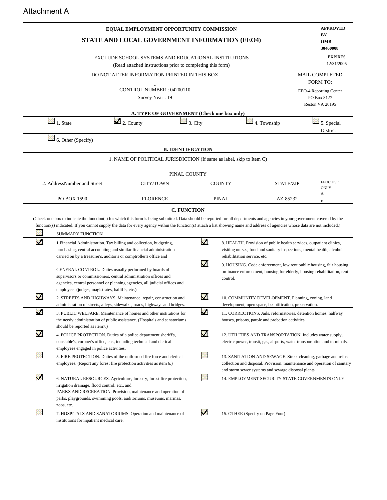Attachment A

|                      |                                                                                                                                                                                                                                                                                                                                                                | STATE AND LOCAL GOVERNMENT INFORMATION (EEO4)                                                                                                                                                                                                                |                                    | EQUAL EMPLOYMENT OPPORTUNITY COMMISSION<br>EXCLUDE SCHOOL SYSTEMS AND EDUCATIONAL INSTITUTIONS<br>(Read attached instructions prior to completing this form) |                          |                                                                      |                                                                                                                                                                                                    |           | <b>APPROVED</b><br>ВY<br> OMB<br>30460008<br><b>EXPIRES</b><br>12/31/2005 |
|----------------------|----------------------------------------------------------------------------------------------------------------------------------------------------------------------------------------------------------------------------------------------------------------------------------------------------------------------------------------------------------------|--------------------------------------------------------------------------------------------------------------------------------------------------------------------------------------------------------------------------------------------------------------|------------------------------------|--------------------------------------------------------------------------------------------------------------------------------------------------------------|--------------------------|----------------------------------------------------------------------|----------------------------------------------------------------------------------------------------------------------------------------------------------------------------------------------------|-----------|---------------------------------------------------------------------------|
|                      |                                                                                                                                                                                                                                                                                                                                                                |                                                                                                                                                                                                                                                              |                                    | DO NOT ALTER INFORMATION PRINTED IN THIS BOX                                                                                                                 |                          |                                                                      |                                                                                                                                                                                                    |           | <b>MAIL COMPLETED</b><br>FORM TO:                                         |
|                      |                                                                                                                                                                                                                                                                                                                                                                |                                                                                                                                                                                                                                                              |                                    | CONTROL NUMBER: 04200110<br>Survey Year: 19                                                                                                                  |                          |                                                                      |                                                                                                                                                                                                    |           | EEO-4 Reporting Center<br>PO Box 8127<br>Reston VA 20195                  |
|                      |                                                                                                                                                                                                                                                                                                                                                                |                                                                                                                                                                                                                                                              |                                    | A. TYPE OF GOVERNMENT (Check one box only)                                                                                                                   |                          |                                                                      |                                                                                                                                                                                                    |           |                                                                           |
|                      | 1. State                                                                                                                                                                                                                                                                                                                                                       |                                                                                                                                                                                                                                                              | $\mathbf{Z}$ <sub>2</sub> . County |                                                                                                                                                              | $3.$ City                |                                                                      | 4. Township                                                                                                                                                                                        |           | 5. Special<br>District                                                    |
|                      | 6. Other (Specify)                                                                                                                                                                                                                                                                                                                                             |                                                                                                                                                                                                                                                              |                                    |                                                                                                                                                              |                          |                                                                      |                                                                                                                                                                                                    |           |                                                                           |
|                      |                                                                                                                                                                                                                                                                                                                                                                |                                                                                                                                                                                                                                                              |                                    |                                                                                                                                                              | <b>B. IDENTIFICATION</b> |                                                                      |                                                                                                                                                                                                    |           |                                                                           |
|                      |                                                                                                                                                                                                                                                                                                                                                                |                                                                                                                                                                                                                                                              |                                    | PINAL COUNTY                                                                                                                                                 |                          | 1. NAME OF POLITICAL JURISDICTION (If same as label, skip to Item C) |                                                                                                                                                                                                    |           |                                                                           |
|                      | 2. AddressNumber and Street                                                                                                                                                                                                                                                                                                                                    |                                                                                                                                                                                                                                                              |                                    | CITY/TOWN                                                                                                                                                    |                          | <b>COUNTY</b>                                                        |                                                                                                                                                                                                    | STATE/ZIP | <b>EEOC USE</b><br><b>ONLY</b>                                            |
|                      | PO BOX 1590                                                                                                                                                                                                                                                                                                                                                    |                                                                                                                                                                                                                                                              |                                    | <b>FLORENCE</b>                                                                                                                                              |                          | <b>PINAL</b>                                                         |                                                                                                                                                                                                    | AZ-85232  | lв                                                                        |
|                      |                                                                                                                                                                                                                                                                                                                                                                |                                                                                                                                                                                                                                                              |                                    | <b>C. FUNCTION</b>                                                                                                                                           |                          |                                                                      |                                                                                                                                                                                                    |           |                                                                           |
|                      | (Check one box to indicate the function(s) for which this form is being submitted. Data should be reported for all departments and agencies in your government covered by the<br>function(s) indicated. If you cannot supply the data for every agency within the function(s) attach a list showing name and address of agencies whose data are not included.) |                                                                                                                                                                                                                                                              |                                    |                                                                                                                                                              |                          |                                                                      |                                                                                                                                                                                                    |           |                                                                           |
|                      | <b>SUMMARY FUNCTION</b>                                                                                                                                                                                                                                                                                                                                        |                                                                                                                                                                                                                                                              |                                    |                                                                                                                                                              |                          |                                                                      |                                                                                                                                                                                                    |           |                                                                           |
| $\blacktriangledown$ |                                                                                                                                                                                                                                                                                                                                                                | 1. Financial Administration. Tax billing and collection, budgeting,<br>purchasing, central accounting and similar financial administration<br>carried on by a treasurer's, auditor's or comptroller's office and                                             |                                    |                                                                                                                                                              | $\blacktriangledown$     | rehabilitation service, etc.                                         | 8. HEALTH. Provision of public health services, outpatient clinics,<br>visiting nurses, food and sanitary inspections, mental health, alcohol                                                      |           |                                                                           |
|                      |                                                                                                                                                                                                                                                                                                                                                                | GENERAL CONTROL. Duties usually performed by boards of<br>supervisors or commissioners, central administration offices and<br>agencies, central personnel or planning agencies, all judicial offices and<br>employees (judges, magistrates, bailiffs, etc.)  |                                    |                                                                                                                                                              | $\blacktriangledown$     | control.                                                             | 9. HOUSING. Code enforcement, low rent public housing, fair housing<br>ordinance enforcement, housing for elderly, housing rehabilitation, rent                                                    |           |                                                                           |
| K                    |                                                                                                                                                                                                                                                                                                                                                                | 2. STREETS AND HIGHWAYS. Maintenance, repair, construction and<br>administration of streets, alleys, sidewalks, roads, highways and bridges.                                                                                                                 |                                    |                                                                                                                                                              | $\blacktriangledown$     |                                                                      | 10. COMMUNITY DEVELOPMENT. Planning, zoning, land<br>development, open space, beautification, preservation.                                                                                        |           |                                                                           |
| $\blacktriangledown$ | should be reported as item7.)                                                                                                                                                                                                                                                                                                                                  | 3. PUBLIC WELFARE. Maintenance of homes and other institutions for<br>the needy administration of public assistance. (Hospitals and sanatoriums                                                                                                              |                                    |                                                                                                                                                              | $\blacktriangledown$     |                                                                      | 11. CORRECTIONS. Jails, reformatories, detention homes, halfway<br>houses, prisons, parole and probation activities                                                                                |           |                                                                           |
| $\blacktriangledown$ |                                                                                                                                                                                                                                                                                                                                                                | 4. POLICE PROTECTION. Duties of a police department sheriff's,<br>constable's, coroner's office, etc., including technical and clerical<br>employees engaged in police activities.                                                                           |                                    |                                                                                                                                                              | $\blacktriangledown$     |                                                                      | 12. UTILITIES AND TRANSPORTATION. Includes water supply,<br>electric power, transit, gas, airports, water transportation and terminals.                                                            |           |                                                                           |
|                      |                                                                                                                                                                                                                                                                                                                                                                | 5. FIRE PROTECTION. Duties of the uniformed fire force and clerical<br>employees. (Report any forest fire protection activities as item 6.)                                                                                                                  |                                    |                                                                                                                                                              |                          |                                                                      | 13. SANITATION AND SEWAGE. Street cleaning, garbage and refuse<br>collection and disposal. Provision, maintenance and operation of sanitary<br>and storm sewer systems and sewage disposal plants. |           |                                                                           |
| $\blacktriangledown$ | zoos, etc.                                                                                                                                                                                                                                                                                                                                                     | 6. NATURAL RESOURCES. Agriculture, forestry, forest fire protection,<br>irrigation drainage, flood control, etc., and<br>PARKS AND RECREATION. Provision, maintenance and operation of<br>parks, playgrounds, swimming pools, auditoriums, museums, marinas, |                                    |                                                                                                                                                              |                          |                                                                      | 14. EMPLOYMENT SECURITY STATE GOVERNMENTS ONLY                                                                                                                                                     |           |                                                                           |
|                      |                                                                                                                                                                                                                                                                                                                                                                | 7. HOSPITALS AND SANATORIUMS. Operation and maintenance of<br>institutions for inpatient medical care.                                                                                                                                                       |                                    |                                                                                                                                                              | $\blacktriangledown$     |                                                                      | 15. OTHER (Specify on Page Four)                                                                                                                                                                   |           |                                                                           |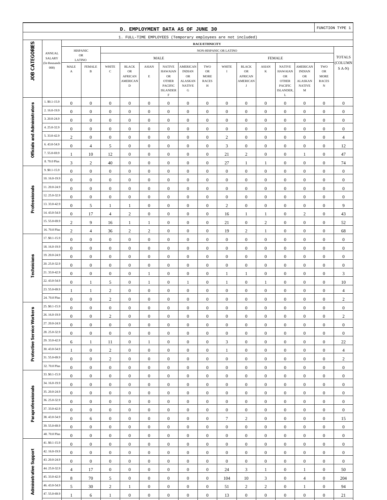|                              |                         |                                  |                               |                                | D. EMPLOYMENT DATA AS OF JUNE 30                                               |                                  |                                                                                                        |                                                                                        |                                                                |                                    |                                                                               |                                  |                                                                                              |                                                                                                 |                                                                | FUNCTION TYPE 1           |
|------------------------------|-------------------------|----------------------------------|-------------------------------|--------------------------------|--------------------------------------------------------------------------------|----------------------------------|--------------------------------------------------------------------------------------------------------|----------------------------------------------------------------------------------------|----------------------------------------------------------------|------------------------------------|-------------------------------------------------------------------------------|----------------------------------|----------------------------------------------------------------------------------------------|-------------------------------------------------------------------------------------------------|----------------------------------------------------------------|---------------------------|
|                              |                         |                                  |                               |                                |                                                                                |                                  |                                                                                                        |                                                                                        | <b>RACE/ETHNICITY</b>                                          |                                    | 1. FULL-TIME EMPLOYEES (Temporary employees are not included)                 |                                  |                                                                                              |                                                                                                 |                                                                |                           |
|                              |                         |                                  | <b>HISPANIC</b>               |                                |                                                                                |                                  |                                                                                                        |                                                                                        | NON-HISPANIC OR LATINO                                         |                                    |                                                                               |                                  |                                                                                              |                                                                                                 |                                                                |                           |
|                              | <b>ANNUAL</b><br>SALARY |                                  | $\mathbf{OR}$<br>LATINO       |                                |                                                                                |                                  | MALE                                                                                                   |                                                                                        |                                                                |                                    |                                                                               |                                  | <b>FEMALE</b>                                                                                |                                                                                                 |                                                                | <b>TOTALS</b>             |
| JOB CATEGORIES               | In thousands<br>000)    | MALE<br>$\boldsymbol{A}$         | <b>FEMALE</b><br>$\, {\bf B}$ | WHITE<br>$\mathbf C$           | <b>BLACK</b><br>${\sf OR}$<br><b>AFRICAN</b><br><b>AMERICAN</b><br>$\mathbf D$ | <b>ASIAN</b><br>$\mathbf E$      | <b>NATIVE</b><br><b>HAWAIAN</b><br>${\rm OR}$<br><b>OTHER</b><br>PACIFIC<br><b>ISLANDER</b><br>$\rm F$ | <b>AMERICAN</b><br><b>INDIAN</b><br>OR<br><b>ALASKAN</b><br><b>NATIVE</b><br>${\bf G}$ | TWO<br>${\sf OR}$<br><b>MORE</b><br><b>RACES</b><br>$_{\rm H}$ | WHITE<br>$\rm I$                   | <b>BLACK</b><br>$_{\rm OR}$<br><b>AFRICAN</b><br><b>AMERICAN</b><br>${\bf J}$ | <b>ASIAN</b><br>$\bf K$          | <b>NATIVE</b><br><b>HAWAIAN</b><br>${\sf OR}$<br><b>OTHER</b><br><b>PACIFIC</b><br>ISLANDER, | <b>AMERICAN</b><br><b>INDIAN</b><br>${\sf OR}$<br><b>ALASKAN</b><br><b>NATIVE</b><br>$_{\rm M}$ | TWO<br>${\sf OR}$<br><b>MORE</b><br><b>RACES</b><br>$_{\rm N}$ | <b>COLUMN</b><br>$S(A-N)$ |
|                              | 1. \$0.1-15.9           | $\boldsymbol{0}$                 | $\boldsymbol{0}$              | $\boldsymbol{0}$               | $\boldsymbol{0}$                                                               | $\boldsymbol{0}$                 | $\boldsymbol{0}$                                                                                       | $\boldsymbol{0}$                                                                       | $\boldsymbol{0}$                                               | $\boldsymbol{0}$                   | $\boldsymbol{0}$                                                              | $\boldsymbol{0}$                 | L<br>$\boldsymbol{0}$                                                                        | $\boldsymbol{0}$                                                                                | $\boldsymbol{0}$                                               | $\boldsymbol{0}$          |
|                              | 2.16.0-19.9             |                                  |                               |                                |                                                                                |                                  |                                                                                                        |                                                                                        |                                                                |                                    |                                                                               |                                  |                                                                                              |                                                                                                 |                                                                |                           |
|                              | 3.20.0-24.9             | $\boldsymbol{0}$                 | $\boldsymbol{0}$              | $\boldsymbol{0}$               | $\boldsymbol{0}$                                                               | $\mathbf{0}$                     | $\boldsymbol{0}$                                                                                       | $\boldsymbol{0}$                                                                       | $\boldsymbol{0}$                                               | $\boldsymbol{0}$                   | $\mathbf{0}$                                                                  | $\boldsymbol{0}$                 | $\boldsymbol{0}$                                                                             | $\boldsymbol{0}$                                                                                | $\boldsymbol{0}$                                               | $\boldsymbol{0}$          |
|                              | 4.25.0-32.9             | $\boldsymbol{0}$                 | $\boldsymbol{0}$              | $\boldsymbol{0}$               | $\boldsymbol{0}$                                                               | $\boldsymbol{0}$                 | $\boldsymbol{0}$                                                                                       | $\boldsymbol{0}$                                                                       | $\boldsymbol{0}$                                               | $\boldsymbol{0}$                   | $\mathbf{0}$                                                                  | $\boldsymbol{0}$                 | $\boldsymbol{0}$                                                                             | $\boldsymbol{0}$                                                                                | $\boldsymbol{0}$                                               | $\boldsymbol{0}$          |
|                              | 5.33.0-42.9             | $\boldsymbol{0}$                 | $\boldsymbol{0}$              | $\boldsymbol{0}$               | $\boldsymbol{0}$                                                               | $\boldsymbol{0}$                 | $\boldsymbol{0}$                                                                                       | $\boldsymbol{0}$                                                                       | $\boldsymbol{0}$                                               | $\boldsymbol{0}$                   | $\boldsymbol{0}$                                                              | $\mathbf{0}$                     | $\boldsymbol{0}$                                                                             | $\boldsymbol{0}$                                                                                | $\boldsymbol{0}$                                               | $\boldsymbol{0}$          |
|                              | 6.43.0-54.9             | $\sqrt{2}$                       | $\boldsymbol{0}$              | $\boldsymbol{0}$               | $\boldsymbol{0}$                                                               | $\boldsymbol{0}$                 | $\boldsymbol{0}$                                                                                       | $\boldsymbol{0}$                                                                       | $\boldsymbol{0}$                                               | $\overline{c}$                     | $\boldsymbol{0}$                                                              | $\boldsymbol{0}$                 | $\boldsymbol{0}$                                                                             | $\boldsymbol{0}$                                                                                | $\boldsymbol{0}$                                               | $\overline{4}$            |
| Officials and Administrators | 7.55.0-69.9             | $\boldsymbol{0}$                 | $\overline{4}$                | 5                              | $\boldsymbol{0}$                                                               | $\mathbf{0}$                     | $\boldsymbol{0}$                                                                                       | $\boldsymbol{0}$                                                                       | $\boldsymbol{0}$                                               | $\sqrt{3}$                         | $\mathbf{0}$                                                                  | $\boldsymbol{0}$                 | $\boldsymbol{0}$                                                                             | $\boldsymbol{0}$                                                                                | $\boldsymbol{0}$                                               | 12                        |
|                              | 8.70.0 Plus             | $\mathbf{1}$                     | 10                            | 12                             | $\boldsymbol{0}$                                                               | $\boldsymbol{0}$                 | $\boldsymbol{0}$                                                                                       | $\boldsymbol{0}$                                                                       | $\boldsymbol{0}$                                               | 21                                 | $\mathfrak{2}$                                                                | $\boldsymbol{0}$                 | $\boldsymbol{0}$                                                                             | $\mathbf{1}$                                                                                    | $\boldsymbol{0}$                                               | 47                        |
|                              | 9. \$0.1-15.9           | $\mathfrak{Z}$                   | $\sqrt{2}$                    | 40                             | $\boldsymbol{0}$                                                               | $\boldsymbol{0}$                 | $\boldsymbol{0}$                                                                                       | $\boldsymbol{0}$                                                                       | $\boldsymbol{0}$                                               | 27                                 | 1                                                                             | 1                                | $\boldsymbol{0}$                                                                             | $\boldsymbol{0}$                                                                                | $\boldsymbol{0}$                                               | 74                        |
|                              | 10.16.0-19.9            | $\mathbf{0}$                     | $\boldsymbol{0}$              | $\boldsymbol{0}$               | $\boldsymbol{0}$                                                               | $\boldsymbol{0}$                 | $\boldsymbol{0}$                                                                                       | $\boldsymbol{0}$                                                                       | $\boldsymbol{0}$                                               | $\boldsymbol{0}$                   | $\boldsymbol{0}$                                                              | $\boldsymbol{0}$                 | $\boldsymbol{0}$                                                                             | $\boldsymbol{0}$                                                                                | $\boldsymbol{0}$                                               | $\boldsymbol{0}$          |
|                              | 11.20.0-24.9            | $\boldsymbol{0}$                 | $\boldsymbol{0}$              | $\boldsymbol{0}$               | $\boldsymbol{0}$                                                               | $\mathbf{0}$                     | $\boldsymbol{0}$                                                                                       | $\boldsymbol{0}$                                                                       | $\boldsymbol{0}$                                               | $\mathbf{0}$                       | $\boldsymbol{0}$                                                              | $\boldsymbol{0}$                 | $\boldsymbol{0}$                                                                             | $\boldsymbol{0}$                                                                                | $\boldsymbol{0}$                                               | $\boldsymbol{0}$          |
| Professionals                | 12.25.0-32.9            | $\boldsymbol{0}$                 | $\boldsymbol{0}$              | $\boldsymbol{0}$               | $\boldsymbol{0}$                                                               | $\boldsymbol{0}$                 | $\boldsymbol{0}$                                                                                       | $\boldsymbol{0}$                                                                       | $\boldsymbol{0}$                                               | $\boldsymbol{0}$                   | $\mathbf{0}$                                                                  | $\boldsymbol{0}$                 | $\boldsymbol{0}$<br>$\boldsymbol{0}$                                                         | $\boldsymbol{0}$                                                                                | $\boldsymbol{0}$                                               | $\boldsymbol{0}$          |
|                              | 13.33.0-42.9            | $\boldsymbol{0}$<br>$\mathbf{0}$ | $\boldsymbol{0}$<br>5         | $\boldsymbol{0}$               | $\boldsymbol{0}$                                                               | $\boldsymbol{0}$                 | $\boldsymbol{0}$                                                                                       | $\boldsymbol{0}$<br>$\boldsymbol{0}$                                                   | $\boldsymbol{0}$<br>$\boldsymbol{0}$                           | $\boldsymbol{0}$<br>$\overline{c}$ | $\boldsymbol{0}$                                                              | $\mathbf{0}$<br>$\boldsymbol{0}$ |                                                                                              | $\boldsymbol{0}$<br>$\boldsymbol{0}$                                                            | $\boldsymbol{0}$                                               | $\boldsymbol{0}$<br>9     |
|                              | 14.43.0-54.9            | $\boldsymbol{0}$                 | 17                            | $\mathbf{1}$<br>$\overline{4}$ | $\mathbf{1}$<br>$\sqrt{2}$                                                     | $\boldsymbol{0}$<br>$\mathbf{0}$ | $\boldsymbol{0}$<br>$\boldsymbol{0}$                                                                   | $\mathbf{0}$                                                                           | $\boldsymbol{0}$                                               | 16                                 | $\boldsymbol{0}$<br>1                                                         | 1                                | $\boldsymbol{0}$<br>$\boldsymbol{0}$                                                         | $\boldsymbol{2}$                                                                                | $\boldsymbol{0}$<br>$\boldsymbol{0}$                           | 43                        |
|                              | 15.55.0-69.9            | $\overline{2}$                   | 9                             | 16                             | $\mathbf{1}$                                                                   | 1                                | $\boldsymbol{0}$                                                                                       | $\mathbf{0}$                                                                           | $\boldsymbol{0}$                                               | 21                                 | $\mathbf{0}$                                                                  | $\mathbf{2}$                     | $\boldsymbol{0}$                                                                             | $\boldsymbol{0}$                                                                                | $\boldsymbol{0}$                                               | 52                        |
|                              | 16.70.0 Plus            | $\sqrt{2}$                       | $\overline{4}$                | 36                             | $\sqrt{2}$                                                                     | $\boldsymbol{2}$                 | $\boldsymbol{0}$                                                                                       | $\mathbf{0}$                                                                           | $\boldsymbol{0}$                                               | 19                                 | 2                                                                             | 1                                | $\boldsymbol{0}$                                                                             | $\boldsymbol{0}$                                                                                | $\boldsymbol{0}$                                               | 68                        |
|                              | 17. \$0.1-15.9          | $\mathbf{0}$                     | $\boldsymbol{0}$              | $\boldsymbol{0}$               | $\boldsymbol{0}$                                                               | $\boldsymbol{0}$                 | $\boldsymbol{0}$                                                                                       | $\boldsymbol{0}$                                                                       | $\boldsymbol{0}$                                               | $\boldsymbol{0}$                   | $\boldsymbol{0}$                                                              | $\boldsymbol{0}$                 | $\boldsymbol{0}$                                                                             | $\boldsymbol{0}$                                                                                | $\boldsymbol{0}$                                               | $\boldsymbol{0}$          |
|                              | 18.16.0-19.9            | $\mathbf{0}$                     | $\boldsymbol{0}$              | $\boldsymbol{0}$               | $\mathbf{0}$                                                                   | $\mathbf{0}$                     | $\boldsymbol{0}$                                                                                       | $\mathbf{0}$                                                                           | $\boldsymbol{0}$                                               | $\boldsymbol{0}$                   | $\boldsymbol{0}$                                                              | $\boldsymbol{0}$                 | $\boldsymbol{0}$                                                                             | $\boldsymbol{0}$                                                                                | $\boldsymbol{0}$                                               | $\boldsymbol{0}$          |
|                              | 19.20.0-24.9            | $\boldsymbol{0}$                 | $\boldsymbol{0}$              | $\mathbf{0}$                   | $\boldsymbol{0}$                                                               | $\boldsymbol{0}$                 | $\boldsymbol{0}$                                                                                       | $\mathbf{0}$                                                                           | $\boldsymbol{0}$                                               | $\boldsymbol{0}$                   | $\mathbf{0}$                                                                  | $\mathbf{0}$                     | $\boldsymbol{0}$                                                                             | $\boldsymbol{0}$                                                                                | $\boldsymbol{0}$                                               | $\boldsymbol{0}$          |
|                              | 20.25.0-32.9            | $\boldsymbol{0}$                 | $\boldsymbol{0}$              | $\boldsymbol{0}$               | $\boldsymbol{0}$                                                               | $\boldsymbol{0}$                 | $\boldsymbol{0}$                                                                                       | $\mathbf{0}$                                                                           | $\boldsymbol{0}$                                               | $\boldsymbol{0}$                   | $\boldsymbol{0}$                                                              | $\mathbf{0}$                     | $\boldsymbol{0}$                                                                             | $\boldsymbol{0}$                                                                                | $\boldsymbol{0}$                                               | $\boldsymbol{0}$          |
| Technicians                  | 21.33.0-42.9            | $\mathbf{0}$                     | $\boldsymbol{0}$              | $\boldsymbol{0}$               | $\boldsymbol{0}$                                                               | 1                                | $\boldsymbol{0}$                                                                                       | $\boldsymbol{0}$                                                                       | $\boldsymbol{0}$                                               | $\mathbf{1}$                       | $\mathbf{1}$                                                                  | $\boldsymbol{0}$                 | $\boldsymbol{0}$                                                                             | $\boldsymbol{0}$                                                                                | $\boldsymbol{0}$                                               | $\ensuremath{\mathsf{3}}$ |
|                              | 22.43.0-54.9            | $\boldsymbol{0}$                 | $\mathbf{1}$                  | 5                              | $\boldsymbol{0}$                                                               | 1                                | $\boldsymbol{0}$                                                                                       | $\mathbf{1}$                                                                           | $\boldsymbol{0}$                                               | $\mathbf{1}$                       | $\mathbf{0}$                                                                  | 1                                | $\boldsymbol{0}$                                                                             | $\boldsymbol{0}$                                                                                | $\boldsymbol{0}$                                               | $10\,$                    |
|                              | 23.55.0-69.9            | $\mathbf{1}$                     | $\mathbf{1}$                  | $\sqrt{2}$                     | $\boldsymbol{0}$                                                               | $\boldsymbol{0}$                 | $\boldsymbol{0}$                                                                                       | $\boldsymbol{0}$                                                                       | $\boldsymbol{0}$                                               | $\boldsymbol{0}$                   | $\boldsymbol{0}$                                                              | $\boldsymbol{0}$                 | $\boldsymbol{0}$                                                                             | $\boldsymbol{0}$                                                                                | $\boldsymbol{0}$                                               | $\overline{4}$            |
|                              | 24.70.0 Plus            | $\overline{0}$                   | $\boldsymbol{0}$              | $\overline{2}$                 | $\boldsymbol{0}$                                                               | $\mathbf{0}$                     | $\boldsymbol{0}$                                                                                       | $\boldsymbol{0}$                                                                       | 0                                                              | $\boldsymbol{0}$                   | 0                                                                             | $\boldsymbol{0}$                 | $\mathbf{0}$                                                                                 | $\boldsymbol{0}$                                                                                | $\boldsymbol{0}$                                               | $\sqrt{2}$                |
|                              | 25. \$0.1-15.9          | $\boldsymbol{0}$                 | $\boldsymbol{0}$              | $\boldsymbol{0}$               | $\boldsymbol{0}$                                                               | $\boldsymbol{0}$                 | $\boldsymbol{0}$                                                                                       | $\boldsymbol{0}$                                                                       | $\boldsymbol{0}$                                               | $\boldsymbol{0}$                   | $\boldsymbol{0}$                                                              | $\boldsymbol{0}$                 | $\boldsymbol{0}$                                                                             | $\boldsymbol{0}$                                                                                | $\boldsymbol{0}$                                               | $\boldsymbol{0}$          |
|                              | 26.16.0-19.9            | $\mathbf{0}$                     | $\boldsymbol{0}$              | $\sqrt{2}$                     | $\boldsymbol{0}$                                                               | $\overline{0}$                   | $\boldsymbol{0}$                                                                                       | $\boldsymbol{0}$                                                                       | $\overline{0}$                                                 | $\boldsymbol{0}$                   | $\overline{0}$                                                                | $\boldsymbol{0}$                 | $\boldsymbol{0}$                                                                             | $\boldsymbol{0}$                                                                                | $\boldsymbol{0}$                                               | $\sqrt{2}$                |
|                              | 27.20.0-24.9            | $\mathbf{0}$                     | $\boldsymbol{0}$              | $\boldsymbol{0}$               | $\boldsymbol{0}$                                                               | $\mathbf{0}$                     | $\boldsymbol{0}$                                                                                       | $\boldsymbol{0}$                                                                       | $\boldsymbol{0}$                                               | $\boldsymbol{0}$                   | $\mathbf{0}$                                                                  | $\boldsymbol{0}$                 | $\boldsymbol{0}$                                                                             | $\boldsymbol{0}$                                                                                | $\boldsymbol{0}$                                               | $\boldsymbol{0}$          |
| Protective Service Workers   | 28.25.0-32.9            | $\mathbf{0}$                     | $\boldsymbol{0}$              | $\boldsymbol{0}$               | $\boldsymbol{0}$                                                               | $\mathbf{0}$                     | $\boldsymbol{0}$                                                                                       | $\boldsymbol{0}$                                                                       | $\boldsymbol{0}$                                               | $\boldsymbol{0}$                   | $\mathbf{0}$                                                                  | $\boldsymbol{0}$                 | $\boldsymbol{0}$                                                                             | $\boldsymbol{0}$                                                                                | $\boldsymbol{0}$                                               | $\boldsymbol{0}$          |
|                              | 29.33.0-42.9            | 6                                | $\mathbf{1}$                  | 11                             | $\boldsymbol{0}$                                                               | $\mathbf{1}$                     | $\boldsymbol{0}$                                                                                       | $\boldsymbol{0}$                                                                       | $\boldsymbol{0}$                                               | $\sqrt{3}$                         | $\boldsymbol{0}$                                                              | $\boldsymbol{0}$                 | $\boldsymbol{0}$                                                                             | $\boldsymbol{0}$                                                                                | $\boldsymbol{0}$                                               | $22\,$                    |
|                              | 30.43.0-54.9            | $\mathbf{1}$                     | $\boldsymbol{0}$              | $\sqrt{2}$                     | $\boldsymbol{0}$                                                               | $\boldsymbol{0}$                 | $\boldsymbol{0}$                                                                                       | $\boldsymbol{0}$                                                                       | $\boldsymbol{0}$                                               | $\mathbf{1}$                       | $\boldsymbol{0}$                                                              | $\mathbf{0}$                     | $\boldsymbol{0}$                                                                             | $\boldsymbol{0}$                                                                                | $\boldsymbol{0}$                                               | $\overline{4}$            |
|                              | 31.55.0-69.9            | $\mathbf{0}$                     | $\boldsymbol{0}$              | $\sqrt{2}$                     | $\boldsymbol{0}$                                                               | $\mathbf{0}$                     | $\boldsymbol{0}$                                                                                       | $\boldsymbol{0}$                                                                       | $\boldsymbol{0}$                                               | $\boldsymbol{0}$                   | $\mathbf{0}$                                                                  | $\boldsymbol{0}$                 | $\boldsymbol{0}$                                                                             | $\boldsymbol{0}$                                                                                | $\boldsymbol{0}$                                               | $\sqrt{2}$                |
|                              | 32.70.0 Plus            | $\mathbf{0}$                     | $\boldsymbol{0}$              | $\boldsymbol{0}$               | $\boldsymbol{0}$                                                               | $\boldsymbol{0}$                 | $\boldsymbol{0}$                                                                                       | $\boldsymbol{0}$                                                                       | $\boldsymbol{0}$                                               | $\boldsymbol{0}$                   | $\boldsymbol{0}$                                                              | $\boldsymbol{0}$                 | $\boldsymbol{0}$                                                                             | $\boldsymbol{0}$                                                                                | $\boldsymbol{0}$                                               | $\boldsymbol{0}$          |
|                              | 33. \$0.1-15.9          | $\mathbf{0}$                     | $\boldsymbol{0}$              | $\boldsymbol{0}$               | $\boldsymbol{0}$                                                               | $\boldsymbol{0}$                 | $\boldsymbol{0}$                                                                                       | $\boldsymbol{0}$                                                                       | $\boldsymbol{0}$                                               | $\boldsymbol{0}$                   | $\boldsymbol{0}$                                                              | $\boldsymbol{0}$                 | $\boldsymbol{0}$                                                                             | $\boldsymbol{0}$                                                                                | $\boldsymbol{0}$                                               | $\boldsymbol{0}$          |
|                              | 34.16.0-19.9            | $\mathbf{0}$                     | $\boldsymbol{0}$              | $\boldsymbol{0}$               | $\boldsymbol{0}$                                                               | $\boldsymbol{0}$                 | $\boldsymbol{0}$                                                                                       | $\boldsymbol{0}$                                                                       | $\boldsymbol{0}$                                               | $\mathbf{0}$                       | $\overline{0}$                                                                | $\mathbf{0}$                     | $\boldsymbol{0}$                                                                             | $\boldsymbol{0}$                                                                                | $\boldsymbol{0}$                                               | $\boldsymbol{0}$          |
|                              | 35.20.0-24.9            | $\mathbf{0}$                     | $\boldsymbol{0}$              | $\boldsymbol{0}$               | $\boldsymbol{0}$                                                               | $\mathbf{0}$                     | $\boldsymbol{0}$                                                                                       | $\boldsymbol{0}$                                                                       | $\boldsymbol{0}$                                               | $\boldsymbol{0}$                   | $\mathbf{0}$                                                                  | $\boldsymbol{0}$                 | $\boldsymbol{0}$                                                                             | $\boldsymbol{0}$                                                                                | $\boldsymbol{0}$                                               | $\boldsymbol{0}$          |
|                              | 36.25.0-32.9            | $\mathbf{0}$                     | $\boldsymbol{0}$              | $\boldsymbol{0}$               | $\boldsymbol{0}$                                                               | $\boldsymbol{0}$                 | $\boldsymbol{0}$                                                                                       | $\boldsymbol{0}$                                                                       | $\boldsymbol{0}$                                               | $\boldsymbol{0}$                   | $\boldsymbol{0}$                                                              | $\boldsymbol{0}$                 | $\boldsymbol{0}$                                                                             | $\boldsymbol{0}$                                                                                | $\boldsymbol{0}$                                               | $\boldsymbol{0}$          |
| Paraprofessionals            | 37.33.0-42.9            | $\mathbf{0}$                     | $\boldsymbol{0}$              | $\boldsymbol{0}$               | $\boldsymbol{0}$                                                               | $\boldsymbol{0}$                 | $\boldsymbol{0}$                                                                                       | $\boldsymbol{0}$                                                                       | $\boldsymbol{0}$                                               | $\boldsymbol{0}$                   | $\boldsymbol{0}$                                                              | $\boldsymbol{0}$                 | $\boldsymbol{0}$                                                                             | $\boldsymbol{0}$                                                                                | $\boldsymbol{0}$                                               | $\boldsymbol{0}$          |
|                              | 38.43.0-54.9            | $\mathbf{0}$                     | 6                             | $\boldsymbol{0}$               | $\boldsymbol{0}$                                                               | $\overline{0}$                   | $\boldsymbol{0}$                                                                                       | $\boldsymbol{0}$                                                                       | $\boldsymbol{0}$                                               | $\tau$                             | $\overline{c}$                                                                | $\boldsymbol{0}$                 | $\boldsymbol{0}$                                                                             | $\boldsymbol{0}$                                                                                | $\boldsymbol{0}$                                               | 15                        |
|                              | 39.55.0-69.9            | $\mathbf{0}$                     | $\mathbf{0}$                  | $\boldsymbol{0}$               | $\boldsymbol{0}$                                                               | $\boldsymbol{0}$                 | $\boldsymbol{0}$                                                                                       | $\boldsymbol{0}$                                                                       | $\boldsymbol{0}$                                               | $\boldsymbol{0}$                   | $\mathbf{0}$                                                                  | $\boldsymbol{0}$                 | $\boldsymbol{0}$                                                                             | $\boldsymbol{0}$                                                                                | $\boldsymbol{0}$                                               | $\boldsymbol{0}$          |
|                              | 40.70.0 Plus            | $\mathbf{0}$                     | $\boldsymbol{0}$              | $\boldsymbol{0}$               | $\boldsymbol{0}$                                                               | $\boldsymbol{0}$                 | $\boldsymbol{0}$                                                                                       | $\boldsymbol{0}$                                                                       | $\boldsymbol{0}$                                               | $\boldsymbol{0}$                   | $\boldsymbol{0}$                                                              | $\boldsymbol{0}$                 | $\boldsymbol{0}$                                                                             | $\boldsymbol{0}$                                                                                | $\boldsymbol{0}$                                               | $\boldsymbol{0}$          |
|                              | 41. \$0.1-15.9          | $\mathbf{0}$                     | $\boldsymbol{0}$              | $\boldsymbol{0}$               | $\boldsymbol{0}$                                                               | $\boldsymbol{0}$                 | $\boldsymbol{0}$                                                                                       | $\boldsymbol{0}$                                                                       | $\boldsymbol{0}$                                               | $\boldsymbol{0}$                   | $\boldsymbol{0}$                                                              | $\boldsymbol{0}$                 | $\boldsymbol{0}$                                                                             | $\boldsymbol{0}$                                                                                | $\boldsymbol{0}$                                               | $\boldsymbol{0}$          |
|                              | 42.16.0-19.9            | $\mathbf{0}$                     | $\boldsymbol{0}$              | $\boldsymbol{0}$               | $\boldsymbol{0}$                                                               | $\overline{0}$                   | $\boldsymbol{0}$                                                                                       | $\boldsymbol{0}$                                                                       | $\overline{0}$                                                 | $\mathbf{0}$                       | $\mathbf{0}$                                                                  | $\mathbf{0}$                     | $\boldsymbol{0}$                                                                             | $\boldsymbol{0}$                                                                                | $\boldsymbol{0}$                                               | $\boldsymbol{0}$          |
|                              | 43.20.0-24.9            | $\mathbf{0}$                     | $\boldsymbol{0}$              | $\boldsymbol{0}$               | $\boldsymbol{0}$                                                               | $\mathbf{0}$                     | $\boldsymbol{0}$                                                                                       | $\boldsymbol{0}$                                                                       | $\boldsymbol{0}$                                               | $\boldsymbol{0}$                   | $\mathbf{0}$                                                                  | $\boldsymbol{0}$                 | $\boldsymbol{0}$                                                                             | $\boldsymbol{0}$                                                                                | $\boldsymbol{0}$                                               | $\boldsymbol{0}$          |
|                              | 44.25.0-32.9            | $\overline{4}$                   | 17                            | $\boldsymbol{0}$               | $\boldsymbol{0}$                                                               | $\boldsymbol{0}$                 | $\boldsymbol{0}$                                                                                       | $\boldsymbol{0}$                                                                       | $\boldsymbol{0}$                                               | 24                                 | 3                                                                             | 1                                | $\boldsymbol{0}$                                                                             | $\mathbf{1}$                                                                                    | $\boldsymbol{0}$                                               | 50                        |
| Administrative Support       | 45.33.0-42.9            | 8                                | 70                            | 5                              | $\boldsymbol{0}$                                                               | $\boldsymbol{0}$                 | $\boldsymbol{0}$                                                                                       | $\boldsymbol{0}$                                                                       | $\boldsymbol{0}$                                               | 104                                | 10                                                                            | 3                                | $\boldsymbol{0}$                                                                             | $\overline{4}$                                                                                  | $\boldsymbol{0}$                                               | 204                       |
|                              | 46.43.0-54.9            | 5                                | 30                            | $\sqrt{2}$                     | $\mathbf{1}$                                                                   | $\boldsymbol{0}$                 | $\boldsymbol{0}$                                                                                       | $\boldsymbol{0}$                                                                       | $\boldsymbol{0}$                                               | 51                                 | $\sqrt{2}$                                                                    | $\sqrt{2}$                       | $\boldsymbol{0}$                                                                             | $\mathbf{1}$                                                                                    | $\boldsymbol{0}$                                               | 94                        |
|                              | 47.55.0-69.9            | $\mathbf{1}$                     | 6                             | $\mathbf{1}$                   | $\boldsymbol{0}$                                                               | $\boldsymbol{0}$                 | $\boldsymbol{0}$                                                                                       | $\boldsymbol{0}$                                                                       | $\boldsymbol{0}$                                               | 13                                 | $\boldsymbol{0}$                                                              | $\boldsymbol{0}$                 | $\boldsymbol{0}$                                                                             | $\boldsymbol{0}$                                                                                | $\boldsymbol{0}$                                               | $21\,$                    |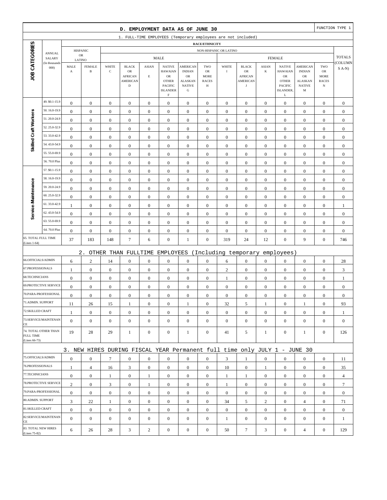| D. EMPLOYMENT DATA AS OF JUNE 30     |                              |                          |                                  |                  |                                                                           |                        |                                                                |                                                 |                                                 |                  | FUNCTION TYPE 1                              |                  |                                                                 |                                                        |                                                 |                  |
|--------------------------------------|------------------------------|--------------------------|----------------------------------|------------------|---------------------------------------------------------------------------|------------------------|----------------------------------------------------------------|-------------------------------------------------|-------------------------------------------------|------------------|----------------------------------------------|------------------|-----------------------------------------------------------------|--------------------------------------------------------|-------------------------------------------------|------------------|
|                                      |                              |                          |                                  |                  | 1. FULL-TIME EMPLOYEES (Temporary employees are not included)             |                        |                                                                |                                                 |                                                 |                  |                                              |                  |                                                                 |                                                        |                                                 |                  |
|                                      |                              |                          |                                  |                  |                                                                           |                        |                                                                |                                                 | <b>RACE/ETHNICITY</b>                           |                  |                                              |                  |                                                                 |                                                        |                                                 |                  |
|                                      | <b>ANNUAL</b><br>SALARY      |                          | <b>HISPANIC</b><br>$\mathbf{OR}$ |                  |                                                                           |                        | <b>MALE</b>                                                    |                                                 | NON-HISPANIC OR LATINO                          |                  |                                              |                  | <b>FEMALE</b>                                                   |                                                        |                                                 | <b>TOTALS</b>    |
|                                      | (In thousands                | LATINO                   | <b>FEMALE</b>                    | WHITE            | <b>BLACK</b>                                                              | $\operatorname{ASIAN}$ | <b>NATIVE</b>                                                  | AMERICAN                                        | TWO                                             | WHITE            | <b>BLACK</b>                                 | <b>ASIAN</b>     | <b>NATIVE</b>                                                   | <b>AMERICAN</b>                                        | TWO                                             | (COLUMN          |
| JOB CATEGORIES                       | 000)                         | MALE<br>$\boldsymbol{A}$ | $\, {\bf B}$                     | $\mathbf C$      | OR<br><b>AFRICAN</b><br><b>AMERICAN</b><br>$\mathbf D$                    | Е                      | <b>HAWAIAN</b><br>${\rm OR}$<br><b>OTHER</b><br><b>PACIFIC</b> | <b>INDIAN</b><br>OR<br>ALASKAN<br><b>NATIVE</b> | OR<br><b>MORE</b><br><b>RACES</b><br>$_{\rm H}$ | $\bf{I}$         | OR<br><b>AFRICAN</b><br><b>AMERICAN</b><br>J | $\bf K$          | <b>HAWAIAN</b><br>$_{\rm OR}$<br><b>OTHER</b><br><b>PACIFIC</b> | <b>INDIAN</b><br>OR<br><b>ALASKAN</b><br><b>NATIVE</b> | OR<br><b>MORE</b><br><b>RACES</b><br>$_{\rm N}$ | $S(A-N)$         |
|                                      |                              |                          |                                  |                  |                                                                           |                        | <b>ISLANDER</b><br>$\rm F$                                     | ${\bf G}$                                       |                                                 |                  |                                              |                  | ISLANDER,<br>L                                                  | M                                                      |                                                 |                  |
|                                      | 49. \$0.1-15.9               | $\mathbf{0}$             | $\boldsymbol{0}$                 | $\boldsymbol{0}$ | $\boldsymbol{0}$                                                          | $\boldsymbol{0}$       | $\boldsymbol{0}$                                               | $\boldsymbol{0}$                                | $\boldsymbol{0}$                                | $\boldsymbol{0}$ | $\boldsymbol{0}$                             | $\boldsymbol{0}$ | $\boldsymbol{0}$                                                | $\boldsymbol{0}$                                       | $\boldsymbol{0}$                                | $\boldsymbol{0}$ |
|                                      | 50.16.0-19.9                 | $\boldsymbol{0}$         | $\boldsymbol{0}$                 | $\boldsymbol{0}$ | $\boldsymbol{0}$                                                          | $\boldsymbol{0}$       | $\boldsymbol{0}$                                               | $\boldsymbol{0}$                                | $\boldsymbol{0}$                                | $\boldsymbol{0}$ | $\mathbf{0}$                                 | $\mathbf{0}$     | $\mathbf{0}$                                                    | $\boldsymbol{0}$                                       | $\boldsymbol{0}$                                | $\boldsymbol{0}$ |
|                                      | 51.20.0-24.9                 | $\mathbf{0}$             | $\boldsymbol{0}$                 | $\boldsymbol{0}$ | $\boldsymbol{0}$                                                          | $\boldsymbol{0}$       | $\boldsymbol{0}$                                               | $\mathbf{0}$                                    | $\boldsymbol{0}$                                | $\boldsymbol{0}$ | $\boldsymbol{0}$                             | $\boldsymbol{0}$ | $\mathbf{0}$                                                    | $\boldsymbol{0}$                                       | $\boldsymbol{0}$                                | $\boldsymbol{0}$ |
| Skilled Craft Workers                | 52.25.0-32.9                 | $\mathbf{0}$             | $\boldsymbol{0}$                 | $\boldsymbol{0}$ | $\boldsymbol{0}$                                                          | $\boldsymbol{0}$       | $\boldsymbol{0}$                                               | $\boldsymbol{0}$                                | $\boldsymbol{0}$                                | $\boldsymbol{0}$ | $\boldsymbol{0}$                             | $\mathbf{0}$     | $\mathbf{0}$                                                    | $\boldsymbol{0}$                                       | $\boldsymbol{0}$                                | $\boldsymbol{0}$ |
|                                      | 53.33.0-42.9                 | $\boldsymbol{0}$         | $\boldsymbol{0}$                 | $\boldsymbol{0}$ | $\boldsymbol{0}$                                                          | $\boldsymbol{0}$       | $\boldsymbol{0}$                                               | $\boldsymbol{0}$                                | $\boldsymbol{0}$                                | $\boldsymbol{0}$ | $\boldsymbol{0}$                             | $\boldsymbol{0}$ | $\boldsymbol{0}$                                                | $\boldsymbol{0}$                                       | $\boldsymbol{0}$                                | $\boldsymbol{0}$ |
|                                      | 54.43.0-54.9                 | $\boldsymbol{0}$         | $\boldsymbol{0}$                 | $\boldsymbol{0}$ | $\boldsymbol{0}$                                                          | $\boldsymbol{0}$       | $\boldsymbol{0}$                                               | $\boldsymbol{0}$                                | $\boldsymbol{0}$                                | $\boldsymbol{0}$ | $\mathbf{0}$                                 | $\mathbf{0}$     | $\boldsymbol{0}$                                                | $\boldsymbol{0}$                                       | $\boldsymbol{0}$                                | $\boldsymbol{0}$ |
|                                      | 55.55.0-69.9                 | $\overline{0}$           | $\boldsymbol{0}$                 | $\boldsymbol{0}$ | $\boldsymbol{0}$                                                          | $\boldsymbol{0}$       | $\boldsymbol{0}$                                               | $\boldsymbol{0}$                                | $\boldsymbol{0}$                                | $\boldsymbol{0}$ | $\boldsymbol{0}$                             | $\boldsymbol{0}$ | $\mathbf{0}$                                                    | $\boldsymbol{0}$                                       | $\boldsymbol{0}$                                | $\boldsymbol{0}$ |
|                                      | 56.70.0 Plus                 | $\mathbf{0}$             | $\boldsymbol{0}$                 | $\boldsymbol{0}$ | $\boldsymbol{0}$                                                          | $\boldsymbol{0}$       | $\boldsymbol{0}$                                               | $\mathbf{0}$                                    | $\boldsymbol{0}$                                | $\boldsymbol{0}$ | $\boldsymbol{0}$                             | $\boldsymbol{0}$ | $\boldsymbol{0}$                                                | $\boldsymbol{0}$                                       | $\boldsymbol{0}$                                | $\boldsymbol{0}$ |
|                                      | 57. \$0.1-15.9               | $\boldsymbol{0}$         | $\boldsymbol{0}$                 | $\boldsymbol{0}$ | $\boldsymbol{0}$                                                          | $\mathbf{0}$           | $\boldsymbol{0}$                                               | $\boldsymbol{0}$                                | $\boldsymbol{0}$                                | $\boldsymbol{0}$ | $\mathbf{0}$                                 | $\boldsymbol{0}$ | $\boldsymbol{0}$                                                | $\boldsymbol{0}$                                       | $\boldsymbol{0}$                                | $\boldsymbol{0}$ |
|                                      | 58.16.0-19.9                 | $\overline{0}$           | $\boldsymbol{0}$                 | $\boldsymbol{0}$ | $\boldsymbol{0}$                                                          | $\mathbf{0}$           | $\boldsymbol{0}$                                               | $\boldsymbol{0}$                                | $\boldsymbol{0}$                                | $\boldsymbol{0}$ | $\mathbf{0}$                                 | $\boldsymbol{0}$ | $\boldsymbol{0}$                                                | $\boldsymbol{0}$                                       | $\boldsymbol{0}$                                | $\boldsymbol{0}$ |
|                                      | 59.20.0-24.9                 | $\overline{0}$           | $\boldsymbol{0}$                 | $\boldsymbol{0}$ | $\boldsymbol{0}$                                                          | $\mathbf{0}$           | $\mathbf{0}$                                                   | $\boldsymbol{0}$                                | $\boldsymbol{0}$                                | $\boldsymbol{0}$ | $\boldsymbol{0}$                             | $\boldsymbol{0}$ | $\boldsymbol{0}$                                                | $\boldsymbol{0}$                                       | $\boldsymbol{0}$                                | $\boldsymbol{0}$ |
| Service-Maintenance                  | 60.25.0-32.9                 | $\mathbf{0}$             | $\boldsymbol{0}$                 | $\boldsymbol{0}$ | $\boldsymbol{0}$                                                          | $\boldsymbol{0}$       | $\boldsymbol{0}$                                               | $\boldsymbol{0}$                                | $\boldsymbol{0}$                                | $\boldsymbol{0}$ | $\boldsymbol{0}$                             | $\boldsymbol{0}$ | $\boldsymbol{0}$                                                | $\boldsymbol{0}$                                       | $\boldsymbol{0}$                                | $\boldsymbol{0}$ |
|                                      | 61.33.0-42.9                 | 1                        | $\boldsymbol{0}$                 | $\boldsymbol{0}$ | $\boldsymbol{0}$                                                          | $\boldsymbol{0}$       | $\boldsymbol{0}$                                               | $\boldsymbol{0}$                                | $\boldsymbol{0}$                                | $\boldsymbol{0}$ | $\boldsymbol{0}$                             | $\boldsymbol{0}$ | $\boldsymbol{0}$                                                | $\boldsymbol{0}$                                       | $\boldsymbol{0}$                                | 1                |
|                                      | 62.43.0-54.9                 | $\mathbf{0}$             | $\boldsymbol{0}$                 | $\boldsymbol{0}$ | $\boldsymbol{0}$                                                          | $\mathbf{0}$           | $\boldsymbol{0}$                                               | $\boldsymbol{0}$                                | $\boldsymbol{0}$                                | $\boldsymbol{0}$ | $\mathbf{0}$                                 | $\boldsymbol{0}$ | $\boldsymbol{0}$                                                | $\boldsymbol{0}$                                       | $\boldsymbol{0}$                                | $\boldsymbol{0}$ |
|                                      | 63.55.0-69.9                 | $\overline{0}$           | $\boldsymbol{0}$                 | $\boldsymbol{0}$ | $\mathbf{0}$                                                              | $\mathbf{0}$           | $\boldsymbol{0}$                                               | $\boldsymbol{0}$                                | $\boldsymbol{0}$                                | $\boldsymbol{0}$ | $\boldsymbol{0}$                             | $\boldsymbol{0}$ | $\boldsymbol{0}$                                                | $\boldsymbol{0}$                                       | $\boldsymbol{0}$                                | $\boldsymbol{0}$ |
|                                      | 64.70.0 Plus                 | $\mathbf{0}$             | $\boldsymbol{0}$                 | $\boldsymbol{0}$ | $\boldsymbol{0}$                                                          | $\boldsymbol{0}$       | $\mathbf{0}$                                                   | $\boldsymbol{0}$                                | $\boldsymbol{0}$                                | $\boldsymbol{0}$ | $\mathbf{0}$                                 | $\boldsymbol{0}$ | $\boldsymbol{0}$                                                | $\boldsymbol{0}$                                       | $\boldsymbol{0}$                                | $\boldsymbol{0}$ |
| 65. TOTAL FULL TIME<br>(Lines 1-64)  |                              | 37                       | 183                              | 148              | $\tau$                                                                    | 6                      | $\boldsymbol{0}$                                               | 1                                               | $\boldsymbol{0}$                                | 319              | 24                                           | 12               | $\boldsymbol{0}$                                                | 9                                                      | $\boldsymbol{0}$                                | 746              |
|                                      |                              |                          | $2$ .                            |                  | OTHER THAN FULLTIME                                                       |                        | EMPLOYEES                                                      |                                                 |                                                 |                  | (Including temporary                         |                  | employees)                                                      |                                                        |                                                 |                  |
| 66.OFFICIALS/ADMIN                   |                              | 6                        | $\sqrt{2}$                       | 14               | $\boldsymbol{0}$                                                          | $\boldsymbol{0}$       | $\boldsymbol{0}$                                               | $\boldsymbol{0}$                                | $\boldsymbol{0}$                                | 6                | $\boldsymbol{0}$                             | $\mathbf{0}$     | $\boldsymbol{0}$                                                | $\boldsymbol{0}$                                       | $\boldsymbol{0}$                                | $28\,$           |
| 67.PROFESSIONALS                     |                              | $\mathbf{1}$             | $\boldsymbol{0}$                 | $\boldsymbol{0}$ | $\boldsymbol{0}$                                                          | $\boldsymbol{0}$       | $\boldsymbol{0}$                                               | $\boldsymbol{0}$                                | $\boldsymbol{0}$                                | $\sqrt{2}$       | $\mathbf{0}$                                 | $\mathbf{0}$     | $\boldsymbol{0}$                                                | $\boldsymbol{0}$                                       | $\boldsymbol{0}$                                | $\mathfrak{Z}$   |
| 68.TECHNICIANS                       |                              | $\mathbf{0}$             | $\boldsymbol{0}$                 | $\boldsymbol{0}$ | $\boldsymbol{0}$                                                          | $\boldsymbol{0}$       | $\boldsymbol{0}$                                               | $\boldsymbol{0}$                                | $\boldsymbol{0}$                                | $\mathbf{1}$     | $\mathbf{0}$                                 | $\boldsymbol{0}$ | $\boldsymbol{0}$                                                | $\boldsymbol{0}$                                       | $\boldsymbol{0}$                                | $\mathbf{1}$     |
|                                      | <b>69.PROTECTIVE SERVICE</b> | $\boldsymbol{0}$         | $\boldsymbol{0}$                 | $\boldsymbol{0}$ | $\boldsymbol{0}$                                                          | $\boldsymbol{0}$       | $\boldsymbol{0}$                                               | $\boldsymbol{0}$                                | $\boldsymbol{0}$                                | $\boldsymbol{0}$ | $\boldsymbol{0}$                             | $\mathbf{0}$     | $\mathbf{0}$                                                    | $\boldsymbol{0}$                                       | $\boldsymbol{0}$                                | $\boldsymbol{0}$ |
|                                      | 70.PARA-PROFESSIONAL         | $\boldsymbol{0}$         | $\boldsymbol{0}$                 | $\boldsymbol{0}$ | $\boldsymbol{0}$                                                          | $\boldsymbol{0}$       | $\boldsymbol{0}$                                               | $\mathbf{0}$                                    | $\boldsymbol{0}$                                | $\boldsymbol{0}$ | $\boldsymbol{0}$                             | $\boldsymbol{0}$ | $\mathbf{0}$                                                    | $\boldsymbol{0}$                                       | $\boldsymbol{0}$                                | $\boldsymbol{0}$ |
| 71.ADMIN. SUPPORT                    |                              | $11\,$                   | $26\,$                           | 15               | $\mathbf{1}$                                                              | $\Omega$               | $\boldsymbol{0}$                                               |                                                 | $\Omega$                                        | 32               | 5                                            | 1                | $\theta$                                                        | 1                                                      | $\Omega$                                        | 93               |
| 72.SKILLED CRAFT                     |                              | $\mathbf{1}$             | $\boldsymbol{0}$                 | $\boldsymbol{0}$ | $\mathbf{0}$                                                              | $\mathbf{0}$           | $\boldsymbol{0}$                                               | $\boldsymbol{0}$                                | $\mathbf{0}$                                    | $\boldsymbol{0}$ | $\boldsymbol{0}$                             | $\boldsymbol{0}$ | $\mathbf{0}$                                                    | $\boldsymbol{0}$                                       | $\overline{0}$                                  | 1                |
| CE                                   | 73.SERVICE/MAINTENAN         | $\overline{0}$           | $\boldsymbol{0}$                 | $\boldsymbol{0}$ | $\mathbf{0}$                                                              | $\mathbf{0}$           | $\boldsymbol{0}$                                               | $\mathbf{0}$                                    | $\boldsymbol{0}$                                | $\boldsymbol{0}$ | $\mathbf{0}$                                 | $\overline{0}$   | $\mathbf{0}$                                                    | $\mathbf{0}$                                           | $\boldsymbol{0}$                                | $\boldsymbol{0}$ |
| <b>FULL TIME</b><br>(Lines 66-73)    | 74. TOTAL OTHER THAN         | 19                       | 28                               | 29               | $\mathbf{1}$                                                              | $\mathbf{0}$           | $\boldsymbol{0}$                                               | 1                                               | $\boldsymbol{0}$                                | 41               | 5                                            | 1                | $\mathbf{0}$                                                    | $\mathbf{1}$                                           | $\boldsymbol{0}$                                | 126              |
|                                      |                              |                          |                                  |                  | 3. NEW HIRES DURING FISCAL YEAR Permanent full time only JULY 1 - JUNE 30 |                        |                                                                |                                                 |                                                 |                  |                                              |                  |                                                                 |                                                        |                                                 |                  |
| 75.OFFICIALS/ADMIN                   |                              | $\mathbf{0}$             | $\boldsymbol{0}$                 | $\tau$           | $\mathbf{0}$                                                              | $\mathbf{0}$           | $\boldsymbol{0}$                                               | $\boldsymbol{0}$                                | $\boldsymbol{0}$                                | 3                | $\mathbf{1}$                                 | $\mathbf{0}$     | $\boldsymbol{0}$                                                | $\boldsymbol{0}$                                       | $\overline{0}$                                  | 11               |
| 76.PROFESSIONALS                     |                              | $\mathbf{1}$             | $\overline{4}$                   | 16               | 3                                                                         | $\mathbf{0}$           | $\mathbf{0}$                                                   | $\boldsymbol{0}$                                | $\boldsymbol{0}$                                | 10               | $\overline{0}$                               | $\mathbf{1}$     | $\mathbf{0}$                                                    | $\boldsymbol{0}$                                       | $\boldsymbol{0}$                                | 35               |
| 77.TECHNICIANS                       |                              | $\boldsymbol{0}$         | $\boldsymbol{0}$                 | $\mathbf{1}$     | $\boldsymbol{0}$                                                          | $\mathbf{1}$           | $\boldsymbol{0}$                                               | $\boldsymbol{0}$                                | $\overline{0}$                                  | 1                | 1                                            | $\boldsymbol{0}$ | $\boldsymbol{0}$                                                | $\overline{0}$                                         | $\boldsymbol{0}$                                | $\overline{4}$   |
|                                      | 78. PROTECTIVE SERVICE       | 2                        | $\boldsymbol{0}$                 | 3                | $\boldsymbol{0}$                                                          | $\mathbf{1}$           | $\boldsymbol{0}$                                               | $\boldsymbol{0}$                                | $\overline{0}$                                  | $\mathbf{1}$     | $\boldsymbol{0}$                             | $\boldsymbol{0}$ | $\boldsymbol{0}$                                                | $\overline{0}$                                         | $\boldsymbol{0}$                                | $\tau$           |
|                                      | 79.PARA-PROFESSIONAL         | $\overline{0}$           | $\mathbf{0}$                     | $\overline{0}$   | $\mathbf{0}$                                                              | $\mathbf{0}$           | $\mathbf{0}$                                                   | $\mathbf{0}$                                    | $\overline{0}$                                  | $\overline{0}$   | $\overline{0}$                               | $\mathbf{0}$     | $\boldsymbol{0}$                                                | $\overline{0}$                                         | $\boldsymbol{0}$                                | $\boldsymbol{0}$ |
| 80.ADMIN. SUPPORT                    |                              | 3                        | 22                               | $\mathbf{1}$     | $\boldsymbol{0}$                                                          | $\mathbf{0}$           | $\boldsymbol{0}$                                               | $\mathbf{0}$                                    | $\boldsymbol{0}$                                | 34               | 5                                            | $\overline{c}$   | $\mathbf{0}$                                                    | $\overline{4}$                                         | $\overline{0}$                                  | 71               |
| 81.SKILLED CRAFT                     |                              | $\mathbf{0}$             | $\boldsymbol{0}$                 | $\overline{0}$   | $\boldsymbol{0}$                                                          | $\boldsymbol{0}$       | $\boldsymbol{0}$                                               | $\boldsymbol{0}$                                | $\boldsymbol{0}$                                | $\boldsymbol{0}$ | $\boldsymbol{0}$                             | $\boldsymbol{0}$ | $\boldsymbol{0}$                                                | $\boldsymbol{0}$                                       | $\boldsymbol{0}$                                | $\boldsymbol{0}$ |
| CЕ                                   | 82.SERVICE/MAINTENAN         | $\overline{0}$           | $\boldsymbol{0}$                 | $\boldsymbol{0}$ | $\boldsymbol{0}$                                                          | $\mathbf{0}$           | $\mathbf{0}$                                                   | $\boldsymbol{0}$                                | $\boldsymbol{0}$                                | $1\,$            | $\mathbf{0}$                                 | $\mathbf{0}$     | $\mathbf{0}$                                                    | $\boldsymbol{0}$                                       | $\boldsymbol{0}$                                | $\mathbf{1}$     |
| 83. TOTAL NEW HIRES<br>(Lines 75-82) |                              | 6                        | 26                               | 28               | 3                                                                         | $\overline{2}$         | $\boldsymbol{0}$                                               | $\boldsymbol{0}$                                | $\boldsymbol{0}$                                | 50               | $7\phantom{.0}$                              | 3                | $\boldsymbol{0}$                                                | $\overline{4}$                                         | $\boldsymbol{0}$                                | 129              |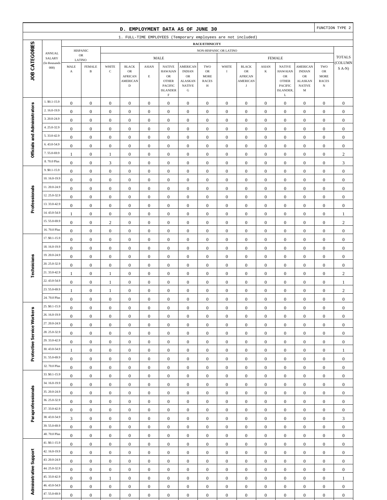|                              |                                |                                      |                                      |                                      | D. EMPLOYMENT DATA AS OF JUNE 30                                       |                                                   |                                                                                                        |                                                                                                |                                                       |                                      |                                                               |                                      |                                                                                             |                                                                                          |                                                                | FUNCTION TYPE 2                      |
|------------------------------|--------------------------------|--------------------------------------|--------------------------------------|--------------------------------------|------------------------------------------------------------------------|---------------------------------------------------|--------------------------------------------------------------------------------------------------------|------------------------------------------------------------------------------------------------|-------------------------------------------------------|--------------------------------------|---------------------------------------------------------------|--------------------------------------|---------------------------------------------------------------------------------------------|------------------------------------------------------------------------------------------|----------------------------------------------------------------|--------------------------------------|
|                              |                                |                                      |                                      |                                      |                                                                        |                                                   |                                                                                                        |                                                                                                | <b>RACE/ETHNICITY</b>                                 |                                      | 1. FULL-TIME EMPLOYEES (Temporary employees are not included) |                                      |                                                                                             |                                                                                          |                                                                |                                      |
|                              | <b>ANNUAL</b>                  |                                      | <b>HISPANIC</b>                      |                                      |                                                                        |                                                   |                                                                                                        |                                                                                                | NON-HISPANIC OR LATINO                                |                                      |                                                               |                                      |                                                                                             |                                                                                          |                                                                |                                      |
|                              | SALARY                         |                                      | ${\rm OR}$<br>LATINO                 |                                      |                                                                        |                                                   | <b>MALE</b>                                                                                            |                                                                                                |                                                       |                                      |                                                               |                                      | <b>FEMALE</b>                                                                               |                                                                                          |                                                                | <b>TOTALS</b><br><b>COLUMN</b>       |
| JOB CATEGORIES               | In thousands<br>000)           | MALE<br>$\mathbf A$                  | <b>FEMALE</b><br>$\, {\bf B}$        | WHITE<br>$\mathbf C$                 | <b>BLACK</b><br>OR<br><b>AFRICAN</b><br><b>AMERICAN</b><br>$\mathbf D$ | $\operatorname{ASIAN}$<br>$\mathop{\hbox{\bf E}}$ | <b>NATIVE</b><br><b>HAWAIAN</b><br>${\rm OR}$<br><b>OTHER</b><br>PACIFIC<br><b>ISLANDER</b><br>$\rm F$ | <b>AMERICAN</b><br><b>INDIAN</b><br>${\sf OR}$<br><b>ALASKAN</b><br><b>NATIVE</b><br>${\bf G}$ | TWO<br>${\sf OR}$<br><b>MORE</b><br><b>RACES</b><br>H | WHITE<br>$\rm I$                     | <b>BLACK</b><br>OR<br><b>AFRICAN</b><br><b>AMERICAN</b><br>J  | <b>ASIAN</b><br>$\bf K$              | <b>NATIVE</b><br><b>HAWAIAN</b><br>$_{\rm OR}$<br><b>OTHER</b><br>PACIFIC<br>ISLANDER,<br>L | AMERICAN<br><b>INDIAN</b><br>${\sf OR}$<br><b>ALASKAN</b><br><b>NATIVE</b><br>$_{\rm M}$ | TWO<br>${\sf OR}$<br><b>MORE</b><br><b>RACES</b><br>$_{\rm N}$ | $S(A-N)$                             |
|                              | 1. \$0.1-15.9                  | $\boldsymbol{0}$                     | $\boldsymbol{0}$                     | $\boldsymbol{0}$                     | $\boldsymbol{0}$                                                       | $\boldsymbol{0}$                                  | $\boldsymbol{0}$                                                                                       | $\boldsymbol{0}$                                                                               | $\boldsymbol{0}$                                      | $\boldsymbol{0}$                     | $\boldsymbol{0}$                                              | $\boldsymbol{0}$                     | $\boldsymbol{0}$                                                                            | $\boldsymbol{0}$                                                                         | $\boldsymbol{0}$                                               | $\boldsymbol{0}$                     |
| Officials and Administrators | 2.16.0-19.9                    | $\boldsymbol{0}$                     | $\boldsymbol{0}$                     | $\mathbf{0}$                         | $\boldsymbol{0}$                                                       | $\mathbf{0}$                                      | $\boldsymbol{0}$                                                                                       | $\boldsymbol{0}$                                                                               | $\boldsymbol{0}$                                      | $\boldsymbol{0}$                     | $\boldsymbol{0}$                                              | $\boldsymbol{0}$                     | $\boldsymbol{0}$                                                                            | $\mathbf{0}$                                                                             | $\boldsymbol{0}$                                               | $\boldsymbol{0}$                     |
|                              | 3.20.0-24.9                    | $\boldsymbol{0}$                     | $\boldsymbol{0}$                     | $\boldsymbol{0}$                     | $\boldsymbol{0}$                                                       | $\mathbf{0}$                                      | $\boldsymbol{0}$                                                                                       | $\boldsymbol{0}$                                                                               | $\boldsymbol{0}$                                      | $\boldsymbol{0}$                     | $\boldsymbol{0}$                                              | $\mathbf{0}$                         | $\mathbf{0}$                                                                                | $\boldsymbol{0}$                                                                         | $\boldsymbol{0}$                                               | $\boldsymbol{0}$                     |
|                              | 4.25.0-32.9                    | $\boldsymbol{0}$                     | $\boldsymbol{0}$                     | $\boldsymbol{0}$                     | $\boldsymbol{0}$                                                       | $\boldsymbol{0}$                                  | $\mathbf{0}$                                                                                           | $\boldsymbol{0}$                                                                               | $\boldsymbol{0}$                                      | $\boldsymbol{0}$                     | $\boldsymbol{0}$                                              | $\boldsymbol{0}$                     | $\boldsymbol{0}$                                                                            | $\boldsymbol{0}$                                                                         | $\boldsymbol{0}$                                               | $\boldsymbol{0}$                     |
|                              | 5.33.0-42.9                    | $\boldsymbol{0}$                     | $\boldsymbol{0}$                     | $\boldsymbol{0}$                     | $\boldsymbol{0}$                                                       | $\boldsymbol{0}$                                  | $\boldsymbol{0}$                                                                                       | $\boldsymbol{0}$                                                                               | $\boldsymbol{0}$                                      | $\boldsymbol{0}$                     | $\boldsymbol{0}$                                              | $\boldsymbol{0}$                     | $\boldsymbol{0}$                                                                            | $\boldsymbol{0}$                                                                         | $\boldsymbol{0}$                                               | $\boldsymbol{0}$                     |
|                              | 6.43.0-54.9                    | $\overline{0}$                       | $\boldsymbol{0}$                     | $\boldsymbol{0}$                     | $\boldsymbol{0}$                                                       | $\mathbf{0}$                                      | $\boldsymbol{0}$                                                                                       | $\boldsymbol{0}$                                                                               | $\boldsymbol{0}$                                      | $\boldsymbol{0}$                     | $\boldsymbol{0}$                                              | $\boldsymbol{0}$                     | $\mathbf{0}$                                                                                | $\overline{0}$                                                                           | $\boldsymbol{0}$                                               | $\boldsymbol{0}$                     |
|                              | 7.55.0-69.9                    | $\mathbf{1}$                         | $\mathbf{0}$                         | $\mathbf{1}$                         | $\boldsymbol{0}$                                                       | $\boldsymbol{0}$                                  | $\boldsymbol{0}$                                                                                       | $\boldsymbol{0}$                                                                               | $\boldsymbol{0}$                                      | $\boldsymbol{0}$                     | $\boldsymbol{0}$                                              | $\boldsymbol{0}$                     | $\mathbf{0}$                                                                                | $\boldsymbol{0}$                                                                         | $\boldsymbol{0}$                                               | $\sqrt{2}$                           |
|                              | 8.70.0 Plus                    | $\boldsymbol{0}$                     | $\boldsymbol{0}$                     | 3                                    | $\boldsymbol{0}$                                                       | $\boldsymbol{0}$                                  | $\mathbf{0}$                                                                                           | $\boldsymbol{0}$                                                                               | $\boldsymbol{0}$                                      | $\boldsymbol{0}$                     | $\boldsymbol{0}$                                              | $\boldsymbol{0}$                     | $\mathbf{0}$                                                                                | $\boldsymbol{0}$                                                                         | $\boldsymbol{0}$                                               | 3                                    |
|                              | 9. \$0.1-15.9                  | $\boldsymbol{0}$                     | $\boldsymbol{0}$                     | $\boldsymbol{0}$                     | $\boldsymbol{0}$                                                       | $\boldsymbol{0}$                                  | $\boldsymbol{0}$                                                                                       | $\boldsymbol{0}$                                                                               | $\boldsymbol{0}$                                      | $\boldsymbol{0}$                     | $\boldsymbol{0}$                                              | $\boldsymbol{0}$                     | $\mathbf{0}$                                                                                | $\boldsymbol{0}$                                                                         | $\boldsymbol{0}$                                               | $\boldsymbol{0}$                     |
|                              | 10.16.0-19.9                   | $\overline{0}$                       | $\boldsymbol{0}$                     | $\boldsymbol{0}$                     | $\boldsymbol{0}$                                                       | $\boldsymbol{0}$                                  | $\boldsymbol{0}$                                                                                       | $\boldsymbol{0}$                                                                               | $\boldsymbol{0}$                                      | $\boldsymbol{0}$                     | $\boldsymbol{0}$                                              | $\boldsymbol{0}$                     | $\mathbf{0}$                                                                                | $\boldsymbol{0}$                                                                         | $\boldsymbol{0}$                                               | $\boldsymbol{0}$                     |
|                              | 11.20.0-24.9                   | $\boldsymbol{0}$                     | $\boldsymbol{0}$                     | $\boldsymbol{0}$                     | $\boldsymbol{0}$                                                       | $\boldsymbol{0}$                                  | $\boldsymbol{0}$                                                                                       | $\boldsymbol{0}$                                                                               | $\boldsymbol{0}$                                      | $\boldsymbol{0}$                     | $\boldsymbol{0}$                                              | $\mathbf{0}$                         | $\mathbf{0}$                                                                                | $\boldsymbol{0}$                                                                         | $\boldsymbol{0}$                                               | $\boldsymbol{0}$                     |
|                              | 12.25.0-32.9                   | $\boldsymbol{0}$                     | $\boldsymbol{0}$                     | $\boldsymbol{0}$                     | $\boldsymbol{0}$                                                       | $\boldsymbol{0}$                                  | $\boldsymbol{0}$                                                                                       | $\boldsymbol{0}$                                                                               | $\boldsymbol{0}$                                      | $\boldsymbol{0}$                     | $\boldsymbol{0}$                                              | $\boldsymbol{0}$                     | $\boldsymbol{0}$                                                                            | $\boldsymbol{0}$                                                                         | $\boldsymbol{0}$                                               | $\boldsymbol{0}$                     |
| Professionals                | 13.33.0-42.9                   | $\boldsymbol{0}$                     | $\boldsymbol{0}$                     | $\boldsymbol{0}$                     | $\boldsymbol{0}$                                                       | $\boldsymbol{0}$                                  | $\boldsymbol{0}$                                                                                       | $\boldsymbol{0}$                                                                               | $\boldsymbol{0}$                                      | $\boldsymbol{0}$                     | $\boldsymbol{0}$                                              | $\boldsymbol{0}$                     | $\boldsymbol{0}$                                                                            | $\boldsymbol{0}$                                                                         | $\boldsymbol{0}$                                               | $\boldsymbol{0}$                     |
|                              | 14.43.0-54.9                   | $\mathbf{1}$                         | $\boldsymbol{0}$                     | $\boldsymbol{0}$                     | $\boldsymbol{0}$                                                       | $\boldsymbol{0}$                                  | $\boldsymbol{0}$                                                                                       | $\boldsymbol{0}$                                                                               | $\boldsymbol{0}$                                      | $\boldsymbol{0}$                     | $\boldsymbol{0}$                                              | $\mathbf{0}$                         | $\mathbf{0}$                                                                                | $\overline{0}$                                                                           | $\boldsymbol{0}$                                               | 1                                    |
|                              | 15.55.0-69.9                   | $\boldsymbol{0}$                     | $\boldsymbol{0}$                     | $\sqrt{2}$                           | $\boldsymbol{0}$                                                       | $\boldsymbol{0}$                                  | $\boldsymbol{0}$                                                                                       | $\boldsymbol{0}$                                                                               | $\boldsymbol{0}$                                      | $\boldsymbol{0}$                     | $\boldsymbol{0}$                                              | $\boldsymbol{0}$                     | $\mathbf{0}$                                                                                | $\boldsymbol{0}$                                                                         | $\boldsymbol{0}$                                               | $\sqrt{2}$                           |
|                              | 16.70.0 Plus                   | $\boldsymbol{0}$                     | $\boldsymbol{0}$                     | $\boldsymbol{0}$                     | $\boldsymbol{0}$                                                       | $\boldsymbol{0}$                                  | $\mathbf{0}$                                                                                           | $\boldsymbol{0}$                                                                               | $\boldsymbol{0}$                                      | $\boldsymbol{0}$                     | $\boldsymbol{0}$                                              | $\boldsymbol{0}$                     | $\mathbf{0}$                                                                                | $\boldsymbol{0}$                                                                         | $\boldsymbol{0}$                                               | $\boldsymbol{0}$                     |
|                              | 17. \$0.1-15.9                 | $\boldsymbol{0}$                     | $\boldsymbol{0}$                     | $\boldsymbol{0}$                     | $\boldsymbol{0}$                                                       | $\boldsymbol{0}$                                  | $\boldsymbol{0}$                                                                                       | $\boldsymbol{0}$                                                                               | $\boldsymbol{0}$                                      | $\boldsymbol{0}$                     | $\boldsymbol{0}$                                              | $\boldsymbol{0}$                     | $\boldsymbol{0}$                                                                            | $\boldsymbol{0}$                                                                         | $\boldsymbol{0}$                                               | $\boldsymbol{0}$                     |
|                              | 18.16.0-19.9                   | $\overline{0}$                       | $\boldsymbol{0}$                     | $\mathbf{0}$                         | $\boldsymbol{0}$                                                       | $\boldsymbol{0}$                                  | $\boldsymbol{0}$                                                                                       | $\boldsymbol{0}$                                                                               | $\boldsymbol{0}$                                      | $\boldsymbol{0}$                     | $\boldsymbol{0}$                                              | $\boldsymbol{0}$                     | $\mathbf{0}$                                                                                | $\boldsymbol{0}$                                                                         | $\boldsymbol{0}$                                               | $\boldsymbol{0}$                     |
|                              | 19.20.0-24.9                   | $\boldsymbol{0}$                     | $\boldsymbol{0}$                     | $\boldsymbol{0}$                     | $\boldsymbol{0}$                                                       | $\boldsymbol{0}$                                  | $\boldsymbol{0}$                                                                                       | $\boldsymbol{0}$                                                                               | $\boldsymbol{0}$                                      | $\boldsymbol{0}$                     | $\boldsymbol{0}$                                              | $\boldsymbol{0}$                     | $\mathbf{0}$                                                                                | $\boldsymbol{0}$                                                                         | $\boldsymbol{0}$                                               | $\boldsymbol{0}$                     |
| Technicians                  | 20.25.0-32.9                   | $\boldsymbol{0}$                     | $\boldsymbol{0}$                     | $\boldsymbol{0}$                     | $\boldsymbol{0}$                                                       | $\boldsymbol{0}$                                  | $\mathbf{0}$                                                                                           | $\boldsymbol{0}$                                                                               | $\boldsymbol{0}$                                      | $\boldsymbol{0}$                     | $\boldsymbol{0}$                                              | $\boldsymbol{0}$                     | $\boldsymbol{0}$                                                                            | $\boldsymbol{0}$                                                                         | $\boldsymbol{0}$                                               | $\boldsymbol{0}$                     |
|                              | 21.33.0-42.9                   | $\mathbf{1}$                         | $\boldsymbol{0}$                     | $\mathbf{1}$                         | $\boldsymbol{0}$                                                       | $\boldsymbol{0}$                                  | $\boldsymbol{0}$                                                                                       | $\boldsymbol{0}$                                                                               | $\boldsymbol{0}$                                      | $\boldsymbol{0}$                     | $\boldsymbol{0}$                                              | $\boldsymbol{0}$                     | $\boldsymbol{0}$                                                                            | $\boldsymbol{0}$                                                                         | $\boldsymbol{0}$                                               | $\boldsymbol{2}$                     |
|                              | 22.43.0-54.9                   | $\boldsymbol{0}$                     | $\boldsymbol{0}$                     | $\mathbf{1}$                         | $\boldsymbol{0}$                                                       | $\boldsymbol{0}$                                  | $\boldsymbol{0}$                                                                                       | $\boldsymbol{0}$                                                                               | $\boldsymbol{0}$                                      | $\boldsymbol{0}$                     | $\boldsymbol{0}$                                              | $\boldsymbol{0}$                     | $\mathbf{0}$                                                                                | $\overline{0}$                                                                           | $\boldsymbol{0}$                                               | 1                                    |
|                              | 23.55.0-69.9                   | $\mathbf{1}$                         | $\boldsymbol{0}$                     | $\mathbf{1}$                         | $\boldsymbol{0}$                                                       | $\boldsymbol{0}$                                  | $\boldsymbol{0}$                                                                                       | $\boldsymbol{0}$                                                                               | $\boldsymbol{0}$                                      | $\boldsymbol{0}$                     | $\boldsymbol{0}$                                              | $\mathbf{0}$                         | $\mathbf{0}$                                                                                | $\boldsymbol{0}$                                                                         | $\boldsymbol{0}$                                               | $\sqrt{2}$                           |
|                              | 24.70.0 Plus                   | $\mathbf{0}$                         | $\boldsymbol{0}$                     | $\boldsymbol{0}$                     | $\boldsymbol{0}$                                                       | $\boldsymbol{0}$                                  | $\boldsymbol{0}$                                                                                       | $\boldsymbol{0}$                                                                               | $\boldsymbol{0}$                                      | $\boldsymbol{0}$                     | $\mathbf{0}$                                                  | $\boldsymbol{0}$                     | $\mathbf{0}$                                                                                | $\boldsymbol{0}$                                                                         | $\boldsymbol{0}$                                               | $\boldsymbol{0}$                     |
|                              | 25. \$0.1-15.9                 | $\boldsymbol{0}$                     | $\boldsymbol{0}$                     | $\boldsymbol{0}$                     | $\boldsymbol{0}$                                                       | $\boldsymbol{0}$                                  | $\boldsymbol{0}$                                                                                       | $\boldsymbol{0}$                                                                               | $\boldsymbol{0}$                                      | $\boldsymbol{0}$                     | $\boldsymbol{0}$                                              | $\boldsymbol{0}$                     | $\boldsymbol{0}$                                                                            | $\boldsymbol{0}$                                                                         | $\boldsymbol{0}$                                               | $\boldsymbol{0}$                     |
|                              | 26.16.0-19.9                   | $\overline{0}$                       | $\mathbf{0}$                         | $\mathbf{0}$                         | $\mathbf{0}$                                                           | $\mathbf{0}$                                      | $\boldsymbol{0}$                                                                                       | $\boldsymbol{0}$                                                                               | $\boldsymbol{0}$                                      | $\mathbf{0}$                         | $\overline{0}$                                                | $\boldsymbol{0}$                     | $\mathbf{0}$                                                                                | $\overline{0}$                                                                           | $\mathbf{0}$                                                   | $\boldsymbol{0}$                     |
|                              | 27.20.0-24.9                   | $\mathbf{0}$                         | $\mathbf{0}$                         | $\boldsymbol{0}$                     | $\boldsymbol{0}$                                                       | $\mathbf{0}$                                      | $\boldsymbol{0}$                                                                                       | $\boldsymbol{0}$                                                                               | $\boldsymbol{0}$                                      | $\boldsymbol{0}$                     | $\mathbf{0}$                                                  | $\boldsymbol{0}$                     | $\boldsymbol{0}$                                                                            | $\boldsymbol{0}$                                                                         | $\boldsymbol{0}$                                               | $\boldsymbol{0}$                     |
| Protective Service Workers   | 28.25.0-32.9                   | $\boldsymbol{0}$                     | $\boldsymbol{0}$                     | $\boldsymbol{0}$                     | $\boldsymbol{0}$                                                       | $\mathbf{0}$                                      | $\boldsymbol{0}$                                                                                       | $\boldsymbol{0}$                                                                               | $\boldsymbol{0}$                                      | $\boldsymbol{0}$                     | $\boldsymbol{0}$                                              | $\boldsymbol{0}$                     | $\boldsymbol{0}$                                                                            | $\boldsymbol{0}$                                                                         | $\boldsymbol{0}$                                               | $\boldsymbol{0}$                     |
|                              | 29.33.0-42.9                   | $\boldsymbol{0}$                     | $\boldsymbol{0}$                     | $\boldsymbol{0}$                     | $\boldsymbol{0}$                                                       | $\boldsymbol{0}$                                  | $\boldsymbol{0}$                                                                                       | $\boldsymbol{0}$                                                                               | $\boldsymbol{0}$                                      | $\boldsymbol{0}$                     | $\boldsymbol{0}$                                              | $\boldsymbol{0}$                     | $\boldsymbol{0}$                                                                            | $\boldsymbol{0}$                                                                         | $\boldsymbol{0}$                                               | $\boldsymbol{0}$                     |
|                              | 30.43.0-54.9                   | $\mathbf{1}$                         | $\boldsymbol{0}$                     | $\boldsymbol{0}$                     | $\boldsymbol{0}$                                                       | $\mathbf{0}$                                      | $\boldsymbol{0}$                                                                                       | $\boldsymbol{0}$                                                                               | $\boldsymbol{0}$                                      | $\boldsymbol{0}$                     | $\overline{0}$                                                | $\boldsymbol{0}$                     | $\boldsymbol{0}$                                                                            | $\boldsymbol{0}$                                                                         | $\boldsymbol{0}$                                               | 1                                    |
|                              | 31.55.0-69.9                   | $\boldsymbol{0}$                     | $\mathbf{0}$                         | $\boldsymbol{0}$                     | $\boldsymbol{0}$                                                       | $\mathbf{0}$                                      | $\boldsymbol{0}$                                                                                       | $\boldsymbol{0}$                                                                               | $\boldsymbol{0}$                                      | $\boldsymbol{0}$                     | $\boldsymbol{0}$                                              | $\boldsymbol{0}$                     | $\boldsymbol{0}$                                                                            | $\boldsymbol{0}$                                                                         | $\boldsymbol{0}$                                               | $\boldsymbol{0}$                     |
|                              | 32.70.0 Plus<br>33. \$0.1-15.9 | $\boldsymbol{0}$                     | $\boldsymbol{0}$                     | $\boldsymbol{0}$                     | $\boldsymbol{0}$                                                       | $\mathbf{0}$                                      | $\boldsymbol{0}$                                                                                       | $\boldsymbol{0}$                                                                               | $\boldsymbol{0}$                                      | $\boldsymbol{0}$                     | $\boldsymbol{0}$                                              | $\boldsymbol{0}$                     | $\boldsymbol{0}$                                                                            | $\boldsymbol{0}$                                                                         | $\boldsymbol{0}$                                               | $\boldsymbol{0}$                     |
|                              | 34.16.0-19.9                   | $\mathbf{0}$                         | $\boldsymbol{0}$                     | $\boldsymbol{0}$                     | $\boldsymbol{0}$                                                       | $\boldsymbol{0}$                                  | $\boldsymbol{0}$                                                                                       | $\boldsymbol{0}$                                                                               | $\boldsymbol{0}$                                      | $\boldsymbol{0}$                     | $\boldsymbol{0}$                                              | $\boldsymbol{0}$                     | $\boldsymbol{0}$                                                                            | $\boldsymbol{0}$                                                                         | $\boldsymbol{0}$                                               | $\boldsymbol{0}$                     |
|                              | 35.20.0-24.9                   | $\mathbf{0}$                         | $\mathbf{0}$                         | $\boldsymbol{0}$                     | $\boldsymbol{0}$                                                       | $\mathbf{0}$                                      | $\boldsymbol{0}$                                                                                       | $\boldsymbol{0}$                                                                               | $\boldsymbol{0}$                                      | $\boldsymbol{0}$                     | $\overline{0}$                                                | $\boldsymbol{0}$                     | $\boldsymbol{0}$                                                                            | $\boldsymbol{0}$                                                                         | $\boldsymbol{0}$                                               | $\boldsymbol{0}$                     |
| Paraprofessionals            | 36.25.0-32.9                   | $\mathbf{0}$                         | $\boldsymbol{0}$                     | $\boldsymbol{0}$                     | $\boldsymbol{0}$                                                       | $\mathbf{0}$                                      | $\boldsymbol{0}$                                                                                       | $\boldsymbol{0}$                                                                               | $\boldsymbol{0}$                                      | $\boldsymbol{0}$                     | $\mathbf{0}$                                                  | $\boldsymbol{0}$                     | $\boldsymbol{0}$                                                                            | $\boldsymbol{0}$                                                                         | $\boldsymbol{0}$                                               | $\boldsymbol{0}$                     |
|                              | 37.33.0-42.9                   | $\boldsymbol{0}$                     | $\boldsymbol{0}$                     | $\boldsymbol{0}$                     | $\boldsymbol{0}$                                                       | $\mathbf{0}$                                      | $\boldsymbol{0}$                                                                                       | $\boldsymbol{0}$                                                                               | $\boldsymbol{0}$                                      | $\boldsymbol{0}$                     | $\boldsymbol{0}$                                              | $\boldsymbol{0}$                     | $\boldsymbol{0}$                                                                            | $\boldsymbol{0}$                                                                         | $\boldsymbol{0}$                                               | $\boldsymbol{0}$                     |
|                              | 38.43.0-54.9                   | $\mathbf{0}$                         | $\boldsymbol{0}$                     | $\boldsymbol{0}$                     | $\boldsymbol{0}$                                                       | $\boldsymbol{0}$                                  | $\boldsymbol{0}$                                                                                       | $\boldsymbol{0}$                                                                               | $\boldsymbol{0}$                                      | $\boldsymbol{0}$                     | $\boldsymbol{0}$                                              | $\boldsymbol{0}$                     | $\boldsymbol{0}$                                                                            | $\boldsymbol{0}$                                                                         | $\boldsymbol{0}$                                               | $\boldsymbol{0}$                     |
|                              | 39.55.0-69.9                   | 3                                    | $\mathbf{0}$                         | $\boldsymbol{0}$                     | $\boldsymbol{0}$                                                       | $\mathbf{0}$                                      | $\boldsymbol{0}$                                                                                       | $\boldsymbol{0}$                                                                               | $\boldsymbol{0}$                                      | $\boldsymbol{0}$                     | $\overline{0}$                                                | $\boldsymbol{0}$                     | $\boldsymbol{0}$                                                                            | $\boldsymbol{0}$                                                                         | $\boldsymbol{0}$                                               | $\mathfrak{Z}$                       |
|                              | 40.70.0 Plus                   | $\mathbf{0}$                         | $\mathbf{0}$                         | $\boldsymbol{0}$                     | $\boldsymbol{0}$                                                       | $\mathbf{0}$                                      | $\boldsymbol{0}$                                                                                       | $\boldsymbol{0}$                                                                               | $\boldsymbol{0}$                                      | $\boldsymbol{0}$                     | $\mathbf{0}$                                                  | $\boldsymbol{0}$                     | $\boldsymbol{0}$                                                                            | $\boldsymbol{0}$                                                                         | $\boldsymbol{0}$                                               | $\boldsymbol{0}$                     |
|                              | 41. \$0.1-15.9                 | $\boldsymbol{0}$                     | $\boldsymbol{0}$                     | $\boldsymbol{0}$                     | $\boldsymbol{0}$                                                       | $\boldsymbol{0}$                                  | $\boldsymbol{0}$                                                                                       | $\boldsymbol{0}$                                                                               | $\boldsymbol{0}$                                      | $\boldsymbol{0}$                     | $\boldsymbol{0}$                                              | $\boldsymbol{0}$                     | $\boldsymbol{0}$                                                                            | $\boldsymbol{0}$                                                                         | $\boldsymbol{0}$                                               | $\boldsymbol{0}$                     |
|                              | 42.16.0-19.9                   | $\mathbf{0}$                         | $\boldsymbol{0}$                     | $\boldsymbol{0}$                     | $\boldsymbol{0}$                                                       | $\boldsymbol{0}$                                  | $\boldsymbol{0}$                                                                                       | $\boldsymbol{0}$                                                                               | $\boldsymbol{0}$                                      | $\boldsymbol{0}$                     | $\boldsymbol{0}$                                              | $\boldsymbol{0}$                     | $\boldsymbol{0}$                                                                            | $\boldsymbol{0}$                                                                         | $\boldsymbol{0}$                                               | $\boldsymbol{0}$                     |
|                              | 43.20.0-24.9                   | $\boldsymbol{0}$                     | $\mathbf{0}$                         | $\boldsymbol{0}$                     | $\boldsymbol{0}$                                                       | $\mathbf{0}$                                      | $\boldsymbol{0}$                                                                                       | $\boldsymbol{0}$                                                                               | $\boldsymbol{0}$                                      | $\boldsymbol{0}$                     | $\overline{0}$                                                | $\boldsymbol{0}$                     | $\boldsymbol{0}$                                                                            | $\overline{0}$                                                                           | $\boldsymbol{0}$                                               | $\boldsymbol{0}$                     |
|                              | 44.25.0-32.9                   | $\mathbf{0}$                         | $\boldsymbol{0}$                     | $\boldsymbol{0}$                     | $\boldsymbol{0}$                                                       | $\mathbf{0}$                                      | $\boldsymbol{0}$                                                                                       | $\boldsymbol{0}$                                                                               | $\boldsymbol{0}$                                      | $\boldsymbol{0}$                     | $\mathbf{0}$                                                  | $\boldsymbol{0}$                     | $\boldsymbol{0}$                                                                            | $\boldsymbol{0}$                                                                         | $\boldsymbol{0}$                                               | $\boldsymbol{0}$                     |
| Administrative Support       | 45.33.0-42.9                   | $\boldsymbol{0}$                     | $\boldsymbol{0}$                     | $\boldsymbol{0}$                     | $\boldsymbol{0}$                                                       | $\boldsymbol{0}$                                  | $\boldsymbol{0}$                                                                                       | $\boldsymbol{0}$                                                                               | $\boldsymbol{0}$                                      | $\boldsymbol{0}$                     | $\boldsymbol{0}$                                              | $\boldsymbol{0}$                     | $\boldsymbol{0}$                                                                            | $\boldsymbol{0}$                                                                         | $\boldsymbol{0}$                                               | $\boldsymbol{0}$                     |
|                              | 46.43.0-54.9                   | $\boldsymbol{0}$                     | $\boldsymbol{0}$                     | 1                                    | $\boldsymbol{0}$                                                       | $\boldsymbol{0}$                                  | $\boldsymbol{0}$                                                                                       | $\boldsymbol{0}$                                                                               | $\boldsymbol{0}$                                      | $\boldsymbol{0}$                     | $\boldsymbol{0}$                                              | $\boldsymbol{0}$                     | $\boldsymbol{0}$                                                                            | $\boldsymbol{0}$                                                                         | $\boldsymbol{0}$                                               | $\mathbf{1}$                         |
|                              | 47.55.0-69.9                   | $\boldsymbol{0}$<br>$\boldsymbol{0}$ | $\boldsymbol{0}$<br>$\boldsymbol{0}$ | $\boldsymbol{0}$<br>$\boldsymbol{0}$ | $\boldsymbol{0}$<br>$\boldsymbol{0}$                                   | $\mathbf{0}$<br>$\boldsymbol{0}$                  | $\boldsymbol{0}$<br>$\boldsymbol{0}$                                                                   | $\boldsymbol{0}$<br>$\boldsymbol{0}$                                                           | $\boldsymbol{0}$<br>$\boldsymbol{0}$                  | $\boldsymbol{0}$<br>$\boldsymbol{0}$ | $\boldsymbol{0}$<br>$\boldsymbol{0}$                          | $\boldsymbol{0}$<br>$\boldsymbol{0}$ | $\boldsymbol{0}$<br>$\boldsymbol{0}$                                                        | $\boldsymbol{0}$<br>$\boldsymbol{0}$                                                     | $\mathbf{0}$<br>$\boldsymbol{0}$                               | $\boldsymbol{0}$<br>$\boldsymbol{0}$ |
|                              |                                |                                      |                                      |                                      |                                                                        |                                                   |                                                                                                        |                                                                                                |                                                       |                                      |                                                               |                                      |                                                                                             |                                                                                          |                                                                |                                      |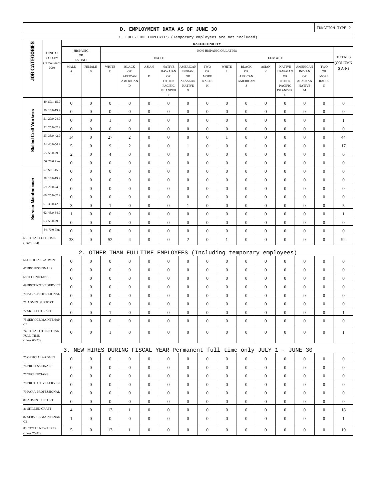| D. EMPLOYMENT DATA AS OF JUNE 30        |                              |                              |                                      |                                      |                                                                           |                                      |                                                              |                                       |                              |                              |                                      | FUNCTION TYPE 2              |                                                  |                                        |                                      |                              |
|-----------------------------------------|------------------------------|------------------------------|--------------------------------------|--------------------------------------|---------------------------------------------------------------------------|--------------------------------------|--------------------------------------------------------------|---------------------------------------|------------------------------|------------------------------|--------------------------------------|------------------------------|--------------------------------------------------|----------------------------------------|--------------------------------------|------------------------------|
|                                         |                              |                              |                                      |                                      | 1. FULL-TIME EMPLOYEES (Temporary employees are not included)             |                                      |                                                              |                                       |                              |                              |                                      |                              |                                                  |                                        |                                      |                              |
|                                         |                              |                              |                                      |                                      |                                                                           |                                      |                                                              |                                       | <b>RACE/ETHNICITY</b>        |                              |                                      |                              |                                                  |                                        |                                      |                              |
|                                         | <b>ANNUAL</b>                |                              | <b>HISPANIC</b><br>${\sf OR}$        |                                      |                                                                           |                                      | <b>MALE</b>                                                  |                                       | NON-HISPANIC OR LATINO       |                              |                                      |                              | <b>FEMALE</b>                                    |                                        |                                      | <b>TOTALS</b>                |
|                                         | SALARY<br>(In thousands      |                              | LATINO                               |                                      |                                                                           |                                      |                                                              |                                       |                              |                              |                                      |                              |                                                  |                                        |                                      | (COLUMN                      |
| JOB CATEGORIES                          | 000)                         | MALE<br>$\boldsymbol{A}$     | <b>FEMALE</b><br>$\, {\bf B}$        | WHITE<br>$\mathbf C$                 | <b>BLACK</b><br>OR<br><b>AFRICAN</b>                                      | $\operatorname{ASIAN}$<br>Е          | <b>NATIVE</b><br><b>HAWAIAN</b><br>${\rm OR}$                | AMERICAN<br><b>INDIAN</b><br>OR       | TWO<br>OR<br><b>MORE</b>     | WHITE<br>$\bf{I}$            | <b>BLACK</b><br>OR<br><b>AFRICAN</b> | <b>ASIAN</b><br>$\bf K$      | <b>NATIVE</b><br><b>HAWAIAN</b><br>$_{\rm OR}$   | <b>AMERICAN</b><br><b>INDIAN</b><br>OR | TWO<br>OR<br><b>MORE</b>             | $S(A-N)$                     |
|                                         |                              |                              |                                      |                                      | <b>AMERICAN</b><br>$\mathbf D$                                            |                                      | <b>OTHER</b><br><b>PACIFIC</b><br><b>ISLANDER</b><br>$\rm F$ | ALASKAN<br><b>NATIVE</b><br>${\bf G}$ | <b>RACES</b><br>$_{\rm H}$   |                              | <b>AMERICAN</b><br>J                 |                              | <b>OTHER</b><br><b>PACIFIC</b><br>ISLANDER,<br>L | <b>ALASKAN</b><br><b>NATIVE</b><br>M   | <b>RACES</b><br>$_{\rm N}$           |                              |
|                                         | 49. \$0.1-15.9               | $\mathbf{0}$                 | $\boldsymbol{0}$                     | $\boldsymbol{0}$                     | $\boldsymbol{0}$                                                          | $\boldsymbol{0}$                     | $\boldsymbol{0}$                                             | $\boldsymbol{0}$                      | $\boldsymbol{0}$             | $\boldsymbol{0}$             | $\boldsymbol{0}$                     | $\boldsymbol{0}$             | $\boldsymbol{0}$                                 | $\boldsymbol{0}$                       | $\boldsymbol{0}$                     | $\boldsymbol{0}$             |
|                                         | 50.16.0-19.9                 | $\boldsymbol{0}$             | $\boldsymbol{0}$                     | $\boldsymbol{0}$                     | $\boldsymbol{0}$                                                          | $\boldsymbol{0}$                     | $\boldsymbol{0}$                                             | $\boldsymbol{0}$                      | $\boldsymbol{0}$             | $\boldsymbol{0}$             | $\boldsymbol{0}$                     | $\mathbf{0}$                 | $\boldsymbol{0}$                                 | $\boldsymbol{0}$                       | $\boldsymbol{0}$                     | $\boldsymbol{0}$             |
| Skilled Craft Workers                   | 51.20.0-24.9                 | $\mathbf{0}$                 | $\boldsymbol{0}$                     | 1                                    | $\boldsymbol{0}$                                                          | $\boldsymbol{0}$                     | $\boldsymbol{0}$                                             | $\boldsymbol{0}$                      | $\boldsymbol{0}$             | $\boldsymbol{0}$             | $\boldsymbol{0}$                     | $\boldsymbol{0}$             | $\boldsymbol{0}$                                 | $\boldsymbol{0}$                       | $\boldsymbol{0}$                     | 1                            |
|                                         | 52.25.0-32.9                 | $\mathbf{0}$                 | $\boldsymbol{0}$                     | $\boldsymbol{0}$                     | $\boldsymbol{0}$                                                          | $\boldsymbol{0}$                     | $\boldsymbol{0}$                                             | $\mathbf{0}$                          | $\boldsymbol{0}$             | $\boldsymbol{0}$             | $\boldsymbol{0}$                     | $\mathbf{0}$                 | $\boldsymbol{0}$                                 | $\boldsymbol{0}$                       | $\boldsymbol{0}$                     | $\boldsymbol{0}$             |
|                                         | 53.33.0-42.9                 | 14                           | $\boldsymbol{0}$                     | 27                                   | $\sqrt{2}$                                                                | $\boldsymbol{0}$                     | $\boldsymbol{0}$                                             | $\boldsymbol{0}$                      | $\boldsymbol{0}$             | 1                            | $\boldsymbol{0}$                     | $\boldsymbol{0}$             | $\boldsymbol{0}$                                 | $\boldsymbol{0}$                       | $\boldsymbol{0}$                     | 44                           |
|                                         | 54.43.0-54.9                 | 5                            | $\boldsymbol{0}$                     | 9                                    | $\sqrt{2}$                                                                | $\mathbf{0}$                         | $\boldsymbol{0}$                                             | 1                                     | $\boldsymbol{0}$             | $\boldsymbol{0}$             | $\mathbf{0}$                         | $\mathbf{0}$                 | $\boldsymbol{0}$                                 | $\boldsymbol{0}$                       | $\boldsymbol{0}$                     | 17                           |
|                                         | 55.55.0-69.9                 | $\overline{2}$               | $\boldsymbol{0}$                     | 4                                    | $\boldsymbol{0}$                                                          | $\mathbf{0}$                         | $\mathbf{0}$                                                 | $\boldsymbol{0}$                      | $\boldsymbol{0}$             | $\boldsymbol{0}$             | $\boldsymbol{0}$                     | $\boldsymbol{0}$             | $\boldsymbol{0}$                                 | $\boldsymbol{0}$                       | $\boldsymbol{0}$                     | 6                            |
|                                         | 56.70.0 Plus                 | $\mathbf{0}$                 | $\boldsymbol{0}$                     | $\boldsymbol{0}$                     | $\boldsymbol{0}$                                                          | $\boldsymbol{0}$                     | $\mathbf{0}$                                                 | $\mathbf{0}$                          | $\boldsymbol{0}$             | $\boldsymbol{0}$             | $\boldsymbol{0}$                     | $\boldsymbol{0}$             | $\boldsymbol{0}$                                 | $\boldsymbol{0}$                       | $\boldsymbol{0}$                     | $\boldsymbol{0}$             |
|                                         | 57. \$0.1-15.9               | $\boldsymbol{0}$             | $\boldsymbol{0}$                     | $\boldsymbol{0}$                     | $\boldsymbol{0}$                                                          | $\mathbf{0}$                         | $\boldsymbol{0}$                                             | $\boldsymbol{0}$                      | $\boldsymbol{0}$             | $\boldsymbol{0}$             | $\boldsymbol{0}$                     | $\boldsymbol{0}$             | $\boldsymbol{0}$                                 | $\boldsymbol{0}$                       | $\boldsymbol{0}$                     | $\boldsymbol{0}$             |
|                                         | 58.16.0-19.9                 | $\mathbf{0}$                 | $\boldsymbol{0}$                     | $\boldsymbol{0}$                     | $\boldsymbol{0}$                                                          | $\mathbf{0}$                         | $\boldsymbol{0}$                                             | $\boldsymbol{0}$                      | $\boldsymbol{0}$             | $\boldsymbol{0}$             | $\mathbf{0}$                         | $\boldsymbol{0}$             | $\boldsymbol{0}$                                 | $\boldsymbol{0}$                       | $\boldsymbol{0}$                     | $\boldsymbol{0}$             |
|                                         | 59.20.0-24.9                 | $\overline{0}$               | $\boldsymbol{0}$                     | $\boldsymbol{0}$                     | $\boldsymbol{0}$                                                          | $\mathbf{0}$                         | $\mathbf{0}$                                                 | $\boldsymbol{0}$                      | $\boldsymbol{0}$             | $\boldsymbol{0}$             | $\boldsymbol{0}$                     | $\boldsymbol{0}$             | $\boldsymbol{0}$                                 | $\boldsymbol{0}$                       | $\boldsymbol{0}$                     | $\boldsymbol{0}$             |
|                                         | 60.25.0-32.9                 | $\boldsymbol{0}$             | $\boldsymbol{0}$                     | $\boldsymbol{0}$                     | $\boldsymbol{0}$                                                          | $\boldsymbol{0}$                     | $\mathbf{0}$                                                 | $\boldsymbol{0}$                      | $\boldsymbol{0}$             | $\boldsymbol{0}$             | $\boldsymbol{0}$                     | $\boldsymbol{0}$             | $\boldsymbol{0}$                                 | $\boldsymbol{0}$                       | $\boldsymbol{0}$                     | $\boldsymbol{0}$             |
|                                         | 61.33.0-42.9                 | 3                            | $\boldsymbol{0}$                     | 1                                    | $\boldsymbol{0}$                                                          | $\boldsymbol{0}$                     | $\boldsymbol{0}$                                             | 1                                     | $\boldsymbol{0}$             | $\boldsymbol{0}$             | $\boldsymbol{0}$                     | $\boldsymbol{0}$             | $\boldsymbol{0}$                                 | $\boldsymbol{0}$                       | $\boldsymbol{0}$                     | 5                            |
| Service-Maintenance                     | 62.43.0-54.9                 | $\mathbf{1}$                 | $\boldsymbol{0}$                     | $\boldsymbol{0}$                     | $\boldsymbol{0}$                                                          | $\boldsymbol{0}$                     | $\boldsymbol{0}$                                             | $\boldsymbol{0}$                      | $\boldsymbol{0}$             | $\boldsymbol{0}$             | $\boldsymbol{0}$                     | $\mathbf{0}$                 | $\boldsymbol{0}$                                 | $\boldsymbol{0}$                       | $\boldsymbol{0}$                     | $\mathbf{1}$                 |
|                                         | 63.55.0-69.9                 | $\mathbf{0}$                 | $\boldsymbol{0}$                     | $\boldsymbol{0}$                     | $\mathbf{0}$                                                              | $\boldsymbol{0}$                     | $\boldsymbol{0}$                                             | $\boldsymbol{0}$                      | $\boldsymbol{0}$             | $\boldsymbol{0}$             | $\boldsymbol{0}$                     | $\boldsymbol{0}$             | $\boldsymbol{0}$                                 | $\boldsymbol{0}$                       | $\boldsymbol{0}$                     | $\boldsymbol{0}$             |
|                                         | 64.70.0 Plus                 | $\mathbf{0}$                 | $\boldsymbol{0}$                     | $\boldsymbol{0}$                     | $\boldsymbol{0}$                                                          | $\boldsymbol{0}$                     | $\boldsymbol{0}$                                             | $\boldsymbol{0}$                      | $\boldsymbol{0}$             | $\boldsymbol{0}$             | $\boldsymbol{0}$                     | $\boldsymbol{0}$             | $\boldsymbol{0}$                                 | $\boldsymbol{0}$                       | $\boldsymbol{0}$                     | $\boldsymbol{0}$             |
| 65. TOTAL FULL TIME                     |                              | 33                           | $\boldsymbol{0}$                     | 52                                   | $\overline{4}$                                                            | $\boldsymbol{0}$                     | $\boldsymbol{0}$                                             | $\sqrt{2}$                            | $\boldsymbol{0}$             | $\mathbf{1}$                 | $\boldsymbol{0}$                     | $\boldsymbol{0}$             | $\boldsymbol{0}$                                 | $\boldsymbol{0}$                       | $\boldsymbol{0}$                     | 92                           |
| (Lines 1-64)                            |                              |                              |                                      |                                      |                                                                           |                                      |                                                              |                                       |                              |                              |                                      |                              |                                                  |                                        |                                      |                              |
| 66.OFFICIALS/ADMIN                      |                              |                              | $2$ .                                |                                      | OTHER THAN FULLTIME                                                       |                                      | <b>EMPLOYEES</b>                                             |                                       |                              |                              | (Including temporary                 |                              | employees)                                       |                                        |                                      |                              |
| 67.PROFESSIONALS                        |                              | $\mathbf{0}$<br>$\mathbf{0}$ | $\boldsymbol{0}$                     | $\boldsymbol{0}$                     | $\boldsymbol{0}$                                                          | $\boldsymbol{0}$                     | $\boldsymbol{0}$                                             | $\boldsymbol{0}$                      | $\boldsymbol{0}$             | $\boldsymbol{0}$             | $\boldsymbol{0}$                     | $\mathbf{0}$<br>$\mathbf{0}$ | $\boldsymbol{0}$<br>$\boldsymbol{0}$             | $\boldsymbol{0}$                       | $\boldsymbol{0}$                     | $\boldsymbol{0}$             |
| 68.TECHNICIANS                          |                              | $\mathbf{0}$                 | $\boldsymbol{0}$                     | $\boldsymbol{0}$<br>$\boldsymbol{0}$ | $\boldsymbol{0}$                                                          | $\boldsymbol{0}$<br>$\boldsymbol{0}$ | $\boldsymbol{0}$                                             | $\boldsymbol{0}$                      | $\boldsymbol{0}$             | $\boldsymbol{0}$             | $\boldsymbol{0}$<br>$\boldsymbol{0}$ |                              | $\boldsymbol{0}$                                 | $\boldsymbol{0}$                       | $\boldsymbol{0}$                     | $\boldsymbol{0}$             |
|                                         | <b>69.PROTECTIVE SERVICE</b> | $\boldsymbol{0}$             | $\boldsymbol{0}$<br>$\boldsymbol{0}$ |                                      | $\boldsymbol{0}$                                                          | $\boldsymbol{0}$                     | $\boldsymbol{0}$<br>$\boldsymbol{0}$                         | $\boldsymbol{0}$                      | $\boldsymbol{0}$             | $\boldsymbol{0}$             | $\boldsymbol{0}$                     | $\boldsymbol{0}$             | $\boldsymbol{0}$                                 | $\boldsymbol{0}$                       | $\boldsymbol{0}$<br>$\boldsymbol{0}$ | $\boldsymbol{0}$             |
|                                         | 70.PARA-PROFESSIONAL         | $\mathbf{0}$                 | $\boldsymbol{0}$                     | $\boldsymbol{0}$                     | $\boldsymbol{0}$                                                          |                                      | $\mathbf{0}$                                                 | $\boldsymbol{0}$<br>$\boldsymbol{0}$  | $\boldsymbol{0}$             | $\boldsymbol{0}$             |                                      | $\mathbf{0}$                 | $\boldsymbol{0}$                                 | $\boldsymbol{0}$                       | $\boldsymbol{0}$                     | $\boldsymbol{0}$             |
| 71.ADMIN. SUPPORT                       |                              | $\Omega$                     | $\theta$                             | $\boldsymbol{0}$<br>$\Omega$         | $\boldsymbol{0}$<br>$\Omega$                                              | $\boldsymbol{0}$<br>$\Omega$         | $\mathbf{0}$                                                 | $\theta$                              | $\boldsymbol{0}$<br>$\Omega$ | $\boldsymbol{0}$<br>$\Omega$ | $\boldsymbol{0}$<br>$\Omega$         | $\mathbf{0}$<br>$\theta$     | $\theta$                                         | $\boldsymbol{0}$<br>$\Omega$           | $\Omega$                             | $\boldsymbol{0}$<br>$\Omega$ |
| 72.SKILLED CRAFT                        |                              | $\mathbf{0}$                 | $\boldsymbol{0}$                     | 1                                    | $\boldsymbol{0}$                                                          | $\mathbf{0}$                         | $\boldsymbol{0}$                                             | $\boldsymbol{0}$                      | $\mathbf{0}$                 | $\boldsymbol{0}$             | $\mathbf{0}$                         | $\boldsymbol{0}$             | $\mathbf{0}$                                     | $\boldsymbol{0}$                       | $\overline{0}$                       | 1                            |
|                                         | 73.SERVICE/MAINTENAN         | $\overline{0}$               | $\boldsymbol{0}$                     | $\mathbf{0}$                         | $\mathbf{0}$                                                              | $\boldsymbol{0}$                     | $\mathbf{0}$                                                 | $\boldsymbol{0}$                      | $\boldsymbol{0}$             | $\boldsymbol{0}$             | $\mathbf{0}$                         | $\mathbf{0}$                 | $\boldsymbol{0}$                                 | $\mathbf{0}$                           | $\boldsymbol{0}$                     | $\mathbf{0}$                 |
| CE<br><b>FULL TIME</b><br>(Lines 66-73) | 74. TOTAL OTHER THAN         | $\mathbf{0}$                 | $\boldsymbol{0}$                     | 1                                    | $\mathbf{0}$                                                              | $\mathbf{0}$                         | $\mathbf{0}$                                                 | $\mathbf{0}$                          | $\boldsymbol{0}$             | $\boldsymbol{0}$             | $\mathbf{0}$                         | $\mathbf{0}$                 | $\boldsymbol{0}$                                 | $\boldsymbol{0}$                       | $\boldsymbol{0}$                     | $\mathbf{1}$                 |
|                                         |                              |                              |                                      |                                      | 3. NEW HIRES DURING FISCAL YEAR Permanent full time only JULY 1 - JUNE 30 |                                      |                                                              |                                       |                              |                              |                                      |                              |                                                  |                                        |                                      |                              |
| 75.OFFICIALS/ADMIN                      |                              | $\overline{0}$               | $\boldsymbol{0}$                     | $\boldsymbol{0}$                     | $\mathbf{0}$                                                              | $\boldsymbol{0}$                     | $\mathbf{0}$                                                 | $\boldsymbol{0}$                      | $\boldsymbol{0}$             | $\mathbf{0}$                 | $\overline{0}$                       | $\mathbf{0}$                 | $\boldsymbol{0}$                                 | $\boldsymbol{0}$                       | $\overline{0}$                       | $\boldsymbol{0}$             |
| 76.PROFESSIONALS                        |                              | $\boldsymbol{0}$             | $\boldsymbol{0}$                     | $\boldsymbol{0}$                     | $\boldsymbol{0}$                                                          | $\mathbf{0}$                         | $\mathbf{0}$                                                 | $\mathbf{0}$                          | $\boldsymbol{0}$             | $\mathbf{0}$                 | $\mathbf{0}$                         | $\overline{0}$               | $\mathbf{0}$                                     | $\boldsymbol{0}$                       | $\mathbf{0}$                         | $\boldsymbol{0}$             |
| 77.TECHNICIANS                          |                              | $\boldsymbol{0}$             | $\boldsymbol{0}$                     | $\boldsymbol{0}$                     | $\boldsymbol{0}$                                                          | $\boldsymbol{0}$                     | $\boldsymbol{0}$                                             | $\boldsymbol{0}$                      | $\overline{0}$               | $\boldsymbol{0}$             | $\boldsymbol{0}$                     | $\boldsymbol{0}$             | $\boldsymbol{0}$                                 | $\overline{0}$                         | $\boldsymbol{0}$                     | $\boldsymbol{0}$             |
|                                         | 78. PROTECTIVE SERVICE       | $\boldsymbol{0}$             | $\boldsymbol{0}$                     | $\overline{0}$                       | $\boldsymbol{0}$                                                          | $\boldsymbol{0}$                     | $\boldsymbol{0}$                                             | $\boldsymbol{0}$                      | $\overline{0}$               | $\boldsymbol{0}$             | $\boldsymbol{0}$                     | $\boldsymbol{0}$             | $\mathbf{0}$                                     | $\overline{0}$                         | $\mathbf{0}$                         | $\boldsymbol{0}$             |
|                                         | 79.PARA-PROFESSIONAL         | $\overline{0}$               | $\boldsymbol{0}$                     | $\overline{0}$                       | $\mathbf{0}$                                                              | $\overline{0}$                       | $\boldsymbol{0}$                                             | $\mathbf{0}$                          | $\overline{0}$               | $\overline{0}$               | $\overline{0}$                       | $\mathbf{0}$                 | $\mathbf{0}$                                     | $\overline{0}$                         | $\overline{0}$                       | $\boldsymbol{0}$             |
| 80.ADMIN. SUPPORT                       |                              | $\mathbf{0}$                 | $\boldsymbol{0}$                     | $\boldsymbol{0}$                     | $\boldsymbol{0}$                                                          | $\mathbf{0}$                         | $\boldsymbol{0}$                                             | $\mathbf{0}$                          | $\boldsymbol{0}$             | $\mathbf{0}$                 | $\boldsymbol{0}$                     | $\mathbf{0}$                 | $\mathbf{0}$                                     | $\boldsymbol{0}$                       | $\overline{0}$                       | $\boldsymbol{0}$             |
| 81.SKILLED CRAFT                        |                              | $\overline{4}$               | $\boldsymbol{0}$                     | 13                                   | $\mathbf{1}$                                                              | $\boldsymbol{0}$                     | $\boldsymbol{0}$                                             | $\boldsymbol{0}$                      | $\boldsymbol{0}$             | $\boldsymbol{0}$             | $\boldsymbol{0}$                     | $\boldsymbol{0}$             | $\boldsymbol{0}$                                 | $\boldsymbol{0}$                       | $\boldsymbol{0}$                     | 18                           |
|                                         | 82.SERVICE/MAINTENAN         | $\mathbf{1}$                 | $\boldsymbol{0}$                     | $\boldsymbol{0}$                     | $\mathbf{0}$                                                              | $\boldsymbol{0}$                     | $\boldsymbol{0}$                                             | $\boldsymbol{0}$                      | $\mathbf{0}$                 | $\boldsymbol{0}$             | $\mathbf{0}$                         | $\mathbf{0}$                 | $\boldsymbol{0}$                                 | $\boldsymbol{0}$                       | $\boldsymbol{0}$                     | $\mathbf{1}$                 |
| CЕ<br>83. TOTAL NEW HIRES               |                              | 5                            | $\boldsymbol{0}$                     | 13                                   | $\mathbf{1}$                                                              | $\boldsymbol{0}$                     | $\boldsymbol{0}$                                             | $\boldsymbol{0}$                      | $\boldsymbol{0}$             | $\boldsymbol{0}$             | $\boldsymbol{0}$                     | $\boldsymbol{0}$             | $\boldsymbol{0}$                                 | $\boldsymbol{0}$                       | $\boldsymbol{0}$                     | 19                           |
| (Lines 75-82)                           |                              |                              |                                      |                                      |                                                                           |                                      |                                                              |                                       |                              |                              |                                      |                              |                                                  |                                        |                                      |                              |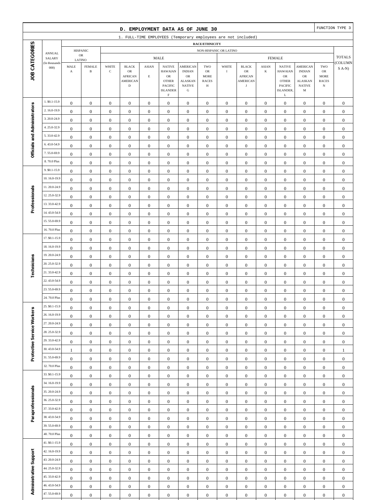|                              |                                |                                  |                                      |                                      |                                                                        |                                                   |                                                                                                        | D. EMPLOYMENT DATA AS OF JUNE 30                                                               |                                                       |                                      |                                                               |                                      |                                                                                                    |                                                                                  |                                                                | FUNCTION TYPE 3                      |
|------------------------------|--------------------------------|----------------------------------|--------------------------------------|--------------------------------------|------------------------------------------------------------------------|---------------------------------------------------|--------------------------------------------------------------------------------------------------------|------------------------------------------------------------------------------------------------|-------------------------------------------------------|--------------------------------------|---------------------------------------------------------------|--------------------------------------|----------------------------------------------------------------------------------------------------|----------------------------------------------------------------------------------|----------------------------------------------------------------|--------------------------------------|
|                              |                                |                                  |                                      |                                      |                                                                        |                                                   |                                                                                                        |                                                                                                | <b>RACE/ETHNICITY</b>                                 |                                      | 1. FULL-TIME EMPLOYEES (Temporary employees are not included) |                                      |                                                                                                    |                                                                                  |                                                                |                                      |
|                              | <b>ANNUAL</b>                  |                                  | <b>HISPANIC</b>                      |                                      |                                                                        |                                                   |                                                                                                        |                                                                                                |                                                       | NON-HISPANIC OR LATINO               |                                                               |                                      |                                                                                                    |                                                                                  |                                                                |                                      |
|                              | SALARY                         |                                  | ${\rm OR}$<br>LATINO                 |                                      |                                                                        |                                                   | <b>MALE</b>                                                                                            |                                                                                                |                                                       |                                      |                                                               |                                      | <b>FEMALE</b>                                                                                      |                                                                                  |                                                                | <b>TOTALS</b><br>COLUMN              |
| JOB CATEGORIES               | In thousands<br>000)           | MALE<br>$\mathbf A$              | <b>FEMALE</b><br>$\, {\bf B}$        | WHITE<br>$\mathbf C$                 | <b>BLACK</b><br>OR<br><b>AFRICAN</b><br><b>AMERICAN</b><br>$\mathbf D$ | $\operatorname{ASIAN}$<br>$\mathop{\hbox{\bf E}}$ | <b>NATIVE</b><br><b>HAWAIAN</b><br>${\rm OR}$<br><b>OTHER</b><br>PACIFIC<br><b>ISLANDER</b><br>$\rm F$ | <b>AMERICAN</b><br><b>INDIAN</b><br>${\sf OR}$<br><b>ALASKAN</b><br><b>NATIVE</b><br>${\bf G}$ | TWO<br>${\sf OR}$<br><b>MORE</b><br><b>RACES</b><br>H | WHITE<br>$\rm I$                     | <b>BLACK</b><br>OR<br><b>AFRICAN</b><br><b>AMERICAN</b><br>J  | <b>ASIAN</b><br>$\bf K$              | <b>NATIVE</b><br><b>HAWAIAN</b><br>$_{\rm OR}$<br><b>OTHER</b><br><b>PACIFIC</b><br>ISLANDER,<br>L | AMERICAN<br><b>INDIAN</b><br>OR<br><b>ALASKAN</b><br><b>NATIVE</b><br>$_{\rm M}$ | TWO<br>${\sf OR}$<br><b>MORE</b><br><b>RACES</b><br>$_{\rm N}$ | $S(A-N)$                             |
|                              | 1. \$0.1-15.9                  | $\boldsymbol{0}$                 | $\boldsymbol{0}$                     | $\boldsymbol{0}$                     | $\boldsymbol{0}$                                                       | $\boldsymbol{0}$                                  | $\boldsymbol{0}$                                                                                       | $\boldsymbol{0}$                                                                               | $\boldsymbol{0}$                                      | $\boldsymbol{0}$                     | $\boldsymbol{0}$                                              | $\boldsymbol{0}$                     | $\boldsymbol{0}$                                                                                   | $\boldsymbol{0}$                                                                 | $\boldsymbol{0}$                                               | $\boldsymbol{0}$                     |
| Officials and Administrators | 2.16.0-19.9                    | $\boldsymbol{0}$                 | $\boldsymbol{0}$                     | $\boldsymbol{0}$                     | $\boldsymbol{0}$                                                       | $\mathbf{0}$                                      | $\boldsymbol{0}$                                                                                       | $\boldsymbol{0}$                                                                               | $\boldsymbol{0}$                                      | $\boldsymbol{0}$                     | $\boldsymbol{0}$                                              | $\boldsymbol{0}$                     | $\boldsymbol{0}$                                                                                   | $\mathbf{0}$                                                                     | $\boldsymbol{0}$                                               | $\boldsymbol{0}$                     |
|                              | 3.20.0-24.9                    | $\boldsymbol{0}$                 | $\boldsymbol{0}$                     | $\boldsymbol{0}$                     | $\boldsymbol{0}$                                                       | $\boldsymbol{0}$                                  | $\boldsymbol{0}$                                                                                       | $\boldsymbol{0}$                                                                               | $\boldsymbol{0}$                                      | $\boldsymbol{0}$                     | $\boldsymbol{0}$                                              | $\mathbf{0}$                         | $\boldsymbol{0}$                                                                                   | $\boldsymbol{0}$                                                                 | $\boldsymbol{0}$                                               | $\boldsymbol{0}$                     |
|                              | 4.25.0-32.9                    | $\boldsymbol{0}$                 | $\boldsymbol{0}$                     | $\boldsymbol{0}$                     | $\boldsymbol{0}$                                                       | $\boldsymbol{0}$                                  | $\mathbf{0}$                                                                                           | $\boldsymbol{0}$                                                                               | $\boldsymbol{0}$                                      | $\boldsymbol{0}$                     | $\boldsymbol{0}$                                              | $\boldsymbol{0}$                     | $\boldsymbol{0}$                                                                                   | $\boldsymbol{0}$                                                                 | $\boldsymbol{0}$                                               | $\boldsymbol{0}$                     |
|                              | 5.33.0-42.9                    | $\boldsymbol{0}$                 | $\boldsymbol{0}$                     | $\boldsymbol{0}$                     | $\boldsymbol{0}$                                                       | $\boldsymbol{0}$                                  | $\boldsymbol{0}$                                                                                       | $\boldsymbol{0}$                                                                               | $\boldsymbol{0}$                                      | $\boldsymbol{0}$                     | $\boldsymbol{0}$                                              | $\boldsymbol{0}$                     | $\boldsymbol{0}$                                                                                   | $\boldsymbol{0}$                                                                 | $\boldsymbol{0}$                                               | $\boldsymbol{0}$                     |
|                              | 6.43.0-54.9                    | $\mathbf{0}$                     | $\boldsymbol{0}$                     | $\boldsymbol{0}$                     | $\boldsymbol{0}$                                                       | $\mathbf{0}$                                      | $\boldsymbol{0}$                                                                                       | $\boldsymbol{0}$                                                                               | $\boldsymbol{0}$                                      | $\boldsymbol{0}$                     | $\boldsymbol{0}$                                              | $\boldsymbol{0}$                     | $\mathbf{0}$                                                                                       | $\overline{0}$                                                                   | $\boldsymbol{0}$                                               | $\boldsymbol{0}$                     |
|                              | 7.55.0-69.9                    | $\boldsymbol{0}$                 | $\mathbf{0}$                         | $\boldsymbol{0}$                     | $\boldsymbol{0}$                                                       | $\mathbf{0}$                                      | $\boldsymbol{0}$                                                                                       | $\boldsymbol{0}$                                                                               | $\boldsymbol{0}$                                      | $\boldsymbol{0}$                     | $\boldsymbol{0}$                                              | $\boldsymbol{0}$                     | $\mathbf{0}$                                                                                       | $\boldsymbol{0}$                                                                 | $\boldsymbol{0}$                                               | $\boldsymbol{0}$                     |
|                              | 8.70.0 Plus                    | $\boldsymbol{0}$                 | $\boldsymbol{0}$                     | $\boldsymbol{0}$                     | $\boldsymbol{0}$                                                       | $\boldsymbol{0}$                                  | $\boldsymbol{0}$                                                                                       | $\boldsymbol{0}$                                                                               | $\boldsymbol{0}$                                      | $\boldsymbol{0}$                     | $\boldsymbol{0}$                                              | $\boldsymbol{0}$                     | $\mathbf{0}$                                                                                       | $\boldsymbol{0}$                                                                 | $\boldsymbol{0}$                                               | $\boldsymbol{0}$                     |
|                              | 9. \$0.1-15.9                  | $\boldsymbol{0}$                 | $\boldsymbol{0}$                     | $\boldsymbol{0}$                     | $\boldsymbol{0}$                                                       | $\boldsymbol{0}$                                  | $\boldsymbol{0}$                                                                                       | $\boldsymbol{0}$                                                                               | $\boldsymbol{0}$                                      | $\boldsymbol{0}$                     | $\boldsymbol{0}$                                              | $\boldsymbol{0}$                     | $\mathbf{0}$                                                                                       | $\boldsymbol{0}$                                                                 | $\boldsymbol{0}$                                               | $\boldsymbol{0}$                     |
|                              | 10.16.0-19.9                   | $\overline{0}$                   | $\boldsymbol{0}$                     | $\mathbf{0}$                         | $\boldsymbol{0}$                                                       | $\boldsymbol{0}$                                  | $\boldsymbol{0}$                                                                                       | $\boldsymbol{0}$                                                                               | $\boldsymbol{0}$                                      | $\boldsymbol{0}$                     | $\boldsymbol{0}$                                              | $\mathbf{0}$                         | $\mathbf{0}$                                                                                       | $\boldsymbol{0}$                                                                 | $\boldsymbol{0}$                                               | $\boldsymbol{0}$                     |
|                              | 11.20.0-24.9                   | $\boldsymbol{0}$                 | $\boldsymbol{0}$                     | $\boldsymbol{0}$                     | $\boldsymbol{0}$                                                       | $\mathbf{0}$                                      | $\boldsymbol{0}$                                                                                       | $\boldsymbol{0}$                                                                               | $\boldsymbol{0}$                                      | $\boldsymbol{0}$                     | $\boldsymbol{0}$                                              | $\mathbf{0}$                         | $\mathbf{0}$                                                                                       | $\boldsymbol{0}$                                                                 | $\boldsymbol{0}$                                               | $\boldsymbol{0}$                     |
| Professionals                | 12.25.0-32.9                   | $\boldsymbol{0}$                 | $\boldsymbol{0}$                     | $\boldsymbol{0}$                     | $\boldsymbol{0}$                                                       | $\boldsymbol{0}$                                  | $\boldsymbol{0}$                                                                                       | $\boldsymbol{0}$                                                                               | $\boldsymbol{0}$                                      | $\boldsymbol{0}$                     | $\boldsymbol{0}$                                              | $\boldsymbol{0}$                     | $\boldsymbol{0}$                                                                                   | $\boldsymbol{0}$                                                                 | $\boldsymbol{0}$                                               | $\boldsymbol{0}$                     |
|                              | 13.33.0-42.9                   | $\boldsymbol{0}$                 | $\boldsymbol{0}$                     | $\boldsymbol{0}$                     | $\boldsymbol{0}$                                                       | $\boldsymbol{0}$                                  | $\boldsymbol{0}$                                                                                       | $\boldsymbol{0}$                                                                               | $\boldsymbol{0}$                                      | $\boldsymbol{0}$                     | $\boldsymbol{0}$                                              | $\boldsymbol{0}$                     | $\boldsymbol{0}$                                                                                   | $\boldsymbol{0}$                                                                 | $\boldsymbol{0}$                                               | $\boldsymbol{0}$                     |
|                              | 14.43.0-54.9                   | $\overline{0}$                   | $\boldsymbol{0}$                     | $\mathbf{0}$                         | $\boldsymbol{0}$                                                       | $\boldsymbol{0}$                                  | $\boldsymbol{0}$                                                                                       | $\boldsymbol{0}$                                                                               | $\boldsymbol{0}$                                      | $\boldsymbol{0}$                     | $\boldsymbol{0}$                                              | $\mathbf{0}$                         | $\mathbf{0}$                                                                                       | $\overline{0}$                                                                   | $\boldsymbol{0}$                                               | $\boldsymbol{0}$                     |
|                              | 15.55.0-69.9                   | $\boldsymbol{0}$                 | $\mathbf{0}$                         | $\boldsymbol{0}$                     | $\boldsymbol{0}$                                                       | $\boldsymbol{0}$                                  | $\boldsymbol{0}$                                                                                       | $\boldsymbol{0}$                                                                               | $\boldsymbol{0}$                                      | $\boldsymbol{0}$                     | $\boldsymbol{0}$                                              | $\mathbf{0}$                         | $\mathbf{0}$                                                                                       | $\boldsymbol{0}$                                                                 | $\boldsymbol{0}$                                               | $\boldsymbol{0}$                     |
|                              | 16.70.0 Plus                   | $\boldsymbol{0}$                 | $\boldsymbol{0}$                     | $\boldsymbol{0}$                     | $\boldsymbol{0}$                                                       | $\boldsymbol{0}$                                  | $\mathbf{0}$                                                                                           | $\boldsymbol{0}$                                                                               | $\boldsymbol{0}$                                      | $\boldsymbol{0}$                     | $\boldsymbol{0}$                                              | $\boldsymbol{0}$                     | $\mathbf{0}$                                                                                       | $\boldsymbol{0}$                                                                 | $\boldsymbol{0}$                                               | $\boldsymbol{0}$                     |
|                              | 17. \$0.1-15.9                 | $\boldsymbol{0}$                 | $\boldsymbol{0}$                     | $\boldsymbol{0}$                     | $\boldsymbol{0}$                                                       | $\boldsymbol{0}$                                  | $\boldsymbol{0}$                                                                                       | $\boldsymbol{0}$                                                                               | $\boldsymbol{0}$                                      | $\boldsymbol{0}$                     | $\boldsymbol{0}$                                              | $\boldsymbol{0}$                     | $\boldsymbol{0}$                                                                                   | $\boldsymbol{0}$                                                                 | $\boldsymbol{0}$                                               | $\boldsymbol{0}$                     |
|                              | 18.16.0-19.9                   | $\overline{0}$                   | $\boldsymbol{0}$                     | $\boldsymbol{0}$                     | $\boldsymbol{0}$                                                       | $\boldsymbol{0}$                                  | $\boldsymbol{0}$                                                                                       | $\boldsymbol{0}$                                                                               | $\boldsymbol{0}$                                      | $\boldsymbol{0}$                     | $\boldsymbol{0}$                                              | $\mathbf{0}$                         | $\mathbf{0}$                                                                                       | $\boldsymbol{0}$                                                                 | $\boldsymbol{0}$                                               | $\boldsymbol{0}$                     |
|                              | 19.20.0-24.9                   | $\boldsymbol{0}$                 | $\boldsymbol{0}$                     | $\boldsymbol{0}$                     | $\boldsymbol{0}$                                                       | $\boldsymbol{0}$                                  | $\boldsymbol{0}$                                                                                       | $\boldsymbol{0}$                                                                               | $\boldsymbol{0}$                                      | $\boldsymbol{0}$                     | $\boldsymbol{0}$                                              | $\mathbf{0}$                         | $\mathbf{0}$                                                                                       | $\boldsymbol{0}$                                                                 | $\boldsymbol{0}$                                               | $\boldsymbol{0}$                     |
| Technicians                  | 20.25.0-32.9                   | $\boldsymbol{0}$                 | $\boldsymbol{0}$                     | $\boldsymbol{0}$                     | $\boldsymbol{0}$                                                       | $\boldsymbol{0}$                                  | $\mathbf{0}$                                                                                           | $\boldsymbol{0}$                                                                               | $\boldsymbol{0}$                                      | $\boldsymbol{0}$                     | $\boldsymbol{0}$                                              | $\boldsymbol{0}$                     | $\boldsymbol{0}$                                                                                   | $\boldsymbol{0}$                                                                 | $\mathbf{0}$                                                   | $\boldsymbol{0}$                     |
|                              | 21.33.0-42.9                   | $\boldsymbol{0}$                 | $\boldsymbol{0}$                     | $\boldsymbol{0}$                     | $\boldsymbol{0}$                                                       | $\boldsymbol{0}$                                  | $\boldsymbol{0}$                                                                                       | $\boldsymbol{0}$                                                                               | $\boldsymbol{0}$                                      | $\boldsymbol{0}$                     | $\boldsymbol{0}$                                              | $\boldsymbol{0}$                     | $\boldsymbol{0}$                                                                                   | $\boldsymbol{0}$                                                                 | $\boldsymbol{0}$                                               | $\boldsymbol{0}$                     |
|                              | 22.43.0-54.9                   | $\overline{0}$                   | $\boldsymbol{0}$                     | $\boldsymbol{0}$                     | $\boldsymbol{0}$                                                       | $\mathbf{0}$                                      | $\boldsymbol{0}$                                                                                       | $\boldsymbol{0}$                                                                               | $\boldsymbol{0}$                                      | $\boldsymbol{0}$                     | $\boldsymbol{0}$                                              | $\mathbf{0}$                         | $\mathbf{0}$                                                                                       | $\overline{0}$                                                                   | $\boldsymbol{0}$                                               | $\boldsymbol{0}$                     |
|                              | 23.55.0-69.9                   | $\boldsymbol{0}$                 | $\boldsymbol{0}$                     | $\boldsymbol{0}$                     | $\boldsymbol{0}$                                                       | $\boldsymbol{0}$                                  | $\boldsymbol{0}$                                                                                       | $\boldsymbol{0}$                                                                               | $\boldsymbol{0}$                                      | $\boldsymbol{0}$                     | $\boldsymbol{0}$                                              | $\boldsymbol{0}$                     | $\mathbf{0}$                                                                                       | $\boldsymbol{0}$                                                                 | $\boldsymbol{0}$                                               | $\boldsymbol{0}$                     |
|                              | 24.70.0 Plus                   | $\mathbf{0}$                     | $\boldsymbol{0}$                     | $\boldsymbol{0}$                     | $\boldsymbol{0}$                                                       | $\boldsymbol{0}$                                  | $\boldsymbol{0}$                                                                                       | $\boldsymbol{0}$                                                                               | $\boldsymbol{0}$                                      | $\boldsymbol{0}$                     | $\mathbf{0}$                                                  | $\boldsymbol{0}$                     | $\mathbf{0}$                                                                                       | $\boldsymbol{0}$                                                                 | $\boldsymbol{0}$                                               | $\boldsymbol{0}$                     |
|                              | 25. \$0.1-15.9                 | $\boldsymbol{0}$                 | $\boldsymbol{0}$                     | $\boldsymbol{0}$                     | $\boldsymbol{0}$                                                       | $\boldsymbol{0}$                                  | $\boldsymbol{0}$                                                                                       | $\boldsymbol{0}$                                                                               | $\boldsymbol{0}$                                      | $\boldsymbol{0}$                     | $\boldsymbol{0}$                                              | $\boldsymbol{0}$                     | $\boldsymbol{0}$                                                                                   | $\boldsymbol{0}$                                                                 | $\boldsymbol{0}$                                               | $\boldsymbol{0}$                     |
|                              | 26.16.0-19.9                   | $\overline{0}$                   | $\boldsymbol{0}$                     | $\boldsymbol{0}$                     | $\mathbf{0}$                                                           | $\mathbf{0}$                                      | $\mathbf{0}$                                                                                           | $\boldsymbol{0}$                                                                               | $\overline{0}$                                        | $\boldsymbol{0}$                     | $\overline{0}$                                                | $\boldsymbol{0}$                     | $\mathbf{0}$                                                                                       | $\overline{0}$                                                                   | $\boldsymbol{0}$                                               | $\boldsymbol{0}$                     |
|                              | 27.20.0-24.9                   | $\mathbf{0}$                     | $\mathbf{0}$                         | $\boldsymbol{0}$                     | $\mathbf{0}$                                                           | $\mathbf{0}$                                      | $\boldsymbol{0}$                                                                                       | $\boldsymbol{0}$                                                                               | $\boldsymbol{0}$                                      | $\boldsymbol{0}$                     | $\mathbf{0}$                                                  | $\boldsymbol{0}$                     | $\boldsymbol{0}$                                                                                   | $\boldsymbol{0}$                                                                 | $\boldsymbol{0}$                                               | $\boldsymbol{0}$                     |
| Protective Service Workers   | 28.25.0-32.9                   | $\boldsymbol{0}$                 | $\boldsymbol{0}$                     | $\boldsymbol{0}$                     | $\boldsymbol{0}$                                                       | $\mathbf{0}$                                      | $\boldsymbol{0}$                                                                                       | $\boldsymbol{0}$                                                                               | $\boldsymbol{0}$                                      | $\boldsymbol{0}$                     | $\boldsymbol{0}$                                              | $\boldsymbol{0}$                     | $\boldsymbol{0}$                                                                                   | $\boldsymbol{0}$                                                                 | $\boldsymbol{0}$                                               | $\boldsymbol{0}$                     |
|                              | 29.33.0-42.9                   | $\boldsymbol{0}$                 | $\boldsymbol{0}$                     | $\boldsymbol{0}$                     | $\boldsymbol{0}$                                                       | $\boldsymbol{0}$                                  | $\boldsymbol{0}$                                                                                       | $\boldsymbol{0}$                                                                               | $\boldsymbol{0}$                                      | $\boldsymbol{0}$                     | $\boldsymbol{0}$                                              | $\boldsymbol{0}$                     | $\boldsymbol{0}$                                                                                   | $\boldsymbol{0}$                                                                 | $\boldsymbol{0}$                                               | $\boldsymbol{0}$                     |
|                              | 30.43.0-54.9                   | $\mathbf{1}$                     | $\boldsymbol{0}$                     | $\boldsymbol{0}$                     | $\boldsymbol{0}$                                                       | $\mathbf{0}$                                      | $\boldsymbol{0}$                                                                                       | $\boldsymbol{0}$                                                                               | $\boldsymbol{0}$                                      | $\boldsymbol{0}$                     | $\overline{0}$                                                | $\boldsymbol{0}$                     | $\boldsymbol{0}$                                                                                   | $\boldsymbol{0}$                                                                 | $\boldsymbol{0}$                                               | 1                                    |
|                              | 31.55.0-69.9                   | $\boldsymbol{0}$                 | $\mathbf{0}$                         | $\boldsymbol{0}$                     | $\boldsymbol{0}$                                                       | $\mathbf{0}$                                      | $\boldsymbol{0}$                                                                                       | $\boldsymbol{0}$                                                                               | $\boldsymbol{0}$                                      | $\boldsymbol{0}$                     | $\boldsymbol{0}$                                              | $\boldsymbol{0}$                     | $\boldsymbol{0}$                                                                                   | $\boldsymbol{0}$                                                                 | $\boldsymbol{0}$                                               | $\boldsymbol{0}$                     |
|                              | 32.70.0 Plus<br>33. \$0.1-15.9 | $\boldsymbol{0}$                 | $\boldsymbol{0}$                     | $\boldsymbol{0}$                     | $\boldsymbol{0}$                                                       | $\mathbf{0}$                                      | $\boldsymbol{0}$                                                                                       | $\boldsymbol{0}$                                                                               | $\boldsymbol{0}$                                      | $\boldsymbol{0}$                     | $\boldsymbol{0}$                                              | $\boldsymbol{0}$                     | $\boldsymbol{0}$                                                                                   | $\boldsymbol{0}$                                                                 | $\boldsymbol{0}$                                               | $\boldsymbol{0}$                     |
|                              | 34.16.0-19.9                   | $\mathbf{0}$                     | $\boldsymbol{0}$                     | $\boldsymbol{0}$                     | $\boldsymbol{0}$                                                       | $\boldsymbol{0}$                                  | $\boldsymbol{0}$                                                                                       | $\boldsymbol{0}$                                                                               | $\boldsymbol{0}$                                      | $\boldsymbol{0}$                     | $\boldsymbol{0}$                                              | $\boldsymbol{0}$                     | $\boldsymbol{0}$                                                                                   | $\boldsymbol{0}$                                                                 | $\boldsymbol{0}$                                               | $\boldsymbol{0}$                     |
|                              | 35.20.0-24.9                   | $\mathbf{0}$                     | $\mathbf{0}$                         | $\boldsymbol{0}$                     | $\boldsymbol{0}$                                                       | $\mathbf{0}$                                      | $\boldsymbol{0}$                                                                                       | $\boldsymbol{0}$                                                                               | $\boldsymbol{0}$                                      | $\boldsymbol{0}$                     | $\overline{0}$                                                | $\boldsymbol{0}$                     | $\boldsymbol{0}$                                                                                   | $\boldsymbol{0}$                                                                 | $\boldsymbol{0}$                                               | $\boldsymbol{0}$                     |
|                              | 36.25.0-32.9                   | $\mathbf{0}$                     | $\boldsymbol{0}$                     | $\boldsymbol{0}$                     | $\boldsymbol{0}$                                                       | $\mathbf{0}$                                      | $\boldsymbol{0}$                                                                                       | $\boldsymbol{0}$                                                                               | $\boldsymbol{0}$                                      | $\boldsymbol{0}$                     | $\mathbf{0}$                                                  | $\boldsymbol{0}$                     | $\boldsymbol{0}$                                                                                   | $\boldsymbol{0}$                                                                 | $\boldsymbol{0}$                                               | $\boldsymbol{0}$                     |
|                              | 37.33.0-42.9                   | $\boldsymbol{0}$                 | $\boldsymbol{0}$                     | $\boldsymbol{0}$                     | $\boldsymbol{0}$                                                       | $\mathbf{0}$                                      | $\boldsymbol{0}$                                                                                       | $\boldsymbol{0}$                                                                               | $\boldsymbol{0}$                                      | $\boldsymbol{0}$                     | $\boldsymbol{0}$                                              | $\boldsymbol{0}$                     | $\boldsymbol{0}$                                                                                   | $\boldsymbol{0}$                                                                 | $\boldsymbol{0}$                                               | $\boldsymbol{0}$                     |
| Paraprofessionals            | 38.43.0-54.9                   | $\mathbf{0}$                     | $\boldsymbol{0}$                     | $\boldsymbol{0}$                     | $\boldsymbol{0}$                                                       | $\boldsymbol{0}$                                  | $\boldsymbol{0}$                                                                                       | $\boldsymbol{0}$                                                                               | $\boldsymbol{0}$                                      | $\boldsymbol{0}$                     | $\boldsymbol{0}$                                              | $\boldsymbol{0}$                     | $\boldsymbol{0}$                                                                                   | $\boldsymbol{0}$                                                                 | $\boldsymbol{0}$                                               | $\boldsymbol{0}$                     |
|                              | 39.55.0-69.9                   | $\boldsymbol{0}$                 | $\mathbf{0}$                         | $\boldsymbol{0}$                     | $\boldsymbol{0}$                                                       | $\mathbf{0}$                                      | $\boldsymbol{0}$                                                                                       | $\boldsymbol{0}$                                                                               | $\boldsymbol{0}$                                      | $\boldsymbol{0}$                     | $\overline{0}$                                                | $\boldsymbol{0}$                     | $\boldsymbol{0}$                                                                                   | $\boldsymbol{0}$                                                                 | $\boldsymbol{0}$                                               | $\boldsymbol{0}$                     |
|                              | 40.70.0 Plus                   | $\mathbf{0}$                     | $\mathbf{0}$                         | $\boldsymbol{0}$                     | $\boldsymbol{0}$                                                       | $\mathbf{0}$                                      | $\boldsymbol{0}$                                                                                       | $\boldsymbol{0}$                                                                               | $\boldsymbol{0}$                                      | $\boldsymbol{0}$                     | $\mathbf{0}$                                                  | $\boldsymbol{0}$                     | $\boldsymbol{0}$                                                                                   | $\boldsymbol{0}$                                                                 | $\boldsymbol{0}$                                               | $\boldsymbol{0}$                     |
|                              | 41. \$0.1-15.9                 | $\boldsymbol{0}$                 | $\boldsymbol{0}$                     | $\boldsymbol{0}$                     | $\boldsymbol{0}$                                                       | $\boldsymbol{0}$                                  | $\boldsymbol{0}$                                                                                       | $\boldsymbol{0}$                                                                               | $\boldsymbol{0}$                                      | $\boldsymbol{0}$                     | $\boldsymbol{0}$                                              | $\boldsymbol{0}$                     | $\boldsymbol{0}$                                                                                   | $\boldsymbol{0}$                                                                 | $\boldsymbol{0}$                                               | $\boldsymbol{0}$                     |
|                              | 42.16.0-19.9                   | $\mathbf{0}$<br>$\boldsymbol{0}$ | $\boldsymbol{0}$<br>$\mathbf{0}$     | $\boldsymbol{0}$                     | $\boldsymbol{0}$                                                       | $\boldsymbol{0}$                                  | $\boldsymbol{0}$                                                                                       | $\boldsymbol{0}$                                                                               | $\boldsymbol{0}$                                      | $\boldsymbol{0}$                     | $\boldsymbol{0}$                                              | $\boldsymbol{0}$                     | $\boldsymbol{0}$                                                                                   | $\boldsymbol{0}$<br>$\overline{0}$                                               | $\boldsymbol{0}$                                               | $\boldsymbol{0}$                     |
|                              | 43.20.0-24.9                   | $\mathbf{0}$                     | $\mathbf{0}$                         | $\boldsymbol{0}$                     | $\boldsymbol{0}$                                                       | $\mathbf{0}$<br>$\mathbf{0}$                      | $\boldsymbol{0}$                                                                                       | $\boldsymbol{0}$                                                                               | $\boldsymbol{0}$                                      | $\boldsymbol{0}$                     | $\overline{0}$                                                | $\boldsymbol{0}$                     | $\boldsymbol{0}$                                                                                   |                                                                                  | $\boldsymbol{0}$                                               | $\boldsymbol{0}$                     |
|                              | 44.25.0-32.9                   | $\boldsymbol{0}$                 |                                      | $\boldsymbol{0}$                     | $\boldsymbol{0}$                                                       | $\mathbf{0}$                                      | $\boldsymbol{0}$<br>$\boldsymbol{0}$                                                                   | $\boldsymbol{0}$                                                                               | $\boldsymbol{0}$                                      | $\boldsymbol{0}$                     | $\mathbf{0}$                                                  | $\boldsymbol{0}$                     | $\boldsymbol{0}$                                                                                   | $\boldsymbol{0}$                                                                 | $\boldsymbol{0}$                                               | $\boldsymbol{0}$                     |
| Administrative Support       | 45.33.0-42.9                   | $\mathbf{0}$                     | $\boldsymbol{0}$<br>$\boldsymbol{0}$ | $\boldsymbol{0}$<br>$\boldsymbol{0}$ | $\boldsymbol{0}$<br>$\boldsymbol{0}$                                   | $\boldsymbol{0}$                                  | $\boldsymbol{0}$                                                                                       | $\boldsymbol{0}$<br>$\boldsymbol{0}$                                                           | $\boldsymbol{0}$<br>$\boldsymbol{0}$                  | $\boldsymbol{0}$<br>$\boldsymbol{0}$ | $\boldsymbol{0}$<br>$\boldsymbol{0}$                          | $\boldsymbol{0}$<br>$\boldsymbol{0}$ | $\boldsymbol{0}$<br>$\boldsymbol{0}$                                                               | $\boldsymbol{0}$<br>$\boldsymbol{0}$                                             | $\boldsymbol{0}$<br>$\boldsymbol{0}$                           | $\boldsymbol{0}$<br>$\boldsymbol{0}$ |
|                              | 46.43.0-54.9                   | $\boldsymbol{0}$                 | $\boldsymbol{0}$                     | $\boldsymbol{0}$                     | $\boldsymbol{0}$                                                       | $\mathbf{0}$                                      | $\boldsymbol{0}$                                                                                       | $\boldsymbol{0}$                                                                               | $\boldsymbol{0}$                                      | $\boldsymbol{0}$                     | $\boldsymbol{0}$                                              | $\boldsymbol{0}$                     | $\boldsymbol{0}$                                                                                   | $\boldsymbol{0}$                                                                 | $\boldsymbol{0}$                                               | $\boldsymbol{0}$                     |
|                              | 47.55.0-69.9                   | $\boldsymbol{0}$                 | $\boldsymbol{0}$                     | $\boldsymbol{0}$                     | $\boldsymbol{0}$                                                       | $\boldsymbol{0}$                                  | $\boldsymbol{0}$                                                                                       | $\boldsymbol{0}$                                                                               | $\boldsymbol{0}$                                      | $\boldsymbol{0}$                     | $\boldsymbol{0}$                                              | $\boldsymbol{0}$                     | $\boldsymbol{0}$                                                                                   | $\boldsymbol{0}$                                                                 | $\boldsymbol{0}$                                               | $\boldsymbol{0}$                     |
|                              |                                |                                  |                                      |                                      |                                                                        |                                                   |                                                                                                        |                                                                                                |                                                       |                                      |                                                               |                                      |                                                                                                    |                                                                                  |                                                                |                                      |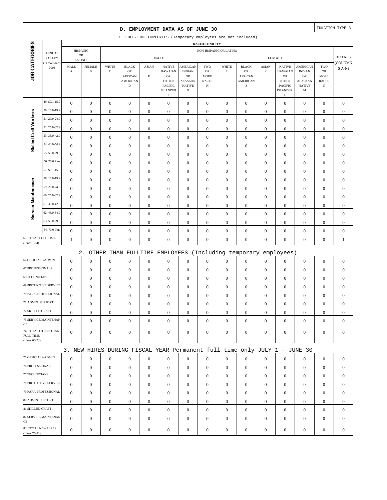| FUNCTION TYPE 3<br>D. EMPLOYMENT DATA AS OF JUNE 30 |                              |                          |                               |                      |                                                                           |                        |                                 |                           |                             |                   |                                   |                         |                                 |                           |                             |                  |
|-----------------------------------------------------|------------------------------|--------------------------|-------------------------------|----------------------|---------------------------------------------------------------------------|------------------------|---------------------------------|---------------------------|-----------------------------|-------------------|-----------------------------------|-------------------------|---------------------------------|---------------------------|-----------------------------|------------------|
|                                                     |                              |                          |                               |                      | 1. FULL-TIME EMPLOYEES (Temporary employees are not included)             |                        |                                 |                           |                             |                   |                                   |                         |                                 |                           |                             |                  |
| JOB CATEGORIES                                      |                              |                          |                               |                      |                                                                           |                        |                                 |                           | <b>RACE/ETHNICITY</b>       |                   |                                   |                         |                                 |                           |                             |                  |
|                                                     | <b>ANNUAL</b><br>SALARY      |                          | <b>HISPANIC</b><br>${\sf OR}$ |                      |                                                                           |                        | <b>MALE</b>                     |                           | NON-HISPANIC OR LATINO      |                   |                                   |                         | <b>FEMALE</b>                   |                           |                             | <b>TOTALS</b>    |
|                                                     | (In thousands                |                          | LATINO                        |                      |                                                                           |                        |                                 |                           |                             |                   |                                   |                         |                                 |                           |                             | (COLUMN          |
|                                                     | 000)                         | MALE<br>$\boldsymbol{A}$ | <b>FEMALE</b><br>$\, {\bf B}$ | WHITE<br>$\mathbf C$ | <b>BLACK</b><br>OR                                                        | $\operatorname{ASIAN}$ | <b>NATIVE</b><br><b>HAWAIAN</b> | AMERICAN<br><b>INDIAN</b> | TWO<br>OR                   | WHITE<br>$\bf{I}$ | <b>BLACK</b><br>OR                | <b>ASIAN</b><br>$\bf K$ | <b>NATIVE</b><br><b>HAWAIAN</b> | AMERICAN<br><b>INDIAN</b> | TWO<br>OR                   | $S(A-N)$         |
|                                                     |                              |                          |                               |                      | <b>AFRICAN</b><br><b>AMERICAN</b>                                         | Е                      | ${\rm OR}$<br><b>OTHER</b>      | OR<br>ALASKAN             | <b>MORE</b><br><b>RACES</b> |                   | <b>AFRICAN</b><br><b>AMERICAN</b> |                         | $_{\rm OR}$<br><b>OTHER</b>     | OR<br><b>ALASKAN</b>      | <b>MORE</b><br><b>RACES</b> |                  |
|                                                     |                              |                          |                               |                      | $\mathbf D$                                                               |                        | <b>PACIFIC</b>                  | <b>NATIVE</b>             | $_{\rm H}$                  |                   | J                                 |                         | <b>PACIFIC</b>                  | <b>NATIVE</b>             | $_{\rm N}$                  |                  |
|                                                     |                              |                          |                               |                      |                                                                           |                        | <b>ISLANDER</b><br>$\rm F$      | ${\bf G}$                 |                             |                   |                                   |                         | ISLANDER,<br>L                  | M                         |                             |                  |
|                                                     | 49. \$0.1-15.9               | $\mathbf{0}$             | $\boldsymbol{0}$              | $\boldsymbol{0}$     | $\boldsymbol{0}$                                                          | $\boldsymbol{0}$       | $\boldsymbol{0}$                | $\boldsymbol{0}$          | $\boldsymbol{0}$            | $\boldsymbol{0}$  | $\boldsymbol{0}$                  | $\boldsymbol{0}$        | $\boldsymbol{0}$                | $\boldsymbol{0}$          | $\boldsymbol{0}$            | $\boldsymbol{0}$ |
|                                                     | 50.16.0-19.9                 | $\boldsymbol{0}$         | $\boldsymbol{0}$              | $\boldsymbol{0}$     | $\boldsymbol{0}$                                                          | $\boldsymbol{0}$       | $\boldsymbol{0}$                | $\boldsymbol{0}$          | $\boldsymbol{0}$            | $\boldsymbol{0}$  | $\mathbf{0}$                      | $\mathbf{0}$            | $\boldsymbol{0}$                | $\boldsymbol{0}$          | $\boldsymbol{0}$            | $\boldsymbol{0}$ |
| Skilled Craft Workers                               | 51.20.0-24.9                 | $\mathbf{0}$             | $\boldsymbol{0}$              | $\boldsymbol{0}$     | $\boldsymbol{0}$                                                          | $\boldsymbol{0}$       | $\boldsymbol{0}$                | $\boldsymbol{0}$          | $\boldsymbol{0}$            | $\boldsymbol{0}$  | $\boldsymbol{0}$                  | $\boldsymbol{0}$        | $\boldsymbol{0}$                | $\boldsymbol{0}$          | $\boldsymbol{0}$            | $\boldsymbol{0}$ |
|                                                     | 52.25.0-32.9                 | $\mathbf{0}$             | $\boldsymbol{0}$              | $\boldsymbol{0}$     | $\boldsymbol{0}$                                                          | $\boldsymbol{0}$       | $\boldsymbol{0}$                | $\boldsymbol{0}$          | $\boldsymbol{0}$            | $\boldsymbol{0}$  | $\boldsymbol{0}$                  | $\mathbf{0}$            | $\boldsymbol{0}$                | $\boldsymbol{0}$          | $\boldsymbol{0}$            | $\boldsymbol{0}$ |
|                                                     | 53.33.0-42.9                 | $\boldsymbol{0}$         | $\boldsymbol{0}$              | $\boldsymbol{0}$     | $\boldsymbol{0}$                                                          | $\boldsymbol{0}$       | $\boldsymbol{0}$                | $\boldsymbol{0}$          | $\boldsymbol{0}$            | $\boldsymbol{0}$  | $\boldsymbol{0}$                  | $\boldsymbol{0}$        | $\boldsymbol{0}$                | $\boldsymbol{0}$          | $\boldsymbol{0}$            | $\boldsymbol{0}$ |
|                                                     | 54.43.0-54.9                 | $\boldsymbol{0}$         | $\boldsymbol{0}$              | $\boldsymbol{0}$     | $\boldsymbol{0}$                                                          | $\boldsymbol{0}$       | $\boldsymbol{0}$                | $\boldsymbol{0}$          | $\boldsymbol{0}$            | $\boldsymbol{0}$  | $\mathbf{0}$                      | $\mathbf{0}$            | $\boldsymbol{0}$                | $\boldsymbol{0}$          | $\boldsymbol{0}$            | $\boldsymbol{0}$ |
|                                                     | 55.55.0-69.9                 | $\overline{0}$           | $\boldsymbol{0}$              | $\boldsymbol{0}$     | $\boldsymbol{0}$                                                          | $\boldsymbol{0}$       | $\boldsymbol{0}$                | $\boldsymbol{0}$          | $\boldsymbol{0}$            | $\boldsymbol{0}$  | $\boldsymbol{0}$                  | $\boldsymbol{0}$        | $\boldsymbol{0}$                | $\boldsymbol{0}$          | $\boldsymbol{0}$            | $\boldsymbol{0}$ |
|                                                     | 56.70.0 Plus                 | $\mathbf{0}$             | $\boldsymbol{0}$              | $\boldsymbol{0}$     | $\boldsymbol{0}$                                                          | $\boldsymbol{0}$       | $\boldsymbol{0}$                | $\mathbf{0}$              | $\boldsymbol{0}$            | $\boldsymbol{0}$  | $\boldsymbol{0}$                  | $\mathbf{0}$            | $\boldsymbol{0}$                | $\boldsymbol{0}$          | $\boldsymbol{0}$            | $\boldsymbol{0}$ |
|                                                     | 57. \$0.1-15.9               | $\boldsymbol{0}$         | $\boldsymbol{0}$              | $\boldsymbol{0}$     | $\boldsymbol{0}$                                                          | $\boldsymbol{0}$       | $\boldsymbol{0}$                | $\boldsymbol{0}$          | $\boldsymbol{0}$            | $\boldsymbol{0}$  | $\boldsymbol{0}$                  | $\mathbf{0}$            | $\boldsymbol{0}$                | $\boldsymbol{0}$          | $\boldsymbol{0}$            | $\boldsymbol{0}$ |
|                                                     | 58.16.0-19.9                 | $\overline{0}$           | $\boldsymbol{0}$              | $\boldsymbol{0}$     | $\boldsymbol{0}$                                                          | $\boldsymbol{0}$       | $\boldsymbol{0}$                | $\boldsymbol{0}$          | $\boldsymbol{0}$            | $\boldsymbol{0}$  | $\mathbf{0}$                      | $\mathbf{0}$            | $\boldsymbol{0}$                | $\boldsymbol{0}$          | $\boldsymbol{0}$            | $\boldsymbol{0}$ |
|                                                     | 59.20.0-24.9                 | $\overline{0}$           | $\boldsymbol{0}$              | $\boldsymbol{0}$     | $\boldsymbol{0}$                                                          | $\boldsymbol{0}$       | $\boldsymbol{0}$                | $\boldsymbol{0}$          | $\boldsymbol{0}$            | $\boldsymbol{0}$  | $\boldsymbol{0}$                  | $\boldsymbol{0}$        | $\mathbf{0}$                    | $\boldsymbol{0}$          | $\boldsymbol{0}$            | $\boldsymbol{0}$ |
|                                                     | 60.25.0-32.9                 | $\boldsymbol{0}$         | $\boldsymbol{0}$              | $\boldsymbol{0}$     | $\boldsymbol{0}$                                                          | $\boldsymbol{0}$       | $\boldsymbol{0}$                | $\boldsymbol{0}$          | $\boldsymbol{0}$            | $\boldsymbol{0}$  | $\boldsymbol{0}$                  | $\boldsymbol{0}$        | $\boldsymbol{0}$                | $\boldsymbol{0}$          | $\boldsymbol{0}$            | $\boldsymbol{0}$ |
| Service-Maintenance                                 | 61.33.0-42.9                 | $\boldsymbol{0}$         | $\boldsymbol{0}$              | $\boldsymbol{0}$     | $\boldsymbol{0}$                                                          | $\boldsymbol{0}$       | $\boldsymbol{0}$                | $\boldsymbol{0}$          | $\boldsymbol{0}$            | $\boldsymbol{0}$  | $\boldsymbol{0}$                  | $\boldsymbol{0}$        | $\boldsymbol{0}$                | $\boldsymbol{0}$          | $\boldsymbol{0}$            | $\boldsymbol{0}$ |
|                                                     | 62.43.0-54.9                 | $\mathbf{0}$             | $\boldsymbol{0}$              | $\boldsymbol{0}$     | $\boldsymbol{0}$                                                          | $\mathbf{0}$           | $\boldsymbol{0}$                | $\boldsymbol{0}$          | $\boldsymbol{0}$            | $\boldsymbol{0}$  | $\mathbf{0}$                      | $\boldsymbol{0}$        | $\boldsymbol{0}$                | $\boldsymbol{0}$          | $\boldsymbol{0}$            | $\boldsymbol{0}$ |
|                                                     | 63.55.0-69.9                 | $\overline{0}$           | $\boldsymbol{0}$              | $\boldsymbol{0}$     | $\mathbf{0}$                                                              | $\mathbf{0}$           | $\boldsymbol{0}$                | $\boldsymbol{0}$          | $\boldsymbol{0}$            | $\boldsymbol{0}$  | $\boldsymbol{0}$                  | $\boldsymbol{0}$        | $\mathbf{0}$                    | $\boldsymbol{0}$          | $\boldsymbol{0}$            | $\boldsymbol{0}$ |
|                                                     | 64.70.0 Plus                 | $\mathbf{0}$             | $\boldsymbol{0}$              | $\boldsymbol{0}$     | $\boldsymbol{0}$                                                          | $\boldsymbol{0}$       | $\mathbf{0}$                    | $\boldsymbol{0}$          | $\boldsymbol{0}$            | $\boldsymbol{0}$  | $\boldsymbol{0}$                  | $\boldsymbol{0}$        | $\boldsymbol{0}$                | $\boldsymbol{0}$          | $\boldsymbol{0}$            | $\boldsymbol{0}$ |
| 65. TOTAL FULL TIME                                 |                              | $\mathbf{1}$             | $\boldsymbol{0}$              | $\boldsymbol{0}$     | $\boldsymbol{0}$                                                          | $\boldsymbol{0}$       | $\boldsymbol{0}$                | $\boldsymbol{0}$          | $\boldsymbol{0}$            | $\boldsymbol{0}$  | $\boldsymbol{0}$                  | $\boldsymbol{0}$        | $\boldsymbol{0}$                | $\boldsymbol{0}$          | $\boldsymbol{0}$            | $\mathbf{1}$     |
| (Lines 1-64)                                        |                              |                          |                               |                      |                                                                           |                        |                                 |                           |                             |                   |                                   |                         |                                 |                           |                             |                  |
|                                                     |                              |                          | $2$ .                         |                      | OTHER THAN FULLTIME                                                       |                        | EMPLOYEES                       |                           |                             |                   | (Including temporary              |                         | employees)                      |                           |                             |                  |
| 66.OFFICIALS/ADMIN                                  |                              | $\mathbf{0}$             | $\boldsymbol{0}$              | $\boldsymbol{0}$     | $\boldsymbol{0}$                                                          | $\boldsymbol{0}$       | $\boldsymbol{0}$                | $\boldsymbol{0}$          | $\boldsymbol{0}$            | $\boldsymbol{0}$  | $\boldsymbol{0}$                  | $\mathbf{0}$            | $\boldsymbol{0}$                | $\boldsymbol{0}$          | $\boldsymbol{0}$            | $\boldsymbol{0}$ |
| 67.PROFESSIONALS                                    |                              | $\mathbf{0}$             | $\boldsymbol{0}$              | $\boldsymbol{0}$     | $\boldsymbol{0}$                                                          | $\boldsymbol{0}$       | $\boldsymbol{0}$                | $\boldsymbol{0}$          | $\boldsymbol{0}$            | $\boldsymbol{0}$  | $\boldsymbol{0}$                  | $\mathbf{0}$            | $\boldsymbol{0}$                | $\boldsymbol{0}$          | $\boldsymbol{0}$            | $\boldsymbol{0}$ |
| 68.TECHNICIANS                                      |                              | $\mathbf{0}$             | $\boldsymbol{0}$              | $\boldsymbol{0}$     | $\boldsymbol{0}$                                                          | $\boldsymbol{0}$       | $\boldsymbol{0}$                | $\boldsymbol{0}$          | $\boldsymbol{0}$            | $\boldsymbol{0}$  | $\mathbf{0}$                      | $\boldsymbol{0}$        | $\boldsymbol{0}$                | $\boldsymbol{0}$          | $\boldsymbol{0}$            | $\boldsymbol{0}$ |
|                                                     | <b>69.PROTECTIVE SERVICE</b> | $\boldsymbol{0}$         | $\boldsymbol{0}$              | $\boldsymbol{0}$     | $\boldsymbol{0}$                                                          | $\boldsymbol{0}$       | $\boldsymbol{0}$                | $\boldsymbol{0}$          | $\boldsymbol{0}$            | $\boldsymbol{0}$  | $\boldsymbol{0}$                  | $\mathbf{0}$            | $\boldsymbol{0}$                | $\boldsymbol{0}$          | $\boldsymbol{0}$            | $\boldsymbol{0}$ |
|                                                     | 70.PARA-PROFESSIONAL         | $\boldsymbol{0}$         | $\boldsymbol{0}$              | $\boldsymbol{0}$     | $\boldsymbol{0}$                                                          | $\boldsymbol{0}$       | $\boldsymbol{0}$                | $\boldsymbol{0}$          | $\boldsymbol{0}$            | $\boldsymbol{0}$  | $\boldsymbol{0}$                  | $\mathbf{0}$            | $\boldsymbol{0}$                | $\boldsymbol{0}$          | $\boldsymbol{0}$            | $\boldsymbol{0}$ |
| 71.ADMIN. SUPPORT                                   |                              | $\Omega$                 | $\theta$                      | $\Omega$             | $\Omega$                                                                  | $\Omega$               | $\boldsymbol{0}$                | $\theta$                  | $\Omega$                    | $\Omega$          | $\Omega$                          | $\theta$                | $\theta$                        | $\Omega$                  | $\Omega$                    | $\Omega$         |
| 72.SKILLED CRAFT                                    |                              | $\mathbf{0}$             | $\boldsymbol{0}$              | $\boldsymbol{0}$     | $\mathbf{0}$                                                              | $\mathbf{0}$           | $\boldsymbol{0}$                | $\boldsymbol{0}$          | $\mathbf{0}$                | $\boldsymbol{0}$  | $\boldsymbol{0}$                  | $\boldsymbol{0}$        | $\mathbf{0}$                    | $\boldsymbol{0}$          | $\mathbf{0}$                | $\boldsymbol{0}$ |
| CE                                                  | 73.SERVICE/MAINTENAN         | $\overline{0}$           | $\boldsymbol{0}$              | $\boldsymbol{0}$     | $\mathbf{0}$                                                              | $\mathbf{0}$           | $\boldsymbol{0}$                | $\mathbf{0}$              | $\boldsymbol{0}$            | $\boldsymbol{0}$  | $\mathbf{0}$                      | $\mathbf{0}$            | $\boldsymbol{0}$                | $\mathbf{0}$              | $\boldsymbol{0}$            | $\boldsymbol{0}$ |
|                                                     | 74. TOTAL OTHER THAN         | $\overline{0}$           | $\boldsymbol{0}$              | $\boldsymbol{0}$     | $\mathbf{0}$                                                              | $\mathbf{0}$           | $\boldsymbol{0}$                | $\mathbf{0}$              | $\boldsymbol{0}$            | $\boldsymbol{0}$  | $\mathbf{0}$                      | $\mathbf{0}$            | $\boldsymbol{0}$                | $\boldsymbol{0}$          | $\boldsymbol{0}$            | $\mathbf{0}$     |
| <b>FULL TIME</b><br>(Lines 66-73)                   |                              |                          |                               |                      |                                                                           |                        |                                 |                           |                             |                   |                                   |                         |                                 |                           |                             |                  |
|                                                     |                              |                          |                               |                      | 3. NEW HIRES DURING FISCAL YEAR Permanent full time only JULY 1 - JUNE 30 |                        |                                 |                           |                             |                   |                                   |                         |                                 |                           |                             |                  |
| 75.OFFICIALS/ADMIN                                  |                              | $\overline{0}$           | $\boldsymbol{0}$              | $\boldsymbol{0}$     | $\mathbf{0}$                                                              | $\mathbf{0}$           | $\boldsymbol{0}$                | $\boldsymbol{0}$          | $\boldsymbol{0}$            | $\mathbf{0}$      | $\overline{0}$                    | $\mathbf{0}$            | $\boldsymbol{0}$                | $\boldsymbol{0}$          | $\overline{0}$              | $\boldsymbol{0}$ |
| 76.PROFESSIONALS                                    |                              | $\mathbf{0}$             | $\boldsymbol{0}$              | $\boldsymbol{0}$     | $\boldsymbol{0}$                                                          | $\mathbf{0}$           | $\mathbf{0}$                    | $\mathbf{0}$              | $\boldsymbol{0}$            | $\mathbf{0}$      | $\boldsymbol{0}$                  | $\overline{0}$          | $\mathbf{0}$                    | $\boldsymbol{0}$          | $\overline{0}$              | $\boldsymbol{0}$ |
| 77.TECHNICIANS                                      |                              | $\boldsymbol{0}$         | $\boldsymbol{0}$              | $\boldsymbol{0}$     | $\boldsymbol{0}$                                                          | $\bf{0}$               | $\boldsymbol{0}$                | $\boldsymbol{0}$          | $\overline{0}$              | $\boldsymbol{0}$  | $\boldsymbol{0}$                  | $\boldsymbol{0}$        | $\boldsymbol{0}$                | $\overline{0}$            | $\boldsymbol{0}$            | $\boldsymbol{0}$ |
|                                                     | 78. PROTECTIVE SERVICE       | $\boldsymbol{0}$         | $\boldsymbol{0}$              | $\overline{0}$       | $\boldsymbol{0}$                                                          | $\boldsymbol{0}$       | $\boldsymbol{0}$                | $\boldsymbol{0}$          | $\overline{0}$              | $\boldsymbol{0}$  | $\boldsymbol{0}$                  | $\boldsymbol{0}$        | $\mathbf{0}$                    | $\overline{0}$            | $\mathbf{0}$                | $\boldsymbol{0}$ |
|                                                     | 79.PARA-PROFESSIONAL         | $\mathbf{0}$             | $\mathbf{0}$                  | $\overline{0}$       | $\mathbf{0}$                                                              | $\overline{0}$         | $\boldsymbol{0}$                | $\mathbf{0}$              | $\overline{0}$              | $\overline{0}$    | $\overline{0}$                    | $\mathbf{0}$            | $\boldsymbol{0}$                | $\overline{0}$            | $\overline{0}$              | $\boldsymbol{0}$ |
| 80.ADMIN. SUPPORT                                   |                              | $\boldsymbol{0}$         | $\boldsymbol{0}$              | $\boldsymbol{0}$     | $\boldsymbol{0}$                                                          | $\mathbf{0}$           | $\boldsymbol{0}$                | $\mathbf{0}$              | $\boldsymbol{0}$            | $\mathbf{0}$      | $\boldsymbol{0}$                  | $\mathbf{0}$            | $\mathbf{0}$                    | $\boldsymbol{0}$          | $\overline{0}$              | $\boldsymbol{0}$ |
| 81.SKILLED CRAFT                                    |                              | $\boldsymbol{0}$         | $\boldsymbol{0}$              | $\boldsymbol{0}$     | $\boldsymbol{0}$                                                          | $\boldsymbol{0}$       | $\boldsymbol{0}$                | $\boldsymbol{0}$          | $\boldsymbol{0}$            | $\boldsymbol{0}$  | $\boldsymbol{0}$                  | $\boldsymbol{0}$        | $\boldsymbol{0}$                | $\boldsymbol{0}$          | $\boldsymbol{0}$            | $\boldsymbol{0}$ |
|                                                     | 82.SERVICE/MAINTENAN         | $\mathbf{0}$             | $\boldsymbol{0}$              | $\boldsymbol{0}$     | $\boldsymbol{0}$                                                          | $\mathbf{0}$           | $\mathbf{0}$                    | $\boldsymbol{0}$          | $\boldsymbol{0}$            | $\boldsymbol{0}$  | $\mathbf{0}$                      | $\boldsymbol{0}$        | $\boldsymbol{0}$                | $\boldsymbol{0}$          | $\boldsymbol{0}$            | $\boldsymbol{0}$ |
| CЕ                                                  |                              |                          |                               |                      |                                                                           |                        |                                 |                           |                             |                   |                                   |                         |                                 |                           |                             |                  |
| 83. TOTAL NEW HIRES<br>(Lines 75-82)                |                              | $\mathbf{0}$             | $\boldsymbol{0}$              | $\boldsymbol{0}$     | $\boldsymbol{0}$                                                          | $\boldsymbol{0}$       | $\boldsymbol{0}$                | $\boldsymbol{0}$          | $\boldsymbol{0}$            | $\boldsymbol{0}$  | $\boldsymbol{0}$                  | $\boldsymbol{0}$        | $\boldsymbol{0}$                | $\boldsymbol{0}$          | $\boldsymbol{0}$            | $\boldsymbol{0}$ |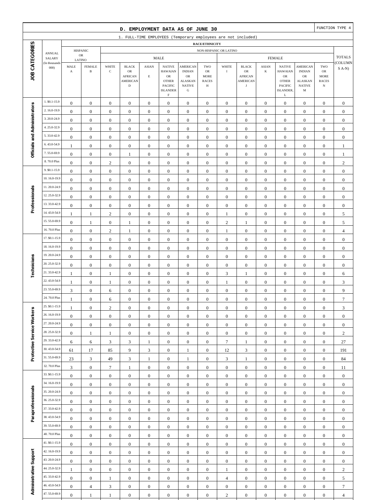|                              |                        |                     |                               |                      | D. EMPLOYMENT DATA AS OF JUNE 30                                       |                                                   |                                                                                                        |                                                                                                |                                                       |                        |                                                               |                         |                                                                                             |                                                                                          |                                                                | FUNCTION TYPE 4                |
|------------------------------|------------------------|---------------------|-------------------------------|----------------------|------------------------------------------------------------------------|---------------------------------------------------|--------------------------------------------------------------------------------------------------------|------------------------------------------------------------------------------------------------|-------------------------------------------------------|------------------------|---------------------------------------------------------------|-------------------------|---------------------------------------------------------------------------------------------|------------------------------------------------------------------------------------------|----------------------------------------------------------------|--------------------------------|
|                              |                        |                     |                               |                      |                                                                        |                                                   |                                                                                                        |                                                                                                | <b>RACE/ETHNICITY</b>                                 |                        | 1. FULL-TIME EMPLOYEES (Temporary employees are not included) |                         |                                                                                             |                                                                                          |                                                                |                                |
|                              | <b>ANNUAL</b>          |                     | <b>HISPANIC</b>               |                      |                                                                        |                                                   |                                                                                                        |                                                                                                |                                                       | NON-HISPANIC OR LATINO |                                                               |                         |                                                                                             |                                                                                          |                                                                |                                |
|                              | SALARY<br>In thousands |                     | ${\rm OR}$<br>LATINO          |                      |                                                                        |                                                   | <b>MALE</b>                                                                                            |                                                                                                |                                                       |                        |                                                               |                         | <b>FEMALE</b>                                                                               |                                                                                          |                                                                | <b>TOTALS</b><br><b>COLUMN</b> |
| JOB CATEGORIES               | 000)                   | MALE<br>$\mathbf A$ | <b>FEMALE</b><br>$\, {\bf B}$ | WHITE<br>$\mathbf C$ | <b>BLACK</b><br>OR<br><b>AFRICAN</b><br><b>AMERICAN</b><br>$\mathbf D$ | $\operatorname{ASIAN}$<br>$\mathop{\hbox{\bf E}}$ | <b>NATIVE</b><br><b>HAWAIAN</b><br>${\rm OR}$<br><b>OTHER</b><br>PACIFIC<br><b>ISLANDER</b><br>$\rm F$ | <b>AMERICAN</b><br><b>INDIAN</b><br>${\sf OR}$<br><b>ALASKAN</b><br><b>NATIVE</b><br>${\bf G}$ | TWO<br>${\sf OR}$<br><b>MORE</b><br><b>RACES</b><br>H | WHITE<br>$\rm I$       | <b>BLACK</b><br>OR<br><b>AFRICAN</b><br><b>AMERICAN</b><br>J  | <b>ASIAN</b><br>$\bf K$ | <b>NATIVE</b><br><b>HAWAIAN</b><br>$_{\rm OR}$<br><b>OTHER</b><br>PACIFIC<br>ISLANDER,<br>L | AMERICAN<br><b>INDIAN</b><br>${\sf OR}$<br><b>ALASKAN</b><br><b>NATIVE</b><br>$_{\rm M}$ | TWO<br>${\sf OR}$<br><b>MORE</b><br><b>RACES</b><br>$_{\rm N}$ | $S(A-N)$                       |
|                              | 1. \$0.1-15.9          | $\boldsymbol{0}$    | $\boldsymbol{0}$              | $\boldsymbol{0}$     | $\boldsymbol{0}$                                                       | $\boldsymbol{0}$                                  | $\boldsymbol{0}$                                                                                       | $\boldsymbol{0}$                                                                               | $\boldsymbol{0}$                                      | $\boldsymbol{0}$       | $\boldsymbol{0}$                                              | $\boldsymbol{0}$        | $\boldsymbol{0}$                                                                            | $\boldsymbol{0}$                                                                         | $\boldsymbol{0}$                                               | $\boldsymbol{0}$               |
| Officials and Administrators | 2.16.0-19.9            | $\boldsymbol{0}$    | $\boldsymbol{0}$              | $\mathbf{0}$         | $\boldsymbol{0}$                                                       | $\mathbf{0}$                                      | $\boldsymbol{0}$                                                                                       | $\boldsymbol{0}$                                                                               | $\boldsymbol{0}$                                      | $\boldsymbol{0}$       | $\boldsymbol{0}$                                              | $\boldsymbol{0}$        | $\boldsymbol{0}$                                                                            | $\mathbf{0}$                                                                             | $\boldsymbol{0}$                                               | $\boldsymbol{0}$               |
|                              | 3.20.0-24.9            | $\boldsymbol{0}$    | $\boldsymbol{0}$              | $\boldsymbol{0}$     | $\boldsymbol{0}$                                                       | $\mathbf{0}$                                      | $\boldsymbol{0}$                                                                                       | $\boldsymbol{0}$                                                                               | $\boldsymbol{0}$                                      | $\boldsymbol{0}$       | $\boldsymbol{0}$                                              | $\mathbf{0}$            | $\mathbf{0}$                                                                                | $\boldsymbol{0}$                                                                         | $\boldsymbol{0}$                                               | $\boldsymbol{0}$               |
|                              | 4.25.0-32.9            | $\boldsymbol{0}$    | $\boldsymbol{0}$              | $\boldsymbol{0}$     | $\boldsymbol{0}$                                                       | $\boldsymbol{0}$                                  | $\mathbf{0}$                                                                                           | $\boldsymbol{0}$                                                                               | $\boldsymbol{0}$                                      | $\boldsymbol{0}$       | $\boldsymbol{0}$                                              | $\boldsymbol{0}$        | $\boldsymbol{0}$                                                                            | $\boldsymbol{0}$                                                                         | $\boldsymbol{0}$                                               | $\boldsymbol{0}$               |
|                              | 5.33.0-42.9            | $\boldsymbol{0}$    | $\boldsymbol{0}$              | $\boldsymbol{0}$     | $\boldsymbol{0}$                                                       | $\boldsymbol{0}$                                  | $\boldsymbol{0}$                                                                                       | $\boldsymbol{0}$                                                                               | $\boldsymbol{0}$                                      | $\boldsymbol{0}$       | $\boldsymbol{0}$                                              | $\boldsymbol{0}$        | $\boldsymbol{0}$                                                                            | $\boldsymbol{0}$                                                                         | $\boldsymbol{0}$                                               | $\boldsymbol{0}$               |
|                              | 6.43.0-54.9            | $\mathbf{1}$        | $\boldsymbol{0}$              | $\mathbf{0}$         | $\boldsymbol{0}$                                                       | $\boldsymbol{0}$                                  | $\boldsymbol{0}$                                                                                       | $\boldsymbol{0}$                                                                               | $\boldsymbol{0}$                                      | $\boldsymbol{0}$       | $\boldsymbol{0}$                                              | $\boldsymbol{0}$        | $\mathbf{0}$                                                                                | $\overline{0}$                                                                           | $\boldsymbol{0}$                                               | 1                              |
|                              | 7.55.0-69.9            | $\boldsymbol{0}$    | $\mathbf{0}$                  | $\boldsymbol{0}$     | $\mathbf{1}$                                                           | $\mathbf{0}$                                      | $\boldsymbol{0}$                                                                                       | $\boldsymbol{0}$                                                                               | $\boldsymbol{0}$                                      | $\boldsymbol{0}$       | $\boldsymbol{0}$                                              | $\boldsymbol{0}$        | $\mathbf{0}$                                                                                | $\boldsymbol{0}$                                                                         | $\boldsymbol{0}$                                               | $\mathbf{1}$                   |
|                              | 8.70.0 Plus            | $\boldsymbol{0}$    | $\boldsymbol{0}$              | $\overline{c}$       | $\boldsymbol{0}$                                                       | $\boldsymbol{0}$                                  | $\mathbf{0}$                                                                                           | $\boldsymbol{0}$                                                                               | $\boldsymbol{0}$                                      | $\boldsymbol{0}$       | $\boldsymbol{0}$                                              | $\boldsymbol{0}$        | $\mathbf{0}$                                                                                | $\boldsymbol{0}$                                                                         | $\boldsymbol{0}$                                               | $\sqrt{2}$                     |
|                              | 9. \$0.1-15.9          | $\boldsymbol{0}$    | $\boldsymbol{0}$              | $\boldsymbol{0}$     | $\boldsymbol{0}$                                                       | $\boldsymbol{0}$                                  | $\boldsymbol{0}$                                                                                       | $\boldsymbol{0}$                                                                               | $\boldsymbol{0}$                                      | $\boldsymbol{0}$       | $\boldsymbol{0}$                                              | $\boldsymbol{0}$        | $\mathbf{0}$                                                                                | $\boldsymbol{0}$                                                                         | $\boldsymbol{0}$                                               | $\boldsymbol{0}$               |
|                              | 10.16.0-19.9           | $\overline{0}$      | $\boldsymbol{0}$              | $\boldsymbol{0}$     | $\boldsymbol{0}$                                                       | $\boldsymbol{0}$                                  | $\boldsymbol{0}$                                                                                       | $\mathbf{0}$                                                                                   | $\boldsymbol{0}$                                      | $\boldsymbol{0}$       | $\boldsymbol{0}$                                              | $\boldsymbol{0}$        | $\mathbf{0}$                                                                                | $\boldsymbol{0}$                                                                         | $\boldsymbol{0}$                                               | $\boldsymbol{0}$               |
|                              | 11.20.0-24.9           | $\boldsymbol{0}$    | $\boldsymbol{0}$              | $\boldsymbol{0}$     | $\boldsymbol{0}$                                                       | $\boldsymbol{0}$                                  | $\boldsymbol{0}$                                                                                       | $\mathbf{0}$                                                                                   | $\boldsymbol{0}$                                      | $\boldsymbol{0}$       | $\boldsymbol{0}$                                              | $\mathbf{0}$            | $\mathbf{0}$                                                                                | $\boldsymbol{0}$                                                                         | $\boldsymbol{0}$                                               | $\boldsymbol{0}$               |
| Professionals                | 12.25.0-32.9           | $\boldsymbol{0}$    | $\boldsymbol{0}$              | $\boldsymbol{0}$     | $\boldsymbol{0}$                                                       | $\boldsymbol{0}$                                  | $\mathbf{0}$                                                                                           | $\boldsymbol{0}$                                                                               | $\boldsymbol{0}$                                      | $\boldsymbol{0}$       | $\boldsymbol{0}$                                              | $\boldsymbol{0}$        | $\boldsymbol{0}$                                                                            | $\boldsymbol{0}$                                                                         | $\boldsymbol{0}$                                               | $\boldsymbol{0}$               |
|                              | 13.33.0-42.9           | $\boldsymbol{0}$    | $\boldsymbol{0}$              | $\boldsymbol{0}$     | $\boldsymbol{0}$                                                       | $\boldsymbol{0}$                                  | $\boldsymbol{0}$                                                                                       | $\boldsymbol{0}$                                                                               | $\boldsymbol{0}$                                      | $\boldsymbol{0}$       | $\boldsymbol{0}$                                              | $\boldsymbol{0}$        | $\boldsymbol{0}$                                                                            | $\boldsymbol{0}$                                                                         | $\boldsymbol{0}$                                               | $\boldsymbol{0}$               |
|                              | 14.43.0-54.9           | $\mathbf{1}$        | $\mathbf{1}$                  | $\sqrt{2}$           | $\boldsymbol{0}$                                                       | $\boldsymbol{0}$                                  | $\boldsymbol{0}$                                                                                       | $\boldsymbol{0}$                                                                               | $\boldsymbol{0}$                                      | $\mathbf{1}$           | $\boldsymbol{0}$                                              | $\mathbf{0}$            | $\mathbf{0}$                                                                                | $\overline{0}$                                                                           | $\boldsymbol{0}$                                               | 5                              |
|                              | 15.55.0-69.9           | $\boldsymbol{0}$    | $\mathbf{1}$                  | $\boldsymbol{0}$     | $\mathbf{1}$                                                           | $\boldsymbol{0}$                                  | $\boldsymbol{0}$                                                                                       | $\boldsymbol{0}$                                                                               | $\boldsymbol{0}$                                      | $\sqrt{2}$             | 1                                                             | $\mathbf{0}$            | $\mathbf{0}$                                                                                | $\boldsymbol{0}$                                                                         | $\boldsymbol{0}$                                               | 5                              |
|                              | 16.70.0 Plus           | $\boldsymbol{0}$    | $\boldsymbol{0}$              | $\overline{c}$       | $\mathbf{1}$                                                           | $\boldsymbol{0}$                                  | $\mathbf{0}$                                                                                           | $\boldsymbol{0}$                                                                               | $\boldsymbol{0}$                                      | $\mathbf{1}$           | $\boldsymbol{0}$                                              | $\boldsymbol{0}$        | $\mathbf{0}$                                                                                | $\boldsymbol{0}$                                                                         | $\boldsymbol{0}$                                               | $\overline{4}$                 |
|                              | 17. \$0.1-15.9         | $\boldsymbol{0}$    | $\boldsymbol{0}$              | $\boldsymbol{0}$     | $\boldsymbol{0}$                                                       | $\boldsymbol{0}$                                  | $\boldsymbol{0}$                                                                                       | $\boldsymbol{0}$                                                                               | $\boldsymbol{0}$                                      | $\boldsymbol{0}$       | $\boldsymbol{0}$                                              | $\boldsymbol{0}$        | $\boldsymbol{0}$                                                                            | $\boldsymbol{0}$                                                                         | $\boldsymbol{0}$                                               | $\boldsymbol{0}$               |
|                              | 18.16.0-19.9           | $\overline{0}$      | $\boldsymbol{0}$              | $\boldsymbol{0}$     | $\boldsymbol{0}$                                                       | $\boldsymbol{0}$                                  | $\boldsymbol{0}$                                                                                       | $\boldsymbol{0}$                                                                               | $\boldsymbol{0}$                                      | $\boldsymbol{0}$       | $\boldsymbol{0}$                                              | $\mathbf{0}$            | $\mathbf{0}$                                                                                | $\boldsymbol{0}$                                                                         | $\boldsymbol{0}$                                               | $\boldsymbol{0}$               |
|                              | 19.20.0-24.9           | $\boldsymbol{0}$    | $\boldsymbol{0}$              | $\boldsymbol{0}$     | $\boldsymbol{0}$                                                       | $\boldsymbol{0}$                                  | $\boldsymbol{0}$                                                                                       | $\boldsymbol{0}$                                                                               | $\boldsymbol{0}$                                      | $\boldsymbol{0}$       | $\boldsymbol{0}$                                              | $\boldsymbol{0}$        | $\mathbf{0}$                                                                                | $\boldsymbol{0}$                                                                         | $\boldsymbol{0}$                                               | $\boldsymbol{0}$               |
| Technicians                  | 20.25.0-32.9           | $\boldsymbol{0}$    | $\boldsymbol{0}$              | $\boldsymbol{0}$     | $\boldsymbol{0}$                                                       | $\boldsymbol{0}$                                  | $\mathbf{0}$                                                                                           | $\boldsymbol{0}$                                                                               | $\boldsymbol{0}$                                      | $\boldsymbol{0}$       | $\boldsymbol{0}$                                              | $\boldsymbol{0}$        | $\boldsymbol{0}$                                                                            | $\boldsymbol{0}$                                                                         | $\boldsymbol{0}$                                               | $\boldsymbol{0}$               |
|                              | 21.33.0-42.9           | $\mathbf{1}$        | $\boldsymbol{0}$              | $\mathbf{1}$         | $\boldsymbol{0}$                                                       | $\boldsymbol{0}$                                  | $\boldsymbol{0}$                                                                                       | $\boldsymbol{0}$                                                                               | $\boldsymbol{0}$                                      | $\mathfrak{Z}$         | 1                                                             | $\boldsymbol{0}$        | $\boldsymbol{0}$                                                                            | $\boldsymbol{0}$                                                                         | $\boldsymbol{0}$                                               | 6                              |
|                              | 22.43.0-54.9           | $\mathbf{1}$        | $\boldsymbol{0}$              | $\mathbf{1}$         | $\boldsymbol{0}$                                                       | $\boldsymbol{0}$                                  | $\boldsymbol{0}$                                                                                       | $\boldsymbol{0}$                                                                               | $\boldsymbol{0}$                                      | $\mathbf{1}$           | $\boldsymbol{0}$                                              | $\mathbf{0}$            | $\mathbf{0}$                                                                                | $\overline{0}$                                                                           | $\boldsymbol{0}$                                               | 3                              |
|                              | 23.55.0-69.9           | $\mathfrak{Z}$      | $\boldsymbol{0}$              | 6                    | $\boldsymbol{0}$                                                       | $\boldsymbol{0}$                                  | $\boldsymbol{0}$                                                                                       | $\boldsymbol{0}$                                                                               | $\boldsymbol{0}$                                      | $\boldsymbol{0}$       | $\boldsymbol{0}$                                              | $\boldsymbol{0}$        | $\mathbf{0}$                                                                                | $\boldsymbol{0}$                                                                         | $\boldsymbol{0}$                                               | 9                              |
|                              | 24.70.0 Plus           | $\mathbf{1}$        | $\mathbf{0}$                  | 6                    | $\boldsymbol{0}$                                                       | $\boldsymbol{0}$                                  | $\boldsymbol{0}$                                                                                       | $\boldsymbol{0}$                                                                               | $\boldsymbol{0}$                                      | $\boldsymbol{0}$       | $\mathbf{0}$                                                  | $\boldsymbol{0}$        | $\mathbf{0}$                                                                                | $\boldsymbol{0}$                                                                         | $\boldsymbol{0}$                                               | $\tau$                         |
|                              | 25. \$0.1-15.9         | $\mathbf{1}$        | $\boldsymbol{0}$              | $\overline{c}$       | $\boldsymbol{0}$                                                       | $\boldsymbol{0}$                                  | $\boldsymbol{0}$                                                                                       | $\boldsymbol{0}$                                                                               | $\boldsymbol{0}$                                      | $\boldsymbol{0}$       | $\boldsymbol{0}$                                              | $\boldsymbol{0}$        | $\boldsymbol{0}$                                                                            | $\boldsymbol{0}$                                                                         | $\boldsymbol{0}$                                               | 3                              |
|                              | 26.16.0-19.9           | $\boldsymbol{0}$    | $\mathbf{0}$                  | $\mathbf{0}$         | $\mathbf{0}$                                                           | $\overline{0}$                                    | $\mathbf{0}$                                                                                           | $\boldsymbol{0}$                                                                               | $\boldsymbol{0}$                                      | $\boldsymbol{0}$       | $\overline{0}$                                                | $\boldsymbol{0}$        | $\mathbf{0}$                                                                                | $\overline{0}$                                                                           | $\boldsymbol{0}$                                               | $\boldsymbol{0}$               |
|                              | 27.20.0-24.9           | $\mathbf{0}$        | $\boldsymbol{0}$              | $\boldsymbol{0}$     | $\boldsymbol{0}$                                                       | $\mathbf{0}$                                      | $\mathbf{0}$                                                                                           | $\boldsymbol{0}$                                                                               | $\boldsymbol{0}$                                      | $\boldsymbol{0}$       | $\mathbf{0}$                                                  | $\boldsymbol{0}$        | $\boldsymbol{0}$                                                                            | $\boldsymbol{0}$                                                                         | $\boldsymbol{0}$                                               | $\boldsymbol{0}$               |
| Protective Service Workers   | 28.25.0-32.9           | $\boldsymbol{0}$    | $\mathbf{1}$                  | 1                    | $\boldsymbol{0}$                                                       | $\mathbf{0}$                                      | $\boldsymbol{0}$                                                                                       | $\boldsymbol{0}$                                                                               | $\boldsymbol{0}$                                      | $\boldsymbol{0}$       | $\boldsymbol{0}$                                              | $\boldsymbol{0}$        | $\boldsymbol{0}$                                                                            | $\boldsymbol{0}$                                                                         | $\boldsymbol{0}$                                               | $\sqrt{2}$                     |
|                              | 29.33.0-42.9           | 6                   | 6                             | 3                    | 3                                                                      | $\mathbf{1}$                                      | $\boldsymbol{0}$                                                                                       | $\boldsymbol{0}$                                                                               | $\boldsymbol{0}$                                      | $\tau$                 | $\mathbf{1}$                                                  | $\boldsymbol{0}$        | $\boldsymbol{0}$                                                                            | $\boldsymbol{0}$                                                                         | $\boldsymbol{0}$                                               | 27                             |
|                              | 30.43.0-54.9           | 61                  | 17                            | 85                   | 9                                                                      | 3                                                 | $\boldsymbol{0}$                                                                                       | 1                                                                                              | $\boldsymbol{0}$                                      | 12                     | 3                                                             | $\boldsymbol{0}$        | $\boldsymbol{0}$                                                                            | $\boldsymbol{0}$                                                                         | $\boldsymbol{0}$                                               | 191                            |
|                              | 31.55.0-69.9           | 23                  | $\mathfrak{Z}$                | 49                   | $\mathfrak{Z}$                                                         | $\mathbf{1}$                                      | $\boldsymbol{0}$                                                                                       | $\mathbf{1}$                                                                                   | $\boldsymbol{0}$                                      | $\mathfrak{Z}$         | $\mathbf{1}$                                                  | $\boldsymbol{0}$        | $\boldsymbol{0}$                                                                            | $\boldsymbol{0}$                                                                         | $\boldsymbol{0}$                                               | 84                             |
|                              | 32.70.0 Plus           | 3                   | $\boldsymbol{0}$              | 7                    | $\mathbf{1}$                                                           | $\mathbf{0}$                                      | $\boldsymbol{0}$                                                                                       | $\boldsymbol{0}$                                                                               | $\boldsymbol{0}$                                      | $\boldsymbol{0}$       | $\boldsymbol{0}$                                              | $\boldsymbol{0}$        | $\boldsymbol{0}$                                                                            | $\boldsymbol{0}$                                                                         | $\boldsymbol{0}$                                               | 11                             |
|                              | 33. \$0.1-15.9         | $\mathbf{0}$        | $\boldsymbol{0}$              | $\boldsymbol{0}$     | $\boldsymbol{0}$                                                       | $\boldsymbol{0}$                                  | $\boldsymbol{0}$                                                                                       | $\boldsymbol{0}$                                                                               | $\boldsymbol{0}$                                      | $\boldsymbol{0}$       | $\boldsymbol{0}$                                              | $\boldsymbol{0}$        | $\boldsymbol{0}$                                                                            | $\boldsymbol{0}$                                                                         | $\boldsymbol{0}$                                               | $\boldsymbol{0}$               |
|                              | 34.16.0-19.9           | $\mathbf{0}$        | $\mathbf{0}$                  | $\boldsymbol{0}$     | $\boldsymbol{0}$                                                       | $\mathbf{0}$                                      | $\boldsymbol{0}$                                                                                       | $\boldsymbol{0}$                                                                               | $\boldsymbol{0}$                                      | $\boldsymbol{0}$       | $\overline{0}$                                                | $\boldsymbol{0}$        | $\boldsymbol{0}$                                                                            | $\boldsymbol{0}$                                                                         | $\boldsymbol{0}$                                               | $\boldsymbol{0}$               |
| Paraprofessionals            | 35.20.0-24.9           | $\mathbf{0}$        | $\boldsymbol{0}$              | $\boldsymbol{0}$     | $\boldsymbol{0}$                                                       | $\mathbf{0}$                                      | $\mathbf{0}$                                                                                           | $\boldsymbol{0}$                                                                               | $\boldsymbol{0}$                                      | $\boldsymbol{0}$       | $\mathbf{0}$                                                  | $\boldsymbol{0}$        | $\boldsymbol{0}$                                                                            | $\boldsymbol{0}$                                                                         | $\boldsymbol{0}$                                               | $\boldsymbol{0}$               |
|                              | 36.25.0-32.9           | $\boldsymbol{0}$    | $\boldsymbol{0}$              | $\boldsymbol{0}$     | $\boldsymbol{0}$                                                       | $\mathbf{0}$                                      | $\boldsymbol{0}$                                                                                       | $\boldsymbol{0}$                                                                               | $\boldsymbol{0}$                                      | $\boldsymbol{0}$       | $\boldsymbol{0}$                                              | $\boldsymbol{0}$        | $\boldsymbol{0}$                                                                            | $\boldsymbol{0}$                                                                         | $\boldsymbol{0}$                                               | $\boldsymbol{0}$               |
|                              | 37.33.0-42.9           | $\mathbf{0}$        | $\boldsymbol{0}$              | $\boldsymbol{0}$     | $\boldsymbol{0}$                                                       | $\boldsymbol{0}$                                  | $\boldsymbol{0}$                                                                                       | $\boldsymbol{0}$                                                                               | $\boldsymbol{0}$                                      | $\boldsymbol{0}$       | $\boldsymbol{0}$                                              | $\boldsymbol{0}$        | $\boldsymbol{0}$                                                                            | $\boldsymbol{0}$                                                                         | $\boldsymbol{0}$                                               | $\boldsymbol{0}$               |
|                              | 38.43.0-54.9           | $\boldsymbol{0}$    | $\mathbf{0}$                  | $\boldsymbol{0}$     | $\boldsymbol{0}$                                                       | $\mathbf{0}$                                      | $\boldsymbol{0}$                                                                                       | $\boldsymbol{0}$                                                                               | $\boldsymbol{0}$                                      | $\boldsymbol{0}$       | $\overline{0}$                                                | $\boldsymbol{0}$        | $\boldsymbol{0}$                                                                            | $\boldsymbol{0}$                                                                         | $\boldsymbol{0}$                                               | $\boldsymbol{0}$               |
|                              | 39.55.0-69.9           | $\mathbf{0}$        | $\mathbf{0}$                  | $\boldsymbol{0}$     | $\boldsymbol{0}$                                                       | $\mathbf{0}$                                      | $\boldsymbol{0}$                                                                                       | $\boldsymbol{0}$                                                                               | $\boldsymbol{0}$                                      | $\boldsymbol{0}$       | $\mathbf{0}$                                                  | $\boldsymbol{0}$        | $\boldsymbol{0}$                                                                            | $\boldsymbol{0}$                                                                         | $\boldsymbol{0}$                                               | $\boldsymbol{0}$               |
|                              | 40.70.0 Plus           | $\boldsymbol{0}$    | $\boldsymbol{0}$              | $\boldsymbol{0}$     | $\boldsymbol{0}$                                                       | $\boldsymbol{0}$                                  | $\boldsymbol{0}$                                                                                       | $\boldsymbol{0}$                                                                               | $\boldsymbol{0}$                                      | $\boldsymbol{0}$       | $\boldsymbol{0}$                                              | $\boldsymbol{0}$        | $\boldsymbol{0}$                                                                            | $\boldsymbol{0}$                                                                         | $\boldsymbol{0}$                                               | $\boldsymbol{0}$               |
|                              | 41. \$0.1-15.9         | $\mathbf{0}$        | $\boldsymbol{0}$              | $\boldsymbol{0}$     | $\boldsymbol{0}$                                                       | $\boldsymbol{0}$                                  | $\boldsymbol{0}$                                                                                       | $\boldsymbol{0}$                                                                               | $\boldsymbol{0}$                                      | $\boldsymbol{0}$       | $\boldsymbol{0}$                                              | $\boldsymbol{0}$        | $\boldsymbol{0}$                                                                            | $\boldsymbol{0}$                                                                         | $\boldsymbol{0}$                                               | $\boldsymbol{0}$               |
|                              | 42.16.0-19.9           | $\boldsymbol{0}$    | $\mathbf{0}$                  | $\boldsymbol{0}$     | $\boldsymbol{0}$                                                       | $\mathbf{0}$                                      | $\boldsymbol{0}$                                                                                       | $\boldsymbol{0}$                                                                               | $\boldsymbol{0}$                                      | $\boldsymbol{0}$       | $\overline{0}$                                                | $\boldsymbol{0}$        | $\boldsymbol{0}$                                                                            | $\overline{0}$                                                                           | $\boldsymbol{0}$                                               | $\boldsymbol{0}$               |
|                              | 43.20.0-24.9           | $\mathbf{0}$        | $\boldsymbol{0}$              | $\boldsymbol{0}$     | $\boldsymbol{0}$                                                       | $\mathbf{0}$                                      | $\boldsymbol{0}$                                                                                       | $\boldsymbol{0}$                                                                               | $\boldsymbol{0}$                                      | $\boldsymbol{0}$       | $\mathbf{0}$                                                  | $\boldsymbol{0}$        | $\boldsymbol{0}$                                                                            | $\boldsymbol{0}$                                                                         | $\boldsymbol{0}$                                               | $\boldsymbol{0}$               |
|                              | 44.25.0-32.9           | 1                   | $\boldsymbol{0}$              | $\boldsymbol{0}$     | $\boldsymbol{0}$                                                       | $\mathbf{0}$                                      | $\boldsymbol{0}$                                                                                       | $\boldsymbol{0}$                                                                               | $\boldsymbol{0}$                                      | $\mathbf{1}$           | $\boldsymbol{0}$                                              | $\boldsymbol{0}$        | $\boldsymbol{0}$                                                                            | $\boldsymbol{0}$                                                                         | $\boldsymbol{0}$                                               | $\sqrt{2}$                     |
| Administrative Support       | 45.33.0-42.9           | $\mathbf{0}$        | $\boldsymbol{0}$              | $\mathbf{1}$         | $\boldsymbol{0}$                                                       | $\boldsymbol{0}$                                  | $\boldsymbol{0}$                                                                                       | $\boldsymbol{0}$                                                                               | $\boldsymbol{0}$                                      | $\overline{4}$         | $\boldsymbol{0}$                                              | $\boldsymbol{0}$        | $\boldsymbol{0}$                                                                            | $\boldsymbol{0}$                                                                         | $\boldsymbol{0}$                                               | $5\phantom{.0}$                |
|                              | 46.43.0-54.9           | $\boldsymbol{0}$    | $\overline{4}$                | 3                    | $\boldsymbol{0}$                                                       | $\mathbf{0}$                                      | $\boldsymbol{0}$                                                                                       | $\boldsymbol{0}$                                                                               | $\boldsymbol{0}$                                      | $\boldsymbol{0}$       | $\boldsymbol{0}$                                              | $\boldsymbol{0}$        | $\boldsymbol{0}$                                                                            | $\boldsymbol{0}$                                                                         | $\boldsymbol{0}$                                               | $\tau$                         |
|                              | 47.55.0-69.9           | $\boldsymbol{0}$    | $\mathbf{1}$                  | $\mathbf{1}$         | $\boldsymbol{0}$                                                       | $\boldsymbol{0}$                                  | $\boldsymbol{0}$                                                                                       | $\boldsymbol{0}$                                                                               | $\boldsymbol{0}$                                      | $\sqrt{2}$             | $\boldsymbol{0}$                                              | $\boldsymbol{0}$        | $\boldsymbol{0}$                                                                            | $\boldsymbol{0}$                                                                         | $\boldsymbol{0}$                                               | $\overline{4}$                 |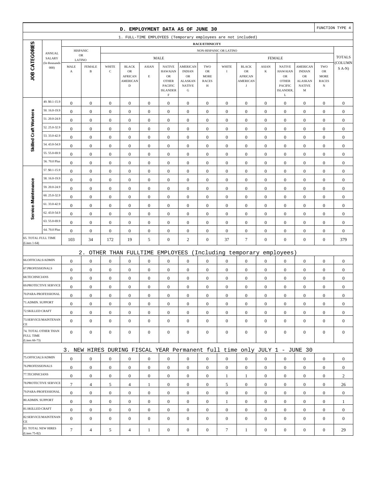|                                      |                              |                          |                               |                      | D. EMPLOYMENT DATA AS OF JUNE 30                                          |                        |                                 |                           |                             |                   |                                   |                         |                                 |                                  |                             | FUNCTION TYPE 4  |
|--------------------------------------|------------------------------|--------------------------|-------------------------------|----------------------|---------------------------------------------------------------------------|------------------------|---------------------------------|---------------------------|-----------------------------|-------------------|-----------------------------------|-------------------------|---------------------------------|----------------------------------|-----------------------------|------------------|
|                                      |                              |                          |                               |                      | 1. FULL-TIME EMPLOYEES (Temporary employees are not included)             |                        |                                 |                           |                             |                   |                                   |                         |                                 |                                  |                             |                  |
| JOB CATEGORIES                       |                              |                          |                               |                      |                                                                           |                        |                                 |                           | <b>RACE/ETHNICITY</b>       |                   |                                   |                         |                                 |                                  |                             |                  |
|                                      | <b>ANNUAL</b>                |                          | <b>HISPANIC</b><br>${\sf OR}$ |                      |                                                                           |                        | <b>MALE</b>                     |                           | NON-HISPANIC OR LATINO      |                   |                                   |                         | <b>FEMALE</b>                   |                                  |                             | <b>TOTALS</b>    |
|                                      | SALARY<br>(In thousands      |                          | LATINO                        |                      |                                                                           |                        |                                 |                           |                             |                   |                                   |                         |                                 |                                  |                             | (COLUMN          |
|                                      | 000)                         | MALE<br>$\boldsymbol{A}$ | <b>FEMALE</b><br>$\, {\bf B}$ | WHITE<br>$\mathbf C$ | <b>BLACK</b><br>OR                                                        | $\operatorname{ASIAN}$ | <b>NATIVE</b><br><b>HAWAIAN</b> | AMERICAN<br><b>INDIAN</b> | TWO<br>OR                   | WHITE<br>$\bf{I}$ | <b>BLACK</b><br>OR                | <b>ASIAN</b><br>$\bf K$ | <b>NATIVE</b><br><b>HAWAIAN</b> | <b>AMERICAN</b><br><b>INDIAN</b> | TWO<br>OR                   | $S(A-N)$         |
|                                      |                              |                          |                               |                      | <b>AFRICAN</b><br><b>AMERICAN</b>                                         | Е                      | ${\rm OR}$<br><b>OTHER</b>      | OR<br>ALASKAN             | <b>MORE</b><br><b>RACES</b> |                   | <b>AFRICAN</b><br><b>AMERICAN</b> |                         | $_{\rm OR}$<br><b>OTHER</b>     | OR<br><b>ALASKAN</b>             | <b>MORE</b><br><b>RACES</b> |                  |
|                                      |                              |                          |                               |                      | $\mathbf D$                                                               |                        | <b>PACIFIC</b>                  | <b>NATIVE</b>             | $_{\rm H}$                  |                   | J                                 |                         | <b>PACIFIC</b>                  | <b>NATIVE</b>                    | $_{\rm N}$                  |                  |
|                                      |                              |                          |                               |                      |                                                                           |                        | <b>ISLANDER</b><br>$\rm F$      | ${\bf G}$                 |                             |                   |                                   |                         | ISLANDER,<br>L                  | M                                |                             |                  |
|                                      | 49. \$0.1-15.9               | $\mathbf{0}$             | $\boldsymbol{0}$              | $\boldsymbol{0}$     | $\boldsymbol{0}$                                                          | $\boldsymbol{0}$       | $\boldsymbol{0}$                | $\boldsymbol{0}$          | $\boldsymbol{0}$            | $\boldsymbol{0}$  | $\boldsymbol{0}$                  | $\boldsymbol{0}$        | $\boldsymbol{0}$                | $\boldsymbol{0}$                 | $\boldsymbol{0}$            | $\boldsymbol{0}$ |
|                                      | 50.16.0-19.9                 | $\boldsymbol{0}$         | $\boldsymbol{0}$              | $\boldsymbol{0}$     | $\boldsymbol{0}$                                                          | $\boldsymbol{0}$       | $\boldsymbol{0}$                | $\boldsymbol{0}$          | $\boldsymbol{0}$            | $\boldsymbol{0}$  | $\mathbf{0}$                      | $\mathbf{0}$            | $\boldsymbol{0}$                | $\boldsymbol{0}$                 | $\boldsymbol{0}$            | $\boldsymbol{0}$ |
| Skilled Craft Workers                | 51.20.0-24.9                 | $\mathbf{0}$             | $\boldsymbol{0}$              | $\boldsymbol{0}$     | $\boldsymbol{0}$                                                          | $\boldsymbol{0}$       | $\boldsymbol{0}$                | $\boldsymbol{0}$          | $\boldsymbol{0}$            | $\boldsymbol{0}$  | $\boldsymbol{0}$                  | $\boldsymbol{0}$        | $\boldsymbol{0}$                | $\boldsymbol{0}$                 | $\boldsymbol{0}$            | $\boldsymbol{0}$ |
|                                      | 52.25.0-32.9                 | $\boldsymbol{0}$         | $\boldsymbol{0}$              | $\boldsymbol{0}$     | $\boldsymbol{0}$                                                          | $\boldsymbol{0}$       | $\boldsymbol{0}$                | $\boldsymbol{0}$          | $\boldsymbol{0}$            | $\boldsymbol{0}$  | $\boldsymbol{0}$                  | $\mathbf{0}$            | $\boldsymbol{0}$                | $\boldsymbol{0}$                 | $\boldsymbol{0}$            | $\boldsymbol{0}$ |
|                                      | 53.33.0-42.9                 | $\boldsymbol{0}$         | $\boldsymbol{0}$              | $\boldsymbol{0}$     | $\boldsymbol{0}$                                                          | $\boldsymbol{0}$       | $\boldsymbol{0}$                | $\boldsymbol{0}$          | $\boldsymbol{0}$            | $\boldsymbol{0}$  | $\boldsymbol{0}$                  | $\boldsymbol{0}$        | $\boldsymbol{0}$                | $\boldsymbol{0}$                 | $\boldsymbol{0}$            | $\boldsymbol{0}$ |
|                                      | 54.43.0-54.9                 | $\boldsymbol{0}$         | $\boldsymbol{0}$              | $\boldsymbol{0}$     | $\boldsymbol{0}$                                                          | $\boldsymbol{0}$       | $\boldsymbol{0}$                | $\boldsymbol{0}$          | $\boldsymbol{0}$            | $\boldsymbol{0}$  | $\mathbf{0}$                      | $\mathbf{0}$            | $\boldsymbol{0}$                | $\boldsymbol{0}$                 | $\boldsymbol{0}$            | $\boldsymbol{0}$ |
|                                      | 55.55.0-69.9                 | $\overline{0}$           | $\boldsymbol{0}$              | $\boldsymbol{0}$     | $\boldsymbol{0}$                                                          | $\boldsymbol{0}$       | $\boldsymbol{0}$                | $\boldsymbol{0}$          | $\boldsymbol{0}$            | $\boldsymbol{0}$  | $\boldsymbol{0}$                  | $\boldsymbol{0}$        | $\boldsymbol{0}$                | $\boldsymbol{0}$                 | $\boldsymbol{0}$            | $\boldsymbol{0}$ |
|                                      | 56.70.0 Plus                 | $\mathbf{0}$             | $\boldsymbol{0}$              | $\boldsymbol{0}$     | $\boldsymbol{0}$                                                          | $\boldsymbol{0}$       | $\boldsymbol{0}$                | $\mathbf{0}$              | $\boldsymbol{0}$            | $\boldsymbol{0}$  | $\boldsymbol{0}$                  | $\mathbf{0}$            | $\boldsymbol{0}$                | $\boldsymbol{0}$                 | $\boldsymbol{0}$            | $\boldsymbol{0}$ |
|                                      | 57. \$0.1-15.9               | $\boldsymbol{0}$         | $\boldsymbol{0}$              | $\boldsymbol{0}$     | $\boldsymbol{0}$                                                          | $\boldsymbol{0}$       | $\boldsymbol{0}$                | $\boldsymbol{0}$          | $\boldsymbol{0}$            | $\boldsymbol{0}$  | $\boldsymbol{0}$                  | $\mathbf{0}$            | $\boldsymbol{0}$                | $\boldsymbol{0}$                 | $\boldsymbol{0}$            | $\boldsymbol{0}$ |
|                                      | 58.16.0-19.9                 | $\overline{0}$           | $\boldsymbol{0}$              | $\boldsymbol{0}$     | $\boldsymbol{0}$                                                          | $\boldsymbol{0}$       | $\boldsymbol{0}$                | $\boldsymbol{0}$          | $\boldsymbol{0}$            | $\boldsymbol{0}$  | $\mathbf{0}$                      | $\boldsymbol{0}$        | $\boldsymbol{0}$                | $\boldsymbol{0}$                 | $\boldsymbol{0}$            | $\boldsymbol{0}$ |
|                                      | 59.20.0-24.9                 | $\overline{0}$           | $\boldsymbol{0}$              | $\boldsymbol{0}$     | $\boldsymbol{0}$                                                          | $\mathbf{0}$           | $\mathbf{0}$                    | $\boldsymbol{0}$          | $\boldsymbol{0}$            | $\boldsymbol{0}$  | $\boldsymbol{0}$                  | $\boldsymbol{0}$        | $\boldsymbol{0}$                | $\boldsymbol{0}$                 | $\boldsymbol{0}$            | $\boldsymbol{0}$ |
|                                      | 60.25.0-32.9                 | $\boldsymbol{0}$         | $\boldsymbol{0}$              | $\boldsymbol{0}$     | $\boldsymbol{0}$                                                          | $\boldsymbol{0}$       | $\boldsymbol{0}$                | $\boldsymbol{0}$          | $\boldsymbol{0}$            | $\boldsymbol{0}$  | $\boldsymbol{0}$                  | $\boldsymbol{0}$        | $\boldsymbol{0}$                | $\boldsymbol{0}$                 | $\boldsymbol{0}$            | $\boldsymbol{0}$ |
|                                      | 61.33.0-42.9                 | $\boldsymbol{0}$         | $\boldsymbol{0}$              | $\boldsymbol{0}$     | $\boldsymbol{0}$                                                          | $\boldsymbol{0}$       | $\boldsymbol{0}$                | $\boldsymbol{0}$          | $\boldsymbol{0}$            | $\boldsymbol{0}$  | $\boldsymbol{0}$                  | $\boldsymbol{0}$        | $\boldsymbol{0}$                | $\boldsymbol{0}$                 | $\boldsymbol{0}$            | $\boldsymbol{0}$ |
| Service-Maintenance                  | 62.43.0-54.9                 | $\mathbf{0}$             | $\boldsymbol{0}$              | $\boldsymbol{0}$     | $\boldsymbol{0}$                                                          | $\mathbf{0}$           | $\boldsymbol{0}$                | $\boldsymbol{0}$          | $\boldsymbol{0}$            | $\boldsymbol{0}$  | $\boldsymbol{0}$                  | $\boldsymbol{0}$        | $\boldsymbol{0}$                | $\boldsymbol{0}$                 | $\boldsymbol{0}$            | $\boldsymbol{0}$ |
|                                      | 63.55.0-69.9                 | $\overline{0}$           | $\boldsymbol{0}$              | $\boldsymbol{0}$     | $\boldsymbol{0}$                                                          | $\mathbf{0}$           | $\boldsymbol{0}$                | $\boldsymbol{0}$          | $\boldsymbol{0}$            | $\boldsymbol{0}$  | $\boldsymbol{0}$                  | $\boldsymbol{0}$        | $\boldsymbol{0}$                | $\boldsymbol{0}$                 | $\boldsymbol{0}$            | $\boldsymbol{0}$ |
|                                      | 64.70.0 Plus                 | $\mathbf{0}$             | $\boldsymbol{0}$              | $\boldsymbol{0}$     | $\boldsymbol{0}$                                                          | $\boldsymbol{0}$       | $\boldsymbol{0}$                | $\boldsymbol{0}$          | $\boldsymbol{0}$            | $\boldsymbol{0}$  | $\boldsymbol{0}$                  | $\boldsymbol{0}$        | $\boldsymbol{0}$                | $\boldsymbol{0}$                 | $\boldsymbol{0}$            | $\boldsymbol{0}$ |
| 65. TOTAL FULL TIME                  |                              | 103                      | 34                            | 172                  | 19                                                                        | 5                      | $\mathbf{0}$                    | $\sqrt{2}$                | $\boldsymbol{0}$            | 37                | $\tau$                            | $\boldsymbol{0}$        | $\boldsymbol{0}$                | $\boldsymbol{0}$                 | $\boldsymbol{0}$            | 379              |
| (Lines 1-64)                         |                              |                          |                               |                      |                                                                           |                        |                                 |                           |                             |                   |                                   |                         |                                 |                                  |                             |                  |
|                                      |                              |                          | $2$ .                         |                      | OTHER THAN FULLTIME                                                       |                        | <b>EMPLOYEES</b>                |                           |                             |                   | (Including temporary              |                         | employees)                      |                                  |                             |                  |
| 66.OFFICIALS/ADMIN                   |                              | $\mathbf{0}$             | $\boldsymbol{0}$              | $\boldsymbol{0}$     | $\boldsymbol{0}$                                                          | $\boldsymbol{0}$       | $\boldsymbol{0}$                | $\boldsymbol{0}$          | $\boldsymbol{0}$            | $\boldsymbol{0}$  | $\boldsymbol{0}$                  | $\boldsymbol{0}$        | $\boldsymbol{0}$                | $\boldsymbol{0}$                 | $\boldsymbol{0}$            | $\boldsymbol{0}$ |
| 67.PROFESSIONALS                     |                              | $\mathbf{0}$             | $\boldsymbol{0}$              | $\boldsymbol{0}$     | $\boldsymbol{0}$                                                          | $\boldsymbol{0}$       | $\boldsymbol{0}$                | $\boldsymbol{0}$          | $\boldsymbol{0}$            | $\boldsymbol{0}$  | $\boldsymbol{0}$                  | $\boldsymbol{0}$        | $\boldsymbol{0}$                | $\boldsymbol{0}$                 | $\boldsymbol{0}$            | $\boldsymbol{0}$ |
| 68.TECHNICIANS                       |                              | $\mathbf{0}$             | $\boldsymbol{0}$              | $\boldsymbol{0}$     | $\boldsymbol{0}$                                                          | $\mathbf{0}$           | $\boldsymbol{0}$                | $\boldsymbol{0}$          | $\boldsymbol{0}$            | $\boldsymbol{0}$  | $\mathbf{0}$                      | $\boldsymbol{0}$        | $\boldsymbol{0}$                | $\boldsymbol{0}$                 | $\boldsymbol{0}$            | $\boldsymbol{0}$ |
|                                      | <b>69.PROTECTIVE SERVICE</b> | $\mathbf{0}$             | $\boldsymbol{0}$              | $\boldsymbol{0}$     | $\boldsymbol{0}$                                                          | $\boldsymbol{0}$       | $\boldsymbol{0}$                | $\boldsymbol{0}$          | $\boldsymbol{0}$            | $\boldsymbol{0}$  | $\boldsymbol{0}$                  | $\mathbf{0}$            | $\boldsymbol{0}$                | $\boldsymbol{0}$                 | $\boldsymbol{0}$            | $\boldsymbol{0}$ |
|                                      | 70.PARA-PROFESSIONAL         | $\boldsymbol{0}$         | $\boldsymbol{0}$              | $\boldsymbol{0}$     | $\boldsymbol{0}$                                                          | $\boldsymbol{0}$       | $\boldsymbol{0}$                | $\boldsymbol{0}$          | $\boldsymbol{0}$            | $\boldsymbol{0}$  | $\boldsymbol{0}$                  | $\mathbf{0}$            | $\boldsymbol{0}$                | $\boldsymbol{0}$                 | $\boldsymbol{0}$            | $\boldsymbol{0}$ |
| 71.ADMIN. SUPPORT                    |                              | $\Omega$                 | $\theta$                      | $\Omega$             | $\Omega$                                                                  | $\Omega$               | $\boldsymbol{0}$                | $\theta$                  | $\Omega$                    | $\Omega$          | $\Omega$                          | $\theta$                | $\theta$                        | $\Omega$                         | $\Omega$                    | $\Omega$         |
| 72.SKILLED CRAFT                     |                              | $\mathbf{0}$             | $\boldsymbol{0}$              | $\boldsymbol{0}$     | $\mathbf{0}$                                                              | $\mathbf{0}$           | $\boldsymbol{0}$                | $\boldsymbol{0}$          | $\mathbf{0}$                | $\boldsymbol{0}$  | $\boldsymbol{0}$                  | $\boldsymbol{0}$        | $\mathbf{0}$                    | $\boldsymbol{0}$                 | $\mathbf{0}$                | $\boldsymbol{0}$ |
| CE                                   | 73.SERVICE/MAINTENAN         | $\overline{0}$           | $\boldsymbol{0}$              | $\boldsymbol{0}$     | $\mathbf{0}$                                                              | $\mathbf{0}$           | $\boldsymbol{0}$                | $\mathbf{0}$              | $\boldsymbol{0}$            | $\boldsymbol{0}$  | $\mathbf{0}$                      | $\overline{0}$          | $\boldsymbol{0}$                | $\mathbf{0}$                     | $\boldsymbol{0}$            | $\boldsymbol{0}$ |
|                                      | 74. TOTAL OTHER THAN         | $\overline{0}$           | $\boldsymbol{0}$              | $\boldsymbol{0}$     | $\mathbf{0}$                                                              | $\mathbf{0}$           | $\boldsymbol{0}$                | $\mathbf{0}$              | $\boldsymbol{0}$            | $\boldsymbol{0}$  | $\mathbf{0}$                      | $\mathbf{0}$            | $\boldsymbol{0}$                | $\boldsymbol{0}$                 | $\boldsymbol{0}$            | $\mathbf{0}$     |
| <b>FULL TIME</b><br>(Lines 66-73)    |                              |                          |                               |                      |                                                                           |                        |                                 |                           |                             |                   |                                   |                         |                                 |                                  |                             |                  |
|                                      |                              |                          |                               |                      | 3. NEW HIRES DURING FISCAL YEAR Permanent full time only JULY 1 - JUNE 30 |                        |                                 |                           |                             |                   |                                   |                         |                                 |                                  |                             |                  |
| 75.OFFICIALS/ADMIN                   |                              | $\overline{0}$           | $\boldsymbol{0}$              | $\boldsymbol{0}$     | $\mathbf{0}$                                                              | $\mathbf{0}$           | $\boldsymbol{0}$                | $\boldsymbol{0}$          | $\boldsymbol{0}$            | $\mathbf{0}$      | $\overline{0}$                    | $\mathbf{0}$            | $\boldsymbol{0}$                | $\boldsymbol{0}$                 | $\overline{0}$              | $\boldsymbol{0}$ |
| 76.PROFESSIONALS                     |                              | $\mathbf{0}$             | $\boldsymbol{0}$              | $\boldsymbol{0}$     | $\boldsymbol{0}$                                                          | $\mathbf{0}$           | $\mathbf{0}$                    | $\mathbf{0}$              | $\boldsymbol{0}$            | $\mathbf{0}$      | $\overline{0}$                    | $\overline{0}$          | $\mathbf{0}$                    | $\boldsymbol{0}$                 | $\overline{0}$              | $\boldsymbol{0}$ |
| 77.TECHNICIANS                       |                              | $\bf{0}$                 | $\boldsymbol{0}$              | $\boldsymbol{0}$     | $\boldsymbol{0}$                                                          | $\boldsymbol{0}$       | $\boldsymbol{0}$                | $\boldsymbol{0}$          | $\overline{0}$              | 1                 | 1                                 | $\boldsymbol{0}$        | $\boldsymbol{0}$                | $\overline{0}$                   | $\boldsymbol{0}$            | $\overline{2}$   |
|                                      | 78. PROTECTIVE SERVICE       | $\tau$                   | $\overline{4}$                | 5                    | $\overline{4}$                                                            | $\mathbf{1}$           | $\boldsymbol{0}$                | $\boldsymbol{0}$          | $\overline{0}$              | 5                 | $\boldsymbol{0}$                  | $\boldsymbol{0}$        | $\mathbf{0}$                    | $\overline{0}$                   | $\mathbf{0}$                | 26               |
|                                      | 79.PARA-PROFESSIONAL         | $\overline{0}$           | $\mathbf{0}$                  | $\overline{0}$       | $\mathbf{0}$                                                              | $\overline{0}$         | $\boldsymbol{0}$                | $\mathbf{0}$              | $\overline{0}$              | $\mathbf{0}$      | $\overline{0}$                    | $\mathbf{0}$            | $\mathbf{0}$                    | $\overline{0}$                   | $\mathbf{0}$                | $\boldsymbol{0}$ |
| 80.ADMIN. SUPPORT                    |                              | $\mathbf{0}$             | $\boldsymbol{0}$              | $\boldsymbol{0}$     | $\boldsymbol{0}$                                                          | $\mathbf{0}$           | $\boldsymbol{0}$                | $\mathbf{0}$              | $\boldsymbol{0}$            | $\mathbf{1}$      | $\boldsymbol{0}$                  | $\mathbf{0}$            | $\mathbf{0}$                    | $\boldsymbol{0}$                 | $\overline{0}$              | 1                |
| 81.SKILLED CRAFT                     |                              | $\mathbf{0}$             | $\boldsymbol{0}$              | $\boldsymbol{0}$     | $\boldsymbol{0}$                                                          | $\boldsymbol{0}$       | $\boldsymbol{0}$                | $\boldsymbol{0}$          | $\boldsymbol{0}$            | $\boldsymbol{0}$  | $\boldsymbol{0}$                  | $\boldsymbol{0}$        | $\boldsymbol{0}$                | $\boldsymbol{0}$                 | $\boldsymbol{0}$            | $\boldsymbol{0}$ |
|                                      | 82.SERVICE/MAINTENAN         | $\overline{0}$           | $\boldsymbol{0}$              | $\boldsymbol{0}$     | $\boldsymbol{0}$                                                          | $\mathbf{0}$           | $\boldsymbol{0}$                | $\boldsymbol{0}$          | $\mathbf{0}$                | $\boldsymbol{0}$  | $\mathbf{0}$                      | $\mathbf{0}$            | $\boldsymbol{0}$                | $\boldsymbol{0}$                 | $\boldsymbol{0}$            | $\boldsymbol{0}$ |
| CЕ                                   |                              |                          |                               |                      |                                                                           |                        |                                 |                           |                             |                   |                                   |                         |                                 |                                  |                             |                  |
| 83. TOTAL NEW HIRES<br>(Lines 75-82) |                              | $\tau$                   | 4                             | 5                    | $\overline{4}$                                                            | $\mathbf{1}$           | $\boldsymbol{0}$                | $\boldsymbol{0}$          | $\boldsymbol{0}$            | $\boldsymbol{7}$  | $\mathbf{1}$                      | $\boldsymbol{0}$        | $\boldsymbol{0}$                | $\boldsymbol{0}$                 | $\boldsymbol{0}$            | 29               |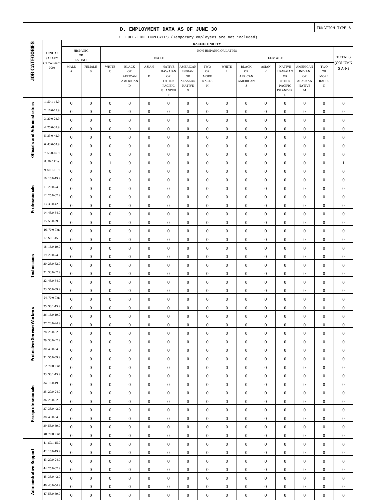|                              |                              |                                    |                                      |                                      | D. EMPLOYMENT DATA AS OF JUNE 30                                       |                                                   |                                                                                                        |                                                                                                |                                                       |                                  |                                                               |                                      |                                                                                                    |                                                                                          |                                                                | FUNCTION TYPE 6                      |
|------------------------------|------------------------------|------------------------------------|--------------------------------------|--------------------------------------|------------------------------------------------------------------------|---------------------------------------------------|--------------------------------------------------------------------------------------------------------|------------------------------------------------------------------------------------------------|-------------------------------------------------------|----------------------------------|---------------------------------------------------------------|--------------------------------------|----------------------------------------------------------------------------------------------------|------------------------------------------------------------------------------------------|----------------------------------------------------------------|--------------------------------------|
|                              |                              |                                    |                                      |                                      |                                                                        |                                                   |                                                                                                        |                                                                                                | <b>RACE/ETHNICITY</b>                                 |                                  | 1. FULL-TIME EMPLOYEES (Temporary employees are not included) |                                      |                                                                                                    |                                                                                          |                                                                |                                      |
|                              | <b>ANNUAL</b>                |                                    | <b>HISPANIC</b><br>${\rm OR}$        |                                      |                                                                        |                                                   |                                                                                                        |                                                                                                | NON-HISPANIC OR LATINO                                |                                  |                                                               |                                      |                                                                                                    |                                                                                          |                                                                |                                      |
|                              | SALARY<br>In thousands       |                                    | LATINO                               |                                      |                                                                        |                                                   | <b>MALE</b>                                                                                            |                                                                                                |                                                       |                                  |                                                               |                                      | <b>FEMALE</b>                                                                                      |                                                                                          |                                                                | <b>TOTALS</b><br>COLUMN              |
| JOB CATEGORIES               | 000)                         | MALE<br>$\mathbf A$                | <b>FEMALE</b><br>$\, {\bf B}$        | WHITE<br>$\mathbf C$                 | <b>BLACK</b><br>OR<br><b>AFRICAN</b><br><b>AMERICAN</b><br>$\mathbf D$ | $\operatorname{ASIAN}$<br>$\mathop{\hbox{\bf E}}$ | <b>NATIVE</b><br><b>HAWAIAN</b><br>${\rm OR}$<br><b>OTHER</b><br>PACIFIC<br><b>ISLANDER</b><br>$\rm F$ | <b>AMERICAN</b><br><b>INDIAN</b><br>${\sf OR}$<br><b>ALASKAN</b><br><b>NATIVE</b><br>${\bf G}$ | TWO<br>${\sf OR}$<br><b>MORE</b><br><b>RACES</b><br>H | WHITE<br>$\rm I$                 | <b>BLACK</b><br>OR<br><b>AFRICAN</b><br><b>AMERICAN</b><br>J  | <b>ASIAN</b><br>$\bf K$              | <b>NATIVE</b><br><b>HAWAIAN</b><br>$_{\rm OR}$<br><b>OTHER</b><br><b>PACIFIC</b><br>ISLANDER,<br>L | AMERICAN<br><b>INDIAN</b><br>${\sf OR}$<br><b>ALASKAN</b><br><b>NATIVE</b><br>$_{\rm M}$ | TWO<br>${\sf OR}$<br><b>MORE</b><br><b>RACES</b><br>$_{\rm N}$ | $S(A-N)$                             |
|                              | 1. \$0.1-15.9                | $\boldsymbol{0}$                   | $\boldsymbol{0}$                     | $\boldsymbol{0}$                     | $\boldsymbol{0}$                                                       | $\boldsymbol{0}$                                  | $\boldsymbol{0}$                                                                                       | $\boldsymbol{0}$                                                                               | $\boldsymbol{0}$                                      | $\boldsymbol{0}$                 | $\boldsymbol{0}$                                              | $\boldsymbol{0}$                     | $\boldsymbol{0}$                                                                                   | $\boldsymbol{0}$                                                                         | $\boldsymbol{0}$                                               | $\boldsymbol{0}$                     |
| Officials and Administrators | 2.16.0-19.9                  | $\boldsymbol{0}$                   | $\boldsymbol{0}$                     | $\boldsymbol{0}$                     | $\boldsymbol{0}$                                                       | $\mathbf{0}$                                      | $\boldsymbol{0}$                                                                                       | $\boldsymbol{0}$                                                                               | $\boldsymbol{0}$                                      | $\boldsymbol{0}$                 | $\boldsymbol{0}$                                              | $\boldsymbol{0}$                     | $\boldsymbol{0}$                                                                                   | $\mathbf{0}$                                                                             | $\boldsymbol{0}$                                               | $\boldsymbol{0}$                     |
|                              | 3.20.0-24.9                  | $\boldsymbol{0}$                   | $\boldsymbol{0}$                     | $\boldsymbol{0}$                     | $\boldsymbol{0}$                                                       | $\boldsymbol{0}$                                  | $\boldsymbol{0}$                                                                                       | $\boldsymbol{0}$                                                                               | $\boldsymbol{0}$                                      | $\boldsymbol{0}$                 | $\boldsymbol{0}$                                              | $\mathbf{0}$                         | $\boldsymbol{0}$                                                                                   | $\boldsymbol{0}$                                                                         | $\boldsymbol{0}$                                               | $\boldsymbol{0}$                     |
|                              | 4.25.0-32.9                  | $\boldsymbol{0}$                   | $\boldsymbol{0}$                     | $\boldsymbol{0}$                     | $\boldsymbol{0}$                                                       | $\boldsymbol{0}$                                  | $\mathbf{0}$                                                                                           | $\boldsymbol{0}$                                                                               | $\boldsymbol{0}$                                      | $\boldsymbol{0}$                 | $\boldsymbol{0}$                                              | $\boldsymbol{0}$                     | $\boldsymbol{0}$                                                                                   | $\boldsymbol{0}$                                                                         | $\boldsymbol{0}$                                               | $\boldsymbol{0}$                     |
|                              | 5.33.0-42.9                  | $\boldsymbol{0}$                   | $\boldsymbol{0}$                     | $\boldsymbol{0}$                     | $\boldsymbol{0}$                                                       | $\boldsymbol{0}$                                  | $\boldsymbol{0}$                                                                                       | $\boldsymbol{0}$                                                                               | $\boldsymbol{0}$                                      | $\boldsymbol{0}$                 | $\boldsymbol{0}$                                              | $\boldsymbol{0}$                     | $\boldsymbol{0}$                                                                                   | $\boldsymbol{0}$                                                                         | $\boldsymbol{0}$                                               | $\boldsymbol{0}$                     |
|                              | 6.43.0-54.9                  | $\mathbf{0}$                       | $\boldsymbol{0}$                     | $\boldsymbol{0}$                     | $\boldsymbol{0}$                                                       | $\mathbf{0}$                                      | $\boldsymbol{0}$                                                                                       | $\boldsymbol{0}$                                                                               | $\boldsymbol{0}$                                      | $\boldsymbol{0}$                 | $\boldsymbol{0}$                                              | $\boldsymbol{0}$                     | $\mathbf{0}$                                                                                       | $\overline{0}$                                                                           | $\boldsymbol{0}$                                               | $\boldsymbol{0}$                     |
|                              | 7.55.0-69.9                  | $\boldsymbol{0}$                   | $\mathbf{0}$                         | $\boldsymbol{0}$                     | $\boldsymbol{0}$                                                       | $\boldsymbol{0}$                                  | $\boldsymbol{0}$                                                                                       | $\boldsymbol{0}$                                                                               | $\boldsymbol{0}$                                      | $\boldsymbol{0}$                 | $\boldsymbol{0}$                                              | $\boldsymbol{0}$                     | $\mathbf{0}$                                                                                       | $\boldsymbol{0}$                                                                         | $\boldsymbol{0}$                                               | $\boldsymbol{0}$                     |
|                              | 8.70.0 Plus                  | $\boldsymbol{0}$                   | $\boldsymbol{0}$                     | $\mathbf{1}$                         | $\boldsymbol{0}$                                                       | $\boldsymbol{0}$                                  | $\mathbf{0}$                                                                                           | $\boldsymbol{0}$                                                                               | $\boldsymbol{0}$                                      | $\boldsymbol{0}$                 | $\boldsymbol{0}$                                              | $\boldsymbol{0}$                     | $\mathbf{0}$                                                                                       | $\boldsymbol{0}$                                                                         | $\boldsymbol{0}$                                               | 1                                    |
|                              | 9. \$0.1-15.9                | $\boldsymbol{0}$                   | $\boldsymbol{0}$                     | $\boldsymbol{0}$                     | $\boldsymbol{0}$                                                       | $\boldsymbol{0}$                                  | $\boldsymbol{0}$                                                                                       | $\boldsymbol{0}$                                                                               | $\boldsymbol{0}$                                      | $\boldsymbol{0}$                 | $\boldsymbol{0}$                                              | $\boldsymbol{0}$                     | $\mathbf{0}$                                                                                       | $\boldsymbol{0}$                                                                         | $\boldsymbol{0}$                                               | $\boldsymbol{0}$                     |
|                              | 10.16.0-19.9                 | $\overline{0}$                     | $\boldsymbol{0}$                     | $\boldsymbol{0}$                     | $\boldsymbol{0}$                                                       | $\boldsymbol{0}$                                  | $\boldsymbol{0}$                                                                                       | $\boldsymbol{0}$                                                                               | $\boldsymbol{0}$                                      | $\boldsymbol{0}$                 | $\boldsymbol{0}$                                              | $\mathbf{0}$                         | $\mathbf{0}$                                                                                       | $\boldsymbol{0}$                                                                         | $\boldsymbol{0}$                                               | $\boldsymbol{0}$                     |
|                              | 11.20.0-24.9                 | $\boldsymbol{0}$                   | $\boldsymbol{0}$                     | $\boldsymbol{0}$                     | $\boldsymbol{0}$                                                       | $\boldsymbol{0}$                                  | $\boldsymbol{0}$                                                                                       | $\boldsymbol{0}$                                                                               | $\boldsymbol{0}$                                      | $\boldsymbol{0}$                 | $\boldsymbol{0}$                                              | $\mathbf{0}$                         | $\mathbf{0}$                                                                                       | $\boldsymbol{0}$                                                                         | $\boldsymbol{0}$                                               | $\boldsymbol{0}$                     |
|                              | 12.25.0-32.9                 | $\boldsymbol{0}$                   | $\boldsymbol{0}$                     | $\boldsymbol{0}$                     | $\boldsymbol{0}$                                                       | $\boldsymbol{0}$                                  | $\boldsymbol{0}$                                                                                       | $\boldsymbol{0}$                                                                               | $\boldsymbol{0}$                                      | $\boldsymbol{0}$                 | $\boldsymbol{0}$                                              | $\boldsymbol{0}$                     | $\boldsymbol{0}$                                                                                   | $\boldsymbol{0}$                                                                         | $\boldsymbol{0}$                                               | $\boldsymbol{0}$                     |
| Professionals                | 13.33.0-42.9                 | $\boldsymbol{0}$                   | $\boldsymbol{0}$                     | $\boldsymbol{0}$                     | $\boldsymbol{0}$                                                       | $\boldsymbol{0}$                                  | $\boldsymbol{0}$                                                                                       | $\boldsymbol{0}$                                                                               | $\boldsymbol{0}$                                      | $\boldsymbol{0}$                 | $\boldsymbol{0}$                                              | $\boldsymbol{0}$                     | $\boldsymbol{0}$                                                                                   | $\boldsymbol{0}$                                                                         | $\boldsymbol{0}$                                               | $\boldsymbol{0}$                     |
|                              | 14.43.0-54.9                 | $\overline{0}$                     | $\boldsymbol{0}$                     | $\boldsymbol{0}$                     | $\boldsymbol{0}$                                                       | $\boldsymbol{0}$                                  | $\boldsymbol{0}$                                                                                       | $\boldsymbol{0}$                                                                               | $\boldsymbol{0}$                                      | $\boldsymbol{0}$                 | $\boldsymbol{0}$                                              | $\mathbf{0}$                         | $\mathbf{0}$                                                                                       | $\overline{0}$                                                                           | $\boldsymbol{0}$                                               | $\boldsymbol{0}$                     |
|                              | 15.55.0-69.9                 | $\boldsymbol{0}$                   | $\mathbf{0}$                         | $\boldsymbol{0}$                     | $\boldsymbol{0}$                                                       | $\boldsymbol{0}$                                  | $\boldsymbol{0}$                                                                                       | $\boldsymbol{0}$                                                                               | $\boldsymbol{0}$                                      | $\boldsymbol{0}$                 | $\boldsymbol{0}$                                              | $\mathbf{0}$                         | $\mathbf{0}$                                                                                       | $\boldsymbol{0}$                                                                         | $\boldsymbol{0}$                                               | $\boldsymbol{0}$                     |
|                              | 16.70.0 Plus                 | $\boldsymbol{0}$                   | $\boldsymbol{0}$                     | $\boldsymbol{0}$                     | $\boldsymbol{0}$                                                       | $\boldsymbol{0}$                                  | $\boldsymbol{0}$                                                                                       | $\boldsymbol{0}$                                                                               | $\boldsymbol{0}$                                      | $\boldsymbol{0}$                 | $\boldsymbol{0}$                                              | $\boldsymbol{0}$                     | $\mathbf{0}$                                                                                       | $\boldsymbol{0}$                                                                         | $\boldsymbol{0}$                                               | $\boldsymbol{0}$                     |
|                              | 17. \$0.1-15.9               | $\boldsymbol{0}$                   | $\boldsymbol{0}$                     | $\boldsymbol{0}$                     | $\boldsymbol{0}$                                                       | $\boldsymbol{0}$                                  | $\boldsymbol{0}$                                                                                       | $\boldsymbol{0}$                                                                               | $\boldsymbol{0}$                                      | $\boldsymbol{0}$                 | $\boldsymbol{0}$                                              | $\boldsymbol{0}$                     | $\boldsymbol{0}$                                                                                   | $\boldsymbol{0}$                                                                         | $\boldsymbol{0}$                                               | $\boldsymbol{0}$                     |
|                              | 18.16.0-19.9                 | $\overline{0}$                     | $\boldsymbol{0}$                     | $\boldsymbol{0}$                     | $\boldsymbol{0}$                                                       | $\boldsymbol{0}$                                  | $\boldsymbol{0}$                                                                                       | $\boldsymbol{0}$                                                                               | $\boldsymbol{0}$                                      | $\boldsymbol{0}$                 | $\boldsymbol{0}$                                              | $\mathbf{0}$                         | $\mathbf{0}$                                                                                       | $\boldsymbol{0}$                                                                         | $\boldsymbol{0}$                                               | $\boldsymbol{0}$                     |
|                              | 19.20.0-24.9                 | $\boldsymbol{0}$                   | $\boldsymbol{0}$                     | $\boldsymbol{0}$                     | $\boldsymbol{0}$                                                       | $\boldsymbol{0}$                                  | $\boldsymbol{0}$                                                                                       | $\boldsymbol{0}$                                                                               | $\boldsymbol{0}$                                      | $\boldsymbol{0}$                 | $\boldsymbol{0}$                                              | $\boldsymbol{0}$                     | $\mathbf{0}$                                                                                       | $\boldsymbol{0}$                                                                         | $\boldsymbol{0}$                                               | $\boldsymbol{0}$                     |
| Technicians                  | 20.25.0-32.9                 | $\boldsymbol{0}$                   | $\boldsymbol{0}$                     | $\boldsymbol{0}$                     | $\boldsymbol{0}$                                                       | $\boldsymbol{0}$                                  | $\boldsymbol{0}$                                                                                       | $\boldsymbol{0}$                                                                               | $\boldsymbol{0}$                                      | $\boldsymbol{0}$                 | $\boldsymbol{0}$                                              | $\boldsymbol{0}$                     | $\boldsymbol{0}$                                                                                   | $\boldsymbol{0}$                                                                         | $\mathbf{0}$                                                   | $\boldsymbol{0}$                     |
|                              | 21.33.0-42.9<br>22.43.0-54.9 | $\boldsymbol{0}$                   | $\boldsymbol{0}$                     | $\boldsymbol{0}$                     | $\boldsymbol{0}$                                                       | $\boldsymbol{0}$                                  | $\boldsymbol{0}$                                                                                       | $\boldsymbol{0}$                                                                               | $\boldsymbol{0}$                                      | $\boldsymbol{0}$                 | $\boldsymbol{0}$                                              | $\boldsymbol{0}$                     | $\boldsymbol{0}$                                                                                   | $\boldsymbol{0}$                                                                         | $\boldsymbol{0}$                                               | $\boldsymbol{0}$                     |
|                              | 23.55.0-69.9                 | $\overline{0}$                     | $\boldsymbol{0}$                     | $\boldsymbol{0}$                     | $\boldsymbol{0}$                                                       | $\mathbf{0}$                                      | $\boldsymbol{0}$                                                                                       | $\boldsymbol{0}$                                                                               | $\boldsymbol{0}$                                      | $\boldsymbol{0}$                 | $\boldsymbol{0}$                                              | $\mathbf{0}$                         | $\mathbf{0}$                                                                                       | $\overline{0}$                                                                           | $\boldsymbol{0}$                                               | $\boldsymbol{0}$                     |
|                              | 24.70.0 Plus                 | $\boldsymbol{0}$                   | $\boldsymbol{0}$                     | $\boldsymbol{0}$                     | $\boldsymbol{0}$                                                       | $\boldsymbol{0}$                                  | $\boldsymbol{0}$                                                                                       | $\boldsymbol{0}$                                                                               | $\boldsymbol{0}$                                      | $\boldsymbol{0}$                 | $\boldsymbol{0}$                                              | $\mathbf{0}$                         | $\mathbf{0}$                                                                                       | $\boldsymbol{0}$                                                                         | $\boldsymbol{0}$                                               | $\boldsymbol{0}$                     |
|                              | 25. \$0.1-15.9               | $\mathbf{0}$                       | $\boldsymbol{0}$                     | $\boldsymbol{0}$                     | $\boldsymbol{0}$                                                       | $\boldsymbol{0}$                                  | $\boldsymbol{0}$                                                                                       | $\boldsymbol{0}$                                                                               | $\boldsymbol{0}$                                      | $\boldsymbol{0}$                 | $\mathbf{0}$                                                  | $\boldsymbol{0}$                     | $\mathbf{0}$                                                                                       | $\boldsymbol{0}$                                                                         | $\boldsymbol{0}$                                               | $\boldsymbol{0}$                     |
|                              | 26.16.0-19.9                 | $\boldsymbol{0}$<br>$\overline{0}$ | $\boldsymbol{0}$<br>$\boldsymbol{0}$ | $\boldsymbol{0}$<br>$\boldsymbol{0}$ | $\boldsymbol{0}$<br>$\mathbf{0}$                                       | $\boldsymbol{0}$<br>$\mathbf{0}$                  | $\boldsymbol{0}$<br>$\mathbf{0}$                                                                       | $\boldsymbol{0}$<br>$\boldsymbol{0}$                                                           | $\boldsymbol{0}$<br>$\overline{0}$                    | $\boldsymbol{0}$<br>$\mathbf{0}$ | $\boldsymbol{0}$<br>$\overline{0}$                            | $\boldsymbol{0}$<br>$\boldsymbol{0}$ | $\boldsymbol{0}$<br>$\mathbf{0}$                                                                   | $\boldsymbol{0}$<br>$\overline{0}$                                                       | $\boldsymbol{0}$<br>$\mathbf{0}$                               | $\boldsymbol{0}$<br>$\boldsymbol{0}$ |
|                              | 27.20.0-24.9                 | $\mathbf{0}$                       | $\mathbf{0}$                         | $\boldsymbol{0}$                     | $\boldsymbol{0}$                                                       | $\mathbf{0}$                                      | $\boldsymbol{0}$                                                                                       | $\boldsymbol{0}$                                                                               | $\boldsymbol{0}$                                      | $\boldsymbol{0}$                 | $\mathbf{0}$                                                  | $\boldsymbol{0}$                     | $\boldsymbol{0}$                                                                                   | $\boldsymbol{0}$                                                                         | $\boldsymbol{0}$                                               | $\boldsymbol{0}$                     |
| Protective Service Workers   | 28.25.0-32.9                 | $\boldsymbol{0}$                   | $\boldsymbol{0}$                     | $\boldsymbol{0}$                     | $\boldsymbol{0}$                                                       | $\mathbf{0}$                                      | $\boldsymbol{0}$                                                                                       | $\boldsymbol{0}$                                                                               | $\boldsymbol{0}$                                      | $\boldsymbol{0}$                 | $\boldsymbol{0}$                                              | $\boldsymbol{0}$                     | $\boldsymbol{0}$                                                                                   | $\boldsymbol{0}$                                                                         | $\boldsymbol{0}$                                               | $\boldsymbol{0}$                     |
|                              | 29.33.0-42.9                 | $\boldsymbol{0}$                   | $\boldsymbol{0}$                     | $\boldsymbol{0}$                     | $\boldsymbol{0}$                                                       | $\boldsymbol{0}$                                  | $\boldsymbol{0}$                                                                                       | $\boldsymbol{0}$                                                                               | $\boldsymbol{0}$                                      | $\boldsymbol{0}$                 | $\boldsymbol{0}$                                              | $\boldsymbol{0}$                     | $\boldsymbol{0}$                                                                                   | $\boldsymbol{0}$                                                                         | $\boldsymbol{0}$                                               | $\boldsymbol{0}$                     |
|                              | 30.43.0-54.9                 | $\boldsymbol{0}$                   | $\mathbf{0}$                         | $\boldsymbol{0}$                     | $\boldsymbol{0}$                                                       | $\mathbf{0}$                                      | $\boldsymbol{0}$                                                                                       | $\boldsymbol{0}$                                                                               | $\boldsymbol{0}$                                      | $\boldsymbol{0}$                 | $\overline{0}$                                                | $\boldsymbol{0}$                     | $\boldsymbol{0}$                                                                                   | $\boldsymbol{0}$                                                                         | $\boldsymbol{0}$                                               | $\boldsymbol{0}$                     |
|                              | 31.55.0-69.9                 | $\boldsymbol{0}$                   | $\mathbf{0}$                         | $\boldsymbol{0}$                     | $\boldsymbol{0}$                                                       | $\mathbf{0}$                                      | $\boldsymbol{0}$                                                                                       | $\boldsymbol{0}$                                                                               | $\boldsymbol{0}$                                      | $\boldsymbol{0}$                 | $\boldsymbol{0}$                                              | $\boldsymbol{0}$                     | $\boldsymbol{0}$                                                                                   | $\boldsymbol{0}$                                                                         | $\boldsymbol{0}$                                               | $\boldsymbol{0}$                     |
|                              | 32.70.0 Plus                 | $\boldsymbol{0}$                   | $\boldsymbol{0}$                     | $\boldsymbol{0}$                     | $\boldsymbol{0}$                                                       | $\mathbf{0}$                                      | $\boldsymbol{0}$                                                                                       | $\boldsymbol{0}$                                                                               | $\boldsymbol{0}$                                      | $\boldsymbol{0}$                 | $\boldsymbol{0}$                                              | $\boldsymbol{0}$                     | $\boldsymbol{0}$                                                                                   | $\boldsymbol{0}$                                                                         | $\boldsymbol{0}$                                               | $\boldsymbol{0}$                     |
|                              | 33. \$0.1-15.9               | $\mathbf{0}$                       | $\boldsymbol{0}$                     | $\boldsymbol{0}$                     | $\boldsymbol{0}$                                                       | $\boldsymbol{0}$                                  | $\boldsymbol{0}$                                                                                       | $\boldsymbol{0}$                                                                               | $\boldsymbol{0}$                                      | $\boldsymbol{0}$                 | $\boldsymbol{0}$                                              | $\boldsymbol{0}$                     | $\boldsymbol{0}$                                                                                   | $\boldsymbol{0}$                                                                         | $\boldsymbol{0}$                                               | $\boldsymbol{0}$                     |
|                              | 34.16.0-19.9                 | $\mathbf{0}$                       | $\mathbf{0}$                         | $\boldsymbol{0}$                     | $\boldsymbol{0}$                                                       | $\mathbf{0}$                                      | $\boldsymbol{0}$                                                                                       | $\boldsymbol{0}$                                                                               | $\boldsymbol{0}$                                      | $\boldsymbol{0}$                 | $\overline{0}$                                                | $\boldsymbol{0}$                     | $\boldsymbol{0}$                                                                                   | $\boldsymbol{0}$                                                                         | $\boldsymbol{0}$                                               | $\boldsymbol{0}$                     |
| Paraprofessionals            | 35.20.0-24.9                 | $\mathbf{0}$                       | $\boldsymbol{0}$                     | $\boldsymbol{0}$                     | $\boldsymbol{0}$                                                       | $\mathbf{0}$                                      | $\boldsymbol{0}$                                                                                       | $\boldsymbol{0}$                                                                               | $\boldsymbol{0}$                                      | $\boldsymbol{0}$                 | $\mathbf{0}$                                                  | $\boldsymbol{0}$                     | $\boldsymbol{0}$                                                                                   | $\boldsymbol{0}$                                                                         | $\boldsymbol{0}$                                               | $\boldsymbol{0}$                     |
|                              | 36.25.0-32.9                 | $\boldsymbol{0}$                   | $\boldsymbol{0}$                     | $\boldsymbol{0}$                     | $\boldsymbol{0}$                                                       | $\mathbf{0}$                                      | $\boldsymbol{0}$                                                                                       | $\boldsymbol{0}$                                                                               | $\boldsymbol{0}$                                      | $\boldsymbol{0}$                 | $\boldsymbol{0}$                                              | $\boldsymbol{0}$                     | $\boldsymbol{0}$                                                                                   | $\boldsymbol{0}$                                                                         | $\boldsymbol{0}$                                               | $\boldsymbol{0}$                     |
|                              | 37.33.0-42.9                 | $\mathbf{0}$                       | $\boldsymbol{0}$                     | $\boldsymbol{0}$                     | $\boldsymbol{0}$                                                       | $\boldsymbol{0}$                                  | $\boldsymbol{0}$                                                                                       | $\boldsymbol{0}$                                                                               | $\boldsymbol{0}$                                      | $\boldsymbol{0}$                 | $\boldsymbol{0}$                                              | $\boldsymbol{0}$                     | $\boldsymbol{0}$                                                                                   | $\boldsymbol{0}$                                                                         | $\boldsymbol{0}$                                               | $\boldsymbol{0}$                     |
|                              | 38.43.0-54.9                 | $\boldsymbol{0}$                   | $\mathbf{0}$                         | $\boldsymbol{0}$                     | $\boldsymbol{0}$                                                       | $\mathbf{0}$                                      | $\boldsymbol{0}$                                                                                       | $\boldsymbol{0}$                                                                               | $\boldsymbol{0}$                                      | $\boldsymbol{0}$                 | $\overline{0}$                                                | $\boldsymbol{0}$                     | $\boldsymbol{0}$                                                                                   | $\boldsymbol{0}$                                                                         | $\boldsymbol{0}$                                               | $\boldsymbol{0}$                     |
|                              | 39.55.0-69.9                 | $\mathbf{0}$                       | $\mathbf{0}$                         | $\boldsymbol{0}$                     | $\boldsymbol{0}$                                                       | $\mathbf{0}$                                      | $\boldsymbol{0}$                                                                                       | $\boldsymbol{0}$                                                                               | $\boldsymbol{0}$                                      | $\boldsymbol{0}$                 | $\mathbf{0}$                                                  | $\boldsymbol{0}$                     | $\boldsymbol{0}$                                                                                   | $\boldsymbol{0}$                                                                         | $\boldsymbol{0}$                                               | $\boldsymbol{0}$                     |
|                              | 40.70.0 Plus                 | $\boldsymbol{0}$                   | $\boldsymbol{0}$                     | $\boldsymbol{0}$                     | $\boldsymbol{0}$                                                       | $\boldsymbol{0}$                                  | $\boldsymbol{0}$                                                                                       | $\boldsymbol{0}$                                                                               | $\boldsymbol{0}$                                      | $\boldsymbol{0}$                 | $\boldsymbol{0}$                                              | $\boldsymbol{0}$                     | $\boldsymbol{0}$                                                                                   | $\boldsymbol{0}$                                                                         | $\boldsymbol{0}$                                               | $\boldsymbol{0}$                     |
|                              | 41. \$0.1-15.9               | $\mathbf{0}$                       | $\boldsymbol{0}$                     | $\boldsymbol{0}$                     | $\boldsymbol{0}$                                                       | $\boldsymbol{0}$                                  | $\boldsymbol{0}$                                                                                       | $\boldsymbol{0}$                                                                               | $\boldsymbol{0}$                                      | $\boldsymbol{0}$                 | $\boldsymbol{0}$                                              | $\boldsymbol{0}$                     | $\boldsymbol{0}$                                                                                   | $\boldsymbol{0}$                                                                         | $\boldsymbol{0}$                                               | $\boldsymbol{0}$                     |
|                              | 42.16.0-19.9                 | $\boldsymbol{0}$                   | $\mathbf{0}$                         | $\boldsymbol{0}$                     | $\boldsymbol{0}$                                                       | $\mathbf{0}$                                      | $\boldsymbol{0}$                                                                                       | $\boldsymbol{0}$                                                                               | $\boldsymbol{0}$                                      | $\boldsymbol{0}$                 | $\overline{0}$                                                | $\boldsymbol{0}$                     | $\boldsymbol{0}$                                                                                   | $\overline{0}$                                                                           | $\boldsymbol{0}$                                               | $\boldsymbol{0}$                     |
|                              | 43.20.0-24.9                 | $\mathbf{0}$                       | $\boldsymbol{0}$                     | $\boldsymbol{0}$                     | $\boldsymbol{0}$                                                       | $\mathbf{0}$                                      | $\boldsymbol{0}$                                                                                       | $\boldsymbol{0}$                                                                               | $\boldsymbol{0}$                                      | $\boldsymbol{0}$                 | $\mathbf{0}$                                                  | $\boldsymbol{0}$                     | $\boldsymbol{0}$                                                                                   | $\boldsymbol{0}$                                                                         | $\boldsymbol{0}$                                               | $\boldsymbol{0}$                     |
|                              | 44.25.0-32.9                 | $\boldsymbol{0}$                   | $\boldsymbol{0}$                     | $\boldsymbol{0}$                     | $\boldsymbol{0}$                                                       | $\mathbf{0}$                                      | $\boldsymbol{0}$                                                                                       | $\boldsymbol{0}$                                                                               | $\boldsymbol{0}$                                      | $\boldsymbol{0}$                 | $\boldsymbol{0}$                                              | $\boldsymbol{0}$                     | $\boldsymbol{0}$                                                                                   | $\boldsymbol{0}$                                                                         | $\boldsymbol{0}$                                               | $\boldsymbol{0}$                     |
| Administrative Support       | 45.33.0-42.9                 | $\mathbf{0}$                       | $\boldsymbol{0}$                     | $\boldsymbol{0}$                     | $\boldsymbol{0}$                                                       | $\boldsymbol{0}$                                  | $\boldsymbol{0}$                                                                                       | $\boldsymbol{0}$                                                                               | $\boldsymbol{0}$                                      | $\boldsymbol{0}$                 | $\boldsymbol{0}$                                              | $\boldsymbol{0}$                     | $\boldsymbol{0}$                                                                                   | $\boldsymbol{0}$                                                                         | $\boldsymbol{0}$                                               | $\boldsymbol{0}$                     |
|                              | 46.43.0-54.9                 | $\boldsymbol{0}$                   | $\boldsymbol{0}$                     | $\boldsymbol{0}$                     | $\boldsymbol{0}$                                                       | $\mathbf{0}$                                      | $\boldsymbol{0}$                                                                                       | $\boldsymbol{0}$                                                                               | $\boldsymbol{0}$                                      | $\boldsymbol{0}$                 | $\boldsymbol{0}$                                              | $\boldsymbol{0}$                     | $\boldsymbol{0}$                                                                                   | $\boldsymbol{0}$                                                                         | $\boldsymbol{0}$                                               | $\boldsymbol{0}$                     |
|                              | 47.55.0-69.9                 | $\boldsymbol{0}$                   | $\boldsymbol{0}$                     | $\boldsymbol{0}$                     | $\boldsymbol{0}$                                                       | $\boldsymbol{0}$                                  | $\boldsymbol{0}$                                                                                       | $\boldsymbol{0}$                                                                               | $\boldsymbol{0}$                                      | $\boldsymbol{0}$                 | $\boldsymbol{0}$                                              | $\boldsymbol{0}$                     | $\boldsymbol{0}$                                                                                   | $\boldsymbol{0}$                                                                         | $\boldsymbol{0}$                                               | $\boldsymbol{0}$                     |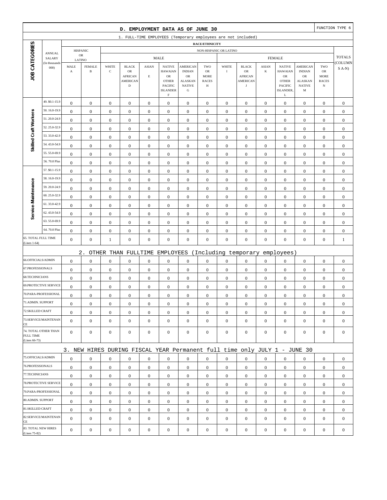| D. EMPLOYMENT DATA AS OF JUNE 30    |                              |                              |                                      |                                      |                                                                           |                              |                                      |                                  |                              |                              |                                   | FUNCTION TYPE 6                  |                                 |                                  |                              |                                      |
|-------------------------------------|------------------------------|------------------------------|--------------------------------------|--------------------------------------|---------------------------------------------------------------------------|------------------------------|--------------------------------------|----------------------------------|------------------------------|------------------------------|-----------------------------------|----------------------------------|---------------------------------|----------------------------------|------------------------------|--------------------------------------|
|                                     |                              |                              |                                      |                                      | 1. FULL-TIME EMPLOYEES (Temporary employees are not included)             |                              |                                      |                                  |                              |                              |                                   |                                  |                                 |                                  |                              |                                      |
| JOB CATEGORIES                      |                              |                              |                                      |                                      |                                                                           |                              |                                      |                                  | <b>RACE/ETHNICITY</b>        |                              |                                   |                                  |                                 |                                  |                              |                                      |
|                                     | <b>ANNUAL</b><br>SALARY      |                              | <b>HISPANIC</b><br>${\sf OR}$        |                                      |                                                                           |                              | <b>MALE</b>                          |                                  | NON-HISPANIC OR LATINO       |                              |                                   |                                  | <b>FEMALE</b>                   |                                  |                              | <b>TOTALS</b>                        |
|                                     | (In thousands                | LATINO                       |                                      |                                      |                                                                           |                              |                                      |                                  |                              |                              |                                   |                                  |                                 |                                  |                              | (COLUMN                              |
|                                     | 000)                         | MALE<br>$\boldsymbol{A}$     | <b>FEMALE</b><br>$\, {\bf B}$        | WHITE<br>$\mathbf C$                 | <b>BLACK</b><br>OR                                                        | $\operatorname{ASIAN}$       | <b>NATIVE</b><br><b>HAWAIAN</b>      | AMERICAN<br><b>INDIAN</b>        | TWO<br>OR                    | WHITE<br>$\bf{I}$            | <b>BLACK</b><br>OR                | <b>ASIAN</b><br>$\bf K$          | <b>NATIVE</b><br><b>HAWAIAN</b> | AMERICAN<br><b>INDIAN</b>        | TWO<br>OR                    | $S(A-N)$                             |
|                                     |                              |                              |                                      |                                      | <b>AFRICAN</b><br><b>AMERICAN</b>                                         | Е                            | ${\rm OR}$<br><b>OTHER</b>           | OR<br>ALASKAN                    | <b>MORE</b><br><b>RACES</b>  |                              | <b>AFRICAN</b><br><b>AMERICAN</b> |                                  | $_{\rm OR}$<br><b>OTHER</b>     | OR<br><b>ALASKAN</b>             | <b>MORE</b><br><b>RACES</b>  |                                      |
|                                     |                              |                              |                                      |                                      | $\mathbf D$                                                               |                              | <b>PACIFIC</b><br><b>ISLANDER</b>    | <b>NATIVE</b><br>${\bf G}$       | $_{\rm H}$                   |                              | J                                 |                                  | <b>PACIFIC</b><br>ISLANDER,     | <b>NATIVE</b><br>M               | $_{\rm N}$                   |                                      |
|                                     |                              |                              |                                      |                                      |                                                                           |                              | $\rm F$                              |                                  |                              |                              |                                   |                                  | L                               |                                  |                              |                                      |
|                                     | 49. \$0.1-15.9               | $\mathbf{0}$                 | $\boldsymbol{0}$                     | $\boldsymbol{0}$                     | $\boldsymbol{0}$                                                          | $\boldsymbol{0}$             | $\boldsymbol{0}$                     | $\boldsymbol{0}$                 | $\boldsymbol{0}$             | $\boldsymbol{0}$             | $\boldsymbol{0}$                  | $\boldsymbol{0}$                 | $\boldsymbol{0}$                | $\boldsymbol{0}$                 | $\boldsymbol{0}$             | $\boldsymbol{0}$                     |
|                                     | 50.16.0-19.9                 | $\boldsymbol{0}$             | $\boldsymbol{0}$                     | $\boldsymbol{0}$                     | $\boldsymbol{0}$                                                          | $\boldsymbol{0}$             | $\boldsymbol{0}$                     | $\boldsymbol{0}$                 | $\boldsymbol{0}$             | $\boldsymbol{0}$             | $\boldsymbol{0}$                  | $\mathbf{0}$                     | $\boldsymbol{0}$                | $\boldsymbol{0}$                 | $\boldsymbol{0}$             | $\boldsymbol{0}$                     |
| Skilled Craft Workers               | 51.20.0-24.9                 | $\mathbf{0}$                 | $\boldsymbol{0}$                     | $\boldsymbol{0}$                     | $\boldsymbol{0}$                                                          | $\boldsymbol{0}$             | $\boldsymbol{0}$                     | $\boldsymbol{0}$                 | $\boldsymbol{0}$             | $\boldsymbol{0}$             | $\boldsymbol{0}$                  | $\boldsymbol{0}$                 | $\boldsymbol{0}$                | $\boldsymbol{0}$                 | $\boldsymbol{0}$             | $\boldsymbol{0}$                     |
|                                     | 52.25.0-32.9                 | $\mathbf{0}$                 | $\boldsymbol{0}$                     | $\boldsymbol{0}$                     | $\boldsymbol{0}$                                                          | $\boldsymbol{0}$             | $\boldsymbol{0}$                     | $\boldsymbol{0}$                 | $\boldsymbol{0}$             | $\boldsymbol{0}$             | $\boldsymbol{0}$                  | $\mathbf{0}$                     | $\boldsymbol{0}$                | $\boldsymbol{0}$                 | $\boldsymbol{0}$             | $\boldsymbol{0}$                     |
|                                     | 53.33.0-42.9                 | $\boldsymbol{0}$             | $\boldsymbol{0}$                     | $\boldsymbol{0}$                     | $\boldsymbol{0}$                                                          | $\boldsymbol{0}$             | $\boldsymbol{0}$                     | $\boldsymbol{0}$                 | $\boldsymbol{0}$             | $\boldsymbol{0}$             | $\boldsymbol{0}$                  | $\boldsymbol{0}$                 | $\boldsymbol{0}$                | $\boldsymbol{0}$                 | $\boldsymbol{0}$             | $\boldsymbol{0}$                     |
|                                     | 54.43.0-54.9                 | $\boldsymbol{0}$             | $\boldsymbol{0}$                     | $\boldsymbol{0}$                     | $\boldsymbol{0}$                                                          | $\boldsymbol{0}$             | $\boldsymbol{0}$                     | $\boldsymbol{0}$                 | $\boldsymbol{0}$             | $\boldsymbol{0}$             | $\mathbf{0}$                      | $\mathbf{0}$                     | $\boldsymbol{0}$                | $\boldsymbol{0}$                 | $\boldsymbol{0}$             | $\boldsymbol{0}$                     |
|                                     | 55.55.0-69.9                 | $\overline{0}$               | $\boldsymbol{0}$                     | $\boldsymbol{0}$                     | $\boldsymbol{0}$                                                          | $\boldsymbol{0}$             | $\boldsymbol{0}$                     | $\boldsymbol{0}$                 | $\boldsymbol{0}$             | $\boldsymbol{0}$             | $\boldsymbol{0}$                  | $\boldsymbol{0}$                 | $\boldsymbol{0}$                | $\boldsymbol{0}$                 | $\boldsymbol{0}$             | $\boldsymbol{0}$                     |
|                                     | 56.70.0 Plus                 | $\mathbf{0}$                 | $\boldsymbol{0}$                     | $\boldsymbol{0}$                     | $\boldsymbol{0}$                                                          | $\boldsymbol{0}$             | $\boldsymbol{0}$                     | $\mathbf{0}$                     | $\boldsymbol{0}$             | $\boldsymbol{0}$             | $\boldsymbol{0}$                  | $\mathbf{0}$                     | $\boldsymbol{0}$                | $\boldsymbol{0}$                 | $\boldsymbol{0}$             | $\boldsymbol{0}$                     |
|                                     | 57. \$0.1-15.9               | $\boldsymbol{0}$             | $\boldsymbol{0}$                     | $\boldsymbol{0}$                     | $\boldsymbol{0}$                                                          | $\boldsymbol{0}$             | $\boldsymbol{0}$                     | $\boldsymbol{0}$                 | $\boldsymbol{0}$             | $\boldsymbol{0}$             | $\boldsymbol{0}$                  | $\mathbf{0}$                     | $\boldsymbol{0}$                | $\boldsymbol{0}$                 | $\boldsymbol{0}$             | $\boldsymbol{0}$                     |
|                                     | 58.16.0-19.9                 | $\overline{0}$               | $\boldsymbol{0}$                     | $\boldsymbol{0}$                     | $\boldsymbol{0}$                                                          | $\boldsymbol{0}$             | $\boldsymbol{0}$                     | $\boldsymbol{0}$                 | $\boldsymbol{0}$             | $\boldsymbol{0}$             | $\mathbf{0}$                      | $\mathbf{0}$                     | $\boldsymbol{0}$                | $\boldsymbol{0}$                 | $\boldsymbol{0}$             | $\boldsymbol{0}$                     |
|                                     | 59.20.0-24.9                 | $\overline{0}$               | $\boldsymbol{0}$                     | $\boldsymbol{0}$                     | $\boldsymbol{0}$                                                          | $\boldsymbol{0}$             | $\boldsymbol{0}$                     | $\boldsymbol{0}$                 | $\boldsymbol{0}$             | $\boldsymbol{0}$             | $\boldsymbol{0}$                  | $\boldsymbol{0}$                 | $\boldsymbol{0}$                | $\boldsymbol{0}$                 | $\boldsymbol{0}$             | $\boldsymbol{0}$                     |
| Service-Maintenance                 | 60.25.0-32.9                 | $\boldsymbol{0}$             | $\boldsymbol{0}$                     | $\boldsymbol{0}$                     | $\boldsymbol{0}$                                                          | $\boldsymbol{0}$             | $\boldsymbol{0}$                     | $\boldsymbol{0}$                 | $\boldsymbol{0}$             | $\boldsymbol{0}$             | $\boldsymbol{0}$                  | $\boldsymbol{0}$                 | $\boldsymbol{0}$                | $\boldsymbol{0}$                 | $\boldsymbol{0}$             | $\boldsymbol{0}$                     |
|                                     | 61.33.0-42.9                 | $\boldsymbol{0}$             | $\boldsymbol{0}$                     | $\boldsymbol{0}$                     | $\boldsymbol{0}$                                                          | $\boldsymbol{0}$             | $\boldsymbol{0}$                     | $\boldsymbol{0}$                 | $\boldsymbol{0}$             | $\boldsymbol{0}$             | $\boldsymbol{0}$                  | $\boldsymbol{0}$                 | $\boldsymbol{0}$                | $\boldsymbol{0}$                 | $\boldsymbol{0}$             | $\boldsymbol{0}$                     |
|                                     | 62.43.0-54.9                 | $\mathbf{0}$                 | $\boldsymbol{0}$                     | $\boldsymbol{0}$                     | $\boldsymbol{0}$                                                          | $\mathbf{0}$                 | $\boldsymbol{0}$                     | $\boldsymbol{0}$                 | $\boldsymbol{0}$             | $\boldsymbol{0}$             | $\mathbf{0}$                      | $\boldsymbol{0}$                 | $\boldsymbol{0}$                | $\boldsymbol{0}$                 | $\boldsymbol{0}$             | $\boldsymbol{0}$                     |
|                                     | 63.55.0-69.9                 | $\overline{0}$               | $\boldsymbol{0}$                     | $\boldsymbol{0}$                     | $\mathbf{0}$                                                              | $\mathbf{0}$                 | $\boldsymbol{0}$                     | $\boldsymbol{0}$                 | $\boldsymbol{0}$             | $\boldsymbol{0}$             | $\boldsymbol{0}$                  | $\boldsymbol{0}$                 | $\boldsymbol{0}$                | $\boldsymbol{0}$                 | $\boldsymbol{0}$             | $\boldsymbol{0}$                     |
|                                     | 64.70.0 Plus                 | $\mathbf{0}$                 | $\boldsymbol{0}$                     | $\boldsymbol{0}$                     | $\boldsymbol{0}$                                                          | $\boldsymbol{0}$             | $\mathbf{0}$                         | $\boldsymbol{0}$                 | $\boldsymbol{0}$             | $\boldsymbol{0}$             | $\boldsymbol{0}$                  | $\boldsymbol{0}$                 | $\boldsymbol{0}$                | $\boldsymbol{0}$                 | $\boldsymbol{0}$             | $\boldsymbol{0}$                     |
| 65. TOTAL FULL TIME<br>(Lines 1-64) |                              | $\boldsymbol{0}$             | $\boldsymbol{0}$                     | $\mathbf{1}$                         | $\boldsymbol{0}$                                                          | $\boldsymbol{0}$             | $\boldsymbol{0}$                     | $\boldsymbol{0}$                 | $\boldsymbol{0}$             | $\boldsymbol{0}$             | $\boldsymbol{0}$                  | $\boldsymbol{0}$                 | $\boldsymbol{0}$                | $\boldsymbol{0}$                 | $\boldsymbol{0}$             | $\mathbf{1}$                         |
|                                     |                              |                              |                                      |                                      |                                                                           |                              |                                      |                                  |                              |                              |                                   |                                  |                                 |                                  |                              |                                      |
| 66.OFFICIALS/ADMIN                  |                              |                              | $2$ .                                |                                      | OTHER THAN FULLTIME                                                       |                              | EMPLOYEES                            |                                  |                              |                              | (Including temporary              |                                  | employees)                      |                                  |                              |                                      |
| 67.PROFESSIONALS                    |                              | $\mathbf{0}$                 | $\boldsymbol{0}$                     | $\boldsymbol{0}$                     | $\boldsymbol{0}$                                                          | $\boldsymbol{0}$             | $\boldsymbol{0}$                     | $\boldsymbol{0}$                 | $\boldsymbol{0}$             | $\boldsymbol{0}$             | $\boldsymbol{0}$                  | $\mathbf{0}$                     | $\boldsymbol{0}$                | $\boldsymbol{0}$                 | $\boldsymbol{0}$             | $\boldsymbol{0}$                     |
| 68.TECHNICIANS                      |                              | $\mathbf{0}$                 | $\boldsymbol{0}$                     | $\boldsymbol{0}$                     | $\boldsymbol{0}$                                                          | $\boldsymbol{0}$             | $\boldsymbol{0}$                     | $\boldsymbol{0}$                 | $\boldsymbol{0}$             | $\boldsymbol{0}$             | $\boldsymbol{0}$                  | $\mathbf{0}$                     | $\mathbf{0}$                    | $\boldsymbol{0}$                 | $\boldsymbol{0}$             | $\boldsymbol{0}$                     |
|                                     | <b>69.PROTECTIVE SERVICE</b> | $\mathbf{0}$                 | $\boldsymbol{0}$                     | $\boldsymbol{0}$                     | $\boldsymbol{0}$                                                          | $\boldsymbol{0}$             | $\boldsymbol{0}$                     | $\boldsymbol{0}$                 | $\boldsymbol{0}$             | $\boldsymbol{0}$             | $\mathbf{0}$                      | $\boldsymbol{0}$                 | $\mathbf{0}$                    | $\boldsymbol{0}$                 | $\boldsymbol{0}$             | $\boldsymbol{0}$                     |
|                                     | 70.PARA-PROFESSIONAL         | $\boldsymbol{0}$             | $\boldsymbol{0}$                     | $\boldsymbol{0}$                     | $\boldsymbol{0}$                                                          | $\boldsymbol{0}$             | $\boldsymbol{0}$                     | $\boldsymbol{0}$                 | $\boldsymbol{0}$             | $\boldsymbol{0}$             | $\boldsymbol{0}$                  | $\mathbf{0}$                     | $\mathbf{0}$                    | $\boldsymbol{0}$                 | $\boldsymbol{0}$             | $\boldsymbol{0}$                     |
| 71.ADMIN. SUPPORT                   |                              | $\boldsymbol{0}$<br>$\Omega$ | $\boldsymbol{0}$<br>$\theta$         | $\boldsymbol{0}$<br>$\Omega$         | $\boldsymbol{0}$<br>$\Omega$                                              | $\boldsymbol{0}$<br>$\Omega$ | $\boldsymbol{0}$<br>$\boldsymbol{0}$ | $\mathbf{0}$<br>$\theta$         | $\boldsymbol{0}$<br>$\Omega$ | $\boldsymbol{0}$<br>$\Omega$ | $\boldsymbol{0}$<br>$\Omega$      | $\mathbf{0}$<br>$\theta$         | $\boldsymbol{0}$<br>$\theta$    | $\boldsymbol{0}$<br>$\Omega$     | $\boldsymbol{0}$<br>$\Omega$ | $\boldsymbol{0}$<br>$\Omega$         |
| 72.SKILLED CRAFT                    |                              | $\mathbf{0}$                 |                                      |                                      | $\mathbf{0}$                                                              |                              |                                      |                                  |                              | $\boldsymbol{0}$             |                                   |                                  |                                 |                                  | $\mathbf{0}$                 |                                      |
|                                     | 73.SERVICE/MAINTENAN         | $\overline{0}$               | $\boldsymbol{0}$<br>$\boldsymbol{0}$ | $\boldsymbol{0}$<br>$\boldsymbol{0}$ | $\mathbf{0}$                                                              | $\mathbf{0}$<br>$\mathbf{0}$ | $\boldsymbol{0}$<br>$\boldsymbol{0}$ | $\boldsymbol{0}$<br>$\mathbf{0}$ | $\mathbf{0}$                 | $\boldsymbol{0}$             | $\boldsymbol{0}$<br>$\mathbf{0}$  | $\boldsymbol{0}$<br>$\mathbf{0}$ | $\mathbf{0}$<br>$\mathbf{0}$    | $\boldsymbol{0}$<br>$\mathbf{0}$ | $\boldsymbol{0}$             | $\boldsymbol{0}$<br>$\boldsymbol{0}$ |
| CE                                  |                              |                              |                                      |                                      |                                                                           |                              |                                      |                                  | $\boldsymbol{0}$             |                              |                                   |                                  |                                 |                                  |                              |                                      |
| <b>FULL TIME</b>                    | 74. TOTAL OTHER THAN         | $\overline{0}$               | $\boldsymbol{0}$                     | $\boldsymbol{0}$                     | $\mathbf{0}$                                                              | $\mathbf{0}$                 | $\boldsymbol{0}$                     | $\mathbf{0}$                     | $\boldsymbol{0}$             | $\boldsymbol{0}$             | $\mathbf{0}$                      | $\mathbf{0}$                     | $\boldsymbol{0}$                | $\boldsymbol{0}$                 | $\boldsymbol{0}$             | $\mathbf{0}$                         |
| (Lines 66-73)                       |                              |                              |                                      |                                      |                                                                           |                              |                                      |                                  |                              |                              |                                   |                                  |                                 |                                  |                              |                                      |
|                                     |                              |                              |                                      |                                      | 3. NEW HIRES DURING FISCAL YEAR Permanent full time only JULY 1 - JUNE 30 |                              |                                      |                                  |                              |                              |                                   |                                  |                                 |                                  |                              |                                      |
| 75.OFFICIALS/ADMIN                  |                              | $\overline{0}$               | $\boldsymbol{0}$                     | $\boldsymbol{0}$                     | $\mathbf{0}$                                                              | $\mathbf{0}$                 | $\boldsymbol{0}$                     | $\boldsymbol{0}$                 | $\boldsymbol{0}$             | $\mathbf{0}$                 | $\overline{0}$                    | $\mathbf{0}$                     | $\boldsymbol{0}$                | $\boldsymbol{0}$                 | $\overline{0}$               | $\boldsymbol{0}$                     |
| 76.PROFESSIONALS                    |                              | $\mathbf{0}$                 | $\boldsymbol{0}$                     | $\boldsymbol{0}$                     | $\boldsymbol{0}$                                                          | $\mathbf{0}$                 | $\mathbf{0}$                         | $\mathbf{0}$                     | $\boldsymbol{0}$             | $\mathbf{0}$                 | $\boldsymbol{0}$                  | $\overline{0}$                   | $\mathbf{0}$                    | $\boldsymbol{0}$                 | $\overline{0}$               | $\boldsymbol{0}$                     |
| 77.TECHNICIANS                      |                              | $\boldsymbol{0}$             | $\boldsymbol{0}$                     | $\boldsymbol{0}$                     | $\boldsymbol{0}$                                                          | $\bf{0}$                     | $\boldsymbol{0}$                     | $\boldsymbol{0}$                 | $\overline{0}$               | $\boldsymbol{0}$             | $\boldsymbol{0}$                  | $\boldsymbol{0}$                 | $\boldsymbol{0}$                | $\overline{0}$                   | $\boldsymbol{0}$             | $\boldsymbol{0}$                     |
|                                     | 78. PROTECTIVE SERVICE       | $\mathbf{0}$                 | $\boldsymbol{0}$                     | $\overline{0}$                       | $\boldsymbol{0}$                                                          | $\mathbf{0}$                 | $\boldsymbol{0}$                     | $\boldsymbol{0}$                 | $\overline{0}$               | $\boldsymbol{0}$             | $\boldsymbol{0}$                  | $\boldsymbol{0}$                 | $\mathbf{0}$                    | $\overline{0}$                   | $\mathbf{0}$                 | $\boldsymbol{0}$                     |
|                                     | 79.PARA-PROFESSIONAL         | $\overline{0}$               | $\mathbf{0}$                         | $\overline{0}$                       | $\mathbf{0}$                                                              | $\overline{0}$               | $\boldsymbol{0}$                     | $\mathbf{0}$                     | $\overline{0}$               | $\overline{0}$               | $\overline{0}$                    | $\mathbf{0}$                     | $\mathbf{0}$                    | $\overline{0}$                   | $\overline{0}$               | $\boldsymbol{0}$                     |
| 80.ADMIN. SUPPORT                   |                              | $\boldsymbol{0}$             | $\boldsymbol{0}$                     | $\boldsymbol{0}$                     | $\boldsymbol{0}$                                                          | $\mathbf{0}$                 | $\boldsymbol{0}$                     | $\mathbf{0}$                     | $\boldsymbol{0}$             | $\mathbf{0}$                 | $\boldsymbol{0}$                  | $\mathbf{0}$                     | $\mathbf{0}$                    | $\boldsymbol{0}$                 | $\overline{0}$               | $\boldsymbol{0}$                     |
| 81.SKILLED CRAFT                    |                              | $\boldsymbol{0}$             | $\boldsymbol{0}$                     | $\boldsymbol{0}$                     | $\boldsymbol{0}$                                                          | $\boldsymbol{0}$             | $\boldsymbol{0}$                     | $\boldsymbol{0}$                 | $\boldsymbol{0}$             | $\boldsymbol{0}$             | $\boldsymbol{0}$                  | $\boldsymbol{0}$                 | $\boldsymbol{0}$                | $\boldsymbol{0}$                 | $\boldsymbol{0}$             | $\boldsymbol{0}$                     |
| CЕ                                  | 82.SERVICE/MAINTENAN         | $\mathbf{0}$                 | $\boldsymbol{0}$                     | $\boldsymbol{0}$                     | $\boldsymbol{0}$                                                          | $\mathbf{0}$                 | $\mathbf{0}$                         | $\boldsymbol{0}$                 | $\boldsymbol{0}$             | $\boldsymbol{0}$             | $\mathbf{0}$                      | $\boldsymbol{0}$                 | $\mathbf{0}$                    | $\boldsymbol{0}$                 | $\boldsymbol{0}$             | $\boldsymbol{0}$                     |
| 83. TOTAL NEW HIRES                 |                              | $\mathbf{0}$                 | $\boldsymbol{0}$                     | $\boldsymbol{0}$                     | $\boldsymbol{0}$                                                          | $\boldsymbol{0}$             | $\boldsymbol{0}$                     | $\boldsymbol{0}$                 | $\boldsymbol{0}$             | $\boldsymbol{0}$             | $\boldsymbol{0}$                  | $\boldsymbol{0}$                 | $\boldsymbol{0}$                | $\boldsymbol{0}$                 | $\boldsymbol{0}$             | $\boldsymbol{0}$                     |
| (Lines 75-82)                       |                              |                              |                                      |                                      |                                                                           |                              |                                      |                                  |                              |                              |                                   |                                  |                                 |                                  |                              |                                      |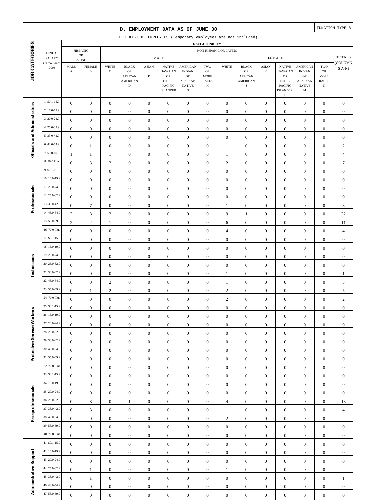|                              |                                |                                  |                                  |                                      |                                                                        |                                                   |                                                                                                        | D. EMPLOYMENT DATA AS OF JUNE 30                                                               |                                                       |                                  |                                                               |                                      |                                                                                             |                                                                                          |                                                                | FUNCTION TYPE 8                |
|------------------------------|--------------------------------|----------------------------------|----------------------------------|--------------------------------------|------------------------------------------------------------------------|---------------------------------------------------|--------------------------------------------------------------------------------------------------------|------------------------------------------------------------------------------------------------|-------------------------------------------------------|----------------------------------|---------------------------------------------------------------|--------------------------------------|---------------------------------------------------------------------------------------------|------------------------------------------------------------------------------------------|----------------------------------------------------------------|--------------------------------|
|                              |                                |                                  |                                  |                                      |                                                                        |                                                   |                                                                                                        |                                                                                                | <b>RACE/ETHNICITY</b>                                 |                                  | 1. FULL-TIME EMPLOYEES (Temporary employees are not included) |                                      |                                                                                             |                                                                                          |                                                                |                                |
|                              | <b>ANNUAL</b>                  |                                  | <b>HISPANIC</b>                  |                                      |                                                                        |                                                   |                                                                                                        |                                                                                                | NON-HISPANIC OR LATINO                                |                                  |                                                               |                                      |                                                                                             |                                                                                          |                                                                |                                |
|                              | SALARY                         |                                  | ${\rm OR}$<br>LATINO             |                                      |                                                                        |                                                   | <b>MALE</b>                                                                                            |                                                                                                |                                                       |                                  |                                                               |                                      | <b>FEMALE</b>                                                                               |                                                                                          |                                                                | <b>TOTALS</b><br><b>COLUMN</b> |
| JOB CATEGORIES               | In thousands<br>000)           | MALE<br>$\mathbf A$              | <b>FEMALE</b><br>$\, {\bf B}$    | WHITE<br>$\mathbf C$                 | <b>BLACK</b><br>OR<br><b>AFRICAN</b><br><b>AMERICAN</b><br>$\mathbf D$ | $\operatorname{ASIAN}$<br>$\mathop{\hbox{\bf E}}$ | <b>NATIVE</b><br><b>HAWAIAN</b><br>${\rm OR}$<br><b>OTHER</b><br>PACIFIC<br><b>ISLANDER</b><br>$\rm F$ | <b>AMERICAN</b><br><b>INDIAN</b><br>${\sf OR}$<br><b>ALASKAN</b><br><b>NATIVE</b><br>${\bf G}$ | TWO<br>${\sf OR}$<br><b>MORE</b><br><b>RACES</b><br>H | WHITE<br>$\rm I$                 | <b>BLACK</b><br>OR<br><b>AFRICAN</b><br><b>AMERICAN</b><br>J  | <b>ASIAN</b><br>$\bf K$              | <b>NATIVE</b><br><b>HAWAIAN</b><br>$_{\rm OR}$<br><b>OTHER</b><br>PACIFIC<br>ISLANDER,<br>L | AMERICAN<br><b>INDIAN</b><br>${\sf OR}$<br><b>ALASKAN</b><br><b>NATIVE</b><br>$_{\rm M}$ | TWO<br>${\sf OR}$<br><b>MORE</b><br><b>RACES</b><br>$_{\rm N}$ | $S(A-N)$                       |
|                              | 1. \$0.1-15.9                  | $\boldsymbol{0}$                 | $\boldsymbol{0}$                 | $\boldsymbol{0}$                     | $\boldsymbol{0}$                                                       | $\boldsymbol{0}$                                  | $\boldsymbol{0}$                                                                                       | $\boldsymbol{0}$                                                                               | $\boldsymbol{0}$                                      | $\boldsymbol{0}$                 | $\boldsymbol{0}$                                              | $\boldsymbol{0}$                     | $\boldsymbol{0}$                                                                            | $\boldsymbol{0}$                                                                         | $\boldsymbol{0}$                                               | $\boldsymbol{0}$               |
|                              | 2.16.0-19.9                    | $\boldsymbol{0}$                 | $\boldsymbol{0}$                 | $\boldsymbol{0}$                     | $\boldsymbol{0}$                                                       | $\mathbf{0}$                                      | $\boldsymbol{0}$                                                                                       | $\boldsymbol{0}$                                                                               | $\boldsymbol{0}$                                      | $\boldsymbol{0}$                 | $\boldsymbol{0}$                                              | $\boldsymbol{0}$                     | $\boldsymbol{0}$                                                                            | $\mathbf{0}$                                                                             | $\boldsymbol{0}$                                               | $\boldsymbol{0}$               |
|                              | 3.20.0-24.9                    | $\boldsymbol{0}$                 | $\boldsymbol{0}$                 | $\boldsymbol{0}$                     | $\boldsymbol{0}$                                                       | $\boldsymbol{0}$                                  | $\boldsymbol{0}$                                                                                       | $\boldsymbol{0}$                                                                               | $\boldsymbol{0}$                                      | $\boldsymbol{0}$                 | $\boldsymbol{0}$                                              | $\mathbf{0}$                         | $\boldsymbol{0}$                                                                            | $\boldsymbol{0}$                                                                         | $\boldsymbol{0}$                                               | $\boldsymbol{0}$               |
|                              | 4.25.0-32.9                    | $\boldsymbol{0}$                 | $\boldsymbol{0}$                 | $\boldsymbol{0}$                     | $\boldsymbol{0}$                                                       | $\boldsymbol{0}$                                  | $\mathbf{0}$                                                                                           | $\boldsymbol{0}$                                                                               | $\boldsymbol{0}$                                      | $\boldsymbol{0}$                 | $\boldsymbol{0}$                                              | $\boldsymbol{0}$                     | $\boldsymbol{0}$                                                                            | $\boldsymbol{0}$                                                                         | $\boldsymbol{0}$                                               | $\boldsymbol{0}$               |
| Officials and Administrators | 5.33.0-42.9                    | $\boldsymbol{0}$                 | $\boldsymbol{0}$                 | $\boldsymbol{0}$                     | $\boldsymbol{0}$                                                       | $\boldsymbol{0}$                                  | $\boldsymbol{0}$                                                                                       | $\boldsymbol{0}$                                                                               | $\boldsymbol{0}$                                      | $\boldsymbol{0}$                 | $\boldsymbol{0}$                                              | $\boldsymbol{0}$                     | $\boldsymbol{0}$                                                                            | $\boldsymbol{0}$                                                                         | $\boldsymbol{0}$                                               | $\boldsymbol{0}$               |
|                              | 6.43.0-54.9                    | $\overline{0}$                   | $\mathbf{1}$                     | $\boldsymbol{0}$                     | $\boldsymbol{0}$                                                       | $\mathbf{0}$                                      | $\boldsymbol{0}$                                                                                       | $\boldsymbol{0}$                                                                               | $\boldsymbol{0}$                                      | $\mathbf{1}$                     | $\boldsymbol{0}$                                              | $\boldsymbol{0}$                     | $\mathbf{0}$                                                                                | $\overline{0}$                                                                           | $\boldsymbol{0}$                                               | $\sqrt{2}$                     |
|                              | 7.55.0-69.9                    | $\mathbf{1}$                     | $\mathbf{1}$                     | $\mathbf{1}$                         | $\boldsymbol{0}$                                                       | $\boldsymbol{0}$                                  | $\boldsymbol{0}$                                                                                       | $\boldsymbol{0}$                                                                               | $\boldsymbol{0}$                                      | $\mathbf{1}$                     | $\boldsymbol{0}$                                              | $\mathbf{0}$                         | $\mathbf{0}$                                                                                | $\boldsymbol{0}$                                                                         | $\boldsymbol{0}$                                               | $\overline{4}$                 |
|                              | 8.70.0 Plus                    | $\boldsymbol{0}$                 | 3                                | $\overline{c}$                       | $\boldsymbol{0}$                                                       | $\boldsymbol{0}$                                  | $\boldsymbol{0}$                                                                                       | $\boldsymbol{0}$                                                                               | $\boldsymbol{0}$                                      | $\boldsymbol{2}$                 | $\boldsymbol{0}$                                              | $\boldsymbol{0}$                     | $\mathbf{0}$                                                                                | $\boldsymbol{0}$                                                                         | $\boldsymbol{0}$                                               | 7                              |
|                              | 9. \$0.1-15.9                  | $\boldsymbol{0}$                 | $\boldsymbol{0}$                 | $\boldsymbol{0}$                     | $\boldsymbol{0}$                                                       | $\boldsymbol{0}$                                  | $\boldsymbol{0}$                                                                                       | $\boldsymbol{0}$                                                                               | $\boldsymbol{0}$                                      | $\boldsymbol{0}$                 | $\boldsymbol{0}$                                              | $\boldsymbol{0}$                     | $\mathbf{0}$                                                                                | $\boldsymbol{0}$                                                                         | $\boldsymbol{0}$                                               | $\boldsymbol{0}$               |
|                              | 10.16.0-19.9                   | $\overline{0}$                   | $\boldsymbol{0}$                 | $\boldsymbol{0}$                     | $\boldsymbol{0}$                                                       | $\boldsymbol{0}$                                  | $\boldsymbol{0}$                                                                                       | $\boldsymbol{0}$                                                                               | $\boldsymbol{0}$                                      | $\boldsymbol{0}$                 | $\boldsymbol{0}$                                              | $\boldsymbol{0}$                     | $\mathbf{0}$                                                                                | $\boldsymbol{0}$                                                                         | $\boldsymbol{0}$                                               | $\boldsymbol{0}$               |
|                              | 11.20.0-24.9                   | $\boldsymbol{0}$                 | $\boldsymbol{0}$                 | $\boldsymbol{0}$                     | $\boldsymbol{0}$                                                       | $\boldsymbol{0}$                                  | $\boldsymbol{0}$                                                                                       | $\boldsymbol{0}$                                                                               | $\boldsymbol{0}$                                      | $\boldsymbol{0}$                 | $\boldsymbol{0}$                                              | $\mathbf{0}$                         | $\mathbf{0}$                                                                                | $\boldsymbol{0}$                                                                         | $\boldsymbol{0}$                                               | $\boldsymbol{0}$               |
| Professionals                | 12.25.0-32.9                   | $\boldsymbol{0}$                 | $\boldsymbol{0}$                 | $\boldsymbol{0}$                     | $\boldsymbol{0}$                                                       | $\boldsymbol{0}$                                  | $\boldsymbol{0}$                                                                                       | $\boldsymbol{0}$                                                                               | $\boldsymbol{0}$                                      | $\boldsymbol{0}$                 | $\boldsymbol{0}$                                              | $\boldsymbol{0}$                     | $\boldsymbol{0}$                                                                            | $\boldsymbol{0}$                                                                         | $\boldsymbol{0}$                                               | $\boldsymbol{0}$               |
|                              | 13.33.0-42.9                   | $\boldsymbol{0}$                 | $\tau$                           | $\boldsymbol{0}$                     | $\boldsymbol{0}$                                                       | $\boldsymbol{0}$                                  | $\boldsymbol{0}$                                                                                       | $\boldsymbol{0}$                                                                               | $\boldsymbol{0}$                                      | $\mathbf{1}$                     | $\boldsymbol{0}$                                              | $\boldsymbol{0}$                     | $\boldsymbol{0}$                                                                            | $\boldsymbol{0}$                                                                         | $\boldsymbol{0}$                                               | 8                              |
|                              | 14.43.0-54.9                   | $\sqrt{2}$                       | $\,8\,$                          | $\sqrt{2}$                           | $\boldsymbol{0}$                                                       | $\boldsymbol{0}$                                  | $\boldsymbol{0}$                                                                                       | $\boldsymbol{0}$                                                                               | $\boldsymbol{0}$                                      | 9                                | 1                                                             | $\boldsymbol{0}$                     | $\mathbf{0}$                                                                                | $\overline{0}$                                                                           | $\boldsymbol{0}$                                               | 22                             |
|                              | 15.55.0-69.9                   | $\overline{c}$                   | $\sqrt{2}$                       | $\mathbf{1}$                         | $\boldsymbol{0}$                                                       | $\boldsymbol{0}$                                  | $\boldsymbol{0}$                                                                                       | $\mathbf{0}$                                                                                   | $\boldsymbol{0}$                                      | 6                                | $\boldsymbol{0}$                                              | $\boldsymbol{0}$                     | $\mathbf{0}$                                                                                | $\boldsymbol{0}$                                                                         | $\boldsymbol{0}$                                               | 11                             |
|                              | 16.70.0 Plus                   | $\boldsymbol{0}$                 | $\boldsymbol{0}$                 | $\boldsymbol{0}$                     | $\boldsymbol{0}$                                                       | $\boldsymbol{0}$                                  | $\boldsymbol{0}$                                                                                       | $\boldsymbol{0}$                                                                               | $\boldsymbol{0}$                                      | $\overline{4}$                   | $\boldsymbol{0}$                                              | $\boldsymbol{0}$                     | $\mathbf{0}$                                                                                | $\boldsymbol{0}$                                                                         | $\boldsymbol{0}$                                               | $\overline{4}$                 |
|                              | 17. \$0.1-15.9                 | $\boldsymbol{0}$                 | $\boldsymbol{0}$                 | $\boldsymbol{0}$                     | $\boldsymbol{0}$                                                       | $\boldsymbol{0}$                                  | $\boldsymbol{0}$                                                                                       | $\boldsymbol{0}$                                                                               | $\boldsymbol{0}$                                      | $\boldsymbol{0}$                 | $\boldsymbol{0}$                                              | $\boldsymbol{0}$                     | $\boldsymbol{0}$                                                                            | $\boldsymbol{0}$                                                                         | $\boldsymbol{0}$                                               | $\boldsymbol{0}$               |
|                              | 18.16.0-19.9                   | $\overline{0}$                   | $\boldsymbol{0}$                 | $\boldsymbol{0}$                     | $\boldsymbol{0}$                                                       | $\boldsymbol{0}$                                  | $\boldsymbol{0}$                                                                                       | $\mathbf{0}$                                                                                   | $\boldsymbol{0}$                                      | $\boldsymbol{0}$                 | $\boldsymbol{0}$                                              | $\mathbf{0}$                         | $\mathbf{0}$                                                                                | $\boldsymbol{0}$                                                                         | $\boldsymbol{0}$                                               | $\boldsymbol{0}$               |
|                              | 19.20.0-24.9                   | $\boldsymbol{0}$                 | $\boldsymbol{0}$                 | $\boldsymbol{0}$                     | $\boldsymbol{0}$                                                       | $\boldsymbol{0}$                                  | $\boldsymbol{0}$                                                                                       | $\mathbf{0}$                                                                                   | $\boldsymbol{0}$                                      | $\boldsymbol{0}$                 | $\boldsymbol{0}$                                              | $\boldsymbol{0}$                     | $\mathbf{0}$                                                                                | $\boldsymbol{0}$                                                                         | $\boldsymbol{0}$                                               | $\boldsymbol{0}$               |
| Technicians                  | 20.25.0-32.9                   | $\boldsymbol{0}$                 | $\boldsymbol{0}$                 | $\boldsymbol{0}$                     | $\boldsymbol{0}$                                                       | $\boldsymbol{0}$                                  | $\mathbf{0}$                                                                                           | $\boldsymbol{0}$                                                                               | $\boldsymbol{0}$                                      | $\boldsymbol{0}$                 | $\boldsymbol{0}$                                              | $\boldsymbol{0}$                     | $\boldsymbol{0}$                                                                            | $\boldsymbol{0}$                                                                         | $\boldsymbol{0}$                                               | $\boldsymbol{0}$               |
|                              | 21.33.0-42.9                   | $\boldsymbol{0}$                 | $\boldsymbol{0}$                 | $\boldsymbol{0}$                     | $\boldsymbol{0}$                                                       | $\boldsymbol{0}$                                  | $\boldsymbol{0}$                                                                                       | $\boldsymbol{0}$                                                                               | $\boldsymbol{0}$                                      | $\mathbf{1}$                     | $\boldsymbol{0}$                                              | $\boldsymbol{0}$                     | $\boldsymbol{0}$                                                                            | $\boldsymbol{0}$                                                                         | $\boldsymbol{0}$                                               | $\mathbf{1}$                   |
|                              | 22.43.0-54.9                   | $\overline{0}$                   | $\boldsymbol{0}$                 | $\sqrt{2}$                           | $\boldsymbol{0}$                                                       | $\boldsymbol{0}$                                  | $\boldsymbol{0}$                                                                                       | $\boldsymbol{0}$                                                                               | $\boldsymbol{0}$                                      | $\mathbf{1}$                     | $\boldsymbol{0}$                                              | $\mathbf{0}$                         | $\mathbf{0}$                                                                                | $\overline{0}$                                                                           | $\boldsymbol{0}$                                               | 3                              |
|                              | 23.55.0-69.9                   | $\boldsymbol{0}$                 | $\mathbf{1}$                     | $\sqrt{2}$                           | $\boldsymbol{0}$                                                       | $\boldsymbol{0}$                                  | $\boldsymbol{0}$                                                                                       | $\boldsymbol{0}$                                                                               | $\boldsymbol{0}$                                      | $\sqrt{2}$                       | $\boldsymbol{0}$                                              | $\boldsymbol{0}$                     | $\mathbf{0}$                                                                                | $\boldsymbol{0}$                                                                         | $\boldsymbol{0}$                                               | $\sqrt{5}$                     |
|                              | 24.70.0 Plus                   | $\mathbf{0}$                     | $\boldsymbol{0}$                 | $\boldsymbol{0}$                     | $\boldsymbol{0}$                                                       | $\boldsymbol{0}$                                  | $\boldsymbol{0}$                                                                                       | $\boldsymbol{0}$                                                                               | $\boldsymbol{0}$                                      | $\mathbf{2}$                     | $\mathbf{0}$                                                  | $\boldsymbol{0}$                     | $\mathbf{0}$                                                                                | $\boldsymbol{0}$                                                                         | $\boldsymbol{0}$                                               | $\mathbf{2}$                   |
|                              | 25. \$0.1-15.9                 | $\boldsymbol{0}$                 | $\boldsymbol{0}$                 | $\boldsymbol{0}$                     | $\boldsymbol{0}$                                                       | $\boldsymbol{0}$                                  | $\boldsymbol{0}$                                                                                       | $\boldsymbol{0}$                                                                               | $\boldsymbol{0}$                                      | $\boldsymbol{0}$                 | $\boldsymbol{0}$                                              | $\boldsymbol{0}$                     | $\boldsymbol{0}$                                                                            | $\boldsymbol{0}$                                                                         | $\boldsymbol{0}$                                               | $\boldsymbol{0}$               |
|                              | 26.16.0-19.9                   | $\overline{0}$                   | $\mathbf{0}$                     | $\mathbf{0}$                         | $\mathbf{0}$                                                           | $\mathbf{0}$                                      | $\mathbf{0}$                                                                                           | $\boldsymbol{0}$                                                                               | $\overline{0}$                                        | $\mathbf{0}$                     | $\overline{0}$                                                | $\boldsymbol{0}$                     | $\mathbf{0}$                                                                                | $\overline{0}$                                                                           | $\mathbf{0}$                                                   | $\boldsymbol{0}$               |
|                              | 27.20.0-24.9                   | $\mathbf{0}$                     | $\mathbf{0}$                     | $\boldsymbol{0}$                     | $\mathbf{0}$                                                           | $\mathbf{0}$                                      | $\boldsymbol{0}$                                                                                       | $\boldsymbol{0}$                                                                               | $\boldsymbol{0}$                                      | $\boldsymbol{0}$                 | $\mathbf{0}$                                                  | $\boldsymbol{0}$                     | $\boldsymbol{0}$                                                                            | $\boldsymbol{0}$                                                                         | $\boldsymbol{0}$                                               | $\boldsymbol{0}$               |
| Protective Service Workers   | 28.25.0-32.9                   | $\boldsymbol{0}$                 | $\boldsymbol{0}$                 | $\boldsymbol{0}$                     | $\boldsymbol{0}$                                                       | $\mathbf{0}$                                      | $\boldsymbol{0}$                                                                                       | $\boldsymbol{0}$                                                                               | $\boldsymbol{0}$                                      | $\boldsymbol{0}$                 | $\boldsymbol{0}$                                              | $\boldsymbol{0}$                     | $\boldsymbol{0}$                                                                            | $\boldsymbol{0}$                                                                         | $\boldsymbol{0}$                                               | $\boldsymbol{0}$               |
|                              | 29.33.0-42.9                   | $\boldsymbol{0}$                 | $\boldsymbol{0}$                 | $\boldsymbol{0}$                     | $\boldsymbol{0}$                                                       | $\boldsymbol{0}$                                  | $\boldsymbol{0}$                                                                                       | $\boldsymbol{0}$                                                                               | $\boldsymbol{0}$                                      | $\boldsymbol{0}$                 | $\boldsymbol{0}$                                              | $\boldsymbol{0}$                     | $\boldsymbol{0}$                                                                            | $\boldsymbol{0}$                                                                         | $\boldsymbol{0}$                                               | $\boldsymbol{0}$               |
|                              | 30.43.0-54.9                   | $\boldsymbol{0}$                 | $\mathbf{0}$                     | $\boldsymbol{0}$                     | $\boldsymbol{0}$                                                       | $\mathbf{0}$                                      | $\boldsymbol{0}$                                                                                       | $\boldsymbol{0}$                                                                               | $\boldsymbol{0}$                                      | $\boldsymbol{0}$                 | $\overline{0}$                                                | $\boldsymbol{0}$                     | $\boldsymbol{0}$                                                                            | $\boldsymbol{0}$                                                                         | $\boldsymbol{0}$                                               | $\boldsymbol{0}$               |
|                              | 31.55.0-69.9                   | $\boldsymbol{0}$                 | $\mathbf{0}$                     | $\boldsymbol{0}$                     | $\boldsymbol{0}$                                                       | $\mathbf{0}$                                      | $\boldsymbol{0}$                                                                                       | $\boldsymbol{0}$                                                                               | $\boldsymbol{0}$                                      | $\boldsymbol{0}$                 | $\boldsymbol{0}$                                              | $\boldsymbol{0}$                     | $\boldsymbol{0}$                                                                            | $\boldsymbol{0}$                                                                         | $\boldsymbol{0}$                                               | $\boldsymbol{0}$               |
|                              | 32.70.0 Plus<br>33. \$0.1-15.9 | $\boldsymbol{0}$                 | $\boldsymbol{0}$                 | $\boldsymbol{0}$                     | $\boldsymbol{0}$                                                       | $\mathbf{0}$                                      | $\boldsymbol{0}$                                                                                       | $\boldsymbol{0}$                                                                               | $\boldsymbol{0}$                                      | $\boldsymbol{0}$                 | $\boldsymbol{0}$                                              | $\boldsymbol{0}$                     | $\boldsymbol{0}$                                                                            | $\boldsymbol{0}$                                                                         | $\boldsymbol{0}$                                               | $\boldsymbol{0}$               |
|                              | 34.16.0-19.9                   | $\mathbf{0}$                     | $\boldsymbol{0}$                 | $\boldsymbol{0}$                     | $\boldsymbol{0}$                                                       | $\boldsymbol{0}$                                  | $\boldsymbol{0}$                                                                                       | $\boldsymbol{0}$                                                                               | $\boldsymbol{0}$                                      | $\boldsymbol{0}$                 | $\boldsymbol{0}$                                              | $\boldsymbol{0}$                     | $\boldsymbol{0}$                                                                            | $\boldsymbol{0}$                                                                         | $\boldsymbol{0}$                                               | $\boldsymbol{0}$               |
|                              | 35.20.0-24.9                   | $\mathbf{0}$                     | $\mathbf{0}$                     | $\boldsymbol{0}$                     | $\boldsymbol{0}$                                                       | $\mathbf{0}$                                      | $\boldsymbol{0}$                                                                                       | $\boldsymbol{0}$                                                                               | $\boldsymbol{0}$                                      | $\boldsymbol{0}$                 | $\overline{0}$                                                | $\boldsymbol{0}$                     | $\boldsymbol{0}$                                                                            | $\boldsymbol{0}$                                                                         | $\boldsymbol{0}$                                               | $\boldsymbol{0}$               |
| Paraprofessionals            | 36.25.0-32.9                   | $\mathbf{0}$                     | $\boldsymbol{0}$                 | $\boldsymbol{0}$                     | $\boldsymbol{0}$                                                       | $\mathbf{0}$                                      | $\boldsymbol{0}$                                                                                       | $\boldsymbol{0}$                                                                               | $\boldsymbol{0}$                                      | $\boldsymbol{0}$                 | $\mathbf{0}$                                                  | $\boldsymbol{0}$                     | $\boldsymbol{0}$                                                                            | $\boldsymbol{0}$                                                                         | $\boldsymbol{0}$                                               | $\boldsymbol{0}$               |
|                              | 37.33.0-42.9                   | $\boldsymbol{0}$                 | $\,8\,$                          | $\boldsymbol{0}$                     | $\mathbf{1}$                                                           | $\mathbf{0}$                                      | $\boldsymbol{0}$                                                                                       | $\boldsymbol{0}$                                                                               | $\boldsymbol{0}$                                      | $\overline{4}$                   | $\boldsymbol{0}$                                              | $\boldsymbol{0}$                     | $\boldsymbol{0}$                                                                            | $\boldsymbol{0}$                                                                         | $\boldsymbol{0}$                                               | 13                             |
|                              | 38.43.0-54.9                   | $\mathbf{0}$                     | 3                                | $\boldsymbol{0}$                     | $\boldsymbol{0}$                                                       | $\boldsymbol{0}$                                  | $\boldsymbol{0}$                                                                                       | $\boldsymbol{0}$                                                                               | $\boldsymbol{0}$                                      | $\mathbf{1}$                     | $\boldsymbol{0}$                                              | $\boldsymbol{0}$                     | $\boldsymbol{0}$                                                                            | $\boldsymbol{0}$                                                                         | $\boldsymbol{0}$                                               | $\overline{4}$                 |
|                              | 39.55.0-69.9                   | $\boldsymbol{0}$                 | $\mathbf{0}$                     | $\boldsymbol{0}$                     | $\boldsymbol{0}$                                                       | $\mathbf{0}$                                      | $\boldsymbol{0}$                                                                                       | $\boldsymbol{0}$                                                                               | $\boldsymbol{0}$                                      | $\sqrt{2}$                       | $\overline{0}$                                                | $\boldsymbol{0}$                     | $\boldsymbol{0}$                                                                            | $\boldsymbol{0}$                                                                         | $\boldsymbol{0}$                                               | $\sqrt{2}$                     |
|                              | 40.70.0 Plus                   | $\mathbf{0}$                     | $\mathbf{0}$                     | $\boldsymbol{0}$                     | $\boldsymbol{0}$                                                       | $\mathbf{0}$                                      | $\boldsymbol{0}$                                                                                       | $\boldsymbol{0}$                                                                               | $\boldsymbol{0}$                                      | $\boldsymbol{0}$                 | $\boldsymbol{0}$                                              | $\boldsymbol{0}$                     | $\boldsymbol{0}$                                                                            | $\boldsymbol{0}$                                                                         | $\boldsymbol{0}$                                               | $\boldsymbol{0}$               |
|                              | 41. \$0.1-15.9                 | $\boldsymbol{0}$                 | $\boldsymbol{0}$                 | $\boldsymbol{0}$                     | $\boldsymbol{0}$                                                       | $\boldsymbol{0}$                                  | $\boldsymbol{0}$                                                                                       | $\boldsymbol{0}$                                                                               | $\boldsymbol{0}$                                      | $\boldsymbol{0}$                 | $\boldsymbol{0}$                                              | $\boldsymbol{0}$                     | $\boldsymbol{0}$                                                                            | $\boldsymbol{0}$                                                                         | $\boldsymbol{0}$                                               | $\boldsymbol{0}$               |
|                              | 42.16.0-19.9                   | $\mathbf{0}$<br>$\boldsymbol{0}$ | $\boldsymbol{0}$<br>$\mathbf{0}$ | $\boldsymbol{0}$                     | $\boldsymbol{0}$                                                       | $\boldsymbol{0}$                                  | $\boldsymbol{0}$                                                                                       | $\boldsymbol{0}$                                                                               | $\boldsymbol{0}$                                      | $\boldsymbol{0}$                 | $\boldsymbol{0}$                                              | $\boldsymbol{0}$                     | $\boldsymbol{0}$                                                                            | $\boldsymbol{0}$<br>$\overline{0}$                                                       | $\boldsymbol{0}$                                               | $\boldsymbol{0}$               |
|                              | 43.20.0-24.9                   | $\mathbf{0}$                     |                                  | $\boldsymbol{0}$                     | $\boldsymbol{0}$                                                       | $\mathbf{0}$<br>$\mathbf{0}$                      | $\boldsymbol{0}$                                                                                       | $\boldsymbol{0}$                                                                               | $\boldsymbol{0}$                                      | $\boldsymbol{0}$                 | $\overline{0}$                                                | $\boldsymbol{0}$                     | $\boldsymbol{0}$                                                                            |                                                                                          | $\boldsymbol{0}$                                               | $\boldsymbol{0}$               |
|                              | 44.25.0-32.9                   | $\boldsymbol{0}$                 | $\boldsymbol{0}$                 | $\boldsymbol{0}$                     | $\boldsymbol{0}$                                                       | $\mathbf{0}$                                      | $\boldsymbol{0}$<br>$\boldsymbol{0}$                                                                   | $\boldsymbol{0}$                                                                               | $\boldsymbol{0}$                                      | $\boldsymbol{0}$                 | $\mathbf{0}$                                                  | $\boldsymbol{0}$                     | $\boldsymbol{0}$                                                                            | $\boldsymbol{0}$                                                                         | $\boldsymbol{0}$                                               | $\boldsymbol{0}$               |
| Administrative Support       | 45.33.0-42.9                   | $\mathbf{0}$                     | $\mathbf{1}$                     | $\boldsymbol{0}$<br>$\boldsymbol{0}$ | $\boldsymbol{0}$<br>$\boldsymbol{0}$                                   | $\boldsymbol{0}$                                  | $\boldsymbol{0}$                                                                                       | $\boldsymbol{0}$<br>$\boldsymbol{0}$                                                           | $\boldsymbol{0}$<br>$\boldsymbol{0}$                  | $\mathbf{1}$<br>$\boldsymbol{0}$ | $\boldsymbol{0}$<br>$\boldsymbol{0}$                          | $\boldsymbol{0}$<br>$\boldsymbol{0}$ | $\boldsymbol{0}$<br>$\boldsymbol{0}$                                                        | $\boldsymbol{0}$<br>$\boldsymbol{0}$                                                     | $\boldsymbol{0}$<br>$\boldsymbol{0}$                           | $\sqrt{2}$<br>$\mathbf{1}$     |
|                              | 46.43.0-54.9                   | $\boldsymbol{0}$                 | $\mathbf{1}$<br>$\boldsymbol{0}$ | $\boldsymbol{0}$                     | $\boldsymbol{0}$                                                       | $\mathbf{0}$                                      | $\boldsymbol{0}$                                                                                       | $\boldsymbol{0}$                                                                               | $\boldsymbol{0}$                                      | $\boldsymbol{0}$                 | $\boldsymbol{0}$                                              | $\boldsymbol{0}$                     | $\boldsymbol{0}$                                                                            | $\boldsymbol{0}$                                                                         | $\mathbf{0}$                                                   | $\boldsymbol{0}$               |
|                              | 47.55.0-69.9                   | $\boldsymbol{0}$                 | $\boldsymbol{0}$                 | $\boldsymbol{0}$                     | $\boldsymbol{0}$                                                       | $\boldsymbol{0}$                                  | $\boldsymbol{0}$                                                                                       | $\boldsymbol{0}$                                                                               | $\boldsymbol{0}$                                      | $\boldsymbol{0}$                 | $\boldsymbol{0}$                                              | $\boldsymbol{0}$                     | $\boldsymbol{0}$                                                                            | $\boldsymbol{0}$                                                                         | $\boldsymbol{0}$                                               | $\boldsymbol{0}$               |
|                              |                                |                                  |                                  |                                      |                                                                        |                                                   |                                                                                                        |                                                                                                |                                                       |                                  |                                                               |                                      |                                                                                             |                                                                                          |                                                                |                                |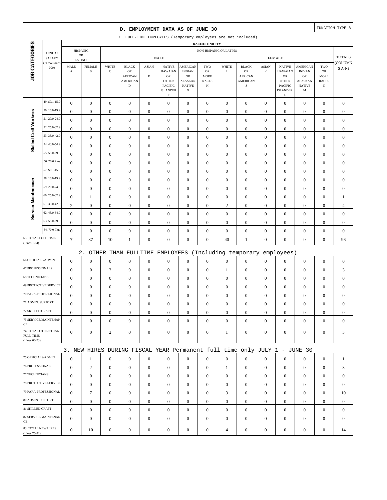|                                     |                              |                          |                               |                      | D. EMPLOYMENT DATA AS OF JUNE 30                                          |                        |                                   |                            |                             |                   |                                   |                         |                                 |                                  |                             | FUNCTION TYPE 8             |
|-------------------------------------|------------------------------|--------------------------|-------------------------------|----------------------|---------------------------------------------------------------------------|------------------------|-----------------------------------|----------------------------|-----------------------------|-------------------|-----------------------------------|-------------------------|---------------------------------|----------------------------------|-----------------------------|-----------------------------|
|                                     |                              |                          |                               |                      | 1. FULL-TIME EMPLOYEES (Temporary employees are not included)             |                        |                                   |                            |                             |                   |                                   |                         |                                 |                                  |                             |                             |
|                                     |                              |                          |                               |                      |                                                                           |                        |                                   |                            | <b>RACE/ETHNICITY</b>       |                   |                                   |                         |                                 |                                  |                             |                             |
|                                     | <b>ANNUAL</b>                |                          | <b>HISPANIC</b><br>${\sf OR}$ |                      |                                                                           |                        | <b>MALE</b>                       |                            | NON-HISPANIC OR LATINO      |                   |                                   |                         | <b>FEMALE</b>                   |                                  |                             | <b>TOTALS</b>               |
|                                     | SALARY<br>(In thousands      |                          | LATINO                        |                      |                                                                           |                        |                                   |                            |                             |                   |                                   |                         |                                 |                                  |                             | (COLUMN                     |
| JOB CATEGORIES                      | 000)                         | MALE<br>$\boldsymbol{A}$ | <b>FEMALE</b><br>$\, {\bf B}$ | WHITE<br>$\mathbf C$ | <b>BLACK</b><br>OR                                                        | $\operatorname{ASIAN}$ | <b>NATIVE</b><br><b>HAWAIAN</b>   | AMERICAN<br><b>INDIAN</b>  | TWO<br>OR                   | WHITE<br>$\bf{I}$ | <b>BLACK</b><br>OR                | <b>ASIAN</b><br>$\bf K$ | <b>NATIVE</b><br><b>HAWAIAN</b> | <b>AMERICAN</b><br><b>INDIAN</b> | TWO<br>OR                   | $S(A-N)$                    |
|                                     |                              |                          |                               |                      | <b>AFRICAN</b><br><b>AMERICAN</b>                                         | Е                      | ${\rm OR}$<br><b>OTHER</b>        | OR<br>ALASKAN              | <b>MORE</b><br><b>RACES</b> |                   | <b>AFRICAN</b><br><b>AMERICAN</b> |                         | $_{\rm OR}$<br><b>OTHER</b>     | OR<br><b>ALASKAN</b>             | <b>MORE</b><br><b>RACES</b> |                             |
|                                     |                              |                          |                               |                      | $\mathbf D$                                                               |                        | <b>PACIFIC</b><br><b>ISLANDER</b> | <b>NATIVE</b><br>${\bf G}$ | $_{\rm H}$                  |                   | J                                 |                         | <b>PACIFIC</b><br>ISLANDER,     | <b>NATIVE</b><br>M               | $_{\rm N}$                  |                             |
|                                     |                              |                          |                               |                      |                                                                           |                        | $\rm F$                           |                            |                             |                   |                                   |                         | L                               |                                  |                             |                             |
|                                     | 49. \$0.1-15.9               | $\boldsymbol{0}$         | $\boldsymbol{0}$              | $\boldsymbol{0}$     | $\boldsymbol{0}$                                                          | $\boldsymbol{0}$       | $\boldsymbol{0}$                  | $\boldsymbol{0}$           | $\boldsymbol{0}$            | $\boldsymbol{0}$  | $\boldsymbol{0}$                  | $\boldsymbol{0}$        | $\boldsymbol{0}$                | $\boldsymbol{0}$                 | $\boldsymbol{0}$            | $\boldsymbol{0}$            |
| Skilled Craft Workers               | 50.16.0-19.9                 | $\boldsymbol{0}$         | $\boldsymbol{0}$              | $\boldsymbol{0}$     | $\boldsymbol{0}$                                                          | $\boldsymbol{0}$       | $\boldsymbol{0}$                  | $\boldsymbol{0}$           | $\boldsymbol{0}$            | $\boldsymbol{0}$  | $\boldsymbol{0}$                  | $\mathbf{0}$            | $\mathbf{0}$                    | $\boldsymbol{0}$                 | $\boldsymbol{0}$            | $\boldsymbol{0}$            |
|                                     | 51.20.0-24.9                 | $\mathbf{0}$             | $\boldsymbol{0}$              | $\boldsymbol{0}$     | $\boldsymbol{0}$                                                          | $\boldsymbol{0}$       | $\boldsymbol{0}$                  | $\mathbf{0}$               | $\boldsymbol{0}$            | $\boldsymbol{0}$  | $\boldsymbol{0}$                  | $\boldsymbol{0}$        | $\mathbf{0}$                    | $\boldsymbol{0}$                 | $\boldsymbol{0}$            | $\boldsymbol{0}$            |
|                                     | 52.25.0-32.9                 | $\mathbf{0}$             | $\boldsymbol{0}$              | $\boldsymbol{0}$     | $\boldsymbol{0}$                                                          | $\boldsymbol{0}$       | $\boldsymbol{0}$                  | $\boldsymbol{0}$           | $\boldsymbol{0}$            | $\boldsymbol{0}$  | $\boldsymbol{0}$                  | $\mathbf{0}$            | $\mathbf{0}$                    | $\boldsymbol{0}$                 | $\boldsymbol{0}$            | $\boldsymbol{0}$            |
|                                     | 53.33.0-42.9                 | $\boldsymbol{0}$         | $\boldsymbol{0}$              | $\boldsymbol{0}$     | $\boldsymbol{0}$                                                          | $\boldsymbol{0}$       | $\boldsymbol{0}$                  | $\boldsymbol{0}$           | $\boldsymbol{0}$            | $\boldsymbol{0}$  | $\boldsymbol{0}$                  | $\boldsymbol{0}$        | $\boldsymbol{0}$                | $\boldsymbol{0}$                 | $\boldsymbol{0}$            | $\boldsymbol{0}$            |
|                                     | 54.43.0-54.9                 | $\boldsymbol{0}$         | $\boldsymbol{0}$              | $\boldsymbol{0}$     | $\boldsymbol{0}$                                                          | $\boldsymbol{0}$       | $\boldsymbol{0}$                  | $\boldsymbol{0}$           | $\boldsymbol{0}$            | $\boldsymbol{0}$  | $\mathbf{0}$                      | $\mathbf{0}$            | $\boldsymbol{0}$                | $\boldsymbol{0}$                 | $\boldsymbol{0}$            | $\boldsymbol{0}$            |
|                                     | 55.55.0-69.9                 | $\overline{0}$           | $\boldsymbol{0}$              | $\boldsymbol{0}$     | $\boldsymbol{0}$                                                          | $\mathbf{0}$           | $\mathbf{0}$                      | $\boldsymbol{0}$           | $\boldsymbol{0}$            | $\boldsymbol{0}$  | $\boldsymbol{0}$                  | $\boldsymbol{0}$        | $\mathbf{0}$                    | $\boldsymbol{0}$                 | $\boldsymbol{0}$            | $\boldsymbol{0}$            |
|                                     | 56.70.0 Plus                 | $\mathbf{0}$             | $\boldsymbol{0}$              | $\boldsymbol{0}$     | $\boldsymbol{0}$                                                          | $\boldsymbol{0}$       | $\mathbf{0}$                      | $\mathbf{0}$               | $\boldsymbol{0}$            | $\boldsymbol{0}$  | $\boldsymbol{0}$                  | $\boldsymbol{0}$        | $\mathbf{0}$                    | $\boldsymbol{0}$                 | $\boldsymbol{0}$            | $\boldsymbol{0}$            |
|                                     | 57. \$0.1-15.9               | $\boldsymbol{0}$         | $\boldsymbol{0}$              | $\boldsymbol{0}$     | $\boldsymbol{0}$                                                          | $\boldsymbol{0}$       | $\boldsymbol{0}$                  | $\boldsymbol{0}$           | $\boldsymbol{0}$            | $\boldsymbol{0}$  | $\boldsymbol{0}$                  | $\boldsymbol{0}$        | $\boldsymbol{0}$                | $\boldsymbol{0}$                 | $\boldsymbol{0}$            | $\boldsymbol{0}$            |
|                                     | 58.16.0-19.9                 | $\mathbf{0}$             | $\boldsymbol{0}$              | $\boldsymbol{0}$     | $\boldsymbol{0}$                                                          | $\mathbf{0}$           | $\boldsymbol{0}$                  | $\boldsymbol{0}$           | $\boldsymbol{0}$            | $\boldsymbol{0}$  | $\mathbf{0}$                      | $\boldsymbol{0}$        | $\boldsymbol{0}$                | $\boldsymbol{0}$                 | $\boldsymbol{0}$            | $\boldsymbol{0}$            |
|                                     | 59.20.0-24.9                 | $\overline{0}$           | $\boldsymbol{0}$              | $\boldsymbol{0}$     | $\boldsymbol{0}$                                                          | $\boldsymbol{0}$       | $\boldsymbol{0}$                  | $\boldsymbol{0}$           | $\boldsymbol{0}$            | $\boldsymbol{0}$  | $\boldsymbol{0}$                  | $\boldsymbol{0}$        | $\boldsymbol{0}$                | $\boldsymbol{0}$                 | $\boldsymbol{0}$            | $\boldsymbol{0}$            |
|                                     | 60.25.0-32.9                 | $\boldsymbol{0}$         | $\mathbf{1}$                  | $\boldsymbol{0}$     | $\boldsymbol{0}$                                                          | $\boldsymbol{0}$       | $\boldsymbol{0}$                  | $\boldsymbol{0}$           | $\boldsymbol{0}$            | $\boldsymbol{0}$  | $\boldsymbol{0}$                  | $\boldsymbol{0}$        | $\boldsymbol{0}$                | $\boldsymbol{0}$                 | $\boldsymbol{0}$            | $\mathbf{1}$                |
| Service-Maintenance                 | 61.33.0-42.9                 | $\overline{2}$           | $\boldsymbol{0}$              | $\boldsymbol{0}$     | $\boldsymbol{0}$                                                          | $\boldsymbol{0}$       | $\boldsymbol{0}$                  | $\boldsymbol{0}$           | $\boldsymbol{0}$            | $\sqrt{2}$        | $\boldsymbol{0}$                  | $\boldsymbol{0}$        | $\boldsymbol{0}$                | $\boldsymbol{0}$                 | $\boldsymbol{0}$            | $\overline{4}$              |
|                                     | 62.43.0-54.9                 | $\boldsymbol{0}$         | $\boldsymbol{0}$              | $\boldsymbol{0}$     | $\boldsymbol{0}$                                                          | $\boldsymbol{0}$       | $\boldsymbol{0}$                  | $\boldsymbol{0}$           | $\boldsymbol{0}$            | $\boldsymbol{0}$  | $\mathbf{0}$                      | $\mathbf{0}$            | $\boldsymbol{0}$                | $\boldsymbol{0}$                 | $\boldsymbol{0}$            | $\boldsymbol{0}$            |
|                                     | 63.55.0-69.9                 | $\overline{0}$           | $\boldsymbol{0}$              | $\boldsymbol{0}$     | $\boldsymbol{0}$                                                          | $\boldsymbol{0}$       | $\boldsymbol{0}$                  | $\boldsymbol{0}$           | $\boldsymbol{0}$            | $\boldsymbol{0}$  | $\boldsymbol{0}$                  | $\boldsymbol{0}$        | $\boldsymbol{0}$                | $\boldsymbol{0}$                 | $\boldsymbol{0}$            | $\boldsymbol{0}$            |
|                                     | 64.70.0 Plus                 | $\mathbf{0}$             | $\boldsymbol{0}$              | $\boldsymbol{0}$     | $\boldsymbol{0}$                                                          | $\boldsymbol{0}$       | $\boldsymbol{0}$                  | $\boldsymbol{0}$           | $\boldsymbol{0}$            | $\boldsymbol{0}$  | $\boldsymbol{0}$                  | $\boldsymbol{0}$        | $\boldsymbol{0}$                | $\boldsymbol{0}$                 | $\boldsymbol{0}$            | $\boldsymbol{0}$            |
| 65. TOTAL FULL TIME<br>(Lines 1-64) |                              | $\tau$                   | 37                            | 10                   | $\mathbf{1}$                                                              | $\boldsymbol{0}$       | $\boldsymbol{0}$                  | $\boldsymbol{0}$           | $\boldsymbol{0}$            | 40                | $\mathbf{1}$                      | $\boldsymbol{0}$        | $\boldsymbol{0}$                | $\boldsymbol{0}$                 | $\boldsymbol{0}$            | 96                          |
|                                     |                              |                          |                               |                      |                                                                           |                        |                                   |                            |                             |                   |                                   |                         |                                 |                                  |                             |                             |
| 66.OFFICIALS/ADMIN                  |                              |                          | $2$ .                         |                      | OTHER THAN FULLTIME                                                       |                        | <b>EMPLOYEES</b>                  |                            |                             |                   | (Including temporary              |                         | employees)                      |                                  |                             |                             |
| 67.PROFESSIONALS                    |                              | $\mathbf{0}$             | $\boldsymbol{0}$              | $\boldsymbol{0}$     | $\boldsymbol{0}$                                                          | $\boldsymbol{0}$       | $\boldsymbol{0}$                  | $\boldsymbol{0}$           | $\boldsymbol{0}$            | $\boldsymbol{0}$  | $\boldsymbol{0}$                  | $\mathbf{0}$            | $\boldsymbol{0}$                | $\boldsymbol{0}$                 | $\boldsymbol{0}$            | $\boldsymbol{0}$            |
| 68.TECHNICIANS                      |                              | $\mathbf{0}$             | $\boldsymbol{0}$              | $\overline{c}$       | $\boldsymbol{0}$                                                          | $\boldsymbol{0}$       | $\boldsymbol{0}$                  | $\boldsymbol{0}$           | $\boldsymbol{0}$            | 1                 | $\boldsymbol{0}$                  | $\mathbf{0}$            | $\boldsymbol{0}$                | $\boldsymbol{0}$                 | $\boldsymbol{0}$            | $\ensuremath{\mathfrak{Z}}$ |
|                                     | <b>69.PROTECTIVE SERVICE</b> | $\mathbf{0}$             | $\boldsymbol{0}$              | $\boldsymbol{0}$     | $\boldsymbol{0}$                                                          | $\boldsymbol{0}$       | $\boldsymbol{0}$                  | $\boldsymbol{0}$           | $\boldsymbol{0}$            | $\boldsymbol{0}$  | $\boldsymbol{0}$                  | $\boldsymbol{0}$        | $\boldsymbol{0}$                | $\boldsymbol{0}$                 | $\boldsymbol{0}$            | $\boldsymbol{0}$            |
|                                     | 70.PARA-PROFESSIONAL         | $\boldsymbol{0}$         | $\boldsymbol{0}$              | $\boldsymbol{0}$     | $\boldsymbol{0}$                                                          | $\boldsymbol{0}$       | $\boldsymbol{0}$                  | $\boldsymbol{0}$           | $\boldsymbol{0}$            | $\boldsymbol{0}$  | $\boldsymbol{0}$                  | $\boldsymbol{0}$        | $\mathbf{0}$                    | $\boldsymbol{0}$                 | $\boldsymbol{0}$            | $\boldsymbol{0}$            |
| 71.ADMIN. SUPPORT                   |                              | $\boldsymbol{0}$         | $\boldsymbol{0}$              | $\boldsymbol{0}$     | $\boldsymbol{0}$                                                          | $\boldsymbol{0}$       | $\boldsymbol{0}$                  | $\mathbf{0}$               | $\boldsymbol{0}$            | $\boldsymbol{0}$  | $\boldsymbol{0}$                  | $\boldsymbol{0}$        | $\boldsymbol{0}$                | $\boldsymbol{0}$                 | $\boldsymbol{0}$            | $\boldsymbol{0}$            |
| 72.SKILLED CRAFT                    |                              | $\Omega$                 | $\theta$                      | $\Omega$             | $\Omega$                                                                  | $\Omega$               | $\boldsymbol{0}$                  | $\theta$                   | $\Omega$                    | $\Omega$          | $\Omega$                          | $\theta$                | $\theta$                        | $\Omega$                         | $\Omega$                    | $\Omega$                    |
|                                     | 73.SERVICE/MAINTENAN         | $\boldsymbol{0}$         | $\boldsymbol{0}$              | $\boldsymbol{0}$     | $\mathbf{0}$                                                              | $\boldsymbol{0}$       | $\boldsymbol{0}$                  | $\boldsymbol{0}$           | $\boldsymbol{0}$            | $\boldsymbol{0}$  | $\mathbf{0}$                      | $\boldsymbol{0}$        | $\mathbf{0}$                    | $\boldsymbol{0}$                 | $\mathbf{0}$                | $\boldsymbol{0}$            |
| CE                                  |                              | $\mathbf{0}$             | $\boldsymbol{0}$              | $\mathbf{0}$         | $\mathbf{0}$                                                              | $\boldsymbol{0}$       | $\mathbf{0}$                      | $\boldsymbol{0}$           | $\boldsymbol{0}$            | $\boldsymbol{0}$  | $\mathbf{0}$                      | $\overline{0}$          | $\mathbf{0}$                    | $\mathbf{0}$                     | $\boldsymbol{0}$            | $\boldsymbol{0}$            |
| <b>FULL TIME</b>                    | 74. TOTAL OTHER THAN         | $\mathbf{0}$             | $\boldsymbol{0}$              | $\overline{c}$       | $\mathbf{0}$                                                              | $\mathbf{0}$           | $\mathbf{0}$                      | $\mathbf{0}$               | $\boldsymbol{0}$            | $\mathbf{1}$      | $\mathbf{0}$                      | $\mathbf{0}$            | $\boldsymbol{0}$                | $\boldsymbol{0}$                 | $\boldsymbol{0}$            | 3                           |
| (Lines 66-73)                       |                              |                          |                               |                      |                                                                           |                        |                                   |                            |                             |                   |                                   |                         |                                 |                                  |                             |                             |
|                                     |                              |                          |                               |                      | 3. NEW HIRES DURING FISCAL YEAR Permanent full time only JULY 1 - JUNE 30 |                        |                                   |                            |                             |                   |                                   |                         |                                 |                                  |                             |                             |
| 75.OFFICIALS/ADMIN                  |                              | $\boldsymbol{0}$         | 1                             | $\boldsymbol{0}$     | $\mathbf{0}$                                                              | $\boldsymbol{0}$       | $\mathbf{0}$                      | $\boldsymbol{0}$           | $\boldsymbol{0}$            | $\mathbf{0}$      | $\overline{0}$                    | $\mathbf{0}$            | $\boldsymbol{0}$                | $\boldsymbol{0}$                 | $\overline{0}$              | 1                           |
| 76.PROFESSIONALS                    |                              | $\boldsymbol{0}$         | $\sqrt{2}$                    | $\boldsymbol{0}$     | $\boldsymbol{0}$                                                          | $\mathbf{0}$           | $\mathbf{0}$                      | $\mathbf{0}$               | $\boldsymbol{0}$            | 1                 | $\mathbf{0}$                      | $\overline{0}$          | $\mathbf{0}$                    | $\boldsymbol{0}$                 | $\overline{0}$              | $\mathfrak{Z}$              |
| 77.TECHNICIANS                      |                              | $\boldsymbol{0}$         | $\boldsymbol{0}$              | $\boldsymbol{0}$     | $\boldsymbol{0}$                                                          | $\bf{0}$               | $\boldsymbol{0}$                  | $\boldsymbol{0}$           | $\overline{0}$              | $\boldsymbol{0}$  | $\boldsymbol{0}$                  | $\boldsymbol{0}$        | $\boldsymbol{0}$                | $\overline{0}$                   | $\boldsymbol{0}$            | $\boldsymbol{0}$            |
|                                     | 78. PROTECTIVE SERVICE       | $\mathbf{0}$             | $\boldsymbol{0}$              | $\overline{0}$       | $\boldsymbol{0}$                                                          | $\mathbf{0}$           | $\boldsymbol{0}$                  | $\boldsymbol{0}$           | $\overline{0}$              | $\boldsymbol{0}$  | $\boldsymbol{0}$                  | $\boldsymbol{0}$        | $\boldsymbol{0}$                | $\overline{0}$                   | $\boldsymbol{0}$            | $\boldsymbol{0}$            |
|                                     | 79.PARA-PROFESSIONAL         | $\overline{0}$           | $\tau$                        | $\overline{0}$       | $\mathbf{0}$                                                              | $\overline{0}$         | $\mathbf{0}$                      | $\mathbf{0}$               | $\overline{0}$              | 3                 | $\overline{0}$                    | $\mathbf{0}$            | $\mathbf{0}$                    | $\overline{0}$                   | $\mathbf{0}$                | 10                          |
| 80.ADMIN. SUPPORT                   |                              | $\mathbf{0}$             | $\boldsymbol{0}$              | $\boldsymbol{0}$     | $\boldsymbol{0}$                                                          | $\mathbf{0}$           | $\boldsymbol{0}$                  | $\mathbf{0}$               | $\boldsymbol{0}$            | $\boldsymbol{0}$  | $\boldsymbol{0}$                  | $\mathbf{0}$            | $\mathbf{0}$                    | $\boldsymbol{0}$                 | $\overline{0}$              | $\boldsymbol{0}$            |
| 81.SKILLED CRAFT                    |                              | $\mathbf{0}$             | $\boldsymbol{0}$              | $\boldsymbol{0}$     | $\boldsymbol{0}$                                                          | $\boldsymbol{0}$       | $\boldsymbol{0}$                  | $\boldsymbol{0}$           | $\boldsymbol{0}$            | $\boldsymbol{0}$  | $\boldsymbol{0}$                  | $\boldsymbol{0}$        | $\boldsymbol{0}$                | $\boldsymbol{0}$                 | $\boldsymbol{0}$            | $\boldsymbol{0}$            |
|                                     | 82.SERVICE/MAINTENAN         | $\overline{0}$           | $\boldsymbol{0}$              | $\boldsymbol{0}$     | $\boldsymbol{0}$                                                          | $\boldsymbol{0}$       | $\boldsymbol{0}$                  | $\boldsymbol{0}$           | $\boldsymbol{0}$            | $\boldsymbol{0}$  | $\mathbf{0}$                      | $\mathbf{0}$            | $\mathbf{0}$                    | $\boldsymbol{0}$                 | $\boldsymbol{0}$            | $\boldsymbol{0}$            |
| CЕ<br>83. TOTAL NEW HIRES           |                              | $\mathbf{0}$             |                               |                      |                                                                           |                        |                                   |                            |                             |                   |                                   |                         |                                 |                                  |                             |                             |
| (Lines 75-82)                       |                              |                          | 10                            | $\boldsymbol{0}$     | $\boldsymbol{0}$                                                          | $\boldsymbol{0}$       | $\boldsymbol{0}$                  | $\boldsymbol{0}$           | $\boldsymbol{0}$            | $\overline{4}$    | $\boldsymbol{0}$                  | $\boldsymbol{0}$        | $\boldsymbol{0}$                | $\boldsymbol{0}$                 | $\boldsymbol{0}$            | 14                          |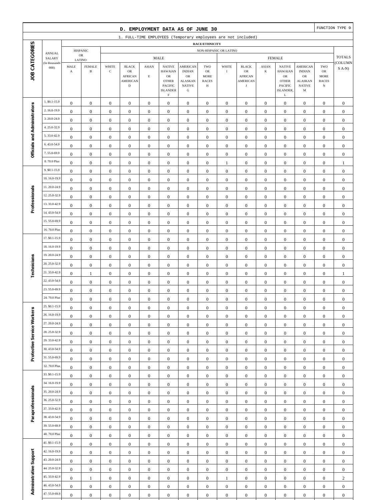|                              |                                |                                  |                                  |                                      |                                                                        |                                                   |                                                                                                        | D. EMPLOYMENT DATA AS OF JUNE 30                                                               |                                                       |                                      |                                                               |                                      |                                                                                                    |                                                                                          |                                                                | FUNCTION TYPE 9                    |
|------------------------------|--------------------------------|----------------------------------|----------------------------------|--------------------------------------|------------------------------------------------------------------------|---------------------------------------------------|--------------------------------------------------------------------------------------------------------|------------------------------------------------------------------------------------------------|-------------------------------------------------------|--------------------------------------|---------------------------------------------------------------|--------------------------------------|----------------------------------------------------------------------------------------------------|------------------------------------------------------------------------------------------|----------------------------------------------------------------|------------------------------------|
|                              |                                |                                  |                                  |                                      |                                                                        |                                                   |                                                                                                        |                                                                                                | <b>RACE/ETHNICITY</b>                                 |                                      | 1. FULL-TIME EMPLOYEES (Temporary employees are not included) |                                      |                                                                                                    |                                                                                          |                                                                |                                    |
|                              | <b>ANNUAL</b>                  |                                  | <b>HISPANIC</b>                  |                                      |                                                                        |                                                   |                                                                                                        |                                                                                                |                                                       | NON-HISPANIC OR LATINO               |                                                               |                                      |                                                                                                    |                                                                                          |                                                                |                                    |
|                              | SALARY                         |                                  | ${\rm OR}$<br>LATINO             |                                      |                                                                        |                                                   | <b>MALE</b>                                                                                            |                                                                                                |                                                       |                                      |                                                               |                                      | <b>FEMALE</b>                                                                                      |                                                                                          |                                                                | <b>TOTALS</b><br>COLUMN            |
| JOB CATEGORIES               | In thousands<br>000)           | MALE<br>$\mathbf A$              | <b>FEMALE</b><br>$\, {\bf B}$    | WHITE<br>$\mathbf C$                 | <b>BLACK</b><br>OR<br><b>AFRICAN</b><br><b>AMERICAN</b><br>$\mathbf D$ | $\operatorname{ASIAN}$<br>$\mathop{\hbox{\bf E}}$ | <b>NATIVE</b><br><b>HAWAIAN</b><br>${\rm OR}$<br><b>OTHER</b><br>PACIFIC<br><b>ISLANDER</b><br>$\rm F$ | <b>AMERICAN</b><br><b>INDIAN</b><br>${\sf OR}$<br><b>ALASKAN</b><br><b>NATIVE</b><br>${\bf G}$ | TWO<br>${\sf OR}$<br><b>MORE</b><br><b>RACES</b><br>H | WHITE<br>$\rm I$                     | <b>BLACK</b><br>OR<br><b>AFRICAN</b><br><b>AMERICAN</b><br>J  | <b>ASIAN</b><br>$\bf K$              | <b>NATIVE</b><br><b>HAWAIAN</b><br>$_{\rm OR}$<br><b>OTHER</b><br><b>PACIFIC</b><br>ISLANDER,<br>L | AMERICAN<br><b>INDIAN</b><br>${\sf OR}$<br><b>ALASKAN</b><br><b>NATIVE</b><br>$_{\rm M}$ | TWO<br>${\sf OR}$<br><b>MORE</b><br><b>RACES</b><br>$_{\rm N}$ | $S(A-N)$                           |
|                              | 1. \$0.1-15.9                  | $\boldsymbol{0}$                 | $\boldsymbol{0}$                 | $\boldsymbol{0}$                     | $\boldsymbol{0}$                                                       | $\boldsymbol{0}$                                  | $\boldsymbol{0}$                                                                                       | $\boldsymbol{0}$                                                                               | $\boldsymbol{0}$                                      | $\boldsymbol{0}$                     | $\boldsymbol{0}$                                              | $\boldsymbol{0}$                     | $\boldsymbol{0}$                                                                                   | $\boldsymbol{0}$                                                                         | $\boldsymbol{0}$                                               | $\boldsymbol{0}$                   |
| Officials and Administrators | 2.16.0-19.9                    | $\boldsymbol{0}$                 | $\boldsymbol{0}$                 | $\boldsymbol{0}$                     | $\boldsymbol{0}$                                                       | $\mathbf{0}$                                      | $\boldsymbol{0}$                                                                                       | $\boldsymbol{0}$                                                                               | $\boldsymbol{0}$                                      | $\boldsymbol{0}$                     | $\boldsymbol{0}$                                              | $\boldsymbol{0}$                     | $\boldsymbol{0}$                                                                                   | $\mathbf{0}$                                                                             | $\boldsymbol{0}$                                               | $\boldsymbol{0}$                   |
|                              | 3.20.0-24.9                    | $\boldsymbol{0}$                 | $\boldsymbol{0}$                 | $\boldsymbol{0}$                     | $\boldsymbol{0}$                                                       | $\boldsymbol{0}$                                  | $\boldsymbol{0}$                                                                                       | $\boldsymbol{0}$                                                                               | $\boldsymbol{0}$                                      | $\boldsymbol{0}$                     | $\boldsymbol{0}$                                              | $\mathbf{0}$                         | $\boldsymbol{0}$                                                                                   | $\boldsymbol{0}$                                                                         | $\boldsymbol{0}$                                               | $\boldsymbol{0}$                   |
|                              | 4.25.0-32.9                    | $\boldsymbol{0}$                 | $\boldsymbol{0}$                 | $\boldsymbol{0}$                     | $\boldsymbol{0}$                                                       | $\boldsymbol{0}$                                  | $\mathbf{0}$                                                                                           | $\boldsymbol{0}$                                                                               | $\boldsymbol{0}$                                      | $\boldsymbol{0}$                     | $\boldsymbol{0}$                                              | $\boldsymbol{0}$                     | $\boldsymbol{0}$                                                                                   | $\boldsymbol{0}$                                                                         | $\boldsymbol{0}$                                               | $\boldsymbol{0}$                   |
|                              | 5.33.0-42.9                    | $\boldsymbol{0}$                 | $\boldsymbol{0}$                 | $\boldsymbol{0}$                     | $\boldsymbol{0}$                                                       | $\boldsymbol{0}$                                  | $\boldsymbol{0}$                                                                                       | $\boldsymbol{0}$                                                                               | $\boldsymbol{0}$                                      | $\boldsymbol{0}$                     | $\boldsymbol{0}$                                              | $\boldsymbol{0}$                     | $\boldsymbol{0}$                                                                                   | $\boldsymbol{0}$                                                                         | $\boldsymbol{0}$                                               | $\boldsymbol{0}$                   |
|                              | 6.43.0-54.9                    | $\mathbf{0}$                     | $\boldsymbol{0}$                 | $\boldsymbol{0}$                     | $\boldsymbol{0}$                                                       | $\mathbf{0}$                                      | $\boldsymbol{0}$                                                                                       | $\boldsymbol{0}$                                                                               | $\boldsymbol{0}$                                      | $\boldsymbol{0}$                     | $\boldsymbol{0}$                                              | $\boldsymbol{0}$                     | $\mathbf{0}$                                                                                       | $\overline{0}$                                                                           | $\boldsymbol{0}$                                               | $\boldsymbol{0}$                   |
|                              | 7.55.0-69.9                    | $\boldsymbol{0}$                 | $\mathbf{0}$                     | $\boldsymbol{0}$                     | $\boldsymbol{0}$                                                       | $\boldsymbol{0}$                                  | $\boldsymbol{0}$                                                                                       | $\boldsymbol{0}$                                                                               | $\boldsymbol{0}$                                      | $\boldsymbol{0}$                     | $\boldsymbol{0}$                                              | $\boldsymbol{0}$                     | $\mathbf{0}$                                                                                       | $\boldsymbol{0}$                                                                         | $\boldsymbol{0}$                                               | $\boldsymbol{0}$                   |
|                              | 8.70.0 Plus                    | $\boldsymbol{0}$                 | $\boldsymbol{0}$                 | $\boldsymbol{0}$                     | $\boldsymbol{0}$                                                       | $\boldsymbol{0}$                                  | $\boldsymbol{0}$                                                                                       | $\boldsymbol{0}$                                                                               | $\boldsymbol{0}$                                      | $\mathbf{1}$                         | $\boldsymbol{0}$                                              | $\boldsymbol{0}$                     | $\mathbf{0}$                                                                                       | $\boldsymbol{0}$                                                                         | $\boldsymbol{0}$                                               | 1                                  |
|                              | 9. \$0.1-15.9                  | $\boldsymbol{0}$                 | $\boldsymbol{0}$                 | $\boldsymbol{0}$                     | $\boldsymbol{0}$                                                       | $\boldsymbol{0}$                                  | $\boldsymbol{0}$                                                                                       | $\boldsymbol{0}$                                                                               | $\boldsymbol{0}$                                      | $\boldsymbol{0}$                     | $\boldsymbol{0}$                                              | $\boldsymbol{0}$                     | $\mathbf{0}$                                                                                       | $\boldsymbol{0}$                                                                         | $\boldsymbol{0}$                                               | $\boldsymbol{0}$                   |
|                              | 10.16.0-19.9                   | $\overline{0}$                   | $\boldsymbol{0}$                 | $\mathbf{0}$                         | $\boldsymbol{0}$                                                       | $\boldsymbol{0}$                                  | $\boldsymbol{0}$                                                                                       | $\boldsymbol{0}$                                                                               | $\boldsymbol{0}$                                      | $\boldsymbol{0}$                     | $\boldsymbol{0}$                                              | $\boldsymbol{0}$                     | $\mathbf{0}$                                                                                       | $\boldsymbol{0}$                                                                         | $\boldsymbol{0}$                                               | $\boldsymbol{0}$                   |
|                              | 11.20.0-24.9                   | $\boldsymbol{0}$                 | $\boldsymbol{0}$                 | $\boldsymbol{0}$                     | $\boldsymbol{0}$                                                       | $\mathbf{0}$                                      | $\boldsymbol{0}$                                                                                       | $\boldsymbol{0}$                                                                               | $\boldsymbol{0}$                                      | $\boldsymbol{0}$                     | $\boldsymbol{0}$                                              | $\mathbf{0}$                         | $\mathbf{0}$                                                                                       | $\boldsymbol{0}$                                                                         | $\boldsymbol{0}$                                               | $\boldsymbol{0}$                   |
| Professionals                | 12.25.0-32.9                   | $\boldsymbol{0}$                 | $\boldsymbol{0}$                 | $\boldsymbol{0}$                     | $\boldsymbol{0}$                                                       | $\boldsymbol{0}$                                  | $\boldsymbol{0}$                                                                                       | $\boldsymbol{0}$                                                                               | $\boldsymbol{0}$                                      | $\boldsymbol{0}$                     | $\boldsymbol{0}$                                              | $\boldsymbol{0}$                     | $\boldsymbol{0}$                                                                                   | $\boldsymbol{0}$                                                                         | $\boldsymbol{0}$                                               | $\boldsymbol{0}$                   |
|                              | 13.33.0-42.9                   | $\boldsymbol{0}$                 | $\boldsymbol{0}$                 | $\boldsymbol{0}$                     | $\boldsymbol{0}$                                                       | $\boldsymbol{0}$                                  | $\boldsymbol{0}$                                                                                       | $\boldsymbol{0}$                                                                               | $\boldsymbol{0}$                                      | $\boldsymbol{0}$                     | $\boldsymbol{0}$                                              | $\boldsymbol{0}$                     | $\boldsymbol{0}$                                                                                   | $\boldsymbol{0}$                                                                         | $\boldsymbol{0}$                                               | $\boldsymbol{0}$                   |
|                              | 14.43.0-54.9                   | $\overline{0}$                   | $\boldsymbol{0}$                 | $\mathbf{0}$                         | $\boldsymbol{0}$                                                       | $\boldsymbol{0}$                                  | $\boldsymbol{0}$                                                                                       | $\boldsymbol{0}$                                                                               | $\boldsymbol{0}$                                      | $\boldsymbol{0}$                     | $\boldsymbol{0}$                                              | $\boldsymbol{0}$                     | $\mathbf{0}$                                                                                       | $\overline{0}$                                                                           | $\boldsymbol{0}$                                               | $\boldsymbol{0}$                   |
|                              | 15.55.0-69.9                   | $\boldsymbol{0}$                 | $\mathbf{0}$                     | $\boldsymbol{0}$                     | $\boldsymbol{0}$                                                       | $\boldsymbol{0}$                                  | $\boldsymbol{0}$                                                                                       | $\boldsymbol{0}$                                                                               | $\boldsymbol{0}$                                      | $\boldsymbol{0}$                     | $\boldsymbol{0}$                                              | $\boldsymbol{0}$                     | $\mathbf{0}$                                                                                       | $\boldsymbol{0}$                                                                         | $\boldsymbol{0}$                                               | $\boldsymbol{0}$                   |
|                              | 16.70.0 Plus                   | $\boldsymbol{0}$                 | $\boldsymbol{0}$                 | $\boldsymbol{0}$                     | $\boldsymbol{0}$                                                       | $\boldsymbol{0}$                                  | $\boldsymbol{0}$                                                                                       | $\boldsymbol{0}$                                                                               | $\boldsymbol{0}$                                      | $\boldsymbol{0}$                     | $\boldsymbol{0}$                                              | $\boldsymbol{0}$                     | $\mathbf{0}$                                                                                       | $\boldsymbol{0}$                                                                         | $\boldsymbol{0}$                                               | $\boldsymbol{0}$                   |
|                              | 17. \$0.1-15.9                 | $\boldsymbol{0}$                 | $\boldsymbol{0}$                 | $\boldsymbol{0}$                     | $\boldsymbol{0}$                                                       | $\boldsymbol{0}$                                  | $\boldsymbol{0}$                                                                                       | $\boldsymbol{0}$                                                                               | $\boldsymbol{0}$                                      | $\boldsymbol{0}$                     | $\boldsymbol{0}$                                              | $\boldsymbol{0}$                     | $\boldsymbol{0}$                                                                                   | $\boldsymbol{0}$                                                                         | $\boldsymbol{0}$                                               | $\boldsymbol{0}$                   |
|                              | 18.16.0-19.9                   | $\overline{0}$                   | $\boldsymbol{0}$                 | $\boldsymbol{0}$                     | $\boldsymbol{0}$                                                       | $\boldsymbol{0}$                                  | $\boldsymbol{0}$                                                                                       | $\boldsymbol{0}$                                                                               | $\boldsymbol{0}$                                      | $\boldsymbol{0}$                     | $\boldsymbol{0}$                                              | $\mathbf{0}$                         | $\mathbf{0}$                                                                                       | $\boldsymbol{0}$                                                                         | $\boldsymbol{0}$                                               | $\boldsymbol{0}$                   |
|                              | 19.20.0-24.9                   | $\boldsymbol{0}$                 | $\boldsymbol{0}$                 | $\boldsymbol{0}$                     | $\boldsymbol{0}$                                                       | $\boldsymbol{0}$                                  | $\boldsymbol{0}$                                                                                       | $\boldsymbol{0}$                                                                               | $\boldsymbol{0}$                                      | $\boldsymbol{0}$                     | $\boldsymbol{0}$                                              | $\boldsymbol{0}$                     | $\mathbf{0}$                                                                                       | $\boldsymbol{0}$                                                                         | $\boldsymbol{0}$                                               | $\boldsymbol{0}$                   |
| Technicians                  | 20.25.0-32.9                   | $\boldsymbol{0}$                 | $\boldsymbol{0}$                 | $\boldsymbol{0}$                     | $\boldsymbol{0}$                                                       | $\boldsymbol{0}$                                  | $\mathbf{0}$                                                                                           | $\boldsymbol{0}$                                                                               | $\boldsymbol{0}$                                      | $\boldsymbol{0}$                     | $\boldsymbol{0}$                                              | $\boldsymbol{0}$                     | $\boldsymbol{0}$                                                                                   | $\boldsymbol{0}$                                                                         | $\boldsymbol{0}$                                               | $\boldsymbol{0}$                   |
|                              | 21.33.0-42.9                   | $\boldsymbol{0}$                 | $\mathbf{1}$                     | $\boldsymbol{0}$                     | $\boldsymbol{0}$                                                       | $\boldsymbol{0}$                                  | $\boldsymbol{0}$                                                                                       | $\boldsymbol{0}$                                                                               | $\boldsymbol{0}$                                      | $\boldsymbol{0}$                     | $\boldsymbol{0}$                                              | $\boldsymbol{0}$                     | $\boldsymbol{0}$                                                                                   | $\boldsymbol{0}$                                                                         | $\boldsymbol{0}$                                               | $\mathbf{1}$                       |
|                              | 22.43.0-54.9                   | $\boldsymbol{0}$                 | $\boldsymbol{0}$                 | $\boldsymbol{0}$                     | $\boldsymbol{0}$                                                       | $\mathbf{0}$                                      | $\boldsymbol{0}$                                                                                       | $\boldsymbol{0}$                                                                               | $\boldsymbol{0}$                                      | $\boldsymbol{0}$                     | $\boldsymbol{0}$                                              | $\mathbf{0}$                         | $\mathbf{0}$                                                                                       | $\overline{0}$                                                                           | $\boldsymbol{0}$                                               | $\boldsymbol{0}$                   |
|                              | 23.55.0-69.9                   | $\boldsymbol{0}$                 | $\boldsymbol{0}$                 | $\boldsymbol{0}$                     | $\boldsymbol{0}$                                                       | $\boldsymbol{0}$                                  | $\boldsymbol{0}$                                                                                       | $\boldsymbol{0}$                                                                               | $\boldsymbol{0}$                                      | $\boldsymbol{0}$                     | $\boldsymbol{0}$                                              | $\boldsymbol{0}$                     | $\mathbf{0}$                                                                                       | $\boldsymbol{0}$                                                                         | $\boldsymbol{0}$                                               | $\boldsymbol{0}$                   |
|                              | 24.70.0 Plus                   | $\mathbf{0}$                     | $\boldsymbol{0}$                 | $\boldsymbol{0}$                     | $\boldsymbol{0}$                                                       | $\boldsymbol{0}$                                  | $\boldsymbol{0}$                                                                                       | $\boldsymbol{0}$                                                                               | $\boldsymbol{0}$                                      | $\boldsymbol{0}$                     | $\mathbf{0}$                                                  | $\boldsymbol{0}$                     | $\mathbf{0}$                                                                                       | $\boldsymbol{0}$                                                                         | $\boldsymbol{0}$                                               | $\boldsymbol{0}$                   |
|                              | 25. \$0.1-15.9                 | $\boldsymbol{0}$                 | $\boldsymbol{0}$                 | $\boldsymbol{0}$                     | $\boldsymbol{0}$                                                       | $\boldsymbol{0}$                                  | $\boldsymbol{0}$                                                                                       | $\boldsymbol{0}$                                                                               | $\boldsymbol{0}$                                      | $\boldsymbol{0}$                     | $\boldsymbol{0}$                                              | $\boldsymbol{0}$                     | $\boldsymbol{0}$                                                                                   | $\boldsymbol{0}$                                                                         | $\boldsymbol{0}$                                               | $\boldsymbol{0}$                   |
|                              | 26.16.0-19.9                   | $\overline{0}$                   | $\boldsymbol{0}$                 | $\boldsymbol{0}$                     | $\mathbf{0}$                                                           | $\mathbf{0}$                                      | $\mathbf{0}$                                                                                           | $\boldsymbol{0}$                                                                               | $\overline{0}$                                        | $\mathbf{0}$                         | $\overline{0}$                                                | $\boldsymbol{0}$                     | $\mathbf{0}$                                                                                       | $\overline{0}$                                                                           | $\mathbf{0}$                                                   | $\boldsymbol{0}$                   |
|                              | 27.20.0-24.9                   | $\mathbf{0}$                     | $\mathbf{0}$                     | $\boldsymbol{0}$                     | $\mathbf{0}$                                                           | $\mathbf{0}$                                      | $\boldsymbol{0}$                                                                                       | $\boldsymbol{0}$                                                                               | $\boldsymbol{0}$                                      | $\boldsymbol{0}$                     | $\mathbf{0}$                                                  | $\boldsymbol{0}$                     | $\boldsymbol{0}$                                                                                   | $\boldsymbol{0}$                                                                         | $\boldsymbol{0}$                                               | $\boldsymbol{0}$                   |
| Protective Service Workers   | 28.25.0-32.9                   | $\boldsymbol{0}$                 | $\boldsymbol{0}$                 | $\boldsymbol{0}$                     | $\boldsymbol{0}$                                                       | $\mathbf{0}$                                      | $\boldsymbol{0}$                                                                                       | $\boldsymbol{0}$                                                                               | $\boldsymbol{0}$                                      | $\boldsymbol{0}$                     | $\boldsymbol{0}$                                              | $\boldsymbol{0}$                     | $\boldsymbol{0}$                                                                                   | $\boldsymbol{0}$                                                                         | $\boldsymbol{0}$                                               | $\boldsymbol{0}$                   |
|                              | 29.33.0-42.9                   | $\boldsymbol{0}$                 | $\boldsymbol{0}$                 | $\boldsymbol{0}$                     | $\boldsymbol{0}$                                                       | $\boldsymbol{0}$                                  | $\boldsymbol{0}$                                                                                       | $\boldsymbol{0}$                                                                               | $\boldsymbol{0}$                                      | $\boldsymbol{0}$                     | $\boldsymbol{0}$                                              | $\boldsymbol{0}$                     | $\boldsymbol{0}$                                                                                   | $\boldsymbol{0}$                                                                         | $\boldsymbol{0}$                                               | $\boldsymbol{0}$                   |
|                              | 30.43.0-54.9                   | $\boldsymbol{0}$                 | $\mathbf{0}$                     | $\boldsymbol{0}$                     | $\boldsymbol{0}$                                                       | $\mathbf{0}$                                      | $\boldsymbol{0}$                                                                                       | $\boldsymbol{0}$                                                                               | $\boldsymbol{0}$                                      | $\boldsymbol{0}$                     | $\overline{0}$                                                | $\boldsymbol{0}$                     | $\boldsymbol{0}$                                                                                   | $\boldsymbol{0}$                                                                         | $\boldsymbol{0}$                                               | $\boldsymbol{0}$                   |
|                              | 31.55.0-69.9                   | $\boldsymbol{0}$                 | $\mathbf{0}$                     | $\boldsymbol{0}$                     | $\boldsymbol{0}$                                                       | $\mathbf{0}$                                      | $\boldsymbol{0}$                                                                                       | $\boldsymbol{0}$                                                                               | $\boldsymbol{0}$                                      | $\boldsymbol{0}$                     | $\boldsymbol{0}$                                              | $\boldsymbol{0}$                     | $\boldsymbol{0}$                                                                                   | $\boldsymbol{0}$                                                                         | $\boldsymbol{0}$                                               | $\boldsymbol{0}$                   |
|                              | 32.70.0 Plus<br>33. \$0.1-15.9 | $\boldsymbol{0}$                 | $\boldsymbol{0}$                 | $\boldsymbol{0}$                     | $\boldsymbol{0}$                                                       | $\mathbf{0}$                                      | $\boldsymbol{0}$                                                                                       | $\boldsymbol{0}$                                                                               | $\boldsymbol{0}$                                      | $\boldsymbol{0}$                     | $\boldsymbol{0}$                                              | $\boldsymbol{0}$                     | $\boldsymbol{0}$                                                                                   | $\boldsymbol{0}$                                                                         | $\boldsymbol{0}$                                               | $\boldsymbol{0}$                   |
|                              | 34.16.0-19.9                   | $\mathbf{0}$                     | $\boldsymbol{0}$                 | $\boldsymbol{0}$                     | $\boldsymbol{0}$                                                       | $\boldsymbol{0}$                                  | $\boldsymbol{0}$                                                                                       | $\boldsymbol{0}$                                                                               | $\boldsymbol{0}$                                      | $\boldsymbol{0}$                     | $\boldsymbol{0}$                                              | $\boldsymbol{0}$                     | $\boldsymbol{0}$                                                                                   | $\boldsymbol{0}$                                                                         | $\boldsymbol{0}$                                               | $\boldsymbol{0}$                   |
|                              | 35.20.0-24.9                   | $\mathbf{0}$                     | $\mathbf{0}$                     | $\boldsymbol{0}$                     | $\boldsymbol{0}$                                                       | $\mathbf{0}$                                      | $\boldsymbol{0}$                                                                                       | $\boldsymbol{0}$                                                                               | $\boldsymbol{0}$                                      | $\boldsymbol{0}$                     | $\overline{0}$                                                | $\boldsymbol{0}$                     | $\boldsymbol{0}$                                                                                   | $\boldsymbol{0}$                                                                         | $\boldsymbol{0}$                                               | $\boldsymbol{0}$                   |
| Paraprofessionals            | 36.25.0-32.9                   | $\mathbf{0}$                     | $\boldsymbol{0}$                 | $\boldsymbol{0}$                     | $\boldsymbol{0}$                                                       | $\mathbf{0}$                                      | $\boldsymbol{0}$                                                                                       | $\boldsymbol{0}$                                                                               | $\boldsymbol{0}$                                      | $\boldsymbol{0}$                     | $\mathbf{0}$                                                  | $\boldsymbol{0}$                     | $\boldsymbol{0}$                                                                                   | $\boldsymbol{0}$                                                                         | $\boldsymbol{0}$                                               | $\boldsymbol{0}$                   |
|                              | 37.33.0-42.9                   | $\boldsymbol{0}$                 | $\boldsymbol{0}$                 | $\boldsymbol{0}$                     | $\boldsymbol{0}$                                                       | $\mathbf{0}$                                      | $\boldsymbol{0}$                                                                                       | $\boldsymbol{0}$                                                                               | $\boldsymbol{0}$                                      | $\boldsymbol{0}$                     | $\boldsymbol{0}$                                              | $\boldsymbol{0}$                     | $\boldsymbol{0}$                                                                                   | $\boldsymbol{0}$                                                                         | $\boldsymbol{0}$                                               | $\boldsymbol{0}$                   |
|                              | 38.43.0-54.9                   | $\boldsymbol{0}$                 | $\boldsymbol{0}$                 | $\boldsymbol{0}$                     | $\boldsymbol{0}$                                                       | $\boldsymbol{0}$                                  | $\boldsymbol{0}$                                                                                       | $\boldsymbol{0}$                                                                               | $\boldsymbol{0}$                                      | $\boldsymbol{0}$                     | $\boldsymbol{0}$                                              | $\boldsymbol{0}$                     | $\boldsymbol{0}$                                                                                   | $\boldsymbol{0}$                                                                         | $\boldsymbol{0}$                                               | $\boldsymbol{0}$                   |
|                              | 39.55.0-69.9                   | $\boldsymbol{0}$                 | $\mathbf{0}$                     | $\boldsymbol{0}$                     | $\boldsymbol{0}$                                                       | $\mathbf{0}$                                      | $\boldsymbol{0}$                                                                                       | $\boldsymbol{0}$                                                                               | $\boldsymbol{0}$                                      | $\boldsymbol{0}$                     | $\overline{0}$                                                | $\boldsymbol{0}$                     | $\boldsymbol{0}$                                                                                   | $\boldsymbol{0}$                                                                         | $\boldsymbol{0}$                                               | $\boldsymbol{0}$                   |
|                              | 40.70.0 Plus                   | $\mathbf{0}$                     | $\mathbf{0}$                     | $\boldsymbol{0}$                     | $\boldsymbol{0}$                                                       | $\mathbf{0}$                                      | $\boldsymbol{0}$                                                                                       | $\boldsymbol{0}$                                                                               | $\boldsymbol{0}$                                      | $\boldsymbol{0}$                     | $\mathbf{0}$                                                  | $\boldsymbol{0}$                     | $\boldsymbol{0}$                                                                                   | $\boldsymbol{0}$                                                                         | $\boldsymbol{0}$                                               | $\boldsymbol{0}$                   |
|                              | 41. \$0.1-15.9                 | $\boldsymbol{0}$                 | $\boldsymbol{0}$                 | $\boldsymbol{0}$                     | $\boldsymbol{0}$                                                       | $\boldsymbol{0}$                                  | $\boldsymbol{0}$                                                                                       | $\boldsymbol{0}$                                                                               | $\boldsymbol{0}$                                      | $\boldsymbol{0}$                     | $\boldsymbol{0}$                                              | $\boldsymbol{0}$                     | $\boldsymbol{0}$                                                                                   | $\boldsymbol{0}$                                                                         | $\boldsymbol{0}$                                               | $\boldsymbol{0}$                   |
|                              | 42.16.0-19.9                   | $\mathbf{0}$<br>$\boldsymbol{0}$ | $\boldsymbol{0}$<br>$\mathbf{0}$ | $\boldsymbol{0}$<br>$\boldsymbol{0}$ | $\boldsymbol{0}$<br>$\boldsymbol{0}$                                   | $\boldsymbol{0}$<br>$\mathbf{0}$                  | $\boldsymbol{0}$                                                                                       | $\boldsymbol{0}$<br>$\boldsymbol{0}$                                                           | $\boldsymbol{0}$<br>$\boldsymbol{0}$                  | $\boldsymbol{0}$<br>$\boldsymbol{0}$ | $\boldsymbol{0}$<br>$\overline{0}$                            | $\boldsymbol{0}$                     | $\boldsymbol{0}$<br>$\boldsymbol{0}$                                                               | $\boldsymbol{0}$<br>$\overline{0}$                                                       | $\boldsymbol{0}$<br>$\boldsymbol{0}$                           | $\boldsymbol{0}$                   |
|                              | 43.20.0-24.9                   | $\mathbf{0}$                     | $\mathbf{0}$                     |                                      |                                                                        | $\mathbf{0}$                                      | $\boldsymbol{0}$                                                                                       |                                                                                                |                                                       |                                      |                                                               | $\boldsymbol{0}$                     |                                                                                                    |                                                                                          |                                                                | $\boldsymbol{0}$                   |
|                              | 44.25.0-32.9                   | $\boldsymbol{0}$                 |                                  | $\boldsymbol{0}$                     | $\boldsymbol{0}$                                                       | $\boldsymbol{0}$                                  | $\boldsymbol{0}$<br>$\boldsymbol{0}$                                                                   | $\boldsymbol{0}$                                                                               | $\boldsymbol{0}$                                      | $\boldsymbol{0}$                     | $\mathbf{0}$                                                  | $\boldsymbol{0}$                     | $\boldsymbol{0}$                                                                                   | $\boldsymbol{0}$                                                                         | $\boldsymbol{0}$                                               | $\boldsymbol{0}$                   |
| Administrative Support       | 45.33.0-42.9                   | $\mathbf{0}$                     | $\boldsymbol{0}$                 | $\boldsymbol{0}$<br>$\boldsymbol{0}$ | $\boldsymbol{0}$<br>$\boldsymbol{0}$                                   | $\boldsymbol{0}$                                  | $\boldsymbol{0}$                                                                                       | $\boldsymbol{0}$<br>$\boldsymbol{0}$                                                           | $\boldsymbol{0}$<br>$\boldsymbol{0}$                  | $\boldsymbol{0}$<br>$\mathbf{1}$     | $\boldsymbol{0}$<br>$\boldsymbol{0}$                          | $\boldsymbol{0}$<br>$\boldsymbol{0}$ | $\boldsymbol{0}$<br>$\boldsymbol{0}$                                                               | $\boldsymbol{0}$<br>$\boldsymbol{0}$                                                     | $\boldsymbol{0}$<br>$\boldsymbol{0}$                           | $\boldsymbol{0}$<br>$\overline{c}$ |
|                              | 46.43.0-54.9                   | $\boldsymbol{0}$                 | $\mathbf{1}$<br>$\boldsymbol{0}$ | $\boldsymbol{0}$                     | $\boldsymbol{0}$                                                       | $\mathbf{0}$                                      | $\boldsymbol{0}$                                                                                       | $\boldsymbol{0}$                                                                               | $\boldsymbol{0}$                                      | $\boldsymbol{0}$                     | $\boldsymbol{0}$                                              | $\boldsymbol{0}$                     | $\boldsymbol{0}$                                                                                   | $\boldsymbol{0}$                                                                         | $\boldsymbol{0}$                                               | $\boldsymbol{0}$                   |
|                              | 47.55.0-69.9                   | $\boldsymbol{0}$                 | $\boldsymbol{0}$                 | $\boldsymbol{0}$                     | $\boldsymbol{0}$                                                       | $\boldsymbol{0}$                                  | $\boldsymbol{0}$                                                                                       | $\boldsymbol{0}$                                                                               | $\boldsymbol{0}$                                      | $\boldsymbol{0}$                     | $\boldsymbol{0}$                                              | $\boldsymbol{0}$                     | $\boldsymbol{0}$                                                                                   | $\boldsymbol{0}$                                                                         | $\boldsymbol{0}$                                               | $\boldsymbol{0}$                   |
|                              |                                |                                  |                                  |                                      |                                                                        |                                                   |                                                                                                        |                                                                                                |                                                       |                                      |                                                               |                                      |                                                                                                    |                                                                                          |                                                                |                                    |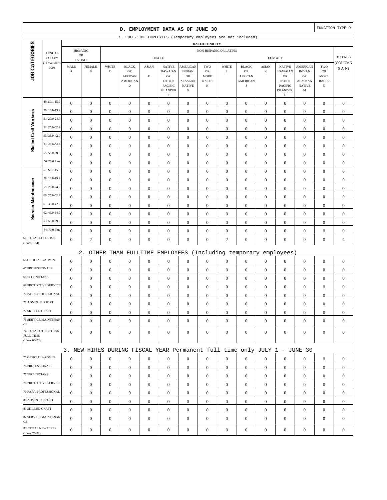| D. EMPLOYMENT DATA AS OF JUNE 30                                                                                                                                                                                            |                                      |                                   |                         |                                 |                                  |                             | FUNCTION TYPE 9  |
|-----------------------------------------------------------------------------------------------------------------------------------------------------------------------------------------------------------------------------|--------------------------------------|-----------------------------------|-------------------------|---------------------------------|----------------------------------|-----------------------------|------------------|
| 1. FULL-TIME EMPLOYEES (Temporary employees are not included)                                                                                                                                                               |                                      |                                   |                         |                                 |                                  |                             |                  |
|                                                                                                                                                                                                                             | <b>RACE/ETHNICITY</b>                |                                   |                         |                                 |                                  |                             |                  |
| <b>HISPANIC</b><br><b>ANNUAL</b><br>${\sf OR}$<br><b>MALE</b>                                                                                                                                                               | NON-HISPANIC OR LATINO               |                                   |                         | <b>FEMALE</b>                   |                                  |                             | <b>TOTALS</b>    |
| SALARY<br>LATINO<br>(In thousands                                                                                                                                                                                           |                                      |                                   |                         |                                 |                                  |                             | (COLUMN          |
| JOB CATEGORIES<br><b>FEMALE</b><br>WHITE<br><b>BLACK</b><br>$\operatorname{ASIAN}$<br><b>NATIVE</b><br>AMERICAN<br>MALE<br>000)<br>$\, {\bf B}$<br>$\mathbf C$<br><b>HAWAIAN</b><br><b>INDIAN</b><br>$\boldsymbol{A}$<br>OR | TWO<br>WHITE<br>OR<br>$\bf{I}$       | <b>BLACK</b><br>OR                | <b>ASIAN</b><br>$\bf K$ | <b>NATIVE</b><br><b>HAWAIAN</b> | <b>AMERICAN</b><br><b>INDIAN</b> | TWO<br>OR                   | $S(A-N)$         |
| ${\rm OR}$<br><b>AFRICAN</b><br>Е<br>OR<br><b>OTHER</b><br><b>AMERICAN</b><br>ALASKAN                                                                                                                                       | <b>MORE</b><br><b>RACES</b>          | <b>AFRICAN</b><br><b>AMERICAN</b> |                         | $_{\rm OR}$<br><b>OTHER</b>     | OR<br><b>ALASKAN</b>             | <b>MORE</b><br><b>RACES</b> |                  |
| <b>PACIFIC</b><br><b>NATIVE</b><br>$\mathbf D$<br><b>ISLANDER</b><br>${\bf G}$                                                                                                                                              | $_{\rm H}$                           | J                                 |                         | <b>PACIFIC</b><br>ISLANDER,     | <b>NATIVE</b><br>M               | $_{\rm N}$                  |                  |
| $\rm F$<br>49. \$0.1-15.9<br>$\boldsymbol{0}$<br>$\boldsymbol{0}$<br>$\boldsymbol{0}$<br>$\boldsymbol{0}$<br>$\boldsymbol{0}$<br>$\boldsymbol{0}$<br>$\boldsymbol{0}$                                                       | $\boldsymbol{0}$<br>$\boldsymbol{0}$ | $\boldsymbol{0}$                  | $\boldsymbol{0}$        | L<br>$\boldsymbol{0}$           | $\boldsymbol{0}$                 | $\boldsymbol{0}$            | $\boldsymbol{0}$ |
| 50.16.0-19.9<br>$\boldsymbol{0}$<br>$\boldsymbol{0}$<br>$\boldsymbol{0}$<br>$\mathbf{0}$<br>$\boldsymbol{0}$<br>$\boldsymbol{0}$<br>$\boldsymbol{0}$                                                                        | $\boldsymbol{0}$<br>$\boldsymbol{0}$ | $\mathbf{0}$                      | $\mathbf{0}$            | $\boldsymbol{0}$                | $\boldsymbol{0}$                 | $\boldsymbol{0}$            | $\boldsymbol{0}$ |
| Skilled Craft Workers<br>51.20.0-24.9<br>$\boldsymbol{0}$<br>$\boldsymbol{0}$<br>$\boldsymbol{0}$<br>$\boldsymbol{0}$<br>$\boldsymbol{0}$<br>$\boldsymbol{0}$<br>$\mathbf{0}$                                               | $\boldsymbol{0}$<br>$\boldsymbol{0}$ | $\boldsymbol{0}$                  | $\boldsymbol{0}$        | $\boldsymbol{0}$                | $\boldsymbol{0}$                 | $\boldsymbol{0}$            | $\boldsymbol{0}$ |
| 52.25.0-32.9<br>$\boldsymbol{0}$<br>$\boldsymbol{0}$<br>$\boldsymbol{0}$<br>$\boldsymbol{0}$<br>$\boldsymbol{0}$<br>$\boldsymbol{0}$<br>$\mathbf{0}$                                                                        | $\boldsymbol{0}$<br>$\boldsymbol{0}$ | $\boldsymbol{0}$                  | $\mathbf{0}$            | $\boldsymbol{0}$                | $\boldsymbol{0}$                 | $\boldsymbol{0}$            | $\boldsymbol{0}$ |
| 53.33.0-42.9<br>$\boldsymbol{0}$<br>$\boldsymbol{0}$<br>$\boldsymbol{0}$<br>$\boldsymbol{0}$<br>$\boldsymbol{0}$<br>$\boldsymbol{0}$<br>$\boldsymbol{0}$                                                                    | $\boldsymbol{0}$<br>$\boldsymbol{0}$ | $\boldsymbol{0}$                  | $\boldsymbol{0}$        | $\boldsymbol{0}$                | $\boldsymbol{0}$                 | $\boldsymbol{0}$            | $\boldsymbol{0}$ |
| 54.43.0-54.9<br>$\boldsymbol{0}$<br>$\boldsymbol{0}$<br>$\boldsymbol{0}$<br>$\boldsymbol{0}$<br>$\boldsymbol{0}$<br>$\boldsymbol{0}$<br>$\boldsymbol{0}$                                                                    | $\boldsymbol{0}$<br>$\boldsymbol{0}$ | $\mathbf{0}$                      | $\mathbf{0}$            | $\boldsymbol{0}$                | $\boldsymbol{0}$                 | $\boldsymbol{0}$            | $\boldsymbol{0}$ |
| 55.55.0-69.9<br>$\overline{0}$<br>$\boldsymbol{0}$<br>$\boldsymbol{0}$<br>$\boldsymbol{0}$<br>$\boldsymbol{0}$<br>$\boldsymbol{0}$<br>$\boldsymbol{0}$                                                                      | $\boldsymbol{0}$<br>$\boldsymbol{0}$ | $\boldsymbol{0}$                  | $\boldsymbol{0}$        | $\boldsymbol{0}$                | $\boldsymbol{0}$                 | $\boldsymbol{0}$            | $\boldsymbol{0}$ |
| 56.70.0 Plus<br>$\mathbf{0}$<br>$\boldsymbol{0}$<br>$\boldsymbol{0}$<br>$\boldsymbol{0}$<br>$\boldsymbol{0}$<br>$\boldsymbol{0}$<br>$\mathbf{0}$                                                                            | $\boldsymbol{0}$<br>$\boldsymbol{0}$ | $\boldsymbol{0}$                  | $\mathbf{0}$            | $\boldsymbol{0}$                | $\boldsymbol{0}$                 | $\boldsymbol{0}$            | $\boldsymbol{0}$ |
| 57. \$0.1-15.9<br>$\boldsymbol{0}$<br>$\boldsymbol{0}$<br>$\boldsymbol{0}$<br>$\boldsymbol{0}$<br>$\boldsymbol{0}$<br>$\boldsymbol{0}$<br>$\boldsymbol{0}$                                                                  | $\boldsymbol{0}$<br>$\boldsymbol{0}$ | $\boldsymbol{0}$                  | $\mathbf{0}$            | $\boldsymbol{0}$                | $\boldsymbol{0}$                 | $\boldsymbol{0}$            | $\boldsymbol{0}$ |
| 58.16.0-19.9<br>$\boldsymbol{0}$<br>$\boldsymbol{0}$<br>$\boldsymbol{0}$<br>$\boldsymbol{0}$<br>$\boldsymbol{0}$<br>$\boldsymbol{0}$<br>$\boldsymbol{0}$                                                                    | $\boldsymbol{0}$<br>$\boldsymbol{0}$ | $\boldsymbol{0}$                  | $\mathbf{0}$            | $\boldsymbol{0}$                | $\boldsymbol{0}$                 | $\boldsymbol{0}$            | $\boldsymbol{0}$ |
| 59.20.0-24.9<br>$\boldsymbol{0}$<br>$\boldsymbol{0}$<br>$\boldsymbol{0}$<br>$\boldsymbol{0}$<br>$\boldsymbol{0}$<br>$\boldsymbol{0}$<br>$\overline{0}$                                                                      | $\boldsymbol{0}$<br>$\boldsymbol{0}$ | $\boldsymbol{0}$                  | $\boldsymbol{0}$        | $\boldsymbol{0}$                | $\boldsymbol{0}$                 | $\boldsymbol{0}$            | $\boldsymbol{0}$ |
| 60.25.0-32.9<br>$\boldsymbol{0}$<br>$\boldsymbol{0}$<br>$\boldsymbol{0}$<br>$\boldsymbol{0}$<br>$\boldsymbol{0}$<br>$\boldsymbol{0}$<br>$\boldsymbol{0}$                                                                    | $\boldsymbol{0}$<br>$\boldsymbol{0}$ | $\boldsymbol{0}$                  | $\boldsymbol{0}$        | $\boldsymbol{0}$                | $\boldsymbol{0}$                 | $\boldsymbol{0}$            | $\boldsymbol{0}$ |
| Service-Maintenance<br>61.33.0-42.9<br>$\boldsymbol{0}$<br>$\boldsymbol{0}$<br>$\boldsymbol{0}$<br>$\boldsymbol{0}$<br>$\boldsymbol{0}$<br>$\boldsymbol{0}$<br>$\boldsymbol{0}$                                             | $\boldsymbol{0}$<br>$\boldsymbol{0}$ | $\boldsymbol{0}$                  | $\boldsymbol{0}$        | $\boldsymbol{0}$                | $\boldsymbol{0}$                 | $\boldsymbol{0}$            | $\boldsymbol{0}$ |
| 62.43.0-54.9<br>$\mathbf{0}$<br>$\boldsymbol{0}$<br>$\boldsymbol{0}$<br>$\boldsymbol{0}$<br>$\mathbf{0}$<br>$\boldsymbol{0}$<br>$\boldsymbol{0}$                                                                            | $\boldsymbol{0}$<br>$\boldsymbol{0}$ | $\boldsymbol{0}$                  | $\boldsymbol{0}$        | $\boldsymbol{0}$                | $\boldsymbol{0}$                 | $\boldsymbol{0}$            | $\boldsymbol{0}$ |
| 63.55.0-69.9<br>$\overline{0}$<br>$\boldsymbol{0}$<br>$\boldsymbol{0}$<br>$\mathbf{0}$<br>$\mathbf{0}$<br>$\boldsymbol{0}$<br>$\boldsymbol{0}$                                                                              | $\boldsymbol{0}$<br>$\boldsymbol{0}$ | $\boldsymbol{0}$                  | $\boldsymbol{0}$        | $\boldsymbol{0}$                | $\boldsymbol{0}$                 | $\boldsymbol{0}$            | $\boldsymbol{0}$ |
| 64.70.0 Plus<br>$\mathbf{0}$<br>$\boldsymbol{0}$<br>$\boldsymbol{0}$<br>$\boldsymbol{0}$<br>$\boldsymbol{0}$<br>$\mathbf{0}$<br>$\boldsymbol{0}$                                                                            | $\boldsymbol{0}$<br>$\boldsymbol{0}$ | $\boldsymbol{0}$                  | $\boldsymbol{0}$        | $\boldsymbol{0}$                | $\boldsymbol{0}$                 | $\boldsymbol{0}$            | $\boldsymbol{0}$ |
| 65. TOTAL FULL TIME<br>$\mathbf{0}$<br>$\sqrt{2}$<br>$\boldsymbol{0}$<br>$\boldsymbol{0}$<br>$\boldsymbol{0}$<br>$\boldsymbol{0}$<br>$\boldsymbol{0}$<br>(Lines 1-64)                                                       | $\boldsymbol{0}$<br>$\sqrt{2}$       | $\boldsymbol{0}$                  | $\boldsymbol{0}$        | $\boldsymbol{0}$                | $\boldsymbol{0}$                 | $\boldsymbol{0}$            | $\overline{4}$   |
| $2$ .<br>EMPLOYEES<br>OTHER THAN FULLTIME                                                                                                                                                                                   | (Including temporary                 |                                   |                         | employees)                      |                                  |                             |                  |
| 66.OFFICIALS/ADMIN<br>$\mathbf{0}$<br>$\boldsymbol{0}$<br>$\boldsymbol{0}$<br>$\boldsymbol{0}$<br>$\boldsymbol{0}$<br>$\boldsymbol{0}$<br>$\boldsymbol{0}$                                                                  | $\boldsymbol{0}$<br>$\boldsymbol{0}$ | $\boldsymbol{0}$                  | $\boldsymbol{0}$        | $\boldsymbol{0}$                | $\boldsymbol{0}$                 | $\boldsymbol{0}$            | $\boldsymbol{0}$ |
| 67.PROFESSIONALS<br>$\mathbf{0}$<br>$\boldsymbol{0}$<br>$\boldsymbol{0}$<br>$\boldsymbol{0}$<br>$\boldsymbol{0}$<br>$\boldsymbol{0}$<br>$\boldsymbol{0}$                                                                    | $\boldsymbol{0}$<br>$\boldsymbol{0}$ | $\boldsymbol{0}$                  | $\mathbf{0}$            | $\boldsymbol{0}$                | $\boldsymbol{0}$                 | $\boldsymbol{0}$            | $\boldsymbol{0}$ |
| 68.TECHNICIANS<br>$\mathbf{0}$<br>$\boldsymbol{0}$<br>$\boldsymbol{0}$<br>$\boldsymbol{0}$<br>$\boldsymbol{0}$<br>$\boldsymbol{0}$<br>$\boldsymbol{0}$                                                                      | $\boldsymbol{0}$<br>$\boldsymbol{0}$ | $\mathbf{0}$                      | $\boldsymbol{0}$        | $\boldsymbol{0}$                | $\boldsymbol{0}$                 | $\boldsymbol{0}$            | $\boldsymbol{0}$ |
| <b>69.PROTECTIVE SERVICE</b><br>$\boldsymbol{0}$<br>$\boldsymbol{0}$<br>$\boldsymbol{0}$<br>$\boldsymbol{0}$<br>$\boldsymbol{0}$<br>$\boldsymbol{0}$<br>$\boldsymbol{0}$                                                    | $\boldsymbol{0}$<br>$\boldsymbol{0}$ | $\boldsymbol{0}$                  | $\mathbf{0}$            | $\boldsymbol{0}$                | $\boldsymbol{0}$                 | $\boldsymbol{0}$            | $\boldsymbol{0}$ |
| 70.PARA-PROFESSIONAL<br>$\boldsymbol{0}$<br>$\boldsymbol{0}$<br>$\boldsymbol{0}$<br>$\boldsymbol{0}$<br>$\boldsymbol{0}$<br>$\boldsymbol{0}$<br>$\boldsymbol{0}$                                                            | $\boldsymbol{0}$<br>$\boldsymbol{0}$ | $\boldsymbol{0}$                  | $\mathbf{0}$            | $\boldsymbol{0}$                | $\boldsymbol{0}$                 | $\boldsymbol{0}$            | $\boldsymbol{0}$ |
| 71.ADMIN. SUPPORT<br>$\Omega$<br>$\theta$<br>$\Omega$<br>$\Omega$<br>$\Omega$<br>$\boldsymbol{0}$<br>$\theta$                                                                                                               | $\Omega$<br>$\Omega$                 | $\Omega$                          | $\theta$                | $\theta$                        | $\Omega$                         | $\Omega$                    | $\Omega$         |
| 72.SKILLED CRAFT<br>$\boldsymbol{0}$<br>$\mathbf{0}$<br>$\boldsymbol{0}$<br>$\boldsymbol{0}$<br>$\boldsymbol{0}$<br>$\boldsymbol{0}$<br>$\boldsymbol{0}$                                                                    | $\boldsymbol{0}$<br>$\mathbf{0}$     | $\mathbf{0}$                      | $\boldsymbol{0}$        | $\mathbf{0}$                    | $\boldsymbol{0}$                 | $\mathbf{0}$                | $\boldsymbol{0}$ |
| 73.SERVICE/MAINTENAN<br>$\mathbf{0}$<br>$\boldsymbol{0}$<br>$\boldsymbol{0}$<br>$\mathbf{0}$<br>$\boldsymbol{0}$<br>$\boldsymbol{0}$<br>$\mathbf{0}$<br>CE                                                                  | $\boldsymbol{0}$<br>$\boldsymbol{0}$ | $\mathbf{0}$                      | $\mathbf{0}$            | $\mathbf{0}$                    | $\mathbf{0}$                     | $\boldsymbol{0}$            | $\boldsymbol{0}$ |
| 74. TOTAL OTHER THAN<br>$\mathbf{0}$<br>$\boldsymbol{0}$<br>$\mathbf{0}$<br>$\mathbf{0}$<br>$\boldsymbol{0}$<br>$\boldsymbol{0}$<br>$\mathbf{0}$<br><b>FULL TIME</b><br>(Lines 66-73)                                       | $\boldsymbol{0}$<br>$\boldsymbol{0}$ | $\mathbf{0}$                      | $\mathbf{0}$            | $\boldsymbol{0}$                | $\boldsymbol{0}$                 | $\boldsymbol{0}$            | $\mathbf{0}$     |
| 3. NEW HIRES DURING FISCAL YEAR Permanent full time only JULY 1 - JUNE 30                                                                                                                                                   |                                      |                                   |                         |                                 |                                  |                             |                  |
| 75.OFFICIALS/ADMIN<br>$\overline{0}$<br>$\boldsymbol{0}$<br>$\mathbf{0}$<br>$\mathbf{0}$<br>$\boldsymbol{0}$<br>$\boldsymbol{0}$<br>$\boldsymbol{0}$                                                                        | $\boldsymbol{0}$<br>$\mathbf{0}$     | $\overline{0}$                    | $\mathbf{0}$            | $\boldsymbol{0}$                | $\boldsymbol{0}$                 | $\overline{0}$              | $\boldsymbol{0}$ |
| 76.PROFESSIONALS<br>$\boldsymbol{0}$<br>$\boldsymbol{0}$<br>$\mathbf{0}$<br>$\mathbf{0}$<br>$\boldsymbol{0}$<br>$\boldsymbol{0}$<br>$\boldsymbol{0}$                                                                        | $\boldsymbol{0}$<br>$\boldsymbol{0}$ | $\mathbf{0}$                      | $\overline{0}$          | $\mathbf{0}$                    | $\boldsymbol{0}$                 | $\overline{0}$              | $\boldsymbol{0}$ |
| 77.TECHNICIANS<br>$\boldsymbol{0}$<br>$\boldsymbol{0}$<br>$\boldsymbol{0}$<br>$\boldsymbol{0}$<br>$\boldsymbol{0}$<br>$\boldsymbol{0}$<br>$\boldsymbol{0}$                                                                  | $\overline{0}$<br>$\boldsymbol{0}$   | $\boldsymbol{0}$                  | $\boldsymbol{0}$        | $\boldsymbol{0}$                | $\overline{0}$                   | $\boldsymbol{0}$            | $\boldsymbol{0}$ |
| 78. PROTECTIVE SERVICE<br>$\boldsymbol{0}$<br>$\boldsymbol{0}$<br>$\overline{0}$<br>$\boldsymbol{0}$<br>$\boldsymbol{0}$<br>$\boldsymbol{0}$<br>$\boldsymbol{0}$                                                            | $\boldsymbol{0}$<br>$\overline{0}$   | $\boldsymbol{0}$                  | $\boldsymbol{0}$        | $\mathbf{0}$                    | $\overline{0}$                   | $\mathbf{0}$                | $\boldsymbol{0}$ |
| 79.PARA-PROFESSIONAL<br>$\mathbf{0}$<br>$\mathbf{0}$<br>$\overline{0}$<br>$\mathbf{0}$<br>$\overline{0}$<br>$\boldsymbol{0}$<br>$\mathbf{0}$                                                                                | $\overline{0}$<br>$\overline{0}$     | $\overline{0}$                    | $\mathbf{0}$            | $\mathbf{0}$                    | $\overline{0}$                   | $\overline{0}$              | $\boldsymbol{0}$ |
| 80.ADMIN. SUPPORT                                                                                                                                                                                                           |                                      |                                   |                         |                                 |                                  |                             |                  |
| $\boldsymbol{0}$<br>$\boldsymbol{0}$<br>$\boldsymbol{0}$<br>$\mathbf{0}$<br>$\boldsymbol{0}$<br>$\boldsymbol{0}$<br>$\boldsymbol{0}$                                                                                        | $\boldsymbol{0}$<br>$\boldsymbol{0}$ | $\boldsymbol{0}$                  | $\mathbf{0}$            | $\mathbf{0}$                    | $\boldsymbol{0}$                 | $\overline{0}$              | $\boldsymbol{0}$ |
| 81.SKILLED CRAFT<br>$\boldsymbol{0}$<br>$\boldsymbol{0}$<br>$\boldsymbol{0}$<br>$\boldsymbol{0}$<br>$\boldsymbol{0}$<br>$\boldsymbol{0}$<br>$\boldsymbol{0}$                                                                | $\boldsymbol{0}$<br>$\boldsymbol{0}$ | $\boldsymbol{0}$                  | $\boldsymbol{0}$        | $\boldsymbol{0}$                | $\boldsymbol{0}$                 | $\boldsymbol{0}$            | $\boldsymbol{0}$ |
| 82.SERVICE/MAINTENAN<br>$\overline{0}$<br>$\boldsymbol{0}$<br>$\boldsymbol{0}$<br>$\boldsymbol{0}$<br>$\mathbf{0}$<br>$\mathbf{0}$<br>$\boldsymbol{0}$<br>CЕ                                                                | $\boldsymbol{0}$<br>$\boldsymbol{0}$ | $\mathbf{0}$                      | $\boldsymbol{0}$        | $\boldsymbol{0}$                | $\boldsymbol{0}$                 | $\boldsymbol{0}$            | $\boldsymbol{0}$ |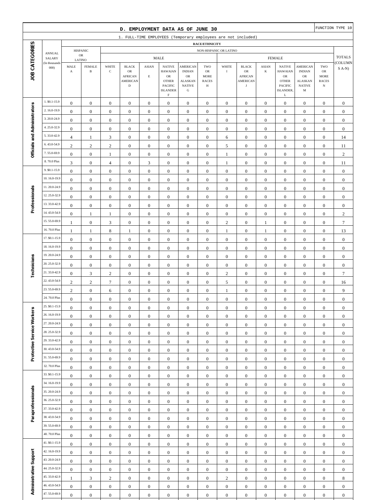|                              |                                |                                      |                                         |                                      | D. EMPLOYMENT DATA AS OF JUNE 30                                                |                                       |                                                                                                            |                                                                                                 |                                                        |                                      |                                                                       |                                      |                                                                                                         |                                                                                         |                                                                | FUNCTION TYPE 10                           |
|------------------------------|--------------------------------|--------------------------------------|-----------------------------------------|--------------------------------------|---------------------------------------------------------------------------------|---------------------------------------|------------------------------------------------------------------------------------------------------------|-------------------------------------------------------------------------------------------------|--------------------------------------------------------|--------------------------------------|-----------------------------------------------------------------------|--------------------------------------|---------------------------------------------------------------------------------------------------------|-----------------------------------------------------------------------------------------|----------------------------------------------------------------|--------------------------------------------|
|                              |                                |                                      |                                         |                                      |                                                                                 |                                       |                                                                                                            |                                                                                                 | <b>RACE/ETHNICITY</b>                                  |                                      | 1. FULL-TIME EMPLOYEES (Temporary employees are not included)         |                                      |                                                                                                         |                                                                                         |                                                                |                                            |
|                              | <b>ANNUAL</b>                  |                                      | <b>HISPANIC</b><br>${\sf OR}$           |                                      |                                                                                 |                                       |                                                                                                            |                                                                                                 |                                                        | NON-HISPANIC OR LATINO               |                                                                       |                                      |                                                                                                         |                                                                                         |                                                                |                                            |
| JOB CATEGORIES               | SALARY<br>In thousands<br>000) | MALE<br>$\mathbf A$                  | LATINO<br><b>FEMALE</b><br>$\, {\bf B}$ | WHITE<br>$\mathsf C$                 | <b>BLACK</b><br>$_{\rm OR}$<br><b>AFRICAN</b><br><b>AMERICAN</b><br>$\mathbf D$ | $\operatorname{ASIAN}$<br>$\mathbf E$ | <b>MALE</b><br><b>NATIVE</b><br><b>HAWAIAN</b><br>${\sf OR}$<br><b>OTHER</b><br>PACIFIC<br><b>ISLANDER</b> | <b>AMERICAN</b><br><b>INDIAN</b><br>$_{\rm OR}$<br><b>ALASKAN</b><br><b>NATIVE</b><br>${\bf G}$ | TWO<br>$_{\rm OR}$<br><b>MORE</b><br><b>RACES</b><br>H | WHITE<br>$\rm I$                     | <b>BLACK</b><br>$_{\rm OR}$<br><b>AFRICAN</b><br><b>AMERICAN</b><br>J | <b>ASIAN</b><br>$\bf K$              | <b>FEMALE</b><br><b>NATIVE</b><br><b>HAWAIAN</b><br>$_{\rm OR}$<br><b>OTHER</b><br>PACIFIC<br>ISLANDER, | <b>AMERICAN</b><br><b>INDIAN</b><br>OR<br><b>ALASKAN</b><br><b>NATIVE</b><br>$_{\rm M}$ | TWO<br>${\sf OR}$<br><b>MORE</b><br><b>RACES</b><br>$_{\rm N}$ | <b>TOTALS</b><br><b>COLUMN</b><br>$S(A-N)$ |
|                              |                                |                                      |                                         |                                      |                                                                                 |                                       | $\rm F$                                                                                                    |                                                                                                 |                                                        |                                      |                                                                       |                                      | L                                                                                                       |                                                                                         |                                                                |                                            |
|                              | 1. \$0.1-15.9<br>2.16.0-19.9   | $\boldsymbol{0}$                     | $\boldsymbol{0}$                        | $\boldsymbol{0}$                     | $\boldsymbol{0}$                                                                | $\boldsymbol{0}$                      | $\boldsymbol{0}$                                                                                           | $\boldsymbol{0}$                                                                                | $\boldsymbol{0}$                                       | $\boldsymbol{0}$                     | $\boldsymbol{0}$                                                      | $\boldsymbol{0}$                     | $\boldsymbol{0}$                                                                                        | $\boldsymbol{0}$                                                                        | $\boldsymbol{0}$                                               | $\boldsymbol{0}$                           |
|                              | 3.20.0-24.9                    | $\boldsymbol{0}$                     | $\boldsymbol{0}$                        | $\boldsymbol{0}$                     | $\boldsymbol{0}$                                                                | $\boldsymbol{0}$                      | $\boldsymbol{0}$                                                                                           | $\boldsymbol{0}$                                                                                | $\boldsymbol{0}$                                       | $\boldsymbol{0}$                     | $\boldsymbol{0}$                                                      | $\boldsymbol{0}$                     | $\boldsymbol{0}$                                                                                        | $\boldsymbol{0}$                                                                        | $\boldsymbol{0}$                                               | $\boldsymbol{0}$                           |
|                              | 4.25.0-32.9                    | $\boldsymbol{0}$<br>$\boldsymbol{0}$ | $\mathbf{0}$<br>$\boldsymbol{0}$        | $\boldsymbol{0}$<br>$\boldsymbol{0}$ | $\boldsymbol{0}$<br>$\boldsymbol{0}$                                            | $\mathbf{0}$<br>$\boldsymbol{0}$      | $\boldsymbol{0}$<br>$\boldsymbol{0}$                                                                       | $\boldsymbol{0}$<br>$\boldsymbol{0}$                                                            | $\boldsymbol{0}$<br>$\boldsymbol{0}$                   | $\boldsymbol{0}$<br>$\boldsymbol{0}$ | $\mathbf{0}$<br>$\boldsymbol{0}$                                      | $\boldsymbol{0}$<br>$\boldsymbol{0}$ | $\boldsymbol{0}$<br>$\boldsymbol{0}$                                                                    | $\boldsymbol{0}$<br>$\boldsymbol{0}$                                                    | $\boldsymbol{0}$<br>$\boldsymbol{0}$                           | $\boldsymbol{0}$<br>$\boldsymbol{0}$       |
|                              | 5.33.0-42.9                    | $\overline{4}$                       | $\mathbf{1}$                            | 3                                    | $\boldsymbol{0}$                                                                | $\boldsymbol{0}$                      | $\mathbf{0}$                                                                                               | $\boldsymbol{0}$                                                                                | $\boldsymbol{0}$                                       | 6                                    | $\boldsymbol{0}$                                                      | $\boldsymbol{0}$                     | $\boldsymbol{0}$                                                                                        | $\boldsymbol{0}$                                                                        | $\boldsymbol{0}$                                               | 14                                         |
| Officials and Administrators | 6.43.0-54.9                    | $\sqrt{2}$                           | $\sqrt{2}$                              | $\sqrt{2}$                           | $\boldsymbol{0}$                                                                | $\boldsymbol{0}$                      | $\boldsymbol{0}$                                                                                           | $\boldsymbol{0}$                                                                                | $\boldsymbol{0}$                                       | 5                                    | $\boldsymbol{0}$                                                      | $\boldsymbol{0}$                     | $\boldsymbol{0}$                                                                                        | $\boldsymbol{0}$                                                                        | $\boldsymbol{0}$                                               | 11                                         |
|                              | 7.55.0-69.9                    | $\boldsymbol{0}$                     | $\mathbf{0}$                            | $\mathbf{1}$                         | $\boldsymbol{0}$                                                                | $\boldsymbol{0}$                      | $\boldsymbol{0}$                                                                                           | $\boldsymbol{0}$                                                                                | $\boldsymbol{0}$                                       | $\mathbf{1}$                         | $\mathbf{0}$                                                          | $\boldsymbol{0}$                     | $\boldsymbol{0}$                                                                                        | $\boldsymbol{0}$                                                                        | $\boldsymbol{0}$                                               | $\sqrt{2}$                                 |
|                              | 8.70.0 Plus                    | 3                                    | $\boldsymbol{0}$                        | $\overline{4}$                       | $\boldsymbol{0}$                                                                | 3                                     | $\boldsymbol{0}$                                                                                           | $\mathbf{0}$                                                                                    | $\boldsymbol{0}$                                       | $\mathbf{1}$                         | $\boldsymbol{0}$                                                      | $\boldsymbol{0}$                     | $\boldsymbol{0}$                                                                                        | $\boldsymbol{0}$                                                                        | $\boldsymbol{0}$                                               | 11                                         |
|                              | 9. \$0.1-15.9                  | $\boldsymbol{0}$                     | $\boldsymbol{0}$                        | $\boldsymbol{0}$                     | $\boldsymbol{0}$                                                                | $\boldsymbol{0}$                      | $\mathbf{0}$                                                                                               | $\boldsymbol{0}$                                                                                | $\boldsymbol{0}$                                       | $\boldsymbol{0}$                     | $\boldsymbol{0}$                                                      | $\boldsymbol{0}$                     | $\boldsymbol{0}$                                                                                        | $\boldsymbol{0}$                                                                        | $\boldsymbol{0}$                                               | $\boldsymbol{0}$                           |
|                              | 10.16.0-19.9                   | $\mathbf{0}$                         | $\boldsymbol{0}$                        | $\boldsymbol{0}$                     | $\boldsymbol{0}$                                                                | $\boldsymbol{0}$                      | $\boldsymbol{0}$                                                                                           | $\mathbf{0}$                                                                                    | $\boldsymbol{0}$                                       | $\boldsymbol{0}$                     | $\boldsymbol{0}$                                                      | $\boldsymbol{0}$                     | $\boldsymbol{0}$                                                                                        | $\boldsymbol{0}$                                                                        | $\boldsymbol{0}$                                               | $\boldsymbol{0}$                           |
|                              | 11.20.0-24.9                   | $\boldsymbol{0}$                     | $\mathbf{0}$                            | $\boldsymbol{0}$                     | $\boldsymbol{0}$                                                                | $\boldsymbol{0}$                      | $\boldsymbol{0}$                                                                                           | $\boldsymbol{0}$                                                                                | $\boldsymbol{0}$                                       | $\boldsymbol{0}$                     | $\boldsymbol{0}$                                                      | $\boldsymbol{0}$                     | $\boldsymbol{0}$                                                                                        | $\boldsymbol{0}$                                                                        | $\boldsymbol{0}$                                               | $\boldsymbol{0}$                           |
| Professionals                | 12.25.0-32.9                   | $\boldsymbol{0}$                     | $\boldsymbol{0}$                        | $\boldsymbol{0}$                     | $\boldsymbol{0}$                                                                | $\boldsymbol{0}$                      | $\boldsymbol{0}$                                                                                           | $\boldsymbol{0}$                                                                                | $\boldsymbol{0}$                                       | $\boldsymbol{0}$                     | $\boldsymbol{0}$                                                      | $\boldsymbol{0}$                     | $\boldsymbol{0}$                                                                                        | $\boldsymbol{0}$                                                                        | $\boldsymbol{0}$                                               | $\boldsymbol{0}$                           |
|                              | 13.33.0-42.9                   | $\boldsymbol{0}$                     | $\boldsymbol{0}$                        | $\boldsymbol{0}$                     | $\boldsymbol{0}$                                                                | $\boldsymbol{0}$                      | $\boldsymbol{0}$                                                                                           | $\boldsymbol{0}$                                                                                | $\boldsymbol{0}$                                       | $\boldsymbol{0}$                     | $\boldsymbol{0}$                                                      | $\boldsymbol{0}$                     | $\boldsymbol{0}$                                                                                        | $\boldsymbol{0}$                                                                        | $\boldsymbol{0}$                                               | $\boldsymbol{0}$                           |
|                              | 14.43.0-54.9                   | $\overline{0}$                       | 1                                       | 1                                    | $\boldsymbol{0}$                                                                | $\overline{0}$                        | $\boldsymbol{0}$                                                                                           | $\boldsymbol{0}$                                                                                | $\boldsymbol{0}$                                       | $\boldsymbol{0}$                     | $\boldsymbol{0}$                                                      | $\boldsymbol{0}$                     | $\boldsymbol{0}$                                                                                        | $\boldsymbol{0}$                                                                        | $\boldsymbol{0}$                                               | $\sqrt{2}$                                 |
|                              | 15.55.0-69.9                   | $\mathbf{1}$                         | $\mathbf{0}$                            | $\mathfrak{Z}$                       | $\boldsymbol{0}$                                                                | $\boldsymbol{0}$                      | $\boldsymbol{0}$                                                                                           | $\boldsymbol{0}$                                                                                | $\boldsymbol{0}$                                       | $\sqrt{2}$                           | $\boldsymbol{0}$                                                      | $\mathbf{1}$                         | $\boldsymbol{0}$                                                                                        | $\boldsymbol{0}$                                                                        | $\boldsymbol{0}$                                               | $\boldsymbol{7}$                           |
|                              | 16.70.0 Plus                   | $\mathbf{1}$                         | 1                                       | 8                                    | $\mathbf{1}$                                                                    | $\boldsymbol{0}$                      | $\boldsymbol{0}$                                                                                           | $\mathbf{0}$                                                                                    | $\boldsymbol{0}$                                       | $\mathbf{1}$                         | $\boldsymbol{0}$                                                      | 1                                    | $\boldsymbol{0}$                                                                                        | $\boldsymbol{0}$                                                                        | $\boldsymbol{0}$                                               | 13                                         |
|                              | 17. \$0.1-15.9<br>18.16.0-19.9 | $\boldsymbol{0}$                     | $\boldsymbol{0}$                        | $\boldsymbol{0}$                     | $\boldsymbol{0}$                                                                | $\boldsymbol{0}$                      | $\boldsymbol{0}$                                                                                           | $\boldsymbol{0}$                                                                                | $\boldsymbol{0}$                                       | $\boldsymbol{0}$                     | $\boldsymbol{0}$                                                      | $\boldsymbol{0}$                     | $\boldsymbol{0}$                                                                                        | $\boldsymbol{0}$                                                                        | $\boldsymbol{0}$                                               | $\boldsymbol{0}$                           |
|                              | 19.20.0-24.9                   | $\mathbf{0}$                         | $\boldsymbol{0}$                        | $\boldsymbol{0}$                     | $\boldsymbol{0}$                                                                | $\boldsymbol{0}$                      | $\boldsymbol{0}$                                                                                           | $\boldsymbol{0}$                                                                                | $\boldsymbol{0}$                                       | $\boldsymbol{0}$                     | $\boldsymbol{0}$                                                      | $\boldsymbol{0}$                     | $\boldsymbol{0}$                                                                                        | $\boldsymbol{0}$                                                                        | $\boldsymbol{0}$                                               | $\boldsymbol{0}$                           |
|                              | 20.25.0-32.9                   | $\boldsymbol{0}$<br>$\boldsymbol{0}$ | $\boldsymbol{0}$<br>$\boldsymbol{0}$    | $\boldsymbol{0}$                     | $\boldsymbol{0}$<br>$\boldsymbol{0}$                                            | $\boldsymbol{0}$<br>$\boldsymbol{0}$  | $\boldsymbol{0}$<br>$\boldsymbol{0}$                                                                       | $\boldsymbol{0}$<br>$\boldsymbol{0}$                                                            | $\boldsymbol{0}$<br>$\boldsymbol{0}$                   | $\boldsymbol{0}$                     | $\boldsymbol{0}$<br>$\boldsymbol{0}$                                  | $\boldsymbol{0}$<br>$\boldsymbol{0}$ | $\boldsymbol{0}$<br>$\boldsymbol{0}$                                                                    | $\boldsymbol{0}$<br>$\boldsymbol{0}$                                                    | $\boldsymbol{0}$                                               | $\boldsymbol{0}$<br>$\boldsymbol{0}$       |
| Technicians                  | 21.33.0-42.9                   | $\boldsymbol{0}$                     | $\mathfrak{Z}$                          | $\boldsymbol{0}$<br>$\overline{c}$   | $\boldsymbol{0}$                                                                | $\boldsymbol{0}$                      | $\boldsymbol{0}$                                                                                           | $\boldsymbol{0}$                                                                                | $\boldsymbol{0}$                                       | $\boldsymbol{0}$<br>$\overline{c}$   | $\boldsymbol{0}$                                                      | $\boldsymbol{0}$                     | $\boldsymbol{0}$                                                                                        | $\boldsymbol{0}$                                                                        | $\boldsymbol{0}$<br>$\boldsymbol{0}$                           | $\boldsymbol{7}$                           |
|                              | 22.43.0-54.9                   | $\sqrt{2}$                           | $\sqrt{2}$                              | $\tau$                               | $\boldsymbol{0}$                                                                | $\boldsymbol{0}$                      | $\boldsymbol{0}$                                                                                           | $\boldsymbol{0}$                                                                                | $\boldsymbol{0}$                                       | 5                                    | $\boldsymbol{0}$                                                      | $\boldsymbol{0}$                     | $\boldsymbol{0}$                                                                                        | $\boldsymbol{0}$                                                                        | $\boldsymbol{0}$                                               | 16                                         |
|                              | 23.55.0-69.9                   | $\sqrt{2}$                           | $\mathbf{0}$                            | 6                                    | $\boldsymbol{0}$                                                                | $\boldsymbol{0}$                      | $\boldsymbol{0}$                                                                                           | $\boldsymbol{0}$                                                                                | $\boldsymbol{0}$                                       | $\mathbf{1}$                         | $\boldsymbol{0}$                                                      | $\boldsymbol{0}$                     | $\boldsymbol{0}$                                                                                        | $\boldsymbol{0}$                                                                        | $\boldsymbol{0}$                                               | 9                                          |
|                              | 24.70.0 Plus                   | $\mathbf{0}$                         | $\boldsymbol{0}$                        | $\boldsymbol{0}$                     | $\boldsymbol{0}$                                                                | $\mathbf{0}$                          | $\boldsymbol{0}$                                                                                           | $\mathbf{0}$                                                                                    | $\boldsymbol{0}$                                       | $\boldsymbol{0}$                     | $\boldsymbol{0}$                                                      | $\boldsymbol{0}$                     | $\boldsymbol{0}$                                                                                        | $\boldsymbol{0}$                                                                        | $\boldsymbol{0}$                                               | $\boldsymbol{0}$                           |
|                              | 25. \$0.1-15.9                 | $\boldsymbol{0}$                     | $\boldsymbol{0}$                        | $\boldsymbol{0}$                     | $\boldsymbol{0}$                                                                | $\boldsymbol{0}$                      | $\boldsymbol{0}$                                                                                           | $\boldsymbol{0}$                                                                                | $\boldsymbol{0}$                                       | $\boldsymbol{0}$                     | $\boldsymbol{0}$                                                      | $\boldsymbol{0}$                     | $\boldsymbol{0}$                                                                                        | $\boldsymbol{0}$                                                                        | $\boldsymbol{0}$                                               | $\boldsymbol{0}$                           |
|                              | 26.16.0-19.9                   | $\boldsymbol{0}$                     | $\mathbf{0}$                            | $\boldsymbol{0}$                     | $\mathbf{0}$                                                                    | $\mathbf{0}$                          | $\mathbf{0}$                                                                                               | $\mathbf{0}$                                                                                    | $\mathbf{0}$                                           | $\mathbf{0}$                         | $\overline{0}$                                                        | $\mathbf{0}$                         | $\boldsymbol{0}$                                                                                        | $\boldsymbol{0}$                                                                        | $\boldsymbol{0}$                                               | $\boldsymbol{0}$                           |
|                              | 27.20.0-24.9                   | $\boldsymbol{0}$                     | $\boldsymbol{0}$                        | $\boldsymbol{0}$                     | $\boldsymbol{0}$                                                                | $\mathbf{0}$                          | $\boldsymbol{0}$                                                                                           | $\boldsymbol{0}$                                                                                | $\boldsymbol{0}$                                       | $\boldsymbol{0}$                     | $\overline{0}$                                                        | $\boldsymbol{0}$                     | $\boldsymbol{0}$                                                                                        | $\boldsymbol{0}$                                                                        | $\boldsymbol{0}$                                               | $\boldsymbol{0}$                           |
| Protective Service Workers   | 28.25.0-32.9                   | $\boldsymbol{0}$                     | $\boldsymbol{0}$                        | $\boldsymbol{0}$                     | $\boldsymbol{0}$                                                                | $\mathbf{0}$                          | $\boldsymbol{0}$                                                                                           | $\boldsymbol{0}$                                                                                | $\boldsymbol{0}$                                       | $\boldsymbol{0}$                     | $\mathbf{0}$                                                          | $\boldsymbol{0}$                     | $\boldsymbol{0}$                                                                                        | $\boldsymbol{0}$                                                                        | $\boldsymbol{0}$                                               | $\boldsymbol{0}$                           |
|                              | 29.33.0-42.9                   | $\boldsymbol{0}$                     | $\boldsymbol{0}$                        | $\boldsymbol{0}$                     | $\boldsymbol{0}$                                                                | $\boldsymbol{0}$                      | $\boldsymbol{0}$                                                                                           | $\boldsymbol{0}$                                                                                | $\boldsymbol{0}$                                       | $\boldsymbol{0}$                     | $\boldsymbol{0}$                                                      | $\boldsymbol{0}$                     | $\boldsymbol{0}$                                                                                        | $\boldsymbol{0}$                                                                        | $\boldsymbol{0}$                                               | $\boldsymbol{0}$                           |
|                              | 30.43.0-54.9                   | $\boldsymbol{0}$                     | $\boldsymbol{0}$                        | $\boldsymbol{0}$                     | $\boldsymbol{0}$                                                                | $\mathbf{0}$                          | $\boldsymbol{0}$                                                                                           | $\boldsymbol{0}$                                                                                | $\boldsymbol{0}$                                       | $\boldsymbol{0}$                     | $\overline{0}$                                                        | $\boldsymbol{0}$                     | $\boldsymbol{0}$                                                                                        | $\boldsymbol{0}$                                                                        | $\boldsymbol{0}$                                               | $\boldsymbol{0}$                           |
|                              | 31.55.0-69.9                   | $\boldsymbol{0}$                     | $\mathbf{0}$                            | $\boldsymbol{0}$                     | $\boldsymbol{0}$                                                                | $\mathbf{0}$                          | $\boldsymbol{0}$                                                                                           | $\boldsymbol{0}$                                                                                | $\boldsymbol{0}$                                       | $\boldsymbol{0}$                     | $\mathbf{0}$                                                          | $\boldsymbol{0}$                     | $\boldsymbol{0}$                                                                                        | $\boldsymbol{0}$                                                                        | $\boldsymbol{0}$                                               | $\boldsymbol{0}$                           |
|                              | 32.70.0 Plus<br>33. \$0.1-15.9 | $\boldsymbol{0}$                     | $\boldsymbol{0}$                        | $\boldsymbol{0}$                     | $\boldsymbol{0}$                                                                | $\mathbf{0}$                          | $\boldsymbol{0}$                                                                                           | $\boldsymbol{0}$                                                                                | $\boldsymbol{0}$                                       | $\boldsymbol{0}$                     | $\boldsymbol{0}$                                                      | $\boldsymbol{0}$                     | $\boldsymbol{0}$                                                                                        | $\boldsymbol{0}$                                                                        | $\boldsymbol{0}$                                               | $\boldsymbol{0}$                           |
|                              | 34.16.0-19.9                   | $\boldsymbol{0}$<br>$\boldsymbol{0}$ | $\boldsymbol{0}$<br>$\boldsymbol{0}$    | $\boldsymbol{0}$<br>$\boldsymbol{0}$ | $\boldsymbol{0}$<br>$\boldsymbol{0}$                                            | $\boldsymbol{0}$<br>$\mathbf{0}$      | $\boldsymbol{0}$<br>$\boldsymbol{0}$                                                                       | $\boldsymbol{0}$<br>$\boldsymbol{0}$                                                            | $\boldsymbol{0}$<br>$\boldsymbol{0}$                   | $\boldsymbol{0}$<br>$\boldsymbol{0}$ | $\boldsymbol{0}$<br>$\overline{0}$                                    | $\boldsymbol{0}$<br>$\boldsymbol{0}$ | $\boldsymbol{0}$<br>$\boldsymbol{0}$                                                                    | $\boldsymbol{0}$<br>$\boldsymbol{0}$                                                    | $\boldsymbol{0}$                                               | $\boldsymbol{0}$<br>$\boldsymbol{0}$       |
|                              | 35.20.0-24.9                   | $\boldsymbol{0}$                     | $\boldsymbol{0}$                        | $\boldsymbol{0}$                     | $\boldsymbol{0}$                                                                | $\mathbf{0}$                          | $\boldsymbol{0}$                                                                                           | $\boldsymbol{0}$                                                                                | $\boldsymbol{0}$                                       | $\boldsymbol{0}$                     | $\overline{0}$                                                        | $\boldsymbol{0}$                     | $\boldsymbol{0}$                                                                                        | $\boldsymbol{0}$                                                                        | $\boldsymbol{0}$<br>$\boldsymbol{0}$                           | $\boldsymbol{0}$                           |
| Paraprofessionals            | 36.25.0-32.9                   | $\boldsymbol{0}$                     | $\boldsymbol{0}$                        | $\boldsymbol{0}$                     | $\boldsymbol{0}$                                                                | $\boldsymbol{0}$                      | $\boldsymbol{0}$                                                                                           | $\boldsymbol{0}$                                                                                | $\boldsymbol{0}$                                       | $\boldsymbol{0}$                     | $\boldsymbol{0}$                                                      | $\boldsymbol{0}$                     | $\boldsymbol{0}$                                                                                        | $\boldsymbol{0}$                                                                        | $\boldsymbol{0}$                                               | $\boldsymbol{0}$                           |
|                              | 37.33.0-42.9                   | $\boldsymbol{0}$                     | $\boldsymbol{0}$                        | $\boldsymbol{0}$                     | $\boldsymbol{0}$                                                                | $\boldsymbol{0}$                      | $\boldsymbol{0}$                                                                                           | $\boldsymbol{0}$                                                                                | $\boldsymbol{0}$                                       | $\boldsymbol{0}$                     | $\boldsymbol{0}$                                                      | $\boldsymbol{0}$                     | $\boldsymbol{0}$                                                                                        | $\boldsymbol{0}$                                                                        | $\boldsymbol{0}$                                               | $\boldsymbol{0}$                           |
|                              | 38.43.0-54.9                   | $\boldsymbol{0}$                     | $\mathbf{0}$                            | $\boldsymbol{0}$                     | $\boldsymbol{0}$                                                                | $\mathbf{0}$                          | $\boldsymbol{0}$                                                                                           | $\boldsymbol{0}$                                                                                | $\boldsymbol{0}$                                       | $\boldsymbol{0}$                     | $\overline{0}$                                                        | $\boldsymbol{0}$                     | $\boldsymbol{0}$                                                                                        | $\boldsymbol{0}$                                                                        | $\boldsymbol{0}$                                               | $\boldsymbol{0}$                           |
|                              | 39.55.0-69.9                   | $\boldsymbol{0}$                     | $\mathbf{0}$                            | $\boldsymbol{0}$                     | $\boldsymbol{0}$                                                                | $\boldsymbol{0}$                      | $\mathbf{0}$                                                                                               | $\boldsymbol{0}$                                                                                | $\boldsymbol{0}$                                       | $\boldsymbol{0}$                     | $\boldsymbol{0}$                                                      | $\boldsymbol{0}$                     | $\boldsymbol{0}$                                                                                        | $\boldsymbol{0}$                                                                        | $\boldsymbol{0}$                                               | $\boldsymbol{0}$                           |
|                              | 40.70.0 Plus                   | $\boldsymbol{0}$                     | $\boldsymbol{0}$                        | $\boldsymbol{0}$                     | $\boldsymbol{0}$                                                                | $\boldsymbol{0}$                      | $\boldsymbol{0}$                                                                                           | $\boldsymbol{0}$                                                                                | $\boldsymbol{0}$                                       | $\boldsymbol{0}$                     | $\boldsymbol{0}$                                                      | $\boldsymbol{0}$                     | $\boldsymbol{0}$                                                                                        | $\boldsymbol{0}$                                                                        | $\boldsymbol{0}$                                               | $\boldsymbol{0}$                           |
|                              | 41. \$0.1-15.9                 | $\boldsymbol{0}$                     | $\boldsymbol{0}$                        | $\boldsymbol{0}$                     | $\boldsymbol{0}$                                                                | $\boldsymbol{0}$                      | $\boldsymbol{0}$                                                                                           | $\boldsymbol{0}$                                                                                | $\boldsymbol{0}$                                       | $\boldsymbol{0}$                     | $\boldsymbol{0}$                                                      | $\boldsymbol{0}$                     | $\boldsymbol{0}$                                                                                        | $\boldsymbol{0}$                                                                        | $\boldsymbol{0}$                                               | $\boldsymbol{0}$                           |
|                              | 42.16.0-19.9                   | $\boldsymbol{0}$                     | $\mathbf{0}$                            | $\boldsymbol{0}$                     | $\mathbf{0}$                                                                    | $\mathbf{0}$                          | $\boldsymbol{0}$                                                                                           | $\boldsymbol{0}$                                                                                | $\boldsymbol{0}$                                       | $\mathbf{0}$                         | $\overline{0}$                                                        | $\boldsymbol{0}$                     | $\mathbf{0}$                                                                                            | $\boldsymbol{0}$                                                                        | $\boldsymbol{0}$                                               | $\boldsymbol{0}$                           |
|                              | 43.20.0-24.9                   | $\mathbf{0}$                         | $\boldsymbol{0}$                        | $\boldsymbol{0}$                     | $\boldsymbol{0}$                                                                | $\mathbf{0}$                          | $\mathbf{0}$                                                                                               | $\boldsymbol{0}$                                                                                | $\boldsymbol{0}$                                       | $\boldsymbol{0}$                     | $\overline{0}$                                                        | $\boldsymbol{0}$                     | $\boldsymbol{0}$                                                                                        | $\boldsymbol{0}$                                                                        | $\boldsymbol{0}$                                               | $\boldsymbol{0}$                           |
|                              | 44.25.0-32.9                   | $\boldsymbol{0}$                     | $\boldsymbol{0}$                        | $\boldsymbol{0}$                     | $\boldsymbol{0}$                                                                | $\boldsymbol{0}$                      | $\mathbf{0}$                                                                                               | $\boldsymbol{0}$                                                                                | $\boldsymbol{0}$                                       | $\boldsymbol{0}$                     | $\boldsymbol{0}$                                                      | $\boldsymbol{0}$                     | $\boldsymbol{0}$                                                                                        | $\boldsymbol{0}$                                                                        | $\boldsymbol{0}$                                               | $\boldsymbol{0}$                           |
| Administrative Support       | 45.33.0-42.9                   | 1                                    | 3                                       | $\boldsymbol{2}$                     | $\boldsymbol{0}$                                                                | $\boldsymbol{0}$                      | $\boldsymbol{0}$                                                                                           | $\boldsymbol{0}$                                                                                | $\boldsymbol{0}$                                       | $\overline{c}$                       | $\boldsymbol{0}$                                                      | $\boldsymbol{0}$                     | $\boldsymbol{0}$                                                                                        | $\boldsymbol{0}$                                                                        | $\boldsymbol{0}$                                               | 8                                          |
|                              | 46.43.0-54.9                   | $\boldsymbol{0}$                     | $\boldsymbol{0}$                        | $\boldsymbol{0}$                     | $\boldsymbol{0}$                                                                | $\overline{0}$                        | $\boldsymbol{0}$                                                                                           | $\boldsymbol{0}$                                                                                | $\boldsymbol{0}$                                       | $\boldsymbol{0}$                     | $\boldsymbol{0}$                                                      | $\boldsymbol{0}$                     | $\boldsymbol{0}$                                                                                        | $\boldsymbol{0}$                                                                        | $\boldsymbol{0}$                                               | $\boldsymbol{0}$                           |
|                              | 47.55.0-69.9                   | $\boldsymbol{0}$                     | $\boldsymbol{0}$                        | $\boldsymbol{0}$                     | $\boldsymbol{0}$                                                                | $\boldsymbol{0}$                      | $\boldsymbol{0}$                                                                                           | $\boldsymbol{0}$                                                                                | $\boldsymbol{0}$                                       | $\boldsymbol{0}$                     | $\boldsymbol{0}$                                                      | $\boldsymbol{0}$                     | $\boldsymbol{0}$                                                                                        | $\boldsymbol{0}$                                                                        | $\boldsymbol{0}$                                               | $\boldsymbol{0}$                           |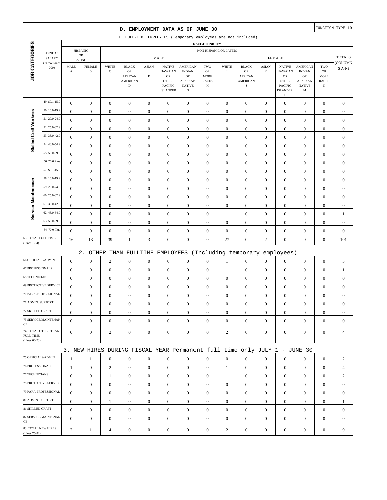|                                      |                              |                          |                               |                      | D. EMPLOYMENT DATA AS OF JUNE 30                                          |                             |                                                                                 |                                                             |                                                        |                         |                                                              |                         |                                                                                  |                                                                           |                                                        | FUNCTION TYPE 10            |
|--------------------------------------|------------------------------|--------------------------|-------------------------------|----------------------|---------------------------------------------------------------------------|-----------------------------|---------------------------------------------------------------------------------|-------------------------------------------------------------|--------------------------------------------------------|-------------------------|--------------------------------------------------------------|-------------------------|----------------------------------------------------------------------------------|---------------------------------------------------------------------------|--------------------------------------------------------|-----------------------------|
|                                      |                              |                          |                               |                      | 1. FULL-TIME EMPLOYEES (Temporary employees are not included)             |                             |                                                                                 |                                                             |                                                        |                         |                                                              |                         |                                                                                  |                                                                           |                                                        |                             |
|                                      |                              |                          |                               |                      |                                                                           |                             |                                                                                 |                                                             | <b>RACE/ETHNICITY</b>                                  |                         |                                                              |                         |                                                                                  |                                                                           |                                                        |                             |
|                                      | <b>ANNUAL</b><br>SALARY      |                          | <b>HISPANIC</b><br>${\sf OR}$ |                      |                                                                           |                             | <b>MALE</b>                                                                     |                                                             | NON-HISPANIC OR LATINO                                 |                         |                                                              |                         | <b>FEMALE</b>                                                                    |                                                                           |                                                        | <b>TOTALS</b>               |
|                                      | (In thousands                | LATINO                   |                               |                      |                                                                           |                             |                                                                                 |                                                             |                                                        |                         |                                                              |                         |                                                                                  |                                                                           |                                                        | (COLUMN                     |
| JOB CATEGORIES                       | 000)                         | MALE<br>$\boldsymbol{A}$ | <b>FEMALE</b><br>$\, {\bf B}$ | WHITE<br>$\mathbf C$ | <b>BLACK</b><br>OR<br><b>AFRICAN</b><br><b>AMERICAN</b><br>$\mathbf D$    | $\operatorname{ASIAN}$<br>Е | <b>NATIVE</b><br><b>HAWAIAN</b><br>${\rm OR}$<br><b>OTHER</b><br><b>PACIFIC</b> | AMERICAN<br><b>INDIAN</b><br>OR<br>ALASKAN<br><b>NATIVE</b> | TWO<br>OR<br><b>MORE</b><br><b>RACES</b><br>$_{\rm H}$ | WHITE<br>$\bf{I}$       | <b>BLACK</b><br>OR<br><b>AFRICAN</b><br><b>AMERICAN</b><br>J | <b>ASIAN</b><br>$\bf K$ | <b>NATIVE</b><br><b>HAWAIAN</b><br>$_{\rm OR}$<br><b>OTHER</b><br><b>PACIFIC</b> | <b>AMERICAN</b><br><b>INDIAN</b><br>OR<br><b>ALASKAN</b><br><b>NATIVE</b> | TWO<br>OR<br><b>MORE</b><br><b>RACES</b><br>$_{\rm N}$ | $S(A-N)$                    |
|                                      |                              |                          |                               |                      |                                                                           |                             | <b>ISLANDER</b><br>$\rm F$                                                      | ${\bf G}$                                                   |                                                        |                         |                                                              |                         | ISLANDER,<br>L                                                                   | M                                                                         |                                                        |                             |
|                                      | 49. \$0.1-15.9               | $\mathbf{0}$             | $\boldsymbol{0}$              | $\boldsymbol{0}$     | $\boldsymbol{0}$                                                          | $\boldsymbol{0}$            | $\boldsymbol{0}$                                                                | $\boldsymbol{0}$                                            | $\boldsymbol{0}$                                       | $\boldsymbol{0}$        | $\boldsymbol{0}$                                             | $\boldsymbol{0}$        | $\boldsymbol{0}$                                                                 | $\boldsymbol{0}$                                                          | $\boldsymbol{0}$                                       | $\boldsymbol{0}$            |
| Skilled Craft Workers                | 50.16.0-19.9                 | $\boldsymbol{0}$         | $\boldsymbol{0}$              | $\boldsymbol{0}$     | $\boldsymbol{0}$                                                          | $\boldsymbol{0}$            | $\boldsymbol{0}$                                                                | $\boldsymbol{0}$                                            | $\boldsymbol{0}$                                       | $\boldsymbol{0}$        | $\boldsymbol{0}$                                             | $\mathbf{0}$            | $\boldsymbol{0}$                                                                 | $\boldsymbol{0}$                                                          | $\boldsymbol{0}$                                       | $\boldsymbol{0}$            |
|                                      | 51.20.0-24.9                 | $\mathbf{0}$             | $\boldsymbol{0}$              | $\boldsymbol{0}$     | $\boldsymbol{0}$                                                          | $\boldsymbol{0}$            | $\boldsymbol{0}$                                                                | $\boldsymbol{0}$                                            | $\boldsymbol{0}$                                       | $\boldsymbol{0}$        | $\boldsymbol{0}$                                             | $\boldsymbol{0}$        | $\boldsymbol{0}$                                                                 | $\boldsymbol{0}$                                                          | $\boldsymbol{0}$                                       | $\boldsymbol{0}$            |
|                                      | 52.25.0-32.9                 | $\mathbf{0}$             | $\boldsymbol{0}$              | $\boldsymbol{0}$     | $\boldsymbol{0}$                                                          | $\boldsymbol{0}$            | $\boldsymbol{0}$                                                                | $\boldsymbol{0}$                                            | $\boldsymbol{0}$                                       | $\boldsymbol{0}$        | $\boldsymbol{0}$                                             | $\mathbf{0}$            | $\boldsymbol{0}$                                                                 | $\boldsymbol{0}$                                                          | $\boldsymbol{0}$                                       | $\boldsymbol{0}$            |
|                                      | 53.33.0-42.9                 | $\boldsymbol{0}$         | $\boldsymbol{0}$              | $\boldsymbol{0}$     | $\boldsymbol{0}$                                                          | $\boldsymbol{0}$            | $\boldsymbol{0}$                                                                | $\boldsymbol{0}$                                            | $\boldsymbol{0}$                                       | $\boldsymbol{0}$        | $\boldsymbol{0}$                                             | $\boldsymbol{0}$        | $\boldsymbol{0}$                                                                 | $\boldsymbol{0}$                                                          | $\boldsymbol{0}$                                       | $\boldsymbol{0}$            |
|                                      | 54.43.0-54.9                 | $\boldsymbol{0}$         | $\boldsymbol{0}$              | $\boldsymbol{0}$     | $\boldsymbol{0}$                                                          | $\boldsymbol{0}$            | $\boldsymbol{0}$                                                                | $\boldsymbol{0}$                                            | $\boldsymbol{0}$                                       | $\boldsymbol{0}$        | $\mathbf{0}$                                                 | $\mathbf{0}$            | $\boldsymbol{0}$                                                                 | $\boldsymbol{0}$                                                          | $\boldsymbol{0}$                                       | $\boldsymbol{0}$            |
|                                      | 55.55.0-69.9                 | $\overline{0}$           | $\boldsymbol{0}$              | $\boldsymbol{0}$     | $\boldsymbol{0}$                                                          | $\boldsymbol{0}$            | $\boldsymbol{0}$                                                                | $\boldsymbol{0}$                                            | $\boldsymbol{0}$                                       | $\boldsymbol{0}$        | $\boldsymbol{0}$                                             | $\boldsymbol{0}$        | $\boldsymbol{0}$                                                                 | $\boldsymbol{0}$                                                          | $\boldsymbol{0}$                                       | $\boldsymbol{0}$            |
|                                      | 56.70.0 Plus                 | $\mathbf{0}$             | $\boldsymbol{0}$              | $\boldsymbol{0}$     | $\boldsymbol{0}$                                                          | $\boldsymbol{0}$            | $\boldsymbol{0}$                                                                | $\mathbf{0}$                                                | $\boldsymbol{0}$                                       | $\boldsymbol{0}$        | $\boldsymbol{0}$                                             | $\mathbf{0}$            | $\boldsymbol{0}$                                                                 | $\boldsymbol{0}$                                                          | $\boldsymbol{0}$                                       | $\boldsymbol{0}$            |
|                                      | 57. \$0.1-15.9               | $\boldsymbol{0}$         | $\boldsymbol{0}$              | $\boldsymbol{0}$     | $\boldsymbol{0}$                                                          | $\boldsymbol{0}$            | $\boldsymbol{0}$                                                                | $\boldsymbol{0}$                                            | $\boldsymbol{0}$                                       | $\boldsymbol{0}$        | $\boldsymbol{0}$                                             | $\boldsymbol{0}$        | $\boldsymbol{0}$                                                                 | $\boldsymbol{0}$                                                          | $\boldsymbol{0}$                                       | $\boldsymbol{0}$            |
|                                      | 58.16.0-19.9                 | $\overline{0}$           | $\boldsymbol{0}$              | $\boldsymbol{0}$     | $\boldsymbol{0}$                                                          | $\mathbf{0}$                | $\boldsymbol{0}$                                                                | $\boldsymbol{0}$                                            | $\boldsymbol{0}$                                       | $\boldsymbol{0}$        | $\mathbf{0}$                                                 | $\boldsymbol{0}$        | $\boldsymbol{0}$                                                                 | $\boldsymbol{0}$                                                          | $\boldsymbol{0}$                                       | $\boldsymbol{0}$            |
|                                      | 59.20.0-24.9                 | $\overline{0}$           | $\boldsymbol{0}$              | $\boldsymbol{0}$     | $\boldsymbol{0}$                                                          | $\mathbf{0}$                | $\mathbf{0}$                                                                    | $\boldsymbol{0}$                                            | $\boldsymbol{0}$                                       | $\boldsymbol{0}$        | $\boldsymbol{0}$                                             | $\boldsymbol{0}$        | $\boldsymbol{0}$                                                                 | $\boldsymbol{0}$                                                          | $\boldsymbol{0}$                                       | $\boldsymbol{0}$            |
|                                      | 60.25.0-32.9                 | $\boldsymbol{0}$         | $\boldsymbol{0}$              | $\boldsymbol{0}$     | $\boldsymbol{0}$                                                          | $\boldsymbol{0}$            | $\boldsymbol{0}$                                                                | $\boldsymbol{0}$                                            | $\boldsymbol{0}$                                       | $\boldsymbol{0}$        | $\boldsymbol{0}$                                             | $\boldsymbol{0}$        | $\boldsymbol{0}$                                                                 | $\boldsymbol{0}$                                                          | $\boldsymbol{0}$                                       | $\boldsymbol{0}$            |
| Service-Maintenance                  | 61.33.0-42.9                 | $\boldsymbol{0}$         | $\boldsymbol{0}$              | $\boldsymbol{0}$     | $\boldsymbol{0}$                                                          | $\boldsymbol{0}$            | $\boldsymbol{0}$                                                                | $\boldsymbol{0}$                                            | $\boldsymbol{0}$                                       | $\boldsymbol{0}$        | $\boldsymbol{0}$                                             | $\boldsymbol{0}$        | $\boldsymbol{0}$                                                                 | $\boldsymbol{0}$                                                          | $\boldsymbol{0}$                                       | $\boldsymbol{0}$            |
|                                      | 62.43.0-54.9                 | $\boldsymbol{0}$         | $\boldsymbol{0}$              | $\boldsymbol{0}$     | $\boldsymbol{0}$                                                          | $\boldsymbol{0}$            | $\boldsymbol{0}$                                                                | $\boldsymbol{0}$                                            | $\boldsymbol{0}$                                       | $\mathbf{1}$            | $\mathbf{0}$                                                 | $\mathbf{0}$            | $\boldsymbol{0}$                                                                 | $\boldsymbol{0}$                                                          | $\boldsymbol{0}$                                       | $\mathbf{1}$                |
|                                      | 63.55.0-69.9                 | $\overline{0}$           | $\boldsymbol{0}$              | $\boldsymbol{0}$     | $\boldsymbol{0}$                                                          | $\boldsymbol{0}$            | $\boldsymbol{0}$                                                                | $\boldsymbol{0}$                                            | $\boldsymbol{0}$                                       | $\boldsymbol{0}$        | $\boldsymbol{0}$                                             | $\boldsymbol{0}$        | $\boldsymbol{0}$                                                                 | $\boldsymbol{0}$                                                          | $\boldsymbol{0}$                                       | $\boldsymbol{0}$            |
|                                      | 64.70.0 Plus                 | $\mathbf{0}$             | $\boldsymbol{0}$              | $\boldsymbol{0}$     | $\boldsymbol{0}$                                                          | $\boldsymbol{0}$            | $\boldsymbol{0}$                                                                | $\boldsymbol{0}$                                            | $\boldsymbol{0}$                                       | $\boldsymbol{0}$        | $\boldsymbol{0}$                                             | $\boldsymbol{0}$        | $\boldsymbol{0}$                                                                 | $\boldsymbol{0}$                                                          | $\boldsymbol{0}$                                       | $\boldsymbol{0}$            |
| 65. TOTAL FULL TIME<br>(Lines 1-64)  |                              | 16                       | 13                            | 39                   | $\mathbf{1}$                                                              | 3                           | $\boldsymbol{0}$                                                                | $\boldsymbol{0}$                                            | $\boldsymbol{0}$                                       | 27                      | $\boldsymbol{0}$                                             | $\overline{c}$          | $\boldsymbol{0}$                                                                 | $\boldsymbol{0}$                                                          | $\boldsymbol{0}$                                       | 101                         |
|                                      |                              |                          | $2$ .                         |                      | OTHER THAN FULLTIME                                                       |                             | <b>EMPLOYEES</b>                                                                |                                                             |                                                        |                         | (Including temporary                                         |                         | employees)                                                                       |                                                                           |                                                        |                             |
| 66.OFFICIALS/ADMIN                   |                              | $\mathbf{0}$             | $\boldsymbol{0}$              | $\sqrt{2}$           | $\boldsymbol{0}$                                                          | $\boldsymbol{0}$            | $\boldsymbol{0}$                                                                | $\boldsymbol{0}$                                            | $\boldsymbol{0}$                                       | $\mathbf{1}$            | $\boldsymbol{0}$                                             | $\mathbf{0}$            | $\boldsymbol{0}$                                                                 | $\boldsymbol{0}$                                                          | $\boldsymbol{0}$                                       | $\ensuremath{\mathfrak{Z}}$ |
| 67.PROFESSIONALS                     |                              | $\mathbf{0}$             | $\boldsymbol{0}$              | $\boldsymbol{0}$     | $\boldsymbol{0}$                                                          | $\boldsymbol{0}$            | $\boldsymbol{0}$                                                                | $\boldsymbol{0}$                                            | $\boldsymbol{0}$                                       | $\mathbf{1}$            | $\boldsymbol{0}$                                             | $\mathbf{0}$            | $\boldsymbol{0}$                                                                 | $\boldsymbol{0}$                                                          | $\boldsymbol{0}$                                       | 1                           |
| 68.TECHNICIANS                       |                              | $\mathbf{0}$             | $\boldsymbol{0}$              | $\boldsymbol{0}$     | $\boldsymbol{0}$                                                          | $\boldsymbol{0}$            | $\boldsymbol{0}$                                                                | $\boldsymbol{0}$                                            | $\boldsymbol{0}$                                       | $\boldsymbol{0}$        | $\mathbf{0}$                                                 | $\boldsymbol{0}$        | $\boldsymbol{0}$                                                                 | $\boldsymbol{0}$                                                          | $\boldsymbol{0}$                                       | $\boldsymbol{0}$            |
|                                      | <b>69.PROTECTIVE SERVICE</b> | $\boldsymbol{0}$         | $\boldsymbol{0}$              | $\boldsymbol{0}$     | $\boldsymbol{0}$                                                          | $\boldsymbol{0}$            | $\boldsymbol{0}$                                                                | $\boldsymbol{0}$                                            | $\boldsymbol{0}$                                       | $\boldsymbol{0}$        | $\boldsymbol{0}$                                             | $\mathbf{0}$            | $\boldsymbol{0}$                                                                 | $\boldsymbol{0}$                                                          | $\boldsymbol{0}$                                       | $\boldsymbol{0}$            |
|                                      | 70.PARA-PROFESSIONAL         | $\boldsymbol{0}$         | $\boldsymbol{0}$              | $\boldsymbol{0}$     | $\boldsymbol{0}$                                                          | $\boldsymbol{0}$            | $\boldsymbol{0}$                                                                | $\boldsymbol{0}$                                            | $\boldsymbol{0}$                                       | $\boldsymbol{0}$        | $\boldsymbol{0}$                                             | $\mathbf{0}$            | $\boldsymbol{0}$                                                                 | $\boldsymbol{0}$                                                          | $\boldsymbol{0}$                                       | $\boldsymbol{0}$            |
| 71.ADMIN. SUPPORT                    |                              | $\Omega$                 | $\theta$                      | $\Omega$             | $\Omega$                                                                  | $\Omega$                    | $\Omega$                                                                        | $\theta$                                                    | $\Omega$                                               | $\Omega$                | $\Omega$                                                     | $\theta$                | $\theta$                                                                         | $\Omega$                                                                  | $\Omega$                                               | $\Omega$                    |
| 72.SKILLED CRAFT                     |                              | $\mathbf{0}$             | $\boldsymbol{0}$              | $\boldsymbol{0}$     | $\mathbf{0}$                                                              | $\mathbf{0}$                | $\boldsymbol{0}$                                                                | $\boldsymbol{0}$                                            | $\mathbf{0}$                                           | $\boldsymbol{0}$        | $\boldsymbol{0}$                                             | $\boldsymbol{0}$        | $\mathbf{0}$                                                                     | $\boldsymbol{0}$                                                          | $\mathbf{0}$                                           | $\boldsymbol{0}$            |
| CE                                   | 73.SERVICE/MAINTENAN         | $\mathbf{0}$             | $\boldsymbol{0}$              | $\boldsymbol{0}$     | $\mathbf{0}$                                                              | $\boldsymbol{0}$            | $\boldsymbol{0}$                                                                | $\mathbf{0}$                                                | $\boldsymbol{0}$                                       | $\boldsymbol{0}$        | $\mathbf{0}$                                                 | $\overline{0}$          | $\boldsymbol{0}$                                                                 | $\mathbf{0}$                                                              | $\boldsymbol{0}$                                       | $\boldsymbol{0}$            |
| <b>FULL TIME</b><br>(Lines 66-73)    | 74. TOTAL OTHER THAN         | $\mathbf{0}$             | $\boldsymbol{0}$              | 2                    | $\mathbf{0}$                                                              | $\mathbf{0}$                | $\boldsymbol{0}$                                                                | $\mathbf{0}$                                                | $\boldsymbol{0}$                                       | $\overline{c}$          | $\mathbf{0}$                                                 | $\mathbf{0}$            | $\mathbf{0}$                                                                     | $\boldsymbol{0}$                                                          | $\boldsymbol{0}$                                       | $\overline{4}$              |
|                                      |                              |                          |                               |                      | 3. NEW HIRES DURING FISCAL YEAR Permanent full time only JULY 1 - JUNE 30 |                             |                                                                                 |                                                             |                                                        |                         |                                                              |                         |                                                                                  |                                                                           |                                                        |                             |
| 75.OFFICIALS/ADMIN                   |                              | -1                       | 1                             | $\boldsymbol{0}$     | $\mathbf{0}$                                                              | $\boldsymbol{0}$            | $\mathbf{0}$                                                                    | $\boldsymbol{0}$                                            | $\boldsymbol{0}$                                       | $\mathbf{0}$            | $\overline{0}$                                               | $\mathbf{0}$            | $\boldsymbol{0}$                                                                 | $\boldsymbol{0}$                                                          | $\overline{0}$                                         | 2                           |
| 76.PROFESSIONALS                     |                              | $\mathbf{1}$             | $\boldsymbol{0}$              | $\sqrt{2}$           | $\boldsymbol{0}$                                                          | $\mathbf{0}$                | $\mathbf{0}$                                                                    | $\boldsymbol{0}$                                            | $\boldsymbol{0}$                                       | 1                       | $\mathbf{0}$                                                 | $\overline{0}$          | $\mathbf{0}$                                                                     | $\boldsymbol{0}$                                                          | $\overline{0}$                                         | $\overline{4}$              |
| 77.TECHNICIANS                       |                              | $\boldsymbol{0}$         | $\boldsymbol{0}$              | $\mathbf{1}$         | $\boldsymbol{0}$                                                          | $\boldsymbol{0}$            | $\boldsymbol{0}$                                                                | $\boldsymbol{0}$                                            | $\overline{0}$                                         | $\mathbf{1}$            | $\boldsymbol{0}$                                             | $\boldsymbol{0}$        | $\boldsymbol{0}$                                                                 | $\overline{0}$                                                            | $\boldsymbol{0}$                                       | $\overline{2}$              |
|                                      | 78. PROTECTIVE SERVICE       | $\boldsymbol{0}$         | $\boldsymbol{0}$              | $\boldsymbol{0}$     | $\boldsymbol{0}$                                                          | $\boldsymbol{0}$            | $\boldsymbol{0}$                                                                | $\boldsymbol{0}$                                            | $\overline{0}$                                         | $\boldsymbol{0}$        | $\boldsymbol{0}$                                             | $\boldsymbol{0}$        | $\boldsymbol{0}$                                                                 | $\overline{0}$                                                            | $\boldsymbol{0}$                                       | $\boldsymbol{0}$            |
|                                      | 79.PARA-PROFESSIONAL         | $\overline{0}$           | $\mathbf{0}$                  | $\overline{0}$       | $\mathbf{0}$                                                              | $\overline{0}$              | $\mathbf{0}$                                                                    | $\mathbf{0}$                                                | $\overline{0}$                                         | $\overline{0}$          | $\overline{0}$                                               | $\mathbf{0}$            | $\mathbf{0}$                                                                     | $\overline{0}$                                                            | $\mathbf{0}$                                           | $\boldsymbol{0}$            |
| 80.ADMIN. SUPPORT                    |                              | $\mathbf{0}$             | $\boldsymbol{0}$              | $\mathbf{1}$         | $\boldsymbol{0}$                                                          | $\mathbf{0}$                | $\boldsymbol{0}$                                                                | $\mathbf{0}$                                                | $\boldsymbol{0}$                                       | $\mathbf{0}$            | $\boldsymbol{0}$                                             | $\mathbf{0}$            | $\mathbf{0}$                                                                     | $\boldsymbol{0}$                                                          | $\overline{0}$                                         | $\mathbf{1}$                |
| 81.SKILLED CRAFT                     |                              | $\mathbf{0}$             | $\boldsymbol{0}$              | $\overline{0}$       | $\boldsymbol{0}$                                                          | $\boldsymbol{0}$            | $\boldsymbol{0}$                                                                | $\boldsymbol{0}$                                            | $\boldsymbol{0}$                                       | $\boldsymbol{0}$        | $\boldsymbol{0}$                                             | $\boldsymbol{0}$        | $\boldsymbol{0}$                                                                 | $\boldsymbol{0}$                                                          | $\boldsymbol{0}$                                       | $\boldsymbol{0}$            |
| CЕ                                   | 82.SERVICE/MAINTENAN         | $\overline{0}$           | $\boldsymbol{0}$              | $\boldsymbol{0}$     | $\boldsymbol{0}$                                                          | $\boldsymbol{0}$            | $\boldsymbol{0}$                                                                | $\boldsymbol{0}$                                            | $\boldsymbol{0}$                                       | $\boldsymbol{0}$        | $\mathbf{0}$                                                 | $\mathbf{0}$            | $\boldsymbol{0}$                                                                 | $\boldsymbol{0}$                                                          | $\boldsymbol{0}$                                       | $\boldsymbol{0}$            |
| 83. TOTAL NEW HIRES<br>(Lines 75-82) |                              | $\overline{c}$           | 1                             | 4                    | $\boldsymbol{0}$                                                          | $\boldsymbol{0}$            | $\boldsymbol{0}$                                                                | $\boldsymbol{0}$                                            | $\boldsymbol{0}$                                       | $\overline{\mathbf{c}}$ | $\boldsymbol{0}$                                             | $\boldsymbol{0}$        | $\boldsymbol{0}$                                                                 | $\boldsymbol{0}$                                                          | $\boldsymbol{0}$                                       | 9                           |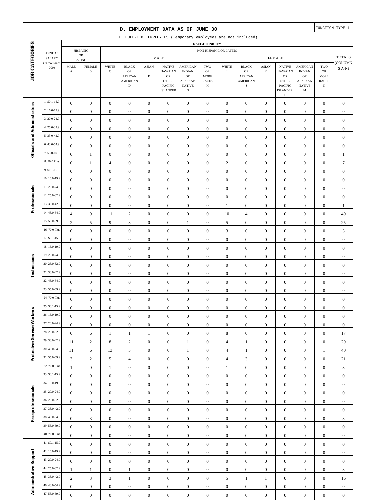|                              |                              |                              |                                      |                                  |                                                                                 |                                |                                                                                                        | D. EMPLOYMENT DATA AS OF JUNE 30                                                       |                                                                |                             |                                                                               |                                  |                                                                                                   |                                                                                         |                                                                | FUNCTION TYPE 11               |
|------------------------------|------------------------------|------------------------------|--------------------------------------|----------------------------------|---------------------------------------------------------------------------------|--------------------------------|--------------------------------------------------------------------------------------------------------|----------------------------------------------------------------------------------------|----------------------------------------------------------------|-----------------------------|-------------------------------------------------------------------------------|----------------------------------|---------------------------------------------------------------------------------------------------|-----------------------------------------------------------------------------------------|----------------------------------------------------------------|--------------------------------|
|                              |                              |                              |                                      |                                  |                                                                                 |                                |                                                                                                        |                                                                                        | <b>RACE/ETHNICITY</b>                                          |                             | 1. FULL-TIME EMPLOYEES (Temporary employees are not included)                 |                                  |                                                                                                   |                                                                                         |                                                                |                                |
|                              | <b>ANNUAL</b>                |                              | <b>HISPANIC</b>                      |                                  |                                                                                 |                                |                                                                                                        |                                                                                        | NON-HISPANIC OR LATINO                                         |                             |                                                                               |                                  |                                                                                                   |                                                                                         |                                                                |                                |
|                              | SALARY<br>In thousands       |                              | $\mathbf{OR}$<br><b>LATINO</b>       |                                  |                                                                                 |                                | MALE                                                                                                   |                                                                                        |                                                                |                             |                                                                               |                                  | <b>FEMALE</b>                                                                                     |                                                                                         |                                                                | <b>TOTALS</b><br><b>COLUMN</b> |
| JOB CATEGORIES               | 000)                         | MALE<br>$\boldsymbol{A}$     | <b>FEMALE</b><br>$\, {\bf B}$        | WHITE<br>$\mathbf C$             | <b>BLACK</b><br>$_{\rm OR}$<br><b>AFRICAN</b><br><b>AMERICAN</b><br>$\mathbf D$ | <b>ASIAN</b><br>$\mathbf E$    | <b>NATIVE</b><br><b>HAWAIAN</b><br>${\rm OR}$<br><b>OTHER</b><br>PACIFIC<br><b>ISLANDER</b><br>$\rm F$ | <b>AMERICAN</b><br><b>INDIAN</b><br>OR<br><b>ALASKAN</b><br><b>NATIVE</b><br>${\bf G}$ | TWO<br>${\sf OR}$<br><b>MORE</b><br><b>RACES</b><br>$_{\rm H}$ | WHITE<br>$\rm I$            | <b>BLACK</b><br>$_{\rm OR}$<br><b>AFRICAN</b><br><b>AMERICAN</b><br>${\bf J}$ | <b>ASIAN</b><br>$\bf K$          | <b>NATIVE</b><br><b>HAWAIAN</b><br>${\sf OR}$<br><b>OTHER</b><br><b>PACIFIC</b><br>ISLANDER,<br>L | <b>AMERICAN</b><br><b>INDIAN</b><br>OR<br><b>ALASKAN</b><br><b>NATIVE</b><br>$_{\rm M}$ | TWO<br>${\sf OR}$<br><b>MORE</b><br><b>RACES</b><br>$_{\rm N}$ | $S(A-N)$                       |
|                              | 1. \$0.1-15.9                | $\boldsymbol{0}$             | $\boldsymbol{0}$                     | $\boldsymbol{0}$                 | $\boldsymbol{0}$                                                                | $\boldsymbol{0}$               | $\boldsymbol{0}$                                                                                       | $\boldsymbol{0}$                                                                       | $\boldsymbol{0}$                                               | $\boldsymbol{0}$            | $\boldsymbol{0}$                                                              | $\boldsymbol{0}$                 | $\boldsymbol{0}$                                                                                  | $\boldsymbol{0}$                                                                        | $\boldsymbol{0}$                                               | $\boldsymbol{0}$               |
| Officials and Administrators | 2.16.0-19.9                  | $\boldsymbol{0}$             | $\boldsymbol{0}$                     | $\boldsymbol{0}$                 | $\boldsymbol{0}$                                                                | $\mathbf{0}$                   | $\boldsymbol{0}$                                                                                       | $\boldsymbol{0}$                                                                       | $\boldsymbol{0}$                                               | $\boldsymbol{0}$            | $\mathbf{0}$                                                                  | $\boldsymbol{0}$                 | $\boldsymbol{0}$                                                                                  | $\boldsymbol{0}$                                                                        | $\boldsymbol{0}$                                               | $\boldsymbol{0}$               |
|                              | 3.20.0-24.9                  | $\boldsymbol{0}$             | $\boldsymbol{0}$                     | $\boldsymbol{0}$                 | $\boldsymbol{0}$                                                                | $\boldsymbol{0}$               | $\boldsymbol{0}$                                                                                       | $\boldsymbol{0}$                                                                       | $\boldsymbol{0}$                                               | $\boldsymbol{0}$            | $\mathbf{0}$                                                                  | $\boldsymbol{0}$                 | $\boldsymbol{0}$                                                                                  | $\boldsymbol{0}$                                                                        | $\boldsymbol{0}$                                               | $\boldsymbol{0}$               |
|                              | 4.25.0-32.9                  | $\boldsymbol{0}$             | $\boldsymbol{0}$                     | $\boldsymbol{0}$                 | $\boldsymbol{0}$                                                                | $\boldsymbol{0}$               | $\boldsymbol{0}$                                                                                       | $\boldsymbol{0}$                                                                       | $\boldsymbol{0}$                                               | $\boldsymbol{0}$            | $\boldsymbol{0}$                                                              | $\mathbf{0}$                     | $\boldsymbol{0}$                                                                                  | $\boldsymbol{0}$                                                                        | $\boldsymbol{0}$                                               | $\boldsymbol{0}$               |
|                              | 5.33.0-42.9                  | $\mathbf{0}$                 | $\boldsymbol{0}$                     | $\boldsymbol{0}$                 | $\boldsymbol{0}$                                                                | $\boldsymbol{0}$               | $\boldsymbol{0}$                                                                                       | $\boldsymbol{0}$                                                                       | $\boldsymbol{0}$                                               | $\boldsymbol{0}$            | $\boldsymbol{0}$                                                              | $\boldsymbol{0}$                 | $\boldsymbol{0}$                                                                                  | $\boldsymbol{0}$                                                                        | $\boldsymbol{0}$                                               | $\boldsymbol{0}$               |
|                              | 6.43.0-54.9                  | $\boldsymbol{0}$             | $\boldsymbol{0}$                     | $\boldsymbol{0}$                 | $\boldsymbol{0}$                                                                | $\mathbf{0}$                   | $\boldsymbol{0}$                                                                                       | $\boldsymbol{0}$                                                                       | $\boldsymbol{0}$                                               | $\mathbf{0}$                | $\mathbf{0}$                                                                  | $\boldsymbol{0}$                 | $\mathbf{0}$                                                                                      | $\boldsymbol{0}$                                                                        | $\boldsymbol{0}$                                               | $\boldsymbol{0}$               |
|                              | 7.55.0-69.9                  | $\mathbf{0}$                 | $\mathbf{1}$                         | $\boldsymbol{0}$                 | $\boldsymbol{0}$                                                                | $\boldsymbol{0}$               | $\boldsymbol{0}$                                                                                       | $\mathbf{0}$                                                                           | $\boldsymbol{0}$                                               | $\boldsymbol{0}$            | $\boldsymbol{0}$                                                              | $\boldsymbol{0}$                 | $\boldsymbol{0}$                                                                                  | $\boldsymbol{0}$                                                                        | $\boldsymbol{0}$                                               | $\mathbf{1}$                   |
|                              | 8.70.0 Plus                  | $\boldsymbol{0}$             | $\mathbf{1}$                         | $\overline{4}$                   | $\boldsymbol{0}$                                                                | $\boldsymbol{0}$               | $\boldsymbol{0}$                                                                                       | $\mathbf{0}$                                                                           | $\boldsymbol{0}$                                               | $\overline{c}$              | $\boldsymbol{0}$                                                              | $\mathbf{0}$                     | $\boldsymbol{0}$                                                                                  | $\boldsymbol{0}$                                                                        | $\boldsymbol{0}$                                               | 7                              |
|                              | 9. \$0.1-15.9                | $\mathbf{0}$                 | $\boldsymbol{0}$                     | $\boldsymbol{0}$                 | $\boldsymbol{0}$                                                                | $\boldsymbol{0}$               | $\boldsymbol{0}$                                                                                       | $\boldsymbol{0}$                                                                       | $\boldsymbol{0}$                                               | $\boldsymbol{0}$            | $\mathbf{0}$                                                                  | $\boldsymbol{0}$                 | $\boldsymbol{0}$                                                                                  | $\boldsymbol{0}$                                                                        | $\boldsymbol{0}$                                               | $\boldsymbol{0}$               |
|                              | 10.16.0-19.9                 | $\boldsymbol{0}$             | $\boldsymbol{0}$                     | $\boldsymbol{0}$                 | $\mathbf{0}$                                                                    | $\mathbf{0}$                   | $\boldsymbol{0}$                                                                                       | $\boldsymbol{0}$                                                                       | $\boldsymbol{0}$                                               | $\boldsymbol{0}$            | $\boldsymbol{0}$                                                              | $\boldsymbol{0}$                 | $\boldsymbol{0}$                                                                                  | $\boldsymbol{0}$                                                                        | $\boldsymbol{0}$                                               | $\boldsymbol{0}$               |
|                              | 11.20.0-24.9                 | $\boldsymbol{0}$             | $\boldsymbol{0}$                     | $\boldsymbol{0}$                 | $\boldsymbol{0}$                                                                | $\boldsymbol{0}$               | $\boldsymbol{0}$                                                                                       | $\boldsymbol{0}$                                                                       | $\boldsymbol{0}$                                               | $\boldsymbol{0}$            | $\boldsymbol{0}$                                                              | $\boldsymbol{0}$                 | $\boldsymbol{0}$                                                                                  | $\boldsymbol{0}$                                                                        | $\boldsymbol{0}$                                               | $\boldsymbol{0}$               |
| Professionals                | 12.25.0-32.9                 | $\boldsymbol{0}$             | $\boldsymbol{0}$                     | $\boldsymbol{0}$                 | $\boldsymbol{0}$                                                                | $\boldsymbol{0}$               | $\boldsymbol{0}$                                                                                       | $\boldsymbol{0}$                                                                       | $\boldsymbol{0}$                                               | $\boldsymbol{0}$            | $\boldsymbol{0}$                                                              | $\mathbf{0}$                     | $\boldsymbol{0}$                                                                                  | $\boldsymbol{0}$                                                                        | $\boldsymbol{0}$                                               | $\boldsymbol{0}$               |
|                              | 13.33.0-42.9                 | $\mathbf{0}$                 | $\boldsymbol{0}$                     | $\boldsymbol{0}$                 | $\boldsymbol{0}$                                                                | $\boldsymbol{0}$               | $\boldsymbol{0}$                                                                                       | $\boldsymbol{0}$                                                                       | $\boldsymbol{0}$                                               | $\mathbf{1}$                | $\boldsymbol{0}$                                                              | $\boldsymbol{0}$                 | $\boldsymbol{0}$                                                                                  | $\boldsymbol{0}$                                                                        | $\boldsymbol{0}$                                               | $\mathbf{1}$                   |
|                              | 14.43.0-54.9                 | $\overline{4}$               | 9                                    | 11                               | $\sqrt{2}$                                                                      | $\mathbf{0}$                   | $\boldsymbol{0}$                                                                                       | $\mathbf{0}$                                                                           | $\boldsymbol{0}$                                               | 10                          | $\overline{4}$                                                                | $\boldsymbol{0}$                 | $\mathbf{0}$                                                                                      | $\boldsymbol{0}$                                                                        | $\boldsymbol{0}$                                               | 40                             |
|                              | 15.55.0-69.9                 | $\overline{c}$               | 5                                    | 9                                | $\mathfrak z$                                                                   | $\boldsymbol{0}$               | $\boldsymbol{0}$                                                                                       | $\mathbf{1}$                                                                           | $\boldsymbol{0}$                                               | 5                           | $\boldsymbol{0}$                                                              | $\boldsymbol{0}$                 | $\boldsymbol{0}$                                                                                  | $\boldsymbol{0}$                                                                        | $\boldsymbol{0}$                                               | 25                             |
|                              | 16.70.0 Plus                 | $\boldsymbol{0}$             | $\boldsymbol{0}$                     | $\boldsymbol{0}$                 | $\boldsymbol{0}$                                                                | $\boldsymbol{0}$               | $\boldsymbol{0}$                                                                                       | $\boldsymbol{0}$                                                                       | $\boldsymbol{0}$                                               | $\mathfrak{Z}$              | $\mathbf{0}$                                                                  | $\mathbf{0}$                     | $\boldsymbol{0}$                                                                                  | $\boldsymbol{0}$                                                                        | $\boldsymbol{0}$                                               | $\mathfrak{Z}$                 |
|                              | 17. \$0.1-15.9               | $\mathbf{0}$                 | $\boldsymbol{0}$                     | $\boldsymbol{0}$                 | $\boldsymbol{0}$                                                                | $\boldsymbol{0}$               | $\boldsymbol{0}$                                                                                       | $\boldsymbol{0}$                                                                       | $\boldsymbol{0}$                                               | $\boldsymbol{0}$            | $\boldsymbol{0}$                                                              | $\boldsymbol{0}$                 | $\boldsymbol{0}$                                                                                  | $\boldsymbol{0}$                                                                        | $\boldsymbol{0}$                                               | $\boldsymbol{0}$               |
|                              | 18.16.0-19.9                 | $\mathbf{0}$                 | $\boldsymbol{0}$                     | $\boldsymbol{0}$                 | $\boldsymbol{0}$                                                                | $\mathbf{0}$                   | $\boldsymbol{0}$                                                                                       | $\boldsymbol{0}$                                                                       | $\boldsymbol{0}$                                               | $\mathbf{0}$                | $\boldsymbol{0}$                                                              | $\boldsymbol{0}$                 | $\boldsymbol{0}$                                                                                  | $\boldsymbol{0}$                                                                        | $\boldsymbol{0}$                                               | $\boldsymbol{0}$               |
|                              | 19.20.0-24.9                 | $\boldsymbol{0}$             | $\boldsymbol{0}$                     | $\mathbf{0}$                     | $\boldsymbol{0}$                                                                | $\boldsymbol{0}$               | $\boldsymbol{0}$                                                                                       | $\boldsymbol{0}$                                                                       | $\boldsymbol{0}$                                               | $\mathbf{0}$                | $\boldsymbol{0}$                                                              | $\boldsymbol{0}$                 | $\boldsymbol{0}$                                                                                  | $\boldsymbol{0}$                                                                        | $\boldsymbol{0}$                                               | $\boldsymbol{0}$               |
| Technicians                  | 20.25.0-32.9                 | $\boldsymbol{0}$             | $\boldsymbol{0}$                     | $\boldsymbol{0}$                 | $\boldsymbol{0}$                                                                | $\boldsymbol{0}$               | $\boldsymbol{0}$                                                                                       | $\boldsymbol{0}$                                                                       | $\boldsymbol{0}$                                               | $\boldsymbol{0}$            | $\boldsymbol{0}$                                                              | $\mathbf{0}$                     | $\boldsymbol{0}$                                                                                  | $\boldsymbol{0}$                                                                        | $\boldsymbol{0}$                                               | $\boldsymbol{0}$               |
|                              | 21.33.0-42.9                 | $\mathbf{0}$                 | $\boldsymbol{0}$                     | $\boldsymbol{0}$                 | $\boldsymbol{0}$                                                                | $\boldsymbol{0}$               | $\boldsymbol{0}$                                                                                       | $\boldsymbol{0}$                                                                       | $\boldsymbol{0}$                                               | $\boldsymbol{0}$            | $\boldsymbol{0}$                                                              | $\boldsymbol{0}$                 | $\boldsymbol{0}$                                                                                  | $\boldsymbol{0}$                                                                        | $\boldsymbol{0}$                                               | $\boldsymbol{0}$               |
|                              | 22.43.0-54.9                 | $\boldsymbol{0}$             | $\boldsymbol{0}$                     | $\boldsymbol{0}$                 | $\boldsymbol{0}$                                                                | $\mathbf{0}$                   | $\boldsymbol{0}$                                                                                       | $\boldsymbol{0}$                                                                       | $\boldsymbol{0}$                                               | $\mathbf{0}$                | $\boldsymbol{0}$                                                              | $\boldsymbol{0}$                 | $\mathbf{0}$                                                                                      | $\boldsymbol{0}$                                                                        | $\boldsymbol{0}$                                               | $\boldsymbol{0}$               |
|                              | 23.55.0-69.9<br>24.70.0 Plus | $\boldsymbol{0}$             | $\boldsymbol{0}$                     | $\boldsymbol{0}$                 | $\boldsymbol{0}$                                                                | $\boldsymbol{0}$               | $\boldsymbol{0}$                                                                                       | $\boldsymbol{0}$                                                                       | $\boldsymbol{0}$                                               | $\mathbf{0}$                | $\boldsymbol{0}$                                                              | $\boldsymbol{0}$                 | $\boldsymbol{0}$                                                                                  | $\boldsymbol{0}$                                                                        | $\boldsymbol{0}$                                               | $\boldsymbol{0}$               |
|                              | 25. \$0.1-15.9               | $\overline{0}$               | $\boldsymbol{0}$                     | $\mathbf{0}$                     | $\boldsymbol{0}$                                                                | $\mathbf{0}$                   | $\boldsymbol{0}$                                                                                       | $\boldsymbol{0}$                                                                       | 0                                                              | $\boldsymbol{0}$            | 0                                                                             | $\mathbf{0}$                     | $\mathbf{0}$                                                                                      | $\boldsymbol{0}$                                                                        | $\boldsymbol{0}$                                               | $\boldsymbol{0}$               |
|                              | 26.16.0-19.9                 | $\boldsymbol{0}$             | $\boldsymbol{0}$                     | $\boldsymbol{0}$                 | $\boldsymbol{0}$                                                                | $\boldsymbol{0}$               | $\boldsymbol{0}$                                                                                       | $\boldsymbol{0}$                                                                       | $\boldsymbol{0}$                                               | $\boldsymbol{0}$            | $\boldsymbol{0}$                                                              | $\boldsymbol{0}$                 | $\boldsymbol{0}$                                                                                  | $\boldsymbol{0}$                                                                        | $\boldsymbol{0}$                                               | $\boldsymbol{0}$               |
|                              | 27.20.0-24.9                 | $\mathbf{0}$<br>$\mathbf{0}$ | $\boldsymbol{0}$<br>$\boldsymbol{0}$ | $\boldsymbol{0}$                 | $\boldsymbol{0}$                                                                | $\overline{0}$<br>$\mathbf{0}$ | $\boldsymbol{0}$                                                                                       | $\boldsymbol{0}$                                                                       | $\overline{0}$                                                 | $\mathbf{0}$                | $\overline{0}$<br>$\mathbf{0}$                                                | $\boldsymbol{0}$                 | $\boldsymbol{0}$                                                                                  | $\overline{0}$                                                                          | $\boldsymbol{0}$                                               | $\boldsymbol{0}$               |
| Protective Service Workers   | 28.25.0-32.9                 | $\mathbf{0}$                 | 6                                    | $\boldsymbol{0}$<br>$\mathbf{1}$ | $\boldsymbol{0}$<br>$\mathbf{1}$                                                | 1                              | $\boldsymbol{0}$<br>$\boldsymbol{0}$                                                                   | $\boldsymbol{0}$<br>$\boldsymbol{0}$                                                   | $\boldsymbol{0}$<br>$\boldsymbol{0}$                           | $\boldsymbol{0}$<br>$\,8\,$ | $\boldsymbol{0}$                                                              | $\mathbf{0}$<br>$\boldsymbol{0}$ | $\boldsymbol{0}$<br>$\boldsymbol{0}$                                                              | $\boldsymbol{0}$<br>$\boldsymbol{0}$                                                    | $\boldsymbol{0}$<br>$\boldsymbol{0}$                           | $\boldsymbol{0}$<br>17         |
|                              | 29.33.0-42.9                 | 11                           | $\overline{c}$                       | 8                                | $\sqrt{2}$                                                                      | $\boldsymbol{0}$               | $\boldsymbol{0}$                                                                                       | 1                                                                                      | $\boldsymbol{0}$                                               | $\overline{4}$              | $\mathbf{1}$                                                                  | $\boldsymbol{0}$                 | $\boldsymbol{0}$                                                                                  | $\boldsymbol{0}$                                                                        | $\boldsymbol{0}$                                               | 29                             |
|                              | 30.43.0-54.9                 | 11                           | 6                                    | 13                               | 3                                                                               | $\boldsymbol{0}$               | $\boldsymbol{0}$                                                                                       | $\mathbf{1}$                                                                           | $\boldsymbol{0}$                                               | $\overline{4}$              | $\mathbf{1}$                                                                  | $\mathbf{0}$                     | $\mathbf{0}$                                                                                      | $\boldsymbol{0}$                                                                        | $\mathbf{1}$                                                   | 40                             |
|                              | 31.55.0-69.9                 | 3                            | $\overline{c}$                       | 5                                | $\overline{4}$                                                                  | $\mathbf{0}$                   | $\boldsymbol{0}$                                                                                       | $\boldsymbol{0}$                                                                       | $\boldsymbol{0}$                                               | $\overline{4}$              | $\mathfrak{Z}$                                                                | $\boldsymbol{0}$                 | $\boldsymbol{0}$                                                                                  | $\boldsymbol{0}$                                                                        | $\boldsymbol{0}$                                               | 21                             |
|                              | 32.70.0 Plus                 | $\mathbf{1}$                 | $\boldsymbol{0}$                     | $\mathbf{1}$                     | $\boldsymbol{0}$                                                                | $\boldsymbol{0}$               | $\boldsymbol{0}$                                                                                       | $\boldsymbol{0}$                                                                       | $\boldsymbol{0}$                                               | $\mathbf{1}$                | $\boldsymbol{0}$                                                              | $\boldsymbol{0}$                 | $\boldsymbol{0}$                                                                                  | $\boldsymbol{0}$                                                                        | $\boldsymbol{0}$                                               | $\ensuremath{\mathfrak{Z}}$    |
|                              | 33. \$0.1-15.9               | $\mathbf{0}$                 | $\boldsymbol{0}$                     | $\boldsymbol{0}$                 | $\boldsymbol{0}$                                                                | $\boldsymbol{0}$               | $\boldsymbol{0}$                                                                                       | $\boldsymbol{0}$                                                                       | $\boldsymbol{0}$                                               | $\boldsymbol{0}$            | $\boldsymbol{0}$                                                              | $\boldsymbol{0}$                 | $\boldsymbol{0}$                                                                                  | $\boldsymbol{0}$                                                                        | $\boldsymbol{0}$                                               | $\boldsymbol{0}$               |
|                              | 34.16.0-19.9                 | $\mathbf{0}$                 | $\boldsymbol{0}$                     | $\boldsymbol{0}$                 | $\boldsymbol{0}$                                                                | $\overline{0}$                 | $\boldsymbol{0}$                                                                                       | $\boldsymbol{0}$                                                                       | $\boldsymbol{0}$                                               | $\boldsymbol{0}$            | $\overline{0}$                                                                | $\mathbf{0}$                     | $\boldsymbol{0}$                                                                                  | $\boldsymbol{0}$                                                                        | $\boldsymbol{0}$                                               | $\boldsymbol{0}$               |
| Paraprofessionals            | 35.20.0-24.9                 | $\mathbf{0}$                 | $\boldsymbol{0}$                     | $\boldsymbol{0}$                 | $\boldsymbol{0}$                                                                | $\mathbf{0}$                   | $\boldsymbol{0}$                                                                                       | $\boldsymbol{0}$                                                                       | $\boldsymbol{0}$                                               | $\boldsymbol{0}$            | $\mathbf{0}$                                                                  | $\boldsymbol{0}$                 | $\boldsymbol{0}$                                                                                  | $\boldsymbol{0}$                                                                        | $\boldsymbol{0}$                                               | $\boldsymbol{0}$               |
|                              | 36.25.0-32.9                 | $\mathbf{0}$                 | $\boldsymbol{0}$                     | $\boldsymbol{0}$                 | $\boldsymbol{0}$                                                                | $\boldsymbol{0}$               | $\boldsymbol{0}$                                                                                       | $\boldsymbol{0}$                                                                       | $\boldsymbol{0}$                                               | $\boldsymbol{0}$            | $\boldsymbol{0}$                                                              | $\boldsymbol{0}$                 | $\boldsymbol{0}$                                                                                  | $\boldsymbol{0}$                                                                        | $\boldsymbol{0}$                                               | $\boldsymbol{0}$               |
|                              | 37.33.0-42.9                 | $\mathbf{0}$                 | $\boldsymbol{0}$                     | $\boldsymbol{0}$                 | $\boldsymbol{0}$                                                                | $\boldsymbol{0}$               | $\boldsymbol{0}$                                                                                       | $\boldsymbol{0}$                                                                       | $\boldsymbol{0}$                                               | $\boldsymbol{0}$            | $\boldsymbol{0}$                                                              | $\boldsymbol{0}$                 | $\boldsymbol{0}$                                                                                  | $\boldsymbol{0}$                                                                        | $\boldsymbol{0}$                                               | $\boldsymbol{0}$               |
|                              | 38.43.0-54.9                 | $\mathbf{0}$                 | $\mathfrak{Z}$                       | $\boldsymbol{0}$                 | $\boldsymbol{0}$                                                                | $\overline{0}$                 | $\boldsymbol{0}$                                                                                       | $\boldsymbol{0}$                                                                       | $\boldsymbol{0}$                                               | $\boldsymbol{0}$            | $\mathbf{0}$                                                                  | $\boldsymbol{0}$                 | $\boldsymbol{0}$                                                                                  | $\boldsymbol{0}$                                                                        | $\boldsymbol{0}$                                               | $\mathfrak{Z}$                 |
|                              | 39.55.0-69.9                 | $\mathbf{0}$                 | $\boldsymbol{0}$                     | $\boldsymbol{0}$                 | $\boldsymbol{0}$                                                                | $\boldsymbol{0}$               | $\boldsymbol{0}$                                                                                       | $\boldsymbol{0}$                                                                       | $\boldsymbol{0}$                                               | $\boldsymbol{0}$            | $\mathbf{0}$                                                                  | $\boldsymbol{0}$                 | $\boldsymbol{0}$                                                                                  | $\boldsymbol{0}$                                                                        | $\boldsymbol{0}$                                               | $\boldsymbol{0}$               |
|                              | 40.70.0 Plus                 | $\mathbf{0}$                 | $\boldsymbol{0}$                     | $\boldsymbol{0}$                 | $\boldsymbol{0}$                                                                | $\boldsymbol{0}$               | $\boldsymbol{0}$                                                                                       | $\boldsymbol{0}$                                                                       | $\boldsymbol{0}$                                               | $\boldsymbol{0}$            | $\boldsymbol{0}$                                                              | $\boldsymbol{0}$                 | $\boldsymbol{0}$                                                                                  | $\boldsymbol{0}$                                                                        | $\boldsymbol{0}$                                               | $\boldsymbol{0}$               |
|                              | 41. \$0.1-15.9               | $\mathbf{0}$                 | $\boldsymbol{0}$                     | $\boldsymbol{0}$                 | $\boldsymbol{0}$                                                                | $\boldsymbol{0}$               | $\boldsymbol{0}$                                                                                       | $\boldsymbol{0}$                                                                       | $\boldsymbol{0}$                                               | $\boldsymbol{0}$            | $\boldsymbol{0}$                                                              | $\boldsymbol{0}$                 | $\boldsymbol{0}$                                                                                  | $\boldsymbol{0}$                                                                        | $\boldsymbol{0}$                                               | $\boldsymbol{0}$               |
|                              | 42.16.0-19.9                 | $\mathbf{0}$                 | $\boldsymbol{0}$                     | $\boldsymbol{0}$                 | $\boldsymbol{0}$                                                                | $\overline{0}$                 | $\boldsymbol{0}$                                                                                       | $\boldsymbol{0}$                                                                       | $\overline{0}$                                                 | $\boldsymbol{0}$            | $\mathbf{0}$                                                                  | $\mathbf{0}$                     | $\boldsymbol{0}$                                                                                  | $\boldsymbol{0}$                                                                        | $\boldsymbol{0}$                                               | $\boldsymbol{0}$               |
|                              | 43.20.0-24.9                 | $\mathbf{0}$                 | $\boldsymbol{0}$                     | $\boldsymbol{0}$                 | $\boldsymbol{0}$                                                                | $\mathbf{0}$                   | $\boldsymbol{0}$                                                                                       | $\boldsymbol{0}$                                                                       | $\boldsymbol{0}$                                               | $\boldsymbol{0}$            | $\mathbf{0}$                                                                  | $\boldsymbol{0}$                 | $\boldsymbol{0}$                                                                                  | $\boldsymbol{0}$                                                                        | $\boldsymbol{0}$                                               | $\boldsymbol{0}$               |
|                              | 44.25.0-32.9                 | -1                           | $\mathbf{1}$                         | $\boldsymbol{0}$                 | $\mathbf{1}$                                                                    | $\boldsymbol{0}$               | $\boldsymbol{0}$                                                                                       | $\boldsymbol{0}$                                                                       | $\boldsymbol{0}$                                               | $\boldsymbol{0}$            | $\boldsymbol{0}$                                                              | $\boldsymbol{0}$                 | $\boldsymbol{0}$                                                                                  | $\boldsymbol{0}$                                                                        | $\boldsymbol{0}$                                               | 3                              |
| Administrative Support       | 45.33.0-42.9                 | $\overline{2}$               | 3                                    | 3                                | $\mathbf{1}$                                                                    | $\boldsymbol{0}$               | $\boldsymbol{0}$                                                                                       | $\boldsymbol{0}$                                                                       | $\boldsymbol{0}$                                               | 5                           | $\mathbf{1}$                                                                  | $\mathbf{1}$                     | $\boldsymbol{0}$                                                                                  | $\boldsymbol{0}$                                                                        | $\boldsymbol{0}$                                               | 16                             |
|                              | 46.43.0-54.9                 | $\mathbf{0}$                 | $\boldsymbol{0}$                     | $\boldsymbol{0}$                 | $\boldsymbol{0}$                                                                | $\boldsymbol{0}$               | $\boldsymbol{0}$                                                                                       | $\boldsymbol{0}$                                                                       | $\boldsymbol{0}$                                               | $\boldsymbol{0}$            | $\boldsymbol{0}$                                                              | $\boldsymbol{0}$                 | $\boldsymbol{0}$                                                                                  | $\boldsymbol{0}$                                                                        | $\boldsymbol{0}$                                               | $\boldsymbol{0}$               |
|                              | 47.55.0-69.9                 | $\mathbf{0}$                 | $\boldsymbol{0}$                     | $\boldsymbol{0}$                 | $\boldsymbol{0}$                                                                | $\boldsymbol{0}$               | $\boldsymbol{0}$                                                                                       | $\boldsymbol{0}$                                                                       | $\boldsymbol{0}$                                               | $\boldsymbol{0}$            | $\boldsymbol{0}$                                                              | $\boldsymbol{0}$                 | $\boldsymbol{0}$                                                                                  | $\boldsymbol{0}$                                                                        | $\boldsymbol{0}$                                               | $\boldsymbol{0}$               |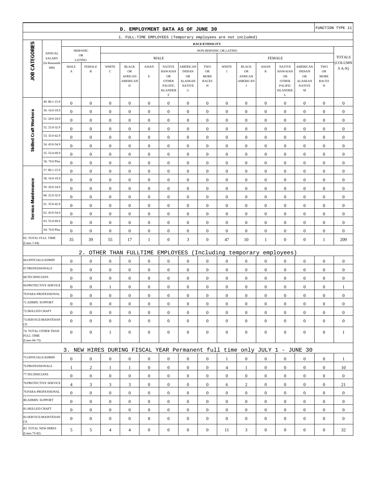|                                      |                              |                  |                               |                  | D. EMPLOYMENT DATA AS OF JUNE 30                                          |                        |                                                                                   |                                                              |                                                 |                  |                                              |                  |                                                                              |                                                             |                                                 | FUNCTION TYPE 11 |
|--------------------------------------|------------------------------|------------------|-------------------------------|------------------|---------------------------------------------------------------------------|------------------------|-----------------------------------------------------------------------------------|--------------------------------------------------------------|-------------------------------------------------|------------------|----------------------------------------------|------------------|------------------------------------------------------------------------------|-------------------------------------------------------------|-------------------------------------------------|------------------|
|                                      |                              |                  |                               |                  | 1. FULL-TIME EMPLOYEES (Temporary employees are not included)             |                        |                                                                                   |                                                              |                                                 |                  |                                              |                  |                                                                              |                                                             |                                                 |                  |
|                                      |                              |                  |                               |                  |                                                                           |                        |                                                                                   |                                                              | <b>RACE/ETHNICITY</b>                           |                  |                                              |                  |                                                                              |                                                             |                                                 |                  |
|                                      | <b>ANNUAL</b><br>SALARY      |                  | <b>HISPANIC</b><br>${\sf OR}$ |                  |                                                                           |                        | <b>MALE</b>                                                                       |                                                              | NON-HISPANIC OR LATINO                          |                  |                                              |                  | <b>FEMALE</b>                                                                |                                                             |                                                 | <b>TOTALS</b>    |
|                                      | (In thousands                | LATINO<br>MALE   | <b>FEMALE</b>                 | WHITE            | <b>BLACK</b>                                                              | $\operatorname{ASIAN}$ | <b>NATIVE</b>                                                                     | AMERICAN                                                     | TWO                                             | WHITE            | <b>BLACK</b>                                 | <b>ASIAN</b>     | <b>NATIVE</b>                                                                | <b>AMERICAN</b>                                             | TWO                                             | (COLUMN          |
| JOB CATEGORIES                       | 000)                         | $\boldsymbol{A}$ | $\, {\bf B}$                  | $\mathbf C$      | OR<br><b>AFRICAN</b><br><b>AMERICAN</b><br>$\mathbf D$                    | Е                      | <b>HAWAIAN</b><br>${\rm OR}$<br><b>OTHER</b><br><b>PACIFIC</b><br><b>ISLANDER</b> | <b>INDIAN</b><br>OR<br>ALASKAN<br><b>NATIVE</b><br>${\bf G}$ | OR<br><b>MORE</b><br><b>RACES</b><br>$_{\rm H}$ | $\bf{I}$         | OR<br><b>AFRICAN</b><br><b>AMERICAN</b><br>J | $\bf K$          | <b>HAWAIAN</b><br>$_{\rm OR}$<br><b>OTHER</b><br><b>PACIFIC</b><br>ISLANDER, | <b>INDIAN</b><br>OR<br><b>ALASKAN</b><br><b>NATIVE</b><br>M | OR<br><b>MORE</b><br><b>RACES</b><br>$_{\rm N}$ | $S(A-N)$         |
|                                      | 49. \$0.1-15.9               | $\mathbf{0}$     | $\boldsymbol{0}$              | $\boldsymbol{0}$ | $\boldsymbol{0}$                                                          | $\boldsymbol{0}$       | $\rm F$<br>$\boldsymbol{0}$                                                       | $\boldsymbol{0}$                                             | $\boldsymbol{0}$                                | $\boldsymbol{0}$ | $\boldsymbol{0}$                             | $\boldsymbol{0}$ | L<br>$\boldsymbol{0}$                                                        | $\boldsymbol{0}$                                            | $\boldsymbol{0}$                                | $\boldsymbol{0}$ |
|                                      | 50.16.0-19.9                 | $\boldsymbol{0}$ | $\boldsymbol{0}$              | $\boldsymbol{0}$ | $\boldsymbol{0}$                                                          | $\mathbf{0}$           | $\boldsymbol{0}$                                                                  | $\boldsymbol{0}$                                             | $\boldsymbol{0}$                                | $\boldsymbol{0}$ | $\boldsymbol{0}$                             | $\boldsymbol{0}$ | $\boldsymbol{0}$                                                             | $\boldsymbol{0}$                                            | $\boldsymbol{0}$                                | $\boldsymbol{0}$ |
| Skilled Craft Workers                | 51.20.0-24.9                 | $\mathbf{0}$     | $\boldsymbol{0}$              | $\boldsymbol{0}$ | $\boldsymbol{0}$                                                          | $\mathbf{0}$           | $\boldsymbol{0}$                                                                  | $\boldsymbol{0}$                                             | $\boldsymbol{0}$                                | $\boldsymbol{0}$ | $\boldsymbol{0}$                             | $\boldsymbol{0}$ | $\boldsymbol{0}$                                                             | $\boldsymbol{0}$                                            | $\boldsymbol{0}$                                | $\boldsymbol{0}$ |
|                                      | 52.25.0-32.9                 | $\boldsymbol{0}$ | $\boldsymbol{0}$              | $\boldsymbol{0}$ | $\boldsymbol{0}$                                                          | $\boldsymbol{0}$       | $\boldsymbol{0}$                                                                  | $\boldsymbol{0}$                                             | $\boldsymbol{0}$                                | $\boldsymbol{0}$ | $\boldsymbol{0}$                             | $\mathbf{0}$     | $\boldsymbol{0}$                                                             | $\boldsymbol{0}$                                            | $\boldsymbol{0}$                                | $\boldsymbol{0}$ |
|                                      | 53.33.0-42.9                 | $\boldsymbol{0}$ | $\boldsymbol{0}$              | $\boldsymbol{0}$ | $\boldsymbol{0}$                                                          | $\boldsymbol{0}$       | $\boldsymbol{0}$                                                                  | $\boldsymbol{0}$                                             | $\boldsymbol{0}$                                | $\boldsymbol{0}$ | $\boldsymbol{0}$                             | $\boldsymbol{0}$ | $\boldsymbol{0}$                                                             | $\boldsymbol{0}$                                            | $\boldsymbol{0}$                                | $\boldsymbol{0}$ |
|                                      | 54.43.0-54.9                 | $\boldsymbol{0}$ | $\boldsymbol{0}$              | $\boldsymbol{0}$ | $\boldsymbol{0}$                                                          | $\boldsymbol{0}$       | $\boldsymbol{0}$                                                                  | $\boldsymbol{0}$                                             | $\boldsymbol{0}$                                | $\boldsymbol{0}$ | $\mathbf{0}$                                 | $\mathbf{0}$     | $\boldsymbol{0}$                                                             | $\boldsymbol{0}$                                            | $\boldsymbol{0}$                                | $\boldsymbol{0}$ |
|                                      | 55.55.0-69.9                 | $\overline{0}$   | $\boldsymbol{0}$              | $\boldsymbol{0}$ | $\boldsymbol{0}$                                                          | $\boldsymbol{0}$       | $\boldsymbol{0}$                                                                  | $\boldsymbol{0}$                                             | $\boldsymbol{0}$                                | $\boldsymbol{0}$ | $\boldsymbol{0}$                             | $\boldsymbol{0}$ | $\boldsymbol{0}$                                                             | $\boldsymbol{0}$                                            | $\boldsymbol{0}$                                | $\boldsymbol{0}$ |
|                                      | 56.70.0 Plus                 | $\mathbf{0}$     | $\boldsymbol{0}$              | $\boldsymbol{0}$ | $\boldsymbol{0}$                                                          | $\boldsymbol{0}$       | $\boldsymbol{0}$                                                                  | $\mathbf{0}$                                                 | $\boldsymbol{0}$                                | $\boldsymbol{0}$ | $\boldsymbol{0}$                             | $\mathbf{0}$     | $\boldsymbol{0}$                                                             | $\boldsymbol{0}$                                            | $\boldsymbol{0}$                                | $\boldsymbol{0}$ |
|                                      | 57. \$0.1-15.9               | $\boldsymbol{0}$ | $\boldsymbol{0}$              | $\boldsymbol{0}$ | $\boldsymbol{0}$                                                          | $\boldsymbol{0}$       | $\boldsymbol{0}$                                                                  | $\boldsymbol{0}$                                             | $\boldsymbol{0}$                                | $\boldsymbol{0}$ | $\boldsymbol{0}$                             | $\mathbf{0}$     | $\boldsymbol{0}$                                                             | $\boldsymbol{0}$                                            | $\boldsymbol{0}$                                | $\boldsymbol{0}$ |
|                                      | 58.16.0-19.9                 | $\boldsymbol{0}$ | $\boldsymbol{0}$              | $\boldsymbol{0}$ | $\boldsymbol{0}$                                                          | $\boldsymbol{0}$       | $\boldsymbol{0}$                                                                  | $\boldsymbol{0}$                                             | $\boldsymbol{0}$                                | $\boldsymbol{0}$ | $\mathbf{0}$                                 | $\mathbf{0}$     | $\boldsymbol{0}$                                                             | $\boldsymbol{0}$                                            | $\boldsymbol{0}$                                | $\boldsymbol{0}$ |
| Service-Maintenance                  | 59.20.0-24.9                 | $\overline{0}$   | $\boldsymbol{0}$              | $\boldsymbol{0}$ | $\boldsymbol{0}$                                                          | $\mathbf{0}$           | $\mathbf{0}$                                                                      | $\boldsymbol{0}$                                             | $\boldsymbol{0}$                                | $\boldsymbol{0}$ | $\boldsymbol{0}$                             | $\boldsymbol{0}$ | $\mathbf{0}$                                                                 | $\boldsymbol{0}$                                            | $\boldsymbol{0}$                                | $\boldsymbol{0}$ |
|                                      | 60.25.0-32.9                 | $\boldsymbol{0}$ | $\boldsymbol{0}$              | $\boldsymbol{0}$ | $\boldsymbol{0}$                                                          | $\boldsymbol{0}$       | $\boldsymbol{0}$                                                                  | $\boldsymbol{0}$                                             | $\boldsymbol{0}$                                | $\boldsymbol{0}$ | $\boldsymbol{0}$                             | $\boldsymbol{0}$ | $\boldsymbol{0}$                                                             | $\boldsymbol{0}$                                            | $\boldsymbol{0}$                                | $\boldsymbol{0}$ |
|                                      | 61.33.0-42.9                 | $\boldsymbol{0}$ | $\boldsymbol{0}$              | $\boldsymbol{0}$ | $\boldsymbol{0}$                                                          | $\boldsymbol{0}$       | $\boldsymbol{0}$                                                                  | $\boldsymbol{0}$                                             | $\boldsymbol{0}$                                | $\boldsymbol{0}$ | $\boldsymbol{0}$                             | $\boldsymbol{0}$ | $\boldsymbol{0}$                                                             | $\boldsymbol{0}$                                            | $\boldsymbol{0}$                                | $\boldsymbol{0}$ |
|                                      | 62.43.0-54.9                 | $\mathbf{0}$     | $\boldsymbol{0}$              | $\boldsymbol{0}$ | $\boldsymbol{0}$                                                          | $\mathbf{0}$           | $\boldsymbol{0}$                                                                  | $\boldsymbol{0}$                                             | $\boldsymbol{0}$                                | $\boldsymbol{0}$ | $\boldsymbol{0}$                             | $\boldsymbol{0}$ | $\boldsymbol{0}$                                                             | $\boldsymbol{0}$                                            | $\boldsymbol{0}$                                | $\boldsymbol{0}$ |
|                                      | 63.55.0-69.9                 | $\overline{0}$   | $\boldsymbol{0}$              | $\boldsymbol{0}$ | $\boldsymbol{0}$                                                          | $\mathbf{0}$           | $\boldsymbol{0}$                                                                  | $\boldsymbol{0}$                                             | $\boldsymbol{0}$                                | $\boldsymbol{0}$ | $\boldsymbol{0}$                             | $\boldsymbol{0}$ | $\mathbf{0}$                                                                 | $\boldsymbol{0}$                                            | $\boldsymbol{0}$                                | $\boldsymbol{0}$ |
| 65. TOTAL FULL TIME                  | 64.70.0 Plus                 | $\mathbf{0}$     | $\boldsymbol{0}$              | $\boldsymbol{0}$ | $\boldsymbol{0}$                                                          | $\boldsymbol{0}$       | $\mathbf{0}$                                                                      | $\boldsymbol{0}$                                             | $\boldsymbol{0}$                                | $\boldsymbol{0}$ | $\mathbf{0}$                                 | $\boldsymbol{0}$ | $\mathbf{0}$                                                                 | $\boldsymbol{0}$                                            | $\boldsymbol{0}$                                | $\boldsymbol{0}$ |
| (Lines 1-64)                         |                              | 35               | 39                            | 55               | 17                                                                        | $\mathbf{1}$           | $\boldsymbol{0}$                                                                  | $\mathfrak{Z}$                                               | $\boldsymbol{0}$                                | 47               | 10                                           | $\mathbf{1}$     | $\boldsymbol{0}$                                                             | $\boldsymbol{0}$                                            | $\mathbf{1}$                                    | 209              |
|                                      |                              |                  | $2$ .                         |                  | OTHER THAN FULLTIME                                                       |                        | <b>EMPLOYEES</b>                                                                  |                                                              |                                                 |                  | (Including temporary                         |                  | employees)                                                                   |                                                             |                                                 |                  |
| 66.OFFICIALS/ADMIN                   |                              | $\mathbf{0}$     | $\boldsymbol{0}$              | $\boldsymbol{0}$ | $\boldsymbol{0}$                                                          | $\boldsymbol{0}$       | $\boldsymbol{0}$                                                                  | $\boldsymbol{0}$                                             | $\boldsymbol{0}$                                | $\boldsymbol{0}$ | $\boldsymbol{0}$                             | $\boldsymbol{0}$ | $\boldsymbol{0}$                                                             | $\boldsymbol{0}$                                            | $\boldsymbol{0}$                                | $\boldsymbol{0}$ |
| 67.PROFESSIONALS                     |                              | $\mathbf{0}$     | $\boldsymbol{0}$              | $\boldsymbol{0}$ | $\boldsymbol{0}$                                                          | $\boldsymbol{0}$       | $\boldsymbol{0}$                                                                  | $\boldsymbol{0}$                                             | $\boldsymbol{0}$                                | $\boldsymbol{0}$ | $\boldsymbol{0}$                             | $\boldsymbol{0}$ | $\boldsymbol{0}$                                                             | $\boldsymbol{0}$                                            | $\boldsymbol{0}$                                | $\boldsymbol{0}$ |
| 68.TECHNICIANS                       |                              | $\mathbf{0}$     | $\boldsymbol{0}$              | $\boldsymbol{0}$ | $\boldsymbol{0}$                                                          | $\mathbf{0}$           | $\boldsymbol{0}$                                                                  | $\boldsymbol{0}$                                             | $\boldsymbol{0}$                                | $\boldsymbol{0}$ | $\boldsymbol{0}$                             | $\boldsymbol{0}$ | $\boldsymbol{0}$                                                             | $\boldsymbol{0}$                                            | $\boldsymbol{0}$                                | $\boldsymbol{0}$ |
|                                      | <b>69.PROTECTIVE SERVICE</b> | $\boldsymbol{0}$ | $\boldsymbol{0}$              | 1                | $\boldsymbol{0}$                                                          | $\boldsymbol{0}$       | $\boldsymbol{0}$                                                                  | $\boldsymbol{0}$                                             | $\boldsymbol{0}$                                | $\boldsymbol{0}$ | $\boldsymbol{0}$                             | $\mathbf{0}$     | $\boldsymbol{0}$                                                             | $\boldsymbol{0}$                                            | $\boldsymbol{0}$                                | 1                |
|                                      | 70.PARA-PROFESSIONAL         | $\boldsymbol{0}$ | $\boldsymbol{0}$              | $\boldsymbol{0}$ | $\boldsymbol{0}$                                                          | $\boldsymbol{0}$       | $\boldsymbol{0}$                                                                  | $\boldsymbol{0}$                                             | $\boldsymbol{0}$                                | $\boldsymbol{0}$ | $\boldsymbol{0}$                             | $\mathbf{0}$     | $\boldsymbol{0}$                                                             | $\boldsymbol{0}$                                            | $\boldsymbol{0}$                                | $\boldsymbol{0}$ |
| 71.ADMIN. SUPPORT                    |                              | $\Omega$         | $\theta$                      | $\Omega$         | $\Omega$                                                                  | $\Omega$               | $\boldsymbol{0}$                                                                  | $\theta$                                                     | $\Omega$                                        | $\Omega$         | $\Omega$                                     | $\theta$         | $\theta$                                                                     | $\Omega$                                                    | $\Omega$                                        | $\Omega$         |
| 72.SKILLED CRAFT                     |                              | $\mathbf{0}$     | $\boldsymbol{0}$              | $\boldsymbol{0}$ | $\mathbf{0}$                                                              | $\mathbf{0}$           | $\boldsymbol{0}$                                                                  | $\boldsymbol{0}$                                             | $\mathbf{0}$                                    | $\boldsymbol{0}$ | $\boldsymbol{0}$                             | $\boldsymbol{0}$ | $\mathbf{0}$                                                                 | $\boldsymbol{0}$                                            | $\mathbf{0}$                                    | $\boldsymbol{0}$ |
| CE                                   | 73.SERVICE/MAINTENAN         | $\overline{0}$   | $\boldsymbol{0}$              | $\boldsymbol{0}$ | $\mathbf{0}$                                                              | $\mathbf{0}$           | $\boldsymbol{0}$                                                                  | $\mathbf{0}$                                                 | $\boldsymbol{0}$                                | $\boldsymbol{0}$ | $\mathbf{0}$                                 | $\overline{0}$   | $\boldsymbol{0}$                                                             | $\mathbf{0}$                                                | $\boldsymbol{0}$                                | $\mathbf{0}$     |
| <b>FULL TIME</b><br>(Lines 66-73)    | 74. TOTAL OTHER THAN         | $\mathbf{0}$     | $\boldsymbol{0}$              | 1                | $\mathbf{0}$                                                              | $\mathbf{0}$           | $\boldsymbol{0}$                                                                  | $\mathbf{0}$                                                 | $\boldsymbol{0}$                                | $\boldsymbol{0}$ | $\mathbf{0}$                                 | $\mathbf{0}$     | $\mathbf{0}$                                                                 | $\boldsymbol{0}$                                            | $\boldsymbol{0}$                                | $\mathbf{1}$     |
|                                      |                              |                  |                               |                  | 3. NEW HIRES DURING FISCAL YEAR Permanent full time only JULY 1 - JUNE 30 |                        |                                                                                   |                                                              |                                                 |                  |                                              |                  |                                                                              |                                                             |                                                 |                  |
| 75.OFFICIALS/ADMIN                   |                              | $\mathbf{0}$     | $\boldsymbol{0}$              | $\overline{0}$   | $\mathbf{0}$                                                              | $\mathbf{0}$           | $\boldsymbol{0}$                                                                  | $\boldsymbol{0}$                                             | $\boldsymbol{0}$                                | $\mathbf{1}$     | $\overline{0}$                               | $\mathbf{0}$     | $\boldsymbol{0}$                                                             | $\boldsymbol{0}$                                            | $\overline{0}$                                  | 1                |
| 76.PROFESSIONALS                     |                              | $\mathbf{1}$     | $\overline{c}$                | $\mathbf{1}$     | -1                                                                        | $\mathbf{0}$           | $\mathbf{0}$                                                                      | $\mathbf{0}$                                                 | $\boldsymbol{0}$                                | $\overline{4}$   | 1                                            | $\overline{0}$   | $\mathbf{0}$                                                                 | $\boldsymbol{0}$                                            | $\overline{0}$                                  | 10               |
| 77.TECHNICIANS                       |                              | $\boldsymbol{0}$ | $\boldsymbol{0}$              | $\overline{0}$   | $\boldsymbol{0}$                                                          | $\boldsymbol{0}$       | $\boldsymbol{0}$                                                                  | $\boldsymbol{0}$                                             | $\overline{0}$                                  | $\boldsymbol{0}$ | $\boldsymbol{0}$                             | $\boldsymbol{0}$ | $\boldsymbol{0}$                                                             | $\overline{0}$                                              | $\boldsymbol{0}$                                | $\boldsymbol{0}$ |
|                                      | 78. PROTECTIVE SERVICE       | $\overline{4}$   | $\mathfrak{Z}$                | 3                | 3                                                                         | $\boldsymbol{0}$       | $\boldsymbol{0}$                                                                  | $\boldsymbol{0}$                                             | $\overline{0}$                                  | 6                | $\overline{c}$                               | $\boldsymbol{0}$ | $\mathbf{0}$                                                                 | $\overline{0}$                                              | $\overline{0}$                                  | 21               |
|                                      | 79.PARA-PROFESSIONAL         | $\mathbf{0}$     | $\mathbf{0}$                  | $\overline{0}$   | $\mathbf{0}$                                                              | $\overline{0}$         | $\mathbf{0}$                                                                      | $\mathbf{0}$                                                 | $\overline{0}$                                  | $\mathbf{0}$     | $\overline{0}$                               | $\mathbf{0}$     | $\boldsymbol{0}$                                                             | $\overline{0}$                                              | $\boldsymbol{0}$                                | $\boldsymbol{0}$ |
| 80.ADMIN. SUPPORT                    |                              | $\boldsymbol{0}$ | $\boldsymbol{0}$              | $\boldsymbol{0}$ | $\boldsymbol{0}$                                                          | $\mathbf{0}$           | $\boldsymbol{0}$                                                                  | $\mathbf{0}$                                                 | $\boldsymbol{0}$                                | $\mathbf{0}$     | $\boldsymbol{0}$                             | $\mathbf{0}$     | $\mathbf{0}$                                                                 | $\boldsymbol{0}$                                            | $\overline{0}$                                  | $\boldsymbol{0}$ |
| 81.SKILLED CRAFT                     |                              | $\boldsymbol{0}$ | $\boldsymbol{0}$              | $\boldsymbol{0}$ | $\boldsymbol{0}$                                                          | $\boldsymbol{0}$       | $\boldsymbol{0}$                                                                  | $\boldsymbol{0}$                                             | $\boldsymbol{0}$                                | $\boldsymbol{0}$ | $\boldsymbol{0}$                             | $\boldsymbol{0}$ | $\boldsymbol{0}$                                                             | $\boldsymbol{0}$                                            | $\boldsymbol{0}$                                | $\boldsymbol{0}$ |
| CЕ                                   | 82.SERVICE/MAINTENAN         | $\mathbf{0}$     | $\boldsymbol{0}$              | $\boldsymbol{0}$ | $\boldsymbol{0}$                                                          | $\mathbf{0}$           | $\mathbf{0}$                                                                      | $\boldsymbol{0}$                                             | $\mathbf{0}$                                    | $\boldsymbol{0}$ | $\mathbf{0}$                                 | $\boldsymbol{0}$ | $\boldsymbol{0}$                                                             | $\boldsymbol{0}$                                            | $\boldsymbol{0}$                                | $\boldsymbol{0}$ |
| 83. TOTAL NEW HIRES<br>(Lines 75-82) |                              | 5                | 5                             | 4                | $\overline{4}$                                                            | $\boldsymbol{0}$       | $\boldsymbol{0}$                                                                  | $\boldsymbol{0}$                                             | $\boldsymbol{0}$                                | 11               | 3                                            | $\boldsymbol{0}$ | $\boldsymbol{0}$                                                             | $\boldsymbol{0}$                                            | $\boldsymbol{0}$                                | 32               |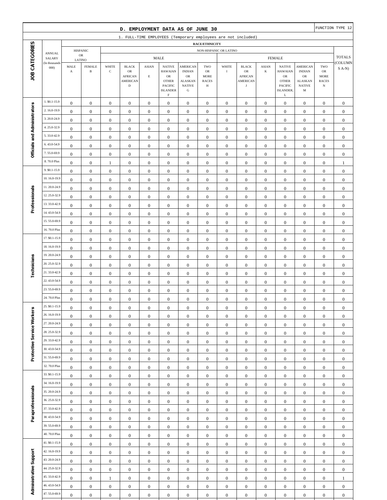|                              |                              |                                      |                                      |                                      | D. EMPLOYMENT DATA AS OF JUNE 30                                                |                                      |                                                                                                        |                                                                                        |                                                                |                                      |                                                                               |                                      |                                                                                                   |                                                                                         |                                                                | FUNCTION TYPE 12                     |
|------------------------------|------------------------------|--------------------------------------|--------------------------------------|--------------------------------------|---------------------------------------------------------------------------------|--------------------------------------|--------------------------------------------------------------------------------------------------------|----------------------------------------------------------------------------------------|----------------------------------------------------------------|--------------------------------------|-------------------------------------------------------------------------------|--------------------------------------|---------------------------------------------------------------------------------------------------|-----------------------------------------------------------------------------------------|----------------------------------------------------------------|--------------------------------------|
|                              |                              |                                      |                                      |                                      |                                                                                 |                                      |                                                                                                        |                                                                                        | <b>RACE/ETHNICITY</b>                                          |                                      | 1. FULL-TIME EMPLOYEES (Temporary employees are not included)                 |                                      |                                                                                                   |                                                                                         |                                                                |                                      |
|                              | <b>ANNUAL</b>                |                                      | <b>HISPANIC</b>                      |                                      |                                                                                 |                                      |                                                                                                        |                                                                                        | NON-HISPANIC OR LATINO                                         |                                      |                                                                               |                                      |                                                                                                   |                                                                                         |                                                                |                                      |
|                              | SALARY<br>In thousands       |                                      | $\mathbf{OR}$<br><b>LATINO</b>       |                                      |                                                                                 |                                      | MALE                                                                                                   |                                                                                        |                                                                |                                      |                                                                               |                                      | <b>FEMALE</b>                                                                                     |                                                                                         |                                                                | <b>TOTALS</b><br><b>COLUMN</b>       |
| JOB CATEGORIES               | 000)                         | MALE<br>$\boldsymbol{A}$             | <b>FEMALE</b><br>$\, {\bf B}$        | WHITE<br>$\mathbf C$                 | <b>BLACK</b><br>$_{\rm OR}$<br><b>AFRICAN</b><br><b>AMERICAN</b><br>$\mathbf D$ | <b>ASIAN</b><br>$\mathbf E$          | <b>NATIVE</b><br><b>HAWAIAN</b><br>${\rm OR}$<br><b>OTHER</b><br>PACIFIC<br><b>ISLANDER</b><br>$\rm F$ | <b>AMERICAN</b><br><b>INDIAN</b><br>OR<br><b>ALASKAN</b><br><b>NATIVE</b><br>${\bf G}$ | TWO<br>${\sf OR}$<br><b>MORE</b><br><b>RACES</b><br>$_{\rm H}$ | WHITE<br>$\rm I$                     | <b>BLACK</b><br>$_{\rm OR}$<br><b>AFRICAN</b><br><b>AMERICAN</b><br>${\bf J}$ | <b>ASIAN</b><br>$\bf K$              | <b>NATIVE</b><br><b>HAWAIAN</b><br>${\sf OR}$<br><b>OTHER</b><br><b>PACIFIC</b><br>ISLANDER,<br>L | <b>AMERICAN</b><br><b>INDIAN</b><br>OR<br><b>ALASKAN</b><br><b>NATIVE</b><br>$_{\rm M}$ | TWO<br>${\sf OR}$<br><b>MORE</b><br><b>RACES</b><br>$_{\rm N}$ | $S(A-N)$                             |
|                              | 1. \$0.1-15.9                | $\boldsymbol{0}$                     | $\boldsymbol{0}$                     | $\boldsymbol{0}$                     | $\boldsymbol{0}$                                                                | $\boldsymbol{0}$                     | $\boldsymbol{0}$                                                                                       | $\boldsymbol{0}$                                                                       | $\boldsymbol{0}$                                               | $\boldsymbol{0}$                     | $\boldsymbol{0}$                                                              | $\boldsymbol{0}$                     | $\boldsymbol{0}$                                                                                  | $\boldsymbol{0}$                                                                        | $\boldsymbol{0}$                                               | $\boldsymbol{0}$                     |
|                              | 2.16.0-19.9                  | $\boldsymbol{0}$                     | $\boldsymbol{0}$                     | $\boldsymbol{0}$                     | $\boldsymbol{0}$                                                                | $\mathbf{0}$                         | $\boldsymbol{0}$                                                                                       | $\boldsymbol{0}$                                                                       | $\boldsymbol{0}$                                               | $\boldsymbol{0}$                     | $\mathbf{0}$                                                                  | $\boldsymbol{0}$                     | $\boldsymbol{0}$                                                                                  | $\boldsymbol{0}$                                                                        | $\boldsymbol{0}$                                               | $\boldsymbol{0}$                     |
|                              | 3.20.0-24.9                  | $\boldsymbol{0}$                     | $\boldsymbol{0}$                     | $\boldsymbol{0}$                     | $\boldsymbol{0}$                                                                | $\boldsymbol{0}$                     | $\boldsymbol{0}$                                                                                       | $\boldsymbol{0}$                                                                       | $\boldsymbol{0}$                                               | $\boldsymbol{0}$                     | $\mathbf{0}$                                                                  | $\boldsymbol{0}$                     | $\boldsymbol{0}$                                                                                  | $\boldsymbol{0}$                                                                        | $\boldsymbol{0}$                                               | $\boldsymbol{0}$                     |
| Officials and Administrators | 4.25.0-32.9                  | $\boldsymbol{0}$                     | $\boldsymbol{0}$                     | $\boldsymbol{0}$                     | $\boldsymbol{0}$                                                                | $\boldsymbol{0}$                     | $\boldsymbol{0}$                                                                                       | $\boldsymbol{0}$                                                                       | $\boldsymbol{0}$                                               | $\boldsymbol{0}$                     | $\boldsymbol{0}$                                                              | $\mathbf{0}$                         | $\boldsymbol{0}$                                                                                  | $\boldsymbol{0}$                                                                        | $\boldsymbol{0}$                                               | $\boldsymbol{0}$                     |
|                              | 5.33.0-42.9                  | $\mathbf{0}$                         | $\boldsymbol{0}$                     | $\boldsymbol{0}$                     | $\boldsymbol{0}$                                                                | $\boldsymbol{0}$                     | $\boldsymbol{0}$                                                                                       | $\boldsymbol{0}$                                                                       | $\boldsymbol{0}$                                               | $\boldsymbol{0}$                     | $\boldsymbol{0}$                                                              | $\boldsymbol{0}$                     | $\boldsymbol{0}$                                                                                  | $\boldsymbol{0}$                                                                        | $\boldsymbol{0}$                                               | $\boldsymbol{0}$                     |
|                              | 6.43.0-54.9                  | $\boldsymbol{0}$                     | $\boldsymbol{0}$                     | $\boldsymbol{0}$                     | $\boldsymbol{0}$                                                                | $\mathbf{0}$                         | $\boldsymbol{0}$                                                                                       | $\boldsymbol{0}$                                                                       | $\boldsymbol{0}$                                               | $\mathbf{0}$                         | $\mathbf{0}$                                                                  | $\boldsymbol{0}$                     | $\boldsymbol{0}$                                                                                  | $\boldsymbol{0}$                                                                        | $\boldsymbol{0}$                                               | $\boldsymbol{0}$                     |
|                              | 7.55.0-69.9                  | $\mathbf{0}$                         | $\boldsymbol{0}$                     | $\boldsymbol{0}$                     | $\boldsymbol{0}$                                                                | $\boldsymbol{0}$                     | $\boldsymbol{0}$                                                                                       | $\boldsymbol{0}$                                                                       | $\boldsymbol{0}$                                               | $\boldsymbol{0}$                     | $\boldsymbol{0}$                                                              | $\boldsymbol{0}$                     | $\boldsymbol{0}$                                                                                  | $\boldsymbol{0}$                                                                        | $\boldsymbol{0}$                                               | $\boldsymbol{0}$                     |
|                              | 8.70.0 Plus                  | $\boldsymbol{0}$                     | $\boldsymbol{0}$                     | 1                                    | $\boldsymbol{0}$                                                                | $\boldsymbol{0}$                     | $\boldsymbol{0}$                                                                                       | $\mathbf{0}$                                                                           | $\boldsymbol{0}$                                               | $\boldsymbol{0}$                     | $\boldsymbol{0}$                                                              | $\mathbf{0}$                         | $\boldsymbol{0}$                                                                                  | $\boldsymbol{0}$                                                                        | $\boldsymbol{0}$                                               | 1                                    |
|                              | 9. \$0.1-15.9                | $\mathbf{0}$                         | $\boldsymbol{0}$                     | $\boldsymbol{0}$                     | $\boldsymbol{0}$                                                                | $\boldsymbol{0}$                     | $\boldsymbol{0}$                                                                                       | $\boldsymbol{0}$                                                                       | $\boldsymbol{0}$                                               | $\boldsymbol{0}$                     | $\mathbf{0}$                                                                  | $\boldsymbol{0}$                     | $\boldsymbol{0}$                                                                                  | $\boldsymbol{0}$                                                                        | $\boldsymbol{0}$                                               | $\boldsymbol{0}$                     |
|                              | 10.16.0-19.9                 | $\boldsymbol{0}$                     | $\boldsymbol{0}$                     | $\boldsymbol{0}$                     | $\boldsymbol{0}$                                                                | $\mathbf{0}$                         | $\boldsymbol{0}$                                                                                       | $\mathbf{0}$                                                                           | $\boldsymbol{0}$                                               | $\mathbf{0}$                         | $\boldsymbol{0}$                                                              | $\boldsymbol{0}$                     | $\boldsymbol{0}$                                                                                  | $\boldsymbol{0}$                                                                        | $\boldsymbol{0}$                                               | $\boldsymbol{0}$                     |
|                              | 11.20.0-24.9                 | $\boldsymbol{0}$                     | $\boldsymbol{0}$                     | $\boldsymbol{0}$                     | $\boldsymbol{0}$                                                                | $\boldsymbol{0}$                     | $\boldsymbol{0}$                                                                                       | $\mathbf{0}$                                                                           | $\boldsymbol{0}$                                               | $\boldsymbol{0}$                     | $\mathbf{0}$                                                                  | $\boldsymbol{0}$                     | $\boldsymbol{0}$                                                                                  | $\boldsymbol{0}$                                                                        | $\boldsymbol{0}$                                               | $\boldsymbol{0}$                     |
| Professionals                | 12.25.0-32.9                 | $\boldsymbol{0}$                     | $\boldsymbol{0}$                     | $\boldsymbol{0}$                     | $\boldsymbol{0}$                                                                | $\boldsymbol{0}$                     | $\boldsymbol{0}$                                                                                       | $\boldsymbol{0}$                                                                       | $\boldsymbol{0}$                                               | $\boldsymbol{0}$                     | $\boldsymbol{0}$                                                              | $\mathbf{0}$                         | $\boldsymbol{0}$                                                                                  | $\boldsymbol{0}$                                                                        | $\boldsymbol{0}$                                               | $\boldsymbol{0}$                     |
|                              | 13.33.0-42.9                 | $\mathbf{0}$                         | $\boldsymbol{0}$                     | $\boldsymbol{0}$                     | $\boldsymbol{0}$                                                                | $\boldsymbol{0}$                     | $\boldsymbol{0}$                                                                                       | $\boldsymbol{0}$                                                                       | $\boldsymbol{0}$                                               | $\boldsymbol{0}$                     | $\boldsymbol{0}$                                                              | $\boldsymbol{0}$                     | $\boldsymbol{0}$                                                                                  | $\boldsymbol{0}$                                                                        | $\boldsymbol{0}$                                               | $\boldsymbol{0}$                     |
|                              | 14.43.0-54.9<br>15.55.0-69.9 | $\mathbf{0}$                         | $\boldsymbol{0}$                     | $\boldsymbol{0}$                     | $\mathbf{0}$                                                                    | $\mathbf{0}$                         | $\boldsymbol{0}$                                                                                       | $\mathbf{0}$                                                                           | $\boldsymbol{0}$                                               | $\boldsymbol{0}$                     | $\boldsymbol{0}$                                                              | $\boldsymbol{0}$                     | $\boldsymbol{0}$                                                                                  | $\boldsymbol{0}$                                                                        | $\boldsymbol{0}$                                               | $\boldsymbol{0}$                     |
|                              | 16.70.0 Plus                 | $\mathbf{0}$                         | $\boldsymbol{0}$                     | $\boldsymbol{0}$                     | $\mathbf{0}$                                                                    | $\boldsymbol{0}$                     | $\boldsymbol{0}$                                                                                       | $\mathbf{0}$                                                                           | $\boldsymbol{0}$                                               | $\boldsymbol{0}$                     | $\boldsymbol{0}$                                                              | $\boldsymbol{0}$                     | $\boldsymbol{0}$                                                                                  | $\boldsymbol{0}$                                                                        | $\boldsymbol{0}$                                               | $\boldsymbol{0}$                     |
|                              | 17. \$0.1-15.9               | $\boldsymbol{0}$                     | $\boldsymbol{0}$                     | $\boldsymbol{0}$                     | $\boldsymbol{0}$                                                                | $\boldsymbol{0}$                     | $\boldsymbol{0}$                                                                                       | $\mathbf{0}$                                                                           | $\boldsymbol{0}$                                               | $\boldsymbol{0}$                     | $\boldsymbol{0}$                                                              | $\mathbf{0}$                         | $\boldsymbol{0}$                                                                                  | $\boldsymbol{0}$                                                                        | $\boldsymbol{0}$                                               | $\boldsymbol{0}$                     |
|                              | 18.16.0-19.9                 | $\mathbf{0}$                         | $\boldsymbol{0}$                     | $\boldsymbol{0}$                     | $\boldsymbol{0}$                                                                | $\boldsymbol{0}$                     | $\boldsymbol{0}$                                                                                       | $\boldsymbol{0}$                                                                       | $\boldsymbol{0}$                                               | $\boldsymbol{0}$                     | $\boldsymbol{0}$                                                              | $\boldsymbol{0}$                     | $\boldsymbol{0}$                                                                                  | $\boldsymbol{0}$                                                                        | $\boldsymbol{0}$                                               | $\boldsymbol{0}$                     |
|                              | 19.20.0-24.9                 | $\mathbf{0}$                         | $\boldsymbol{0}$                     | $\boldsymbol{0}$                     | $\mathbf{0}$                                                                    | $\mathbf{0}$                         | $\boldsymbol{0}$                                                                                       | $\boldsymbol{0}$                                                                       | $\boldsymbol{0}$                                               | $\mathbf{0}$                         | $\boldsymbol{0}$                                                              | $\boldsymbol{0}$                     | $\boldsymbol{0}$                                                                                  | $\boldsymbol{0}$                                                                        | $\boldsymbol{0}$                                               | $\boldsymbol{0}$                     |
|                              | 20.25.0-32.9                 | $\boldsymbol{0}$<br>$\boldsymbol{0}$ | $\boldsymbol{0}$<br>$\boldsymbol{0}$ | $\mathbf{0}$                         | $\boldsymbol{0}$                                                                | $\boldsymbol{0}$<br>$\boldsymbol{0}$ | $\boldsymbol{0}$<br>$\boldsymbol{0}$                                                                   | $\boldsymbol{0}$<br>$\boldsymbol{0}$                                                   | $\boldsymbol{0}$<br>$\boldsymbol{0}$                           | $\mathbf{0}$<br>$\boldsymbol{0}$     | $\mathbf{0}$<br>$\boldsymbol{0}$                                              | $\boldsymbol{0}$<br>$\mathbf{0}$     | $\boldsymbol{0}$<br>$\boldsymbol{0}$                                                              | $\boldsymbol{0}$<br>$\boldsymbol{0}$                                                    | $\boldsymbol{0}$                                               | $\boldsymbol{0}$<br>$\boldsymbol{0}$ |
| Technicians                  | 21.33.0-42.9                 | $\boldsymbol{0}$                     | $\boldsymbol{0}$                     | $\boldsymbol{0}$<br>$\boldsymbol{0}$ | $\boldsymbol{0}$<br>$\boldsymbol{0}$                                            | $\boldsymbol{0}$                     | $\boldsymbol{0}$                                                                                       | $\boldsymbol{0}$                                                                       | $\boldsymbol{0}$                                               | $\boldsymbol{0}$                     | $\boldsymbol{0}$                                                              | $\boldsymbol{0}$                     | $\boldsymbol{0}$                                                                                  | $\boldsymbol{0}$                                                                        | $\boldsymbol{0}$<br>$\boldsymbol{0}$                           | $\boldsymbol{0}$                     |
|                              | 22.43.0-54.9                 | $\boldsymbol{0}$                     | $\boldsymbol{0}$                     | $\boldsymbol{0}$                     | $\boldsymbol{0}$                                                                | $\mathbf{0}$                         | $\boldsymbol{0}$                                                                                       | $\boldsymbol{0}$                                                                       | $\boldsymbol{0}$                                               | $\mathbf{0}$                         | $\boldsymbol{0}$                                                              | $\boldsymbol{0}$                     | $\mathbf{0}$                                                                                      | $\boldsymbol{0}$                                                                        | $\boldsymbol{0}$                                               | $\boldsymbol{0}$                     |
|                              | 23.55.0-69.9                 | $\boldsymbol{0}$                     | $\boldsymbol{0}$                     | $\boldsymbol{0}$                     | $\boldsymbol{0}$                                                                | $\boldsymbol{0}$                     | $\boldsymbol{0}$                                                                                       | $\boldsymbol{0}$                                                                       | $\boldsymbol{0}$                                               | $\mathbf{0}$                         | $\boldsymbol{0}$                                                              | $\boldsymbol{0}$                     | $\boldsymbol{0}$                                                                                  | $\boldsymbol{0}$                                                                        | $\boldsymbol{0}$                                               | $\boldsymbol{0}$                     |
|                              | 24.70.0 Plus                 | $\overline{0}$                       | $\boldsymbol{0}$                     | $\mathbf{0}$                         | $\boldsymbol{0}$                                                                | $\mathbf{0}$                         | $\boldsymbol{0}$                                                                                       | $\boldsymbol{0}$                                                                       | 0                                                              | $\boldsymbol{0}$                     | 0                                                                             | $\boldsymbol{0}$                     | $\mathbf{0}$                                                                                      | $\boldsymbol{0}$                                                                        | $\boldsymbol{0}$                                               | $\boldsymbol{0}$                     |
|                              | 25. \$0.1-15.9               | $\boldsymbol{0}$                     | $\boldsymbol{0}$                     | $\boldsymbol{0}$                     | $\boldsymbol{0}$                                                                | $\boldsymbol{0}$                     | $\boldsymbol{0}$                                                                                       | $\boldsymbol{0}$                                                                       | $\boldsymbol{0}$                                               | $\boldsymbol{0}$                     | $\boldsymbol{0}$                                                              | $\boldsymbol{0}$                     | $\boldsymbol{0}$                                                                                  | $\boldsymbol{0}$                                                                        | $\boldsymbol{0}$                                               | $\boldsymbol{0}$                     |
|                              | 26.16.0-19.9                 | $\mathbf{0}$                         | $\boldsymbol{0}$                     | $\boldsymbol{0}$                     | $\boldsymbol{0}$                                                                | $\overline{0}$                       | $\boldsymbol{0}$                                                                                       | $\boldsymbol{0}$                                                                       | $\overline{0}$                                                 | $\boldsymbol{0}$                     | $\overline{0}$                                                                | $\boldsymbol{0}$                     | $\boldsymbol{0}$                                                                                  | $\boldsymbol{0}$                                                                        | $\boldsymbol{0}$                                               | $\boldsymbol{0}$                     |
|                              | 27.20.0-24.9                 | $\mathbf{0}$                         | $\boldsymbol{0}$                     | $\boldsymbol{0}$                     | $\boldsymbol{0}$                                                                | $\mathbf{0}$                         | $\boldsymbol{0}$                                                                                       | $\boldsymbol{0}$                                                                       | $\boldsymbol{0}$                                               | $\boldsymbol{0}$                     | $\mathbf{0}$                                                                  | $\boldsymbol{0}$                     | $\boldsymbol{0}$                                                                                  | $\boldsymbol{0}$                                                                        | $\boldsymbol{0}$                                               | $\boldsymbol{0}$                     |
| Protective Service Workers   | 28.25.0-32.9                 | $\mathbf{0}$                         | $\boldsymbol{0}$                     | $\boldsymbol{0}$                     | $\boldsymbol{0}$                                                                | $\mathbf{0}$                         | $\boldsymbol{0}$                                                                                       | $\boldsymbol{0}$                                                                       | $\boldsymbol{0}$                                               | $\boldsymbol{0}$                     | $\mathbf{0}$                                                                  | $\boldsymbol{0}$                     | $\boldsymbol{0}$                                                                                  | $\boldsymbol{0}$                                                                        | $\boldsymbol{0}$                                               | $\boldsymbol{0}$                     |
|                              | 29.33.0-42.9                 | $\mathbf{0}$                         | $\boldsymbol{0}$                     | $\boldsymbol{0}$                     | $\boldsymbol{0}$                                                                | $\boldsymbol{0}$                     | $\boldsymbol{0}$                                                                                       | $\boldsymbol{0}$                                                                       | $\boldsymbol{0}$                                               | $\boldsymbol{0}$                     | $\boldsymbol{0}$                                                              | $\boldsymbol{0}$                     | $\boldsymbol{0}$                                                                                  | $\boldsymbol{0}$                                                                        | $\boldsymbol{0}$                                               | $\boldsymbol{0}$                     |
|                              | 30.43.0-54.9                 | $\mathbf{0}$                         | $\boldsymbol{0}$                     | $\boldsymbol{0}$                     | $\boldsymbol{0}$                                                                | $\boldsymbol{0}$                     | $\boldsymbol{0}$                                                                                       | $\boldsymbol{0}$                                                                       | $\boldsymbol{0}$                                               | $\boldsymbol{0}$                     | $\boldsymbol{0}$                                                              | $\mathbf{0}$                         | $\boldsymbol{0}$                                                                                  | $\boldsymbol{0}$                                                                        | $\boldsymbol{0}$                                               | $\boldsymbol{0}$                     |
|                              | 31.55.0-69.9                 | $\mathbf{0}$                         | $\boldsymbol{0}$                     | $\boldsymbol{0}$                     | $\boldsymbol{0}$                                                                | $\mathbf{0}$                         | $\boldsymbol{0}$                                                                                       | $\boldsymbol{0}$                                                                       | $\boldsymbol{0}$                                               | $\boldsymbol{0}$                     | $\mathbf{0}$                                                                  | $\boldsymbol{0}$                     | $\boldsymbol{0}$                                                                                  | $\boldsymbol{0}$                                                                        | $\boldsymbol{0}$                                               | $\boldsymbol{0}$                     |
|                              | 32.70.0 Plus                 | $\mathbf{0}$                         | $\boldsymbol{0}$                     | $\boldsymbol{0}$                     | $\boldsymbol{0}$                                                                | $\boldsymbol{0}$                     | $\boldsymbol{0}$                                                                                       | $\boldsymbol{0}$                                                                       | $\boldsymbol{0}$                                               | $\boldsymbol{0}$                     | $\boldsymbol{0}$                                                              | $\boldsymbol{0}$                     | $\boldsymbol{0}$                                                                                  | $\boldsymbol{0}$                                                                        | $\boldsymbol{0}$                                               | $\boldsymbol{0}$                     |
|                              | 33. \$0.1-15.9               | $\mathbf{0}$                         | $\boldsymbol{0}$                     | $\boldsymbol{0}$                     | $\boldsymbol{0}$                                                                | $\boldsymbol{0}$                     | $\boldsymbol{0}$                                                                                       | $\boldsymbol{0}$                                                                       | $\boldsymbol{0}$                                               | $\boldsymbol{0}$                     | $\boldsymbol{0}$                                                              | $\boldsymbol{0}$                     | $\boldsymbol{0}$                                                                                  | $\boldsymbol{0}$                                                                        | $\boldsymbol{0}$                                               | $\boldsymbol{0}$                     |
|                              | 34.16.0-19.9<br>35.20.0-24.9 | $\mathbf{0}$                         | $\boldsymbol{0}$                     | $\boldsymbol{0}$                     | $\boldsymbol{0}$                                                                | $\boldsymbol{0}$                     | $\boldsymbol{0}$                                                                                       | $\boldsymbol{0}$                                                                       | $\boldsymbol{0}$                                               | $\boldsymbol{0}$                     | $\overline{0}$                                                                | $\mathbf{0}$                         | $\boldsymbol{0}$                                                                                  | $\boldsymbol{0}$                                                                        | $\boldsymbol{0}$                                               | $\boldsymbol{0}$                     |
| Paraprofessionals            | 36.25.0-32.9                 | $\mathbf{0}$                         | $\boldsymbol{0}$                     | $\boldsymbol{0}$                     | $\boldsymbol{0}$                                                                | $\mathbf{0}$                         | $\boldsymbol{0}$                                                                                       | $\boldsymbol{0}$                                                                       | $\boldsymbol{0}$                                               | $\boldsymbol{0}$                     | $\mathbf{0}$                                                                  | $\boldsymbol{0}$                     | $\boldsymbol{0}$                                                                                  | $\boldsymbol{0}$                                                                        | $\boldsymbol{0}$                                               | $\boldsymbol{0}$                     |
|                              | 37.33.0-42.9                 | $\mathbf{0}$                         | $\boldsymbol{0}$                     | $\boldsymbol{0}$                     | $\boldsymbol{0}$                                                                | $\boldsymbol{0}$                     | $\boldsymbol{0}$                                                                                       | $\boldsymbol{0}$                                                                       | $\boldsymbol{0}$                                               | $\boldsymbol{0}$                     | $\boldsymbol{0}$                                                              | $\boldsymbol{0}$                     | $\boldsymbol{0}$                                                                                  | $\boldsymbol{0}$                                                                        | $\boldsymbol{0}$                                               | $\boldsymbol{0}$                     |
|                              | 38.43.0-54.9                 | $\mathbf{0}$                         | $\boldsymbol{0}$                     | $\boldsymbol{0}$                     | $\boldsymbol{0}$                                                                | $\boldsymbol{0}$                     | $\boldsymbol{0}$                                                                                       | $\boldsymbol{0}$                                                                       | $\boldsymbol{0}$                                               | $\boldsymbol{0}$                     | $\boldsymbol{0}$                                                              | $\boldsymbol{0}$                     | $\boldsymbol{0}$                                                                                  | $\boldsymbol{0}$                                                                        | $\boldsymbol{0}$                                               | $\boldsymbol{0}$                     |
|                              | 39.55.0-69.9                 | $\mathbf{0}$<br>$\mathbf{0}$         | $\boldsymbol{0}$<br>$\boldsymbol{0}$ | $\boldsymbol{0}$                     | $\boldsymbol{0}$                                                                | $\boldsymbol{0}$                     | $\boldsymbol{0}$                                                                                       | $\boldsymbol{0}$                                                                       | $\boldsymbol{0}$                                               | $\boldsymbol{0}$                     | $\mathbf{0}$<br>$\mathbf{0}$                                                  | $\boldsymbol{0}$                     | $\mathbf{0}$                                                                                      | $\boldsymbol{0}$                                                                        | $\boldsymbol{0}$                                               | $\boldsymbol{0}$                     |
|                              | 40.70.0 Plus                 | $\mathbf{0}$                         | $\boldsymbol{0}$                     | $\boldsymbol{0}$<br>$\boldsymbol{0}$ | $\boldsymbol{0}$<br>$\boldsymbol{0}$                                            | $\boldsymbol{0}$<br>$\boldsymbol{0}$ | $\boldsymbol{0}$<br>$\boldsymbol{0}$                                                                   | $\boldsymbol{0}$<br>$\boldsymbol{0}$                                                   | $\boldsymbol{0}$<br>$\boldsymbol{0}$                           | $\boldsymbol{0}$<br>$\boldsymbol{0}$ | $\boldsymbol{0}$                                                              | $\boldsymbol{0}$<br>$\boldsymbol{0}$ | $\boldsymbol{0}$<br>$\boldsymbol{0}$                                                              | $\boldsymbol{0}$<br>$\boldsymbol{0}$                                                    | $\boldsymbol{0}$<br>$\boldsymbol{0}$                           | $\boldsymbol{0}$<br>$\boldsymbol{0}$ |
|                              | 41. \$0.1-15.9               | $\boldsymbol{0}$                     | $\boldsymbol{0}$                     | $\boldsymbol{0}$                     | $\boldsymbol{0}$                                                                | $\boldsymbol{0}$                     | $\boldsymbol{0}$                                                                                       | $\boldsymbol{0}$                                                                       | $\boldsymbol{0}$                                               | $\boldsymbol{0}$                     | $\boldsymbol{0}$                                                              | $\boldsymbol{0}$                     | $\boldsymbol{0}$                                                                                  | $\boldsymbol{0}$                                                                        | $\boldsymbol{0}$                                               | $\boldsymbol{0}$                     |
|                              | 42.16.0-19.9                 | $\mathbf{0}$                         | $\boldsymbol{0}$                     | $\boldsymbol{0}$                     | $\boldsymbol{0}$                                                                | $\overline{0}$                       | $\boldsymbol{0}$                                                                                       | $\boldsymbol{0}$                                                                       | $\overline{0}$                                                 | $\mathbf{0}$                         | $\mathbf{0}$                                                                  | $\mathbf{0}$                         | $\mathbf{0}$                                                                                      | $\boldsymbol{0}$                                                                        | $\boldsymbol{0}$                                               | $\boldsymbol{0}$                     |
|                              | 43.20.0-24.9                 | $\mathbf{0}$                         | $\boldsymbol{0}$                     | $\boldsymbol{0}$                     | $\boldsymbol{0}$                                                                | $\mathbf{0}$                         | $\boldsymbol{0}$                                                                                       | $\boldsymbol{0}$                                                                       | $\boldsymbol{0}$                                               | $\boldsymbol{0}$                     | $\mathbf{0}$                                                                  | $\boldsymbol{0}$                     | $\boldsymbol{0}$                                                                                  | $\boldsymbol{0}$                                                                        | $\boldsymbol{0}$                                               | $\boldsymbol{0}$                     |
|                              | 44.25.0-32.9                 | $\boldsymbol{0}$                     | $\boldsymbol{0}$                     | $\boldsymbol{0}$                     | $\boldsymbol{0}$                                                                | $\boldsymbol{0}$                     | $\boldsymbol{0}$                                                                                       | $\boldsymbol{0}$                                                                       | $\boldsymbol{0}$                                               | $\boldsymbol{0}$                     | $\boldsymbol{0}$                                                              | $\boldsymbol{0}$                     | $\boldsymbol{0}$                                                                                  | $\boldsymbol{0}$                                                                        | $\boldsymbol{0}$                                               | $\boldsymbol{0}$                     |
| Administrative Support       | 45.33.0-42.9                 | $\boldsymbol{0}$                     | $\boldsymbol{0}$                     | $\mathbf{1}$                         | $\boldsymbol{0}$                                                                | $\boldsymbol{0}$                     | $\boldsymbol{0}$                                                                                       | $\boldsymbol{0}$                                                                       | $\boldsymbol{0}$                                               | $\boldsymbol{0}$                     | $\boldsymbol{0}$                                                              | $\boldsymbol{0}$                     | $\boldsymbol{0}$                                                                                  | $\boldsymbol{0}$                                                                        | $\boldsymbol{0}$                                               | $\mathbf{1}$                         |
|                              | 46.43.0-54.9                 | $\boldsymbol{0}$                     | $\boldsymbol{0}$                     | $\boldsymbol{0}$                     | $\boldsymbol{0}$                                                                | $\boldsymbol{0}$                     | $\boldsymbol{0}$                                                                                       | $\boldsymbol{0}$                                                                       | $\boldsymbol{0}$                                               | $\boldsymbol{0}$                     | $\boldsymbol{0}$                                                              | $\boldsymbol{0}$                     | $\boldsymbol{0}$                                                                                  | $\boldsymbol{0}$                                                                        | $\boldsymbol{0}$                                               | $\boldsymbol{0}$                     |
|                              | 47.55.0-69.9                 | $\mathbf{0}$                         | $\boldsymbol{0}$                     | $\boldsymbol{0}$                     | $\boldsymbol{0}$                                                                | $\boldsymbol{0}$                     | $\boldsymbol{0}$                                                                                       | $\boldsymbol{0}$                                                                       | $\boldsymbol{0}$                                               | $\boldsymbol{0}$                     | $\boldsymbol{0}$                                                              | $\boldsymbol{0}$                     | $\boldsymbol{0}$                                                                                  | $\boldsymbol{0}$                                                                        | $\boldsymbol{0}$                                               | $\boldsymbol{0}$                     |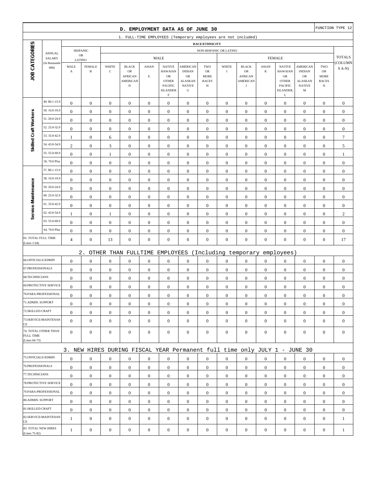| D. EMPLOYMENT DATA AS OF JUNE 30     |                              |                          |                                |                      |                                                                           |                   |                                                                                                                    |                                                                                 |                                                        |                          |                                                                      |                         |                                                                                                    |                                                                                |                                                        | FUNCTION TYPE 12 |
|--------------------------------------|------------------------------|--------------------------|--------------------------------|----------------------|---------------------------------------------------------------------------|-------------------|--------------------------------------------------------------------------------------------------------------------|---------------------------------------------------------------------------------|--------------------------------------------------------|--------------------------|----------------------------------------------------------------------|-------------------------|----------------------------------------------------------------------------------------------------|--------------------------------------------------------------------------------|--------------------------------------------------------|------------------|
|                                      |                              |                          |                                |                      | 1. FULL-TIME EMPLOYEES (Temporary employees are not included)             |                   |                                                                                                                    |                                                                                 |                                                        |                          |                                                                      |                         |                                                                                                    |                                                                                |                                                        |                  |
|                                      |                              |                          |                                |                      |                                                                           |                   |                                                                                                                    |                                                                                 | <b>RACE/ETHNICITY</b>                                  |                          |                                                                      |                         |                                                                                                    |                                                                                |                                                        |                  |
|                                      | <b>ANNUAL</b><br>SALARY      |                          | <b>HISPANIC</b><br>$_{\rm OR}$ |                      |                                                                           |                   | MALE                                                                                                               |                                                                                 | NON-HISPANIC OR LATINO                                 |                          |                                                                      |                         | <b>FEMALE</b>                                                                                      |                                                                                |                                                        | <b>TOTALS</b>    |
|                                      | (In thousands                |                          | LATINO                         |                      |                                                                           |                   |                                                                                                                    |                                                                                 |                                                        |                          |                                                                      |                         |                                                                                                    |                                                                                |                                                        | (COLUMN          |
| JOB CATEGORIES                       | 000)                         | MALE<br>$\boldsymbol{A}$ | <b>FEMALE</b><br>$\, {\bf B}$  | WHITE<br>$\mathbf C$ | <b>BLACK</b><br>OR<br><b>AFRICAN</b><br><b>AMERICAN</b><br>$\mathbf D$    | <b>ASIAN</b><br>E | <b>NATIVE</b><br><b>HAWAIAN</b><br>${\rm OR}$<br><b>OTHER</b><br><b>PACIFIC</b><br><b>ISLANDER</b><br>$\, {\rm F}$ | AMERICAN<br><b>INDIAN</b><br>OR<br><b>ALASKAN</b><br><b>NATIVE</b><br>${\bf G}$ | TWO<br>OR<br><b>MORE</b><br><b>RACES</b><br>$_{\rm H}$ | <b>WHITE</b><br>$\bf{I}$ | <b>BLACK</b><br>${\sf OR}$<br><b>AFRICAN</b><br><b>AMERICAN</b><br>J | <b>ASIAN</b><br>$\bf K$ | <b>NATIVE</b><br><b>HAWAIAN</b><br>$_{\rm OR}$<br><b>OTHER</b><br><b>PACIFIC</b><br>ISLANDER,<br>L | <b>AMERICAN</b><br><b>INDIAN</b><br>OR<br><b>ALASKAN</b><br><b>NATIVE</b><br>M | TWO<br>OR<br><b>MORE</b><br><b>RACES</b><br>$_{\rm N}$ | $S(A-N)$         |
|                                      | 49. \$0.1-15.9               | $\mathbf{0}$             | $\boldsymbol{0}$               | $\boldsymbol{0}$     | $\boldsymbol{0}$                                                          | $\boldsymbol{0}$  | $\boldsymbol{0}$                                                                                                   | $\boldsymbol{0}$                                                                | $\boldsymbol{0}$                                       | $\boldsymbol{0}$         | $\boldsymbol{0}$                                                     | $\mathbf{0}$            | $\boldsymbol{0}$                                                                                   | $\boldsymbol{0}$                                                               | $\boldsymbol{0}$                                       | $\boldsymbol{0}$ |
|                                      | 50.16.0-19.9                 | $\boldsymbol{0}$         | $\boldsymbol{0}$               | $\boldsymbol{0}$     | $\boldsymbol{0}$                                                          | $\boldsymbol{0}$  | $\boldsymbol{0}$                                                                                                   | $\boldsymbol{0}$                                                                | $\boldsymbol{0}$                                       | $\boldsymbol{0}$         | $\boldsymbol{0}$                                                     | $\boldsymbol{0}$        | $\boldsymbol{0}$                                                                                   | $\boldsymbol{0}$                                                               | $\boldsymbol{0}$                                       | $\boldsymbol{0}$ |
|                                      | 51.20.0-24.9                 | $\overline{0}$           | $\boldsymbol{0}$               | $\boldsymbol{0}$     | $\boldsymbol{0}$                                                          | $\mathbf{0}$      | $\mathbf{0}$                                                                                                       | $\boldsymbol{0}$                                                                | $\boldsymbol{0}$                                       | $\boldsymbol{0}$         | $\boldsymbol{0}$                                                     | $\boldsymbol{0}$        | $\boldsymbol{0}$                                                                                   | $\mathbf{0}$                                                                   | $\boldsymbol{0}$                                       | $\boldsymbol{0}$ |
| Skilled Craft Workers                | 52.25.0-32.9                 | $\boldsymbol{0}$         | $\boldsymbol{0}$               | $\boldsymbol{0}$     | $\boldsymbol{0}$                                                          | $\boldsymbol{0}$  | $\boldsymbol{0}$                                                                                                   | $\boldsymbol{0}$                                                                | $\boldsymbol{0}$                                       | $\boldsymbol{0}$         | $\boldsymbol{0}$                                                     | $\boldsymbol{0}$        | $\boldsymbol{0}$                                                                                   | $\boldsymbol{0}$                                                               | $\boldsymbol{0}$                                       | $\boldsymbol{0}$ |
|                                      | 53.33.0-42.9                 | 1                        | $\boldsymbol{0}$               | 6                    | $\boldsymbol{0}$                                                          | $\boldsymbol{0}$  | $\boldsymbol{0}$                                                                                                   | $\boldsymbol{0}$                                                                | $\boldsymbol{0}$                                       | $\boldsymbol{0}$         | $\mathbf{0}$                                                         | $\boldsymbol{0}$        | $\boldsymbol{0}$                                                                                   | $\boldsymbol{0}$                                                               | $\boldsymbol{0}$                                       | $\boldsymbol{7}$ |
|                                      | 54.43.0-54.9                 | $\overline{2}$           | $\boldsymbol{0}$               | 3                    | $\boldsymbol{0}$                                                          | $\boldsymbol{0}$  | $\boldsymbol{0}$                                                                                                   | $\boldsymbol{0}$                                                                | $\boldsymbol{0}$                                       | $\boldsymbol{0}$         | $\mathbf{0}$                                                         | $\boldsymbol{0}$        | $\boldsymbol{0}$                                                                                   | $\boldsymbol{0}$                                                               | $\boldsymbol{0}$                                       | $\sqrt{5}$       |
|                                      | 55.55.0-69.9                 | $\mathbf{0}$             | $\boldsymbol{0}$               | $\mathbf{1}$         | $\boldsymbol{0}$                                                          | $\mathbf{0}$      | $\boldsymbol{0}$                                                                                                   | $\boldsymbol{0}$                                                                | $\boldsymbol{0}$                                       | $\boldsymbol{0}$         | $\mathbf{0}$                                                         | $\boldsymbol{0}$        | $\boldsymbol{0}$                                                                                   | $\boldsymbol{0}$                                                               | $\boldsymbol{0}$                                       | $\mathbf{1}$     |
|                                      | 56.70.0 Plus                 | $\mathbf{0}$             | $\boldsymbol{0}$               | $\boldsymbol{0}$     | $\boldsymbol{0}$                                                          | $\boldsymbol{0}$  | $\boldsymbol{0}$                                                                                                   | $\boldsymbol{0}$                                                                | $\boldsymbol{0}$                                       | $\boldsymbol{0}$         | $\mathbf{0}$                                                         | $\boldsymbol{0}$        | $\boldsymbol{0}$                                                                                   | $\boldsymbol{0}$                                                               | $\boldsymbol{0}$                                       | $\boldsymbol{0}$ |
|                                      | 57. \$0.1-15.9               | $\boldsymbol{0}$         | $\boldsymbol{0}$               | $\boldsymbol{0}$     | $\boldsymbol{0}$                                                          | $\boldsymbol{0}$  | $\boldsymbol{0}$                                                                                                   | $\boldsymbol{0}$                                                                | $\boldsymbol{0}$                                       | $\boldsymbol{0}$         | $\mathbf{0}$                                                         | $\mathbf{0}$            | $\boldsymbol{0}$                                                                                   | $\boldsymbol{0}$                                                               | $\boldsymbol{0}$                                       | $\boldsymbol{0}$ |
|                                      | 58.16.0-19.9                 | $\boldsymbol{0}$         | $\boldsymbol{0}$               | $\boldsymbol{0}$     | $\boldsymbol{0}$                                                          | $\boldsymbol{0}$  | $\boldsymbol{0}$                                                                                                   | $\boldsymbol{0}$                                                                | $\boldsymbol{0}$                                       | $\boldsymbol{0}$         | $\boldsymbol{0}$                                                     | $\boldsymbol{0}$        | $\boldsymbol{0}$                                                                                   | $\boldsymbol{0}$                                                               | $\boldsymbol{0}$                                       | $\boldsymbol{0}$ |
|                                      | 59.20.0-24.9                 | $\mathbf{0}$             | $\boldsymbol{0}$               | $\boldsymbol{0}$     | $\boldsymbol{0}$                                                          | $\boldsymbol{0}$  | $\boldsymbol{0}$                                                                                                   | $\boldsymbol{0}$                                                                | $\boldsymbol{0}$                                       | $\boldsymbol{0}$         | $\mathbf{0}$                                                         | $\mathbf{0}$            | $\boldsymbol{0}$                                                                                   | $\mathbf{0}$                                                                   | $\boldsymbol{0}$                                       | $\boldsymbol{0}$ |
|                                      | 60.25.0-32.9                 | $\mathbf{0}$             | $\boldsymbol{0}$               | $\boldsymbol{0}$     | $\boldsymbol{0}$                                                          | $\boldsymbol{0}$  | $\boldsymbol{0}$                                                                                                   | $\boldsymbol{0}$                                                                | $\boldsymbol{0}$                                       | $\boldsymbol{0}$         | $\boldsymbol{0}$                                                     | $\boldsymbol{0}$        | $\boldsymbol{0}$                                                                                   | $\boldsymbol{0}$                                                               | $\boldsymbol{0}$                                       | $\boldsymbol{0}$ |
| Service-Maintenance                  | 61.33.0-42.9                 | $\boldsymbol{0}$         | $\boldsymbol{0}$               | $\boldsymbol{0}$     | $\boldsymbol{0}$                                                          | $\boldsymbol{0}$  | $\boldsymbol{0}$                                                                                                   | $\boldsymbol{0}$                                                                | $\boldsymbol{0}$                                       | $\boldsymbol{0}$         | $\mathbf{0}$                                                         | $\mathbf{0}$            | $\boldsymbol{0}$                                                                                   | $\boldsymbol{0}$                                                               | $\boldsymbol{0}$                                       | $\boldsymbol{0}$ |
|                                      | 62.43.0-54.9                 | $\mathbf{1}$             | $\boldsymbol{0}$               | $\mathbf{1}$         | $\boldsymbol{0}$                                                          | $\boldsymbol{0}$  | $\boldsymbol{0}$                                                                                                   | $\boldsymbol{0}$                                                                | $\boldsymbol{0}$                                       | $\boldsymbol{0}$         | $\boldsymbol{0}$                                                     | $\boldsymbol{0}$        | $\boldsymbol{0}$                                                                                   | $\boldsymbol{0}$                                                               | $\boldsymbol{0}$                                       | $\sqrt{2}$       |
|                                      | 63.55.0-69.9                 | $\mathbf{0}$             | $\boldsymbol{0}$               | $\boldsymbol{0}$     | $\boldsymbol{0}$                                                          | $\boldsymbol{0}$  | $\boldsymbol{0}$                                                                                                   | $\boldsymbol{0}$                                                                | $\boldsymbol{0}$                                       | $\boldsymbol{0}$         | $\boldsymbol{0}$                                                     | $\boldsymbol{0}$        | $\boldsymbol{0}$                                                                                   | $\mathbf{0}$                                                                   | $\boldsymbol{0}$                                       | $\boldsymbol{0}$ |
|                                      | 64.70.0 Plus                 | $\mathbf{0}$             | $\boldsymbol{0}$               | $\boldsymbol{0}$     | $\boldsymbol{0}$                                                          | $\boldsymbol{0}$  | $\boldsymbol{0}$                                                                                                   | $\boldsymbol{0}$                                                                | $\boldsymbol{0}$                                       | $\boldsymbol{0}$         | $\boldsymbol{0}$                                                     | $\boldsymbol{0}$        | $\boldsymbol{0}$                                                                                   | $\boldsymbol{0}$                                                               | $\boldsymbol{0}$                                       | $\boldsymbol{0}$ |
| 65. TOTAL FULL TIME<br>(Lines 1-64)  |                              | $\overline{4}$           | $\boldsymbol{0}$               | 13                   | $\boldsymbol{0}$                                                          | $\boldsymbol{0}$  | $\boldsymbol{0}$                                                                                                   | $\boldsymbol{0}$                                                                | $\boldsymbol{0}$                                       | $\boldsymbol{0}$         | $\mathbf{0}$                                                         | $\boldsymbol{0}$        | $\mathbf{0}$                                                                                       | $\mathbf{0}$                                                                   | $\boldsymbol{0}$                                       | 17               |
|                                      |                              |                          | 2.                             |                      | OTHER THAN FULLTIME                                                       |                   | EMPLOYEES (Including temporary                                                                                     |                                                                                 |                                                        |                          |                                                                      |                         | employees)                                                                                         |                                                                                |                                                        |                  |
| 66.OFFICIALS/ADMIN                   |                              | $\mathbf{0}$             | $\boldsymbol{0}$               | $\boldsymbol{0}$     | $\boldsymbol{0}$                                                          | $\boldsymbol{0}$  | $\boldsymbol{0}$                                                                                                   | $\boldsymbol{0}$                                                                | $\boldsymbol{0}$                                       | $\boldsymbol{0}$         | $\mathbf{0}$                                                         | $\boldsymbol{0}$        | $\boldsymbol{0}$                                                                                   | $\boldsymbol{0}$                                                               | $\boldsymbol{0}$                                       | $\boldsymbol{0}$ |
| 67.PROFESSIONALS                     |                              | $\mathbf{0}$             | $\boldsymbol{0}$               | $\boldsymbol{0}$     | $\boldsymbol{0}$                                                          | $\boldsymbol{0}$  | $\boldsymbol{0}$                                                                                                   | $\boldsymbol{0}$                                                                | $\boldsymbol{0}$                                       | $\boldsymbol{0}$         | $\mathbf{0}$                                                         | $\mathbf{0}$            | $\boldsymbol{0}$                                                                                   | $\boldsymbol{0}$                                                               | $\boldsymbol{0}$                                       | $\boldsymbol{0}$ |
| 68.TECHNICIANS                       |                              | $\mathbf{0}$             | $\boldsymbol{0}$               | $\boldsymbol{0}$     | $\boldsymbol{0}$                                                          | $\boldsymbol{0}$  | $\boldsymbol{0}$                                                                                                   | $\boldsymbol{0}$                                                                | $\boldsymbol{0}$                                       | $\boldsymbol{0}$         | $\boldsymbol{0}$                                                     | $\boldsymbol{0}$        | $\boldsymbol{0}$                                                                                   | $\boldsymbol{0}$                                                               | $\boldsymbol{0}$                                       | $\boldsymbol{0}$ |
|                                      | <b>69.PROTECTIVE SERVICE</b> | $\mathbf{0}$             | $\boldsymbol{0}$               | $\boldsymbol{0}$     | $\boldsymbol{0}$                                                          | $\mathbf{0}$      | $\boldsymbol{0}$                                                                                                   | $\boldsymbol{0}$                                                                | $\boldsymbol{0}$                                       | $\mathbf{0}$             | $\mathbf{0}$                                                         | $\mathbf{0}$            | $\boldsymbol{0}$                                                                                   | $\boldsymbol{0}$                                                               | $\boldsymbol{0}$                                       | $\boldsymbol{0}$ |
|                                      | 70.PARA-PROFESSIONAL         | $\mathbf{0}$             | $\boldsymbol{0}$               | $\boldsymbol{0}$     | $\boldsymbol{0}$                                                          | $\boldsymbol{0}$  | $\boldsymbol{0}$                                                                                                   | $\boldsymbol{0}$                                                                | $\boldsymbol{0}$                                       | $\boldsymbol{0}$         | $\boldsymbol{0}$                                                     | $\mathbf{0}$            | $\boldsymbol{0}$                                                                                   | $\boldsymbol{0}$                                                               | $\boldsymbol{0}$                                       | $\boldsymbol{0}$ |
| 71.ADMIN. SUPPORT                    |                              | $\mathbf{0}$             | $\mathbf{0}$                   | $\mathbf{0}$         | $\mathbf{0}$                                                              | $\overline{0}$    | $\mathbf{0}$                                                                                                       | $\mathbf{0}$                                                                    | $\mathbf{0}$                                           | $\overline{0}$           | $\overline{0}$                                                       | $\mathbf{0}$            | $\mathbf{0}$                                                                                       | $\mathbf{0}$                                                                   | $\mathbf{0}$                                           | $\mathbf{0}$     |
| 72.SKILLED CRAFT                     |                              | $\mathbf{0}$             | $\boldsymbol{0}$               | $\boldsymbol{0}$     | $\boldsymbol{0}$                                                          | $\mathbf{0}$      | $\boldsymbol{0}$                                                                                                   | $\boldsymbol{0}$                                                                | $\boldsymbol{0}$                                       | $\boldsymbol{0}$         | $\mathbf{0}$                                                         | $\boldsymbol{0}$        | $\mathbf{0}$                                                                                       | $\boldsymbol{0}$                                                               | $\boldsymbol{0}$                                       | $\boldsymbol{0}$ |
| CE                                   | 73.SERVICE/MAINTENAN         | $\theta$                 | $\boldsymbol{0}$               | $\boldsymbol{0}$     | $\boldsymbol{0}$                                                          | $\boldsymbol{0}$  | $\mathbf{0}$                                                                                                       | $\boldsymbol{0}$                                                                | $\boldsymbol{0}$                                       | $\boldsymbol{0}$         | $\mathbf{0}$                                                         | $\mathbf{0}$            | $\boldsymbol{0}$                                                                                   | $\mathbf{0}$                                                                   | $\boldsymbol{0}$                                       | $\boldsymbol{0}$ |
| <b>FULL TIME</b><br>(Lines 66-73)    | 74. TOTAL OTHER THAN         | $\overline{0}$           | $\boldsymbol{0}$               | $\boldsymbol{0}$     | $\boldsymbol{0}$                                                          | $\mathbf{0}$      | $\boldsymbol{0}$                                                                                                   | $\boldsymbol{0}$                                                                | $\mathbf{0}$                                           | $\boldsymbol{0}$         | $\boldsymbol{0}$                                                     | $\mathbf{0}$            | $\boldsymbol{0}$                                                                                   | $\boldsymbol{0}$                                                               | $\mathbf{0}$                                           | $\boldsymbol{0}$ |
|                                      |                              |                          |                                |                      | 3. NEW HIRES DURING FISCAL YEAR Permanent full time only JULY 1 - JUNE 30 |                   |                                                                                                                    |                                                                                 |                                                        |                          |                                                                      |                         |                                                                                                    |                                                                                |                                                        |                  |
| 75.OFFICIALS/ADMIN                   |                              | $\mathbf{0}$             | $\boldsymbol{0}$               | $\boldsymbol{0}$     | $\boldsymbol{0}$                                                          | $\mathbf{0}$      | $\boldsymbol{0}$                                                                                                   | $\mathbf{0}$                                                                    | $\mathbf{0}$                                           | $\mathbf{0}$             | $\mathbf{0}$                                                         | $\boldsymbol{0}$        | $\boldsymbol{0}$                                                                                   | $\boldsymbol{0}$                                                               | $\overline{0}$                                         | $\mathbf{0}$     |
| 76.PROFESSIONALS                     |                              | $\mathbf{0}$             | $\boldsymbol{0}$               | $\boldsymbol{0}$     | $\boldsymbol{0}$                                                          | $\boldsymbol{0}$  | $\boldsymbol{0}$                                                                                                   | $\mathbf{0}$                                                                    | $\boldsymbol{0}$                                       | $\mathbf{0}$             | $\mathbf{0}$                                                         | $\mathbf{0}$            | $\mathbf{0}$                                                                                       | $\boldsymbol{0}$                                                               | $\mathbf{0}$                                           | $\boldsymbol{0}$ |
| 77.TECHNICIANS                       |                              | $\mathbf{0}$             | $\boldsymbol{0}$               | $\overline{0}$       | $\boldsymbol{0}$                                                          | $\mathbf{0}$      | $\mathbf{0}$                                                                                                       | $\boldsymbol{0}$                                                                | $\mathbf{0}$                                           | $\boldsymbol{0}$         | $\overline{0}$                                                       | $\mathbf{0}$            | $\boldsymbol{0}$                                                                                   | $\boldsymbol{0}$                                                               | $\overline{0}$                                         | $\boldsymbol{0}$ |
|                                      | <b>78.PROTECTIVE SERVICE</b> | $\mathbf{0}$             | $\boldsymbol{0}$               | $\boldsymbol{0}$     | $\boldsymbol{0}$                                                          | $\boldsymbol{0}$  | $\boldsymbol{0}$                                                                                                   | $\boldsymbol{0}$                                                                | $\boldsymbol{0}$                                       | $\boldsymbol{0}$         | $\boldsymbol{0}$                                                     | $\boldsymbol{0}$        | $\mathbf{0}$                                                                                       | $\boldsymbol{0}$                                                               | $\boldsymbol{0}$                                       | $\boldsymbol{0}$ |
|                                      | 79.PARA-PROFESSIONAL         | $\overline{0}$           | $\boldsymbol{0}$               | $\overline{0}$       | $\boldsymbol{0}$                                                          | $\mathbf{0}$      | $\boldsymbol{0}$                                                                                                   | $\mathbf{0}$                                                                    | $\overline{0}$                                         | $\boldsymbol{0}$         | $\overline{0}$                                                       | $\boldsymbol{0}$        | $\boldsymbol{0}$                                                                                   | $\overline{0}$                                                                 | $\mathbf{0}$                                           | $\mathbf{0}$     |
| 80.ADMIN. SUPPORT                    |                              | $\mathbf{0}$             | $\boldsymbol{0}$               | $\boldsymbol{0}$     | $\boldsymbol{0}$                                                          | $\boldsymbol{0}$  | $\boldsymbol{0}$                                                                                                   | $\boldsymbol{0}$                                                                | $\boldsymbol{0}$                                       | $\mathbf{0}$             | $\mathbf{0}$                                                         | $\boldsymbol{0}$        | $\mathbf{0}$                                                                                       | $\boldsymbol{0}$                                                               | $\mathbf{0}$                                           | $\boldsymbol{0}$ |
| 81.SKILLED CRAFT                     |                              | $\mathbf{0}$             | $\boldsymbol{0}$               | $\boldsymbol{0}$     | $\boldsymbol{0}$                                                          | $\mathbf{0}$      | $\boldsymbol{0}$                                                                                                   | $\boldsymbol{0}$                                                                | $\mathbf{0}$                                           | $\boldsymbol{0}$         | $\boldsymbol{0}$                                                     | $\mathbf{0}$            | $\boldsymbol{0}$                                                                                   | $\boldsymbol{0}$                                                               | $\overline{0}$                                         | $\boldsymbol{0}$ |
| CE                                   | 82.SERVICE/MAINTENAN         | $\mathbf{1}$             | $\boldsymbol{0}$               | $\boldsymbol{0}$     | $\boldsymbol{0}$                                                          | $\boldsymbol{0}$  | $\boldsymbol{0}$                                                                                                   | $\boldsymbol{0}$                                                                | $\boldsymbol{0}$                                       | $\mathbf{0}$             | $\mathbf{0}$                                                         | $\mathbf{0}$            | $\mathbf{0}$                                                                                       | $\boldsymbol{0}$                                                               | $\mathbf{0}$                                           | 1                |
| 83. TOTAL NEW HIRES<br>(Lines 75-82) |                              | $\mathbf{1}$             | $\boldsymbol{0}$               | $\boldsymbol{0}$     | $\boldsymbol{0}$                                                          | $\boldsymbol{0}$  | $\boldsymbol{0}$                                                                                                   | $\boldsymbol{0}$                                                                | $\boldsymbol{0}$                                       | $\boldsymbol{0}$         | $\boldsymbol{0}$                                                     | $\boldsymbol{0}$        | $\boldsymbol{0}$                                                                                   | $\boldsymbol{0}$                                                               | $\boldsymbol{0}$                                       | 1                |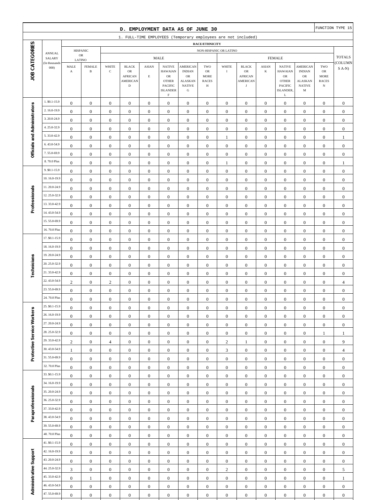|                              |                              |                                      |                                      |                                      |                                                                                 |                                       |                                                                                                        | D. EMPLOYMENT DATA AS OF JUNE 30                                                                |                                                                 |                                      |                                                                       |                                      |                                                                                             |                                                                                         |                                                                | FUNCTION TYPE 15                     |
|------------------------------|------------------------------|--------------------------------------|--------------------------------------|--------------------------------------|---------------------------------------------------------------------------------|---------------------------------------|--------------------------------------------------------------------------------------------------------|-------------------------------------------------------------------------------------------------|-----------------------------------------------------------------|--------------------------------------|-----------------------------------------------------------------------|--------------------------------------|---------------------------------------------------------------------------------------------|-----------------------------------------------------------------------------------------|----------------------------------------------------------------|--------------------------------------|
|                              |                              |                                      |                                      |                                      |                                                                                 |                                       |                                                                                                        |                                                                                                 | <b>RACE/ETHNICITY</b>                                           |                                      | 1. FULL-TIME EMPLOYEES (Temporary employees are not included)         |                                      |                                                                                             |                                                                                         |                                                                |                                      |
|                              | <b>ANNUAL</b>                |                                      | <b>HISPANIC</b><br>${\rm OR}$        |                                      |                                                                                 |                                       |                                                                                                        |                                                                                                 |                                                                 | NON-HISPANIC OR LATINO               |                                                                       |                                      |                                                                                             |                                                                                         |                                                                |                                      |
|                              | SALARY<br>In thousands       |                                      | LATINO                               |                                      |                                                                                 |                                       | <b>MALE</b>                                                                                            |                                                                                                 |                                                                 |                                      |                                                                       |                                      | <b>FEMALE</b>                                                                               |                                                                                         |                                                                | <b>TOTALS</b><br><b>COLUMN</b>       |
| JOB CATEGORIES               | 000)                         | MALE<br>$\mathbf A$                  | <b>FEMALE</b><br>$\, {\bf B}$        | WHITE<br>$\mathsf C$                 | <b>BLACK</b><br>$_{\rm OR}$<br><b>AFRICAN</b><br><b>AMERICAN</b><br>$\mathbf D$ | $\operatorname{ASIAN}$<br>$\mathbf E$ | <b>NATIVE</b><br><b>HAWAIAN</b><br>${\sf OR}$<br><b>OTHER</b><br>PACIFIC<br><b>ISLANDER</b><br>$\rm F$ | <b>AMERICAN</b><br><b>INDIAN</b><br>$_{\rm OR}$<br><b>ALASKAN</b><br><b>NATIVE</b><br>${\bf G}$ | TWO<br>$_{\rm OR}$<br><b>MORE</b><br><b>RACES</b><br>$_{\rm H}$ | WHITE<br>$\rm I$                     | <b>BLACK</b><br>$_{\rm OR}$<br><b>AFRICAN</b><br><b>AMERICAN</b><br>J | <b>ASIAN</b><br>$\bf K$              | <b>NATIVE</b><br><b>HAWAIAN</b><br>$_{\rm OR}$<br><b>OTHER</b><br>PACIFIC<br>ISLANDER,<br>L | <b>AMERICAN</b><br><b>INDIAN</b><br>OR<br><b>ALASKAN</b><br><b>NATIVE</b><br>$_{\rm M}$ | TWO<br>${\sf OR}$<br><b>MORE</b><br><b>RACES</b><br>$_{\rm N}$ | $S(A-N)$                             |
|                              | 1. \$0.1-15.9                | $\boldsymbol{0}$                     | $\boldsymbol{0}$                     | $\boldsymbol{0}$                     | $\boldsymbol{0}$                                                                | $\boldsymbol{0}$                      | $\mathbf{0}$                                                                                           | $\boldsymbol{0}$                                                                                | $\boldsymbol{0}$                                                | $\boldsymbol{0}$                     | $\boldsymbol{0}$                                                      | $\boldsymbol{0}$                     | $\boldsymbol{0}$                                                                            | $\boldsymbol{0}$                                                                        | $\boldsymbol{0}$                                               | $\boldsymbol{0}$                     |
|                              | 2.16.0-19.9                  | $\boldsymbol{0}$                     | $\boldsymbol{0}$                     | $\boldsymbol{0}$                     | $\boldsymbol{0}$                                                                | $\boldsymbol{0}$                      | $\boldsymbol{0}$                                                                                       | $\mathbf{0}$                                                                                    | $\boldsymbol{0}$                                                | $\boldsymbol{0}$                     | $\boldsymbol{0}$                                                      | $\boldsymbol{0}$                     | $\boldsymbol{0}$                                                                            | $\boldsymbol{0}$                                                                        | $\boldsymbol{0}$                                               | $\boldsymbol{0}$                     |
|                              | 3.20.0-24.9                  | $\boldsymbol{0}$                     | $\mathbf{0}$                         | $\boldsymbol{0}$                     | $\boldsymbol{0}$                                                                | $\mathbf{0}$                          | $\boldsymbol{0}$                                                                                       | $\mathbf{0}$                                                                                    | $\boldsymbol{0}$                                                | $\boldsymbol{0}$                     | $\mathbf{0}$                                                          | $\boldsymbol{0}$                     | $\boldsymbol{0}$                                                                            | $\boldsymbol{0}$                                                                        | $\boldsymbol{0}$                                               | $\boldsymbol{0}$                     |
| Officials and Administrators | 4.25.0-32.9                  | $\boldsymbol{0}$                     | $\boldsymbol{0}$                     | $\boldsymbol{0}$                     | $\boldsymbol{0}$                                                                | $\boldsymbol{0}$                      | $\boldsymbol{0}$                                                                                       | $\boldsymbol{0}$                                                                                | $\boldsymbol{0}$                                                | $\boldsymbol{0}$                     | $\boldsymbol{0}$                                                      | $\boldsymbol{0}$                     | $\boldsymbol{0}$                                                                            | $\boldsymbol{0}$                                                                        | $\boldsymbol{0}$                                               | $\boldsymbol{0}$                     |
|                              | 5.33.0-42.9                  | $\boldsymbol{0}$                     | $\boldsymbol{0}$                     | $\boldsymbol{0}$                     | $\boldsymbol{0}$                                                                | $\boldsymbol{0}$                      | $\boldsymbol{0}$                                                                                       | $\boldsymbol{0}$                                                                                | $\boldsymbol{0}$                                                | $\mathbf{1}$                         | $\boldsymbol{0}$                                                      | $\boldsymbol{0}$                     | $\boldsymbol{0}$                                                                            | $\boldsymbol{0}$                                                                        | $\boldsymbol{0}$                                               | $\mathbf{1}$                         |
|                              | 6.43.0-54.9                  | $\boldsymbol{0}$                     | $\mathbf{0}$                         | $\boldsymbol{0}$                     | $\boldsymbol{0}$                                                                | $\boldsymbol{0}$                      | $\boldsymbol{0}$                                                                                       | $\boldsymbol{0}$                                                                                | $\boldsymbol{0}$                                                | $\boldsymbol{0}$                     | $\boldsymbol{0}$                                                      | $\boldsymbol{0}$                     | $\boldsymbol{0}$                                                                            | $\boldsymbol{0}$                                                                        | $\boldsymbol{0}$                                               | $\boldsymbol{0}$                     |
|                              | 7.55.0-69.9                  | $\boldsymbol{0}$                     | $\mathbf{0}$                         | $\boldsymbol{0}$                     | $\boldsymbol{0}$                                                                | $\boldsymbol{0}$                      | $\boldsymbol{0}$                                                                                       | $\mathbf{0}$                                                                                    | $\boldsymbol{0}$                                                | $\boldsymbol{0}$                     | $\overline{0}$                                                        | $\boldsymbol{0}$                     | $\boldsymbol{0}$                                                                            | $\boldsymbol{0}$                                                                        | $\boldsymbol{0}$                                               | $\boldsymbol{0}$                     |
|                              | 8.70.0 Plus                  | $\boldsymbol{0}$                     | $\boldsymbol{0}$                     | $\boldsymbol{0}$                     | $\boldsymbol{0}$                                                                | $\boldsymbol{0}$                      | $\boldsymbol{0}$                                                                                       | $\mathbf{0}$                                                                                    | $\boldsymbol{0}$                                                | $\mathbf{1}$                         | $\boldsymbol{0}$                                                      | $\boldsymbol{0}$                     | $\boldsymbol{0}$                                                                            | $\boldsymbol{0}$                                                                        | $\boldsymbol{0}$                                               | 1                                    |
|                              | 9. \$0.1-15.9                | $\boldsymbol{0}$                     | $\boldsymbol{0}$                     | $\boldsymbol{0}$                     | $\boldsymbol{0}$                                                                | $\boldsymbol{0}$                      | $\mathbf{0}$                                                                                           | $\boldsymbol{0}$                                                                                | $\boldsymbol{0}$                                                | $\boldsymbol{0}$                     | $\boldsymbol{0}$                                                      | $\boldsymbol{0}$                     | $\boldsymbol{0}$                                                                            | $\boldsymbol{0}$                                                                        | $\boldsymbol{0}$                                               | $\boldsymbol{0}$                     |
|                              | 10.16.0-19.9                 | $\mathbf{0}$                         | $\boldsymbol{0}$                     | $\boldsymbol{0}$                     | $\boldsymbol{0}$                                                                | $\boldsymbol{0}$                      | $\boldsymbol{0}$                                                                                       | $\mathbf{0}$                                                                                    | $\boldsymbol{0}$                                                | $\boldsymbol{0}$                     | $\boldsymbol{0}$                                                      | $\boldsymbol{0}$                     | $\boldsymbol{0}$                                                                            | $\boldsymbol{0}$                                                                        | $\boldsymbol{0}$                                               | $\boldsymbol{0}$                     |
|                              | 11.20.0-24.9                 | $\boldsymbol{0}$                     | $\mathbf{0}$                         | $\boldsymbol{0}$                     | $\boldsymbol{0}$                                                                | $\boldsymbol{0}$                      | $\boldsymbol{0}$                                                                                       | $\mathbf{0}$                                                                                    | $\boldsymbol{0}$                                                | $\boldsymbol{0}$                     | $\boldsymbol{0}$                                                      | $\boldsymbol{0}$                     | $\boldsymbol{0}$                                                                            | $\boldsymbol{0}$                                                                        | $\boldsymbol{0}$                                               | $\boldsymbol{0}$                     |
| Professionals                | 12.25.0-32.9<br>13.33.0-42.9 | $\boldsymbol{0}$                     | $\boldsymbol{0}$                     | $\boldsymbol{0}$                     | $\boldsymbol{0}$                                                                | $\boldsymbol{0}$                      | $\boldsymbol{0}$                                                                                       | $\boldsymbol{0}$                                                                                | $\boldsymbol{0}$                                                | $\boldsymbol{0}$                     | $\boldsymbol{0}$                                                      | $\boldsymbol{0}$                     | $\boldsymbol{0}$                                                                            | $\boldsymbol{0}$                                                                        | $\boldsymbol{0}$                                               | $\boldsymbol{0}$                     |
|                              | 14.43.0-54.9                 | $\boldsymbol{0}$                     | $\boldsymbol{0}$                     | $\boldsymbol{0}$                     | $\boldsymbol{0}$                                                                | $\boldsymbol{0}$                      | $\boldsymbol{0}$                                                                                       | $\boldsymbol{0}$                                                                                | $\boldsymbol{0}$                                                | $\boldsymbol{0}$                     | $\boldsymbol{0}$                                                      | $\boldsymbol{0}$                     | $\boldsymbol{0}$                                                                            | $\boldsymbol{0}$                                                                        | $\boldsymbol{0}$                                               | $\boldsymbol{0}$                     |
|                              | 15.55.0-69.9                 | $\overline{0}$                       | $\mathbf{0}$                         | $\boldsymbol{0}$                     | $\boldsymbol{0}$                                                                | $\overline{0}$                        | $\boldsymbol{0}$                                                                                       | $\boldsymbol{0}$                                                                                | $\boldsymbol{0}$                                                | $\boldsymbol{0}$                     | $\boldsymbol{0}$                                                      | $\boldsymbol{0}$                     | $\mathbf{0}$                                                                                | $\boldsymbol{0}$                                                                        | $\boldsymbol{0}$                                               | $\boldsymbol{0}$                     |
|                              | 16.70.0 Plus                 | $\boldsymbol{0}$                     | $\mathbf{0}$                         | $\boldsymbol{0}$                     | $\boldsymbol{0}$                                                                | $\boldsymbol{0}$                      | $\boldsymbol{0}$                                                                                       | $\boldsymbol{0}$                                                                                | $\boldsymbol{0}$                                                | $\boldsymbol{0}$                     | $\boldsymbol{0}$                                                      | $\boldsymbol{0}$                     | $\boldsymbol{0}$                                                                            | $\boldsymbol{0}$                                                                        | $\boldsymbol{0}$                                               | $\boldsymbol{0}$                     |
|                              | 17. \$0.1-15.9               | $\boldsymbol{0}$<br>$\boldsymbol{0}$ | $\boldsymbol{0}$                     | $\boldsymbol{0}$                     | $\boldsymbol{0}$                                                                | $\boldsymbol{0}$                      | $\boldsymbol{0}$                                                                                       | $\mathbf{0}$                                                                                    | $\boldsymbol{0}$                                                | $\boldsymbol{0}$                     | $\boldsymbol{0}$                                                      | $\boldsymbol{0}$                     | $\boldsymbol{0}$                                                                            | $\boldsymbol{0}$                                                                        | $\boldsymbol{0}$                                               | $\boldsymbol{0}$                     |
|                              | 18.16.0-19.9                 | $\mathbf{0}$                         | $\boldsymbol{0}$<br>$\boldsymbol{0}$ | $\boldsymbol{0}$<br>$\boldsymbol{0}$ | $\boldsymbol{0}$<br>$\boldsymbol{0}$                                            | $\boldsymbol{0}$<br>$\boldsymbol{0}$  | $\boldsymbol{0}$<br>$\boldsymbol{0}$                                                                   | $\boldsymbol{0}$<br>$\boldsymbol{0}$                                                            | $\boldsymbol{0}$<br>$\boldsymbol{0}$                            | $\boldsymbol{0}$<br>$\boldsymbol{0}$ | $\boldsymbol{0}$<br>$\boldsymbol{0}$                                  | $\boldsymbol{0}$<br>$\boldsymbol{0}$ | $\boldsymbol{0}$<br>$\boldsymbol{0}$                                                        | $\boldsymbol{0}$<br>$\boldsymbol{0}$                                                    | $\boldsymbol{0}$<br>$\boldsymbol{0}$                           | $\boldsymbol{0}$<br>$\boldsymbol{0}$ |
|                              | 19.20.0-24.9                 | $\boldsymbol{0}$                     | $\mathbf{0}$                         | $\boldsymbol{0}$                     | $\boldsymbol{0}$                                                                | $\boldsymbol{0}$                      | $\boldsymbol{0}$                                                                                       | $\boldsymbol{0}$                                                                                | $\boldsymbol{0}$                                                | $\boldsymbol{0}$                     | $\boldsymbol{0}$                                                      | $\boldsymbol{0}$                     | $\boldsymbol{0}$                                                                            | $\boldsymbol{0}$                                                                        | $\boldsymbol{0}$                                               | $\boldsymbol{0}$                     |
|                              | 20. 25.0-32.9                | $\boldsymbol{0}$                     | $\boldsymbol{0}$                     | $\boldsymbol{0}$                     | $\boldsymbol{0}$                                                                | $\boldsymbol{0}$                      | $\boldsymbol{0}$                                                                                       | $\boldsymbol{0}$                                                                                | $\boldsymbol{0}$                                                | $\boldsymbol{0}$                     | $\boldsymbol{0}$                                                      | $\boldsymbol{0}$                     | $\boldsymbol{0}$                                                                            | $\boldsymbol{0}$                                                                        | $\boldsymbol{0}$                                               | $\boldsymbol{0}$                     |
| Technicians                  | 21.33.0-42.9                 | $\boldsymbol{0}$                     | $\boldsymbol{0}$                     | $\boldsymbol{0}$                     | $\boldsymbol{0}$                                                                | $\boldsymbol{0}$                      | $\boldsymbol{0}$                                                                                       | $\boldsymbol{0}$                                                                                | $\boldsymbol{0}$                                                | $\boldsymbol{0}$                     | $\boldsymbol{0}$                                                      | $\boldsymbol{0}$                     | $\boldsymbol{0}$                                                                            | $\boldsymbol{0}$                                                                        | $\boldsymbol{0}$                                               | $\boldsymbol{0}$                     |
|                              | 22.43.0-54.9                 | $\sqrt{2}$                           | $\mathbf{0}$                         | $\sqrt{2}$                           | $\boldsymbol{0}$                                                                | $\boldsymbol{0}$                      | $\boldsymbol{0}$                                                                                       | $\boldsymbol{0}$                                                                                | $\boldsymbol{0}$                                                | $\boldsymbol{0}$                     | $\boldsymbol{0}$                                                      | $\boldsymbol{0}$                     | $\boldsymbol{0}$                                                                            | $\boldsymbol{0}$                                                                        | $\boldsymbol{0}$                                               | $\overline{4}$                       |
|                              | 23.55.0-69.9                 | $\boldsymbol{0}$                     | $\boldsymbol{0}$                     | $\boldsymbol{0}$                     | $\boldsymbol{0}$                                                                | $\boldsymbol{0}$                      | $\boldsymbol{0}$                                                                                       | $\boldsymbol{0}$                                                                                | $\boldsymbol{0}$                                                | $\boldsymbol{0}$                     | $\boldsymbol{0}$                                                      | $\boldsymbol{0}$                     | $\boldsymbol{0}$                                                                            | $\boldsymbol{0}$                                                                        | $\boldsymbol{0}$                                               | $\boldsymbol{0}$                     |
|                              | 24.70.0 Plus                 | $\mathbf{0}$                         | $\boldsymbol{0}$                     | $\boldsymbol{0}$                     | $\boldsymbol{0}$                                                                | $\mathbf{0}$                          | $\boldsymbol{0}$                                                                                       | $\mathbf{0}$                                                                                    | $\boldsymbol{0}$                                                | $\boldsymbol{0}$                     | $\boldsymbol{0}$                                                      | $\boldsymbol{0}$                     | $\boldsymbol{0}$                                                                            | $\boldsymbol{0}$                                                                        | $\boldsymbol{0}$                                               | $\boldsymbol{0}$                     |
|                              | 25. \$0.1-15.9               | $\boldsymbol{0}$                     | $\boldsymbol{0}$                     | $\boldsymbol{0}$                     | $\boldsymbol{0}$                                                                | $\boldsymbol{0}$                      | $\boldsymbol{0}$                                                                                       | $\boldsymbol{0}$                                                                                | $\boldsymbol{0}$                                                | $\boldsymbol{0}$                     | $\boldsymbol{0}$                                                      | $\boldsymbol{0}$                     | $\boldsymbol{0}$                                                                            | $\boldsymbol{0}$                                                                        | $\boldsymbol{0}$                                               | $\boldsymbol{0}$                     |
|                              | 26.16.0-19.9                 | $\boldsymbol{0}$                     | $\mathbf{0}$                         | $\boldsymbol{0}$                     | $\mathbf{0}$                                                                    | $\mathbf{0}$                          | $\boldsymbol{0}$                                                                                       | $\mathbf{0}$                                                                                    | $\mathbf{0}$                                                    | $\mathbf{0}$                         | $\overline{0}$                                                        | $\mathbf{0}$                         | $\boldsymbol{0}$                                                                            | $\mathbf{0}$                                                                            | $\boldsymbol{0}$                                               | $\boldsymbol{0}$                     |
|                              | 27.20.0-24.9                 | $\boldsymbol{0}$                     | $\boldsymbol{0}$                     | $\boldsymbol{0}$                     | $\boldsymbol{0}$                                                                | $\mathbf{0}$                          | $\boldsymbol{0}$                                                                                       | $\boldsymbol{0}$                                                                                | $\boldsymbol{0}$                                                | $\boldsymbol{0}$                     | $\mathbf{0}$                                                          | $\boldsymbol{0}$                     | $\boldsymbol{0}$                                                                            | $\boldsymbol{0}$                                                                        | $\boldsymbol{0}$                                               | $\boldsymbol{0}$                     |
|                              | 28.25.0-32.9                 | $\boldsymbol{0}$                     | $\boldsymbol{0}$                     | $\boldsymbol{0}$                     | $\boldsymbol{0}$                                                                | $\mathbf{0}$                          | $\boldsymbol{0}$                                                                                       | $\boldsymbol{0}$                                                                                | $\boldsymbol{0}$                                                | $\boldsymbol{0}$                     | $\boldsymbol{0}$                                                      | $\mathbf{0}$                         | $\boldsymbol{0}$                                                                            | $\boldsymbol{0}$                                                                        | $\mathbf{1}$                                                   | 1                                    |
|                              | 29.33.0-42.9                 | $\sqrt{2}$                           | $\boldsymbol{0}$                     | $\overline{4}$                       | $\boldsymbol{0}$                                                                | $\boldsymbol{0}$                      | $\boldsymbol{0}$                                                                                       | $\boldsymbol{0}$                                                                                | $\boldsymbol{0}$                                                | $\overline{c}$                       | $\mathbf{1}$                                                          | $\boldsymbol{0}$                     | $\boldsymbol{0}$                                                                            | $\boldsymbol{0}$                                                                        | $\boldsymbol{0}$                                               | 9                                    |
| Protective Service Workers   | 30.43.0-54.9                 | $\mathbf{1}$                         | $\boldsymbol{0}$                     | $\boldsymbol{0}$                     | $\boldsymbol{0}$                                                                | $\mathbf{0}$                          | $\boldsymbol{0}$                                                                                       | $\boldsymbol{0}$                                                                                | $\boldsymbol{0}$                                                | $\mathfrak{Z}$                       | $\boldsymbol{0}$                                                      | $\boldsymbol{0}$                     | $\boldsymbol{0}$                                                                            | $\boldsymbol{0}$                                                                        | $\boldsymbol{0}$                                               | $\overline{4}$                       |
|                              | 31.55.0-69.9                 | $\boldsymbol{0}$                     | $\mathbf{0}$                         | $\boldsymbol{0}$                     | $\boldsymbol{0}$                                                                | $\mathbf{0}$                          | $\boldsymbol{0}$                                                                                       | $\boldsymbol{0}$                                                                                | $\boldsymbol{0}$                                                | $\boldsymbol{0}$                     | $\mathbf{0}$                                                          | $\boldsymbol{0}$                     | $\boldsymbol{0}$                                                                            | $\boldsymbol{0}$                                                                        | $\boldsymbol{0}$                                               | $\boldsymbol{0}$                     |
|                              | 32.70.0 Plus                 | $\boldsymbol{0}$                     | $\boldsymbol{0}$                     | $\boldsymbol{0}$                     | $\boldsymbol{0}$                                                                | $\mathbf{0}$                          | $\boldsymbol{0}$                                                                                       | $\boldsymbol{0}$                                                                                | $\boldsymbol{0}$                                                | $\boldsymbol{0}$                     | $\boldsymbol{0}$                                                      | $\boldsymbol{0}$                     | $\boldsymbol{0}$                                                                            | $\boldsymbol{0}$                                                                        | $\boldsymbol{0}$                                               | $\boldsymbol{0}$                     |
|                              | 33. \$0.1-15.9               | $\boldsymbol{0}$                     | $\boldsymbol{0}$                     | $\boldsymbol{0}$                     | $\boldsymbol{0}$                                                                | $\boldsymbol{0}$                      | $\boldsymbol{0}$                                                                                       | $\boldsymbol{0}$                                                                                | $\boldsymbol{0}$                                                | $\boldsymbol{0}$                     | $\boldsymbol{0}$                                                      | $\boldsymbol{0}$                     | $\boldsymbol{0}$                                                                            | $\boldsymbol{0}$                                                                        | $\boldsymbol{0}$                                               | $\boldsymbol{0}$                     |
|                              | 34.16.0-19.9                 | $\boldsymbol{0}$                     | $\boldsymbol{0}$                     | $\boldsymbol{0}$                     | $\boldsymbol{0}$                                                                | $\mathbf{0}$                          | $\boldsymbol{0}$                                                                                       | $\boldsymbol{0}$                                                                                | $\boldsymbol{0}$                                                | $\boldsymbol{0}$                     | $\overline{0}$                                                        | $\mathbf{0}$                         | $\boldsymbol{0}$                                                                            | $\boldsymbol{0}$                                                                        | $\boldsymbol{0}$                                               | $\boldsymbol{0}$                     |
| Paraprofessionals            | 35.20.0-24.9                 | $\boldsymbol{0}$                     | $\boldsymbol{0}$                     | $\boldsymbol{0}$                     | $\boldsymbol{0}$                                                                | $\mathbf{0}$                          | $\mathbf{0}$                                                                                           | $\boldsymbol{0}$                                                                                | $\boldsymbol{0}$                                                | $\boldsymbol{0}$                     | $\overline{0}$                                                        | $\boldsymbol{0}$                     | $\boldsymbol{0}$                                                                            | $\boldsymbol{0}$                                                                        | $\boldsymbol{0}$                                               | $\boldsymbol{0}$                     |
|                              | 36.25.0-32.9                 | $\boldsymbol{0}$                     | $\boldsymbol{0}$                     | $\boldsymbol{0}$                     | $\boldsymbol{0}$                                                                | $\boldsymbol{0}$                      | $\mathbf{0}$                                                                                           | $\boldsymbol{0}$                                                                                | $\boldsymbol{0}$                                                | $\boldsymbol{0}$                     | $\boldsymbol{0}$                                                      | $\boldsymbol{0}$                     | $\boldsymbol{0}$                                                                            | $\boldsymbol{0}$                                                                        | $\boldsymbol{0}$                                               | $\boldsymbol{0}$                     |
|                              | 37.33.0-42.9                 | $\boldsymbol{0}$                     | $\boldsymbol{0}$                     | $\boldsymbol{0}$                     | $\boldsymbol{0}$                                                                | $\boldsymbol{0}$                      | $\boldsymbol{0}$                                                                                       | $\boldsymbol{0}$                                                                                | $\boldsymbol{0}$                                                | $\boldsymbol{0}$                     | $\boldsymbol{0}$                                                      | $\boldsymbol{0}$                     | $\boldsymbol{0}$                                                                            | $\boldsymbol{0}$                                                                        | $\boldsymbol{0}$                                               | $\boldsymbol{0}$                     |
|                              | 38.43.0-54.9                 | $\boldsymbol{0}$                     | $\mathbf{0}$                         | $\boldsymbol{0}$                     | $\boldsymbol{0}$                                                                | $\mathbf{0}$                          | $\boldsymbol{0}$                                                                                       | $\boldsymbol{0}$                                                                                | $\boldsymbol{0}$                                                | $\boldsymbol{0}$                     | $\overline{0}$                                                        | $\boldsymbol{0}$                     | $\boldsymbol{0}$                                                                            | $\boldsymbol{0}$                                                                        | $\boldsymbol{0}$                                               | $\boldsymbol{0}$                     |
|                              | 39.55.0-69.9<br>40.70.0 Plus | $\boldsymbol{0}$                     | $\mathbf{0}$                         | $\boldsymbol{0}$                     | $\boldsymbol{0}$                                                                | $\boldsymbol{0}$                      | $\mathbf{0}$                                                                                           | $\boldsymbol{0}$                                                                                | $\boldsymbol{0}$                                                | $\boldsymbol{0}$                     | $\boldsymbol{0}$                                                      | $\boldsymbol{0}$                     | $\boldsymbol{0}$                                                                            | $\boldsymbol{0}$                                                                        | $\boldsymbol{0}$                                               | $\boldsymbol{0}$                     |
|                              | 41. \$0.1-15.9               | $\boldsymbol{0}$                     | $\boldsymbol{0}$                     | $\boldsymbol{0}$                     | $\boldsymbol{0}$                                                                | $\boldsymbol{0}$                      | $\boldsymbol{0}$                                                                                       | $\boldsymbol{0}$                                                                                | $\boldsymbol{0}$                                                | $\boldsymbol{0}$                     | $\boldsymbol{0}$                                                      | $\boldsymbol{0}$                     | $\boldsymbol{0}$                                                                            | $\boldsymbol{0}$                                                                        | $\boldsymbol{0}$                                               | $\boldsymbol{0}$                     |
|                              | 42.16.0-19.9                 | $\boldsymbol{0}$                     | $\boldsymbol{0}$                     | $\boldsymbol{0}$                     | $\boldsymbol{0}$                                                                | $\boldsymbol{0}$                      | $\boldsymbol{0}$                                                                                       | $\boldsymbol{0}$                                                                                | $\boldsymbol{0}$                                                | $\boldsymbol{0}$                     | $\boldsymbol{0}$                                                      | $\boldsymbol{0}$                     | $\boldsymbol{0}$                                                                            | $\boldsymbol{0}$                                                                        | $\boldsymbol{0}$                                               | $\boldsymbol{0}$                     |
|                              | 43.20.0-24.9                 | $\boldsymbol{0}$                     | $\mathbf{0}$                         | $\boldsymbol{0}$                     | $\mathbf{0}$                                                                    | $\mathbf{0}$                          | $\boldsymbol{0}$                                                                                       | $\boldsymbol{0}$                                                                                | $\boldsymbol{0}$                                                | $\mathbf{0}$                         | $\overline{0}$                                                        | $\boldsymbol{0}$                     | $\mathbf{0}$                                                                                | $\boldsymbol{0}$                                                                        | $\boldsymbol{0}$                                               | $\boldsymbol{0}$                     |
|                              | 44.25.0-32.9                 | $\mathbf{0}$                         | $\boldsymbol{0}$                     | $\boldsymbol{0}$                     | $\boldsymbol{0}$                                                                | $\mathbf{0}$                          | $\mathbf{0}$                                                                                           | $\boldsymbol{0}$                                                                                | $\boldsymbol{0}$                                                | $\boldsymbol{0}$                     | $\overline{0}$                                                        | $\boldsymbol{0}$                     | $\boldsymbol{0}$                                                                            | $\boldsymbol{0}$                                                                        | $\boldsymbol{0}$                                               | $\boldsymbol{0}$                     |
| Administrative Support       | 45.33.0-42.9                 | 3                                    | $\boldsymbol{0}$                     | $\boldsymbol{0}$                     | $\boldsymbol{0}$                                                                | $\boldsymbol{0}$                      | $\mathbf{0}$                                                                                           | $\boldsymbol{0}$                                                                                | $\boldsymbol{0}$                                                | $\overline{c}$                       | $\boldsymbol{0}$                                                      | $\boldsymbol{0}$                     | $\boldsymbol{0}$                                                                            | $\boldsymbol{0}$                                                                        | $\boldsymbol{0}$                                               | 5                                    |
|                              | 46.43.0-54.9                 | $\boldsymbol{0}$                     | $\mathbf{1}$                         | $\boldsymbol{0}$                     | $\boldsymbol{0}$                                                                | $\boldsymbol{0}$                      | $\boldsymbol{0}$                                                                                       | $\boldsymbol{0}$                                                                                | $\boldsymbol{0}$                                                | $\boldsymbol{0}$                     | $\boldsymbol{0}$                                                      | $\boldsymbol{0}$                     | $\boldsymbol{0}$                                                                            | $\boldsymbol{0}$                                                                        | $\boldsymbol{0}$                                               | $\mathbf{1}$                         |
|                              | 47.55.0-69.9                 | $\boldsymbol{0}$<br>$\boldsymbol{0}$ | $\boldsymbol{0}$<br>$\boldsymbol{0}$ | $\boldsymbol{0}$<br>$\boldsymbol{0}$ | $\boldsymbol{0}$<br>$\boldsymbol{0}$                                            | $\overline{0}$<br>$\boldsymbol{0}$    | $\boldsymbol{0}$<br>$\boldsymbol{0}$                                                                   | $\boldsymbol{0}$<br>$\boldsymbol{0}$                                                            | $\boldsymbol{0}$<br>$\boldsymbol{0}$                            | $\boldsymbol{0}$<br>$\boldsymbol{0}$ | $\boldsymbol{0}$<br>$\boldsymbol{0}$                                  | $\boldsymbol{0}$<br>$\boldsymbol{0}$ | $\boldsymbol{0}$<br>$\boldsymbol{0}$                                                        | $\boldsymbol{0}$<br>$\boldsymbol{0}$                                                    | $\boldsymbol{0}$<br>$\boldsymbol{0}$                           | $\boldsymbol{0}$<br>$\boldsymbol{0}$ |
|                              |                              |                                      |                                      |                                      |                                                                                 |                                       |                                                                                                        |                                                                                                 |                                                                 |                                      |                                                                       |                                      |                                                                                             |                                                                                         |                                                                |                                      |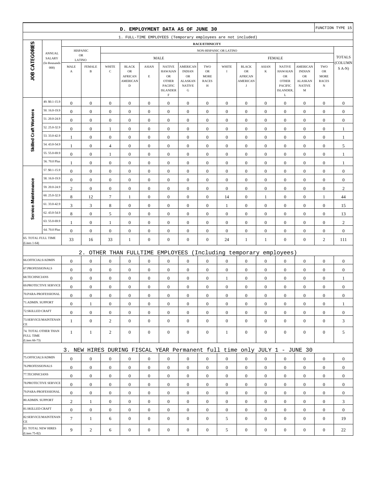|              |                                   |                              |                          |                                  |                      | D. EMPLOYMENT DATA AS OF JUNE 30                                          |                             |                                                               |                                            |                                          |                   |                                                         |                         |                                                                |                                                          |                                          | FUNCTION TYPE 15 |
|--------------|-----------------------------------|------------------------------|--------------------------|----------------------------------|----------------------|---------------------------------------------------------------------------|-----------------------------|---------------------------------------------------------------|--------------------------------------------|------------------------------------------|-------------------|---------------------------------------------------------|-------------------------|----------------------------------------------------------------|----------------------------------------------------------|------------------------------------------|------------------|
|              |                                   |                              |                          |                                  |                      | 1. FULL-TIME EMPLOYEES (Temporary employees are not included)             |                             |                                                               |                                            |                                          |                   |                                                         |                         |                                                                |                                                          |                                          |                  |
|              |                                   |                              |                          |                                  |                      |                                                                           |                             |                                                               |                                            | <b>RACE/ETHNICITY</b>                    |                   |                                                         |                         |                                                                |                                                          |                                          |                  |
|              |                                   | <b>ANNUAL</b>                |                          | <b>HISPANIC</b><br>$\mathbf{OR}$ |                      |                                                                           |                             | <b>MALE</b>                                                   |                                            | NON-HISPANIC OR LATINO                   |                   |                                                         |                         | <b>FEMALE</b>                                                  |                                                          |                                          | <b>TOTALS</b>    |
|              |                                   | SALARY<br>(In thousands      |                          | LATINO                           |                      |                                                                           |                             |                                                               |                                            |                                          |                   |                                                         |                         |                                                                |                                                          |                                          | (COLUMN          |
|              | JOB CATEGORIES                    | 000)                         | MALE<br>$\boldsymbol{A}$ | <b>FEMALE</b><br>$\, {\bf B}$    | WHITE<br>$\mathbf C$ | <b>BLACK</b><br>OR<br><b>AFRICAN</b><br><b>AMERICAN</b>                   | $\operatorname{ASIAN}$<br>Е | <b>NATIVE</b><br><b>HAWAIAN</b><br>${\rm OR}$<br><b>OTHER</b> | AMERICAN<br><b>INDIAN</b><br>OR<br>ALASKAN | TWO<br>OR<br><b>MORE</b><br><b>RACES</b> | WHITE<br>$\bf{I}$ | <b>BLACK</b><br>OR<br><b>AFRICAN</b><br><b>AMERICAN</b> | <b>ASIAN</b><br>$\bf K$ | <b>NATIVE</b><br><b>HAWAIAN</b><br>$_{\rm OR}$<br><b>OTHER</b> | <b>AMERICAN</b><br><b>INDIAN</b><br>OR<br><b>ALASKAN</b> | TWO<br>OR<br><b>MORE</b><br><b>RACES</b> | $S(A-N)$         |
|              |                                   |                              |                          |                                  |                      | $\mathbf D$                                                               |                             | <b>PACIFIC</b><br><b>ISLANDER</b><br>$\rm F$                  | <b>NATIVE</b><br>${\bf G}$                 | $_{\rm H}$                               |                   | J                                                       |                         | <b>PACIFIC</b><br>ISLANDER,<br>L                               | <b>NATIVE</b><br>M                                       | $_{\rm N}$                               |                  |
|              |                                   | 49. \$0.1-15.9               | $\mathbf{0}$             | $\boldsymbol{0}$                 | $\boldsymbol{0}$     | $\boldsymbol{0}$                                                          | $\boldsymbol{0}$            | $\boldsymbol{0}$                                              | $\boldsymbol{0}$                           | $\boldsymbol{0}$                         | $\boldsymbol{0}$  | $\boldsymbol{0}$                                        | $\boldsymbol{0}$        | $\boldsymbol{0}$                                               | $\boldsymbol{0}$                                         | $\boldsymbol{0}$                         | $\boldsymbol{0}$ |
|              |                                   | 50.16.0-19.9                 | $\boldsymbol{0}$         | $\boldsymbol{0}$                 | $\boldsymbol{0}$     | $\boldsymbol{0}$                                                          | $\boldsymbol{0}$            | $\boldsymbol{0}$                                              | $\boldsymbol{0}$                           | $\boldsymbol{0}$                         | $\boldsymbol{0}$  | $\boldsymbol{0}$                                        | $\mathbf{0}$            | $\boldsymbol{0}$                                               | $\boldsymbol{0}$                                         | $\boldsymbol{0}$                         | $\boldsymbol{0}$ |
|              | Skilled Craft Workers             | 51.20.0-24.9                 | $\mathbf{0}$             | $\boldsymbol{0}$                 | $\boldsymbol{0}$     | $\boldsymbol{0}$                                                          | $\boldsymbol{0}$            | $\boldsymbol{0}$                                              | $\boldsymbol{0}$                           | $\boldsymbol{0}$                         | $\boldsymbol{0}$  | $\boldsymbol{0}$                                        | $\boldsymbol{0}$        | $\boldsymbol{0}$                                               | $\boldsymbol{0}$                                         | $\boldsymbol{0}$                         | $\boldsymbol{0}$ |
|              |                                   | 52.25.0-32.9                 | $\mathbf{0}$             | $\boldsymbol{0}$                 | 1                    | $\boldsymbol{0}$                                                          | $\boldsymbol{0}$            | $\boldsymbol{0}$                                              | $\boldsymbol{0}$                           | $\boldsymbol{0}$                         | $\boldsymbol{0}$  | $\boldsymbol{0}$                                        | $\mathbf{0}$            | $\boldsymbol{0}$                                               | $\boldsymbol{0}$                                         | $\boldsymbol{0}$                         | $\mathbf{1}$     |
|              |                                   | 53.33.0-42.9                 | 1                        | $\boldsymbol{0}$                 | $\boldsymbol{0}$     | $\boldsymbol{0}$                                                          | $\boldsymbol{0}$            | $\boldsymbol{0}$                                              | $\boldsymbol{0}$                           | $\boldsymbol{0}$                         | $\boldsymbol{0}$  | $\boldsymbol{0}$                                        | $\boldsymbol{0}$        | $\boldsymbol{0}$                                               | $\boldsymbol{0}$                                         | $\boldsymbol{0}$                         | $\mathbf{1}$     |
|              |                                   | 54.43.0-54.9                 | $\mathbf{1}$             | $\boldsymbol{0}$                 | 4                    | $\boldsymbol{0}$                                                          | $\boldsymbol{0}$            | $\boldsymbol{0}$                                              | $\boldsymbol{0}$                           | $\boldsymbol{0}$                         | $\boldsymbol{0}$  | $\mathbf{0}$                                            | $\mathbf{0}$            | $\boldsymbol{0}$                                               | $\boldsymbol{0}$                                         | $\boldsymbol{0}$                         | $\mathfrak s$    |
|              |                                   | 55.55.0-69.9                 | $\mathbf{0}$             | $\boldsymbol{0}$                 | $\mathbf{1}$         | $\boldsymbol{0}$                                                          | $\boldsymbol{0}$            | $\boldsymbol{0}$                                              | $\boldsymbol{0}$                           | $\boldsymbol{0}$                         | $\boldsymbol{0}$  | $\boldsymbol{0}$                                        | $\boldsymbol{0}$        | $\boldsymbol{0}$                                               | $\boldsymbol{0}$                                         | $\boldsymbol{0}$                         | 1                |
|              |                                   | 56.70.0 Plus                 | $\mathbf{1}$             | $\boldsymbol{0}$                 | $\boldsymbol{0}$     | $\boldsymbol{0}$                                                          | $\boldsymbol{0}$            | $\boldsymbol{0}$                                              | $\mathbf{0}$                               | $\boldsymbol{0}$                         | $\boldsymbol{0}$  | $\boldsymbol{0}$                                        | $\mathbf{0}$            | $\boldsymbol{0}$                                               | $\boldsymbol{0}$                                         | $\boldsymbol{0}$                         | $\mathbf{1}$     |
|              |                                   | 57. \$0.1-15.9               | $\boldsymbol{0}$         | $\boldsymbol{0}$                 | $\boldsymbol{0}$     | $\boldsymbol{0}$                                                          | $\boldsymbol{0}$            | $\boldsymbol{0}$                                              | $\boldsymbol{0}$                           | $\boldsymbol{0}$                         | $\boldsymbol{0}$  | $\boldsymbol{0}$                                        | $\mathbf{0}$            | $\boldsymbol{0}$                                               | $\boldsymbol{0}$                                         | $\boldsymbol{0}$                         | $\boldsymbol{0}$ |
|              |                                   | 58.16.0-19.9                 | $\boldsymbol{0}$         | $\boldsymbol{0}$                 | $\boldsymbol{0}$     | $\boldsymbol{0}$                                                          | $\mathbf{0}$                | $\boldsymbol{0}$                                              | $\boldsymbol{0}$                           | $\boldsymbol{0}$                         | $\boldsymbol{0}$  | $\boldsymbol{0}$                                        | $\boldsymbol{0}$        | $\boldsymbol{0}$                                               | $\boldsymbol{0}$                                         | $\boldsymbol{0}$                         | $\boldsymbol{0}$ |
|              |                                   | 59.20.0-24.9                 | $\overline{2}$           | $\boldsymbol{0}$                 | $\boldsymbol{0}$     | $\boldsymbol{0}$                                                          | $\mathbf{0}$                | $\mathbf{0}$                                                  | $\boldsymbol{0}$                           | $\boldsymbol{0}$                         | $\boldsymbol{0}$  | $\boldsymbol{0}$                                        | $\boldsymbol{0}$        | $\boldsymbol{0}$                                               | $\boldsymbol{0}$                                         | $\boldsymbol{0}$                         | $\mathbf{2}$     |
|              |                                   | 60.25.0-32.9                 | $\,$ 8 $\,$              | 12                               | $\tau$               | $\mathbf{1}$                                                              | $\boldsymbol{0}$            | $\boldsymbol{0}$                                              | $\boldsymbol{0}$                           | $\boldsymbol{0}$                         | 14                | $\boldsymbol{0}$                                        | 1                       | $\boldsymbol{0}$                                               | $\boldsymbol{0}$                                         | $\mathbf{1}$                             | 44               |
|              | Service-Maintenance               | 61.33.0-42.9                 | 3                        | $\mathfrak{Z}$                   | 8                    | $\boldsymbol{0}$                                                          | $\boldsymbol{0}$            | $\boldsymbol{0}$                                              | $\boldsymbol{0}$                           | $\boldsymbol{0}$                         | 1                 | $\boldsymbol{0}$                                        | $\boldsymbol{0}$        | $\boldsymbol{0}$                                               | $\boldsymbol{0}$                                         | $\boldsymbol{0}$                         | 15               |
|              |                                   | 62.43.0-54.9                 | 8                        | $\boldsymbol{0}$                 | 5                    | $\boldsymbol{0}$                                                          | $\mathbf{0}$                | $\boldsymbol{0}$                                              | $\boldsymbol{0}$                           | $\boldsymbol{0}$                         | $\boldsymbol{0}$  | $\boldsymbol{0}$                                        | $\boldsymbol{0}$        | $\boldsymbol{0}$                                               | $\boldsymbol{0}$                                         | $\boldsymbol{0}$                         | 13               |
|              |                                   | 63.55.0-69.9                 | 1                        | $\boldsymbol{0}$                 | $\mathbf{1}$         | $\boldsymbol{0}$                                                          | $\mathbf{0}$                | $\boldsymbol{0}$                                              | $\boldsymbol{0}$                           | $\boldsymbol{0}$                         | $\boldsymbol{0}$  | $\boldsymbol{0}$                                        | $\boldsymbol{0}$        | $\boldsymbol{0}$                                               | $\boldsymbol{0}$                                         | $\boldsymbol{0}$                         | $\sqrt{2}$       |
|              |                                   | 64.70.0 Plus                 | $\mathbf{0}$             | $\boldsymbol{0}$                 | $\boldsymbol{0}$     | $\boldsymbol{0}$                                                          | $\boldsymbol{0}$            | $\mathbf{0}$                                                  | $\boldsymbol{0}$                           | $\boldsymbol{0}$                         | $\boldsymbol{0}$  | $\boldsymbol{0}$                                        | $\boldsymbol{0}$        | $\boldsymbol{0}$                                               | $\boldsymbol{0}$                                         | $\boldsymbol{0}$                         | $\boldsymbol{0}$ |
|              |                                   | 65. TOTAL FULL TIME          | 33                       | 16                               | 33                   | $\mathbf{1}$                                                              | $\boldsymbol{0}$            | $\boldsymbol{0}$                                              | $\boldsymbol{0}$                           | $\boldsymbol{0}$                         | 24                | $\mathbf{1}$                                            | $\mathbf{1}$            | $\boldsymbol{0}$                                               | $\boldsymbol{0}$                                         | $\overline{c}$                           | 111              |
| (Lines 1-64) |                                   |                              |                          |                                  |                      |                                                                           |                             |                                                               |                                            |                                          |                   |                                                         |                         |                                                                |                                                          |                                          |                  |
|              |                                   |                              |                          | $2$ .                            |                      | OTHER THAN FULLTIME                                                       |                             | EMPLOYEES                                                     |                                            |                                          |                   | (Including temporary                                    |                         | employees)                                                     |                                                          |                                          |                  |
|              |                                   | 66.OFFICIALS/ADMIN           | $\mathbf{0}$             | $\boldsymbol{0}$                 | $\boldsymbol{0}$     | $\boldsymbol{0}$                                                          | $\boldsymbol{0}$            | $\boldsymbol{0}$                                              | $\boldsymbol{0}$                           | $\boldsymbol{0}$                         | $\boldsymbol{0}$  | $\boldsymbol{0}$                                        | $\boldsymbol{0}$        | $\boldsymbol{0}$                                               | $\boldsymbol{0}$                                         | $\boldsymbol{0}$                         | $\boldsymbol{0}$ |
|              |                                   | 67.PROFESSIONALS             | $\mathbf{0}$             | $\boldsymbol{0}$                 | $\boldsymbol{0}$     | $\boldsymbol{0}$                                                          | $\boldsymbol{0}$            | $\boldsymbol{0}$                                              | $\boldsymbol{0}$                           | $\boldsymbol{0}$                         | $\boldsymbol{0}$  | $\boldsymbol{0}$                                        | $\boldsymbol{0}$        | $\boldsymbol{0}$                                               | $\boldsymbol{0}$                                         | $\boldsymbol{0}$                         | $\boldsymbol{0}$ |
|              | 68.TECHNICIANS                    |                              | $\mathbf{0}$             | $\boldsymbol{0}$                 | $\boldsymbol{0}$     | $\boldsymbol{0}$                                                          | $\mathbf{0}$                | $\boldsymbol{0}$                                              | $\boldsymbol{0}$                           | $\boldsymbol{0}$                         | $\mathbf{1}$      | $\boldsymbol{0}$                                        | $\boldsymbol{0}$        | $\boldsymbol{0}$                                               | $\boldsymbol{0}$                                         | $\boldsymbol{0}$                         | 1                |
|              |                                   | <b>69.PROTECTIVE SERVICE</b> | $\boldsymbol{0}$         | $\boldsymbol{0}$                 | $\boldsymbol{0}$     | $\boldsymbol{0}$                                                          | $\boldsymbol{0}$            | $\boldsymbol{0}$                                              | $\boldsymbol{0}$                           | $\boldsymbol{0}$                         | $\boldsymbol{0}$  | $\boldsymbol{0}$                                        | $\boldsymbol{0}$        | $\boldsymbol{0}$                                               | $\boldsymbol{0}$                                         | $\boldsymbol{0}$                         | $\boldsymbol{0}$ |
|              |                                   | 70.PARA-PROFESSIONAL         | $\boldsymbol{0}$         | $\boldsymbol{0}$                 | $\boldsymbol{0}$     | $\boldsymbol{0}$                                                          | $\boldsymbol{0}$            | $\boldsymbol{0}$                                              | $\boldsymbol{0}$                           | $\boldsymbol{0}$                         | $\boldsymbol{0}$  | $\boldsymbol{0}$                                        | $\boldsymbol{0}$        | $\boldsymbol{0}$                                               | $\boldsymbol{0}$                                         | $\boldsymbol{0}$                         | $\boldsymbol{0}$ |
|              |                                   | 71.ADMIN. SUPPORT            | $\Omega$                 | -1                               | $\Omega$             | $\Omega$                                                                  | $\Omega$                    | $\boldsymbol{0}$                                              | $\theta$                                   | $\Omega$                                 | $\Omega$          | $\Omega$                                                | $\theta$                | $\theta$                                                       | $\Omega$                                                 | $\Omega$                                 | 1                |
|              | 72.SKILLED CRAFT                  |                              | $\mathbf{0}$             | $\boldsymbol{0}$                 | $\boldsymbol{0}$     | $\mathbf{0}$                                                              | $\mathbf{0}$                | $\boldsymbol{0}$                                              | $\boldsymbol{0}$                           | $\mathbf{0}$                             | $\boldsymbol{0}$  | $\boldsymbol{0}$                                        | $\boldsymbol{0}$        | $\mathbf{0}$                                                   | $\boldsymbol{0}$                                         | $\mathbf{0}$                             | $\boldsymbol{0}$ |
| CE           |                                   | 73.SERVICE/MAINTENAN         | $\mathbf{1}$             | $\boldsymbol{0}$                 | $\mathbf{2}$         | $\mathbf{0}$                                                              | $\mathbf{0}$                | $\boldsymbol{0}$                                              | $\mathbf{0}$                               | $\boldsymbol{0}$                         | $\boldsymbol{0}$  | $\mathbf{0}$                                            | $\overline{0}$          | $\boldsymbol{0}$                                               | $\mathbf{0}$                                             | $\boldsymbol{0}$                         | 3                |
|              | <b>FULL TIME</b><br>(Lines 66-73) | 74. TOTAL OTHER THAN         | $\mathbf{1}$             | 1                                | $\overline{c}$       | $\mathbf{0}$                                                              | $\mathbf{0}$                | $\boldsymbol{0}$                                              | $\mathbf{0}$                               | $\boldsymbol{0}$                         | $\mathbf{1}$      | $\boldsymbol{0}$                                        | $\mathbf{0}$            | $\boldsymbol{0}$                                               | $\boldsymbol{0}$                                         | $\boldsymbol{0}$                         | 5                |
|              |                                   |                              |                          |                                  |                      | 3. NEW HIRES DURING FISCAL YEAR Permanent full time only JULY 1 - JUNE 30 |                             |                                                               |                                            |                                          |                   |                                                         |                         |                                                                |                                                          |                                          |                  |
|              |                                   | 75.OFFICIALS/ADMIN           | $\overline{0}$           | $\boldsymbol{0}$                 | $\boldsymbol{0}$     | $\mathbf{0}$                                                              | $\mathbf{0}$                | $\boldsymbol{0}$                                              | $\boldsymbol{0}$                           | $\boldsymbol{0}$                         | $\mathbf{0}$      | $\overline{0}$                                          | $\mathbf{0}$            | $\boldsymbol{0}$                                               | $\boldsymbol{0}$                                         | $\overline{0}$                           | $\boldsymbol{0}$ |
|              |                                   | 76.PROFESSIONALS             | $\mathbf{0}$             | $\boldsymbol{0}$                 | $\boldsymbol{0}$     | $\boldsymbol{0}$                                                          | $\mathbf{0}$                | $\mathbf{0}$                                                  | $\mathbf{0}$                               | $\boldsymbol{0}$                         | $\mathbf{0}$      | $\boldsymbol{0}$                                        | $\overline{0}$          | $\mathbf{0}$                                                   | $\boldsymbol{0}$                                         | $\boldsymbol{0}$                         | $\boldsymbol{0}$ |
|              | 77.TECHNICIANS                    |                              | $\mathbf{0}$             | $\boldsymbol{0}$                 | $\boldsymbol{0}$     | $\boldsymbol{0}$                                                          | $\boldsymbol{0}$            | $\boldsymbol{0}$                                              | $\boldsymbol{0}$                           | $\overline{0}$                           | $\boldsymbol{0}$  | $\boldsymbol{0}$                                        | $\boldsymbol{0}$        | $\boldsymbol{0}$                                               | $\overline{0}$                                           | $\boldsymbol{0}$                         | $\boldsymbol{0}$ |
|              |                                   | 78. PROTECTIVE SERVICE       | $\mathbf{0}$             | $\boldsymbol{0}$                 | $\overline{0}$       | $\boldsymbol{0}$                                                          | $\mathbf{0}$                | $\boldsymbol{0}$                                              | $\boldsymbol{0}$                           | $\overline{0}$                           | $\boldsymbol{0}$  | $\boldsymbol{0}$                                        | $\boldsymbol{0}$        | $\boldsymbol{0}$                                               | $\overline{0}$                                           | $\boldsymbol{0}$                         | $\boldsymbol{0}$ |
|              |                                   | 79.PARA-PROFESSIONAL         | $\overline{0}$           | $\mathbf{0}$                     | $\overline{0}$       | $\mathbf{0}$                                                              | $\overline{0}$              | $\mathbf{0}$                                                  | $\mathbf{0}$                               | $\overline{0}$                           | $\overline{0}$    | $\overline{0}$                                          | $\mathbf{0}$            | $\boldsymbol{0}$                                               | $\overline{0}$                                           | $\overline{0}$                           | $\boldsymbol{0}$ |
|              |                                   | 80.ADMIN. SUPPORT            | $\overline{2}$           | $\mathbf{1}$                     | $\boldsymbol{0}$     | $\boldsymbol{0}$                                                          | $\mathbf{0}$                | $\boldsymbol{0}$                                              | $\mathbf{0}$                               | $\boldsymbol{0}$                         | $\mathbf{0}$      | $\boldsymbol{0}$                                        | $\mathbf{0}$            | $\mathbf{0}$                                                   | $\boldsymbol{0}$                                         | $\overline{0}$                           | $\mathfrak{Z}$   |
|              | 81.SKILLED CRAFT                  |                              | $\overline{0}$           | $\boldsymbol{0}$                 | $\boldsymbol{0}$     | $\boldsymbol{0}$                                                          | $\boldsymbol{0}$            | $\boldsymbol{0}$                                              | $\boldsymbol{0}$                           | $\boldsymbol{0}$                         | $\boldsymbol{0}$  | $\boldsymbol{0}$                                        | $\boldsymbol{0}$        | $\boldsymbol{0}$                                               | $\boldsymbol{0}$                                         | $\boldsymbol{0}$                         | $\boldsymbol{0}$ |
| CЕ           |                                   | 82.SERVICE/MAINTENAN         | $\tau$                   | $\mathbf{1}$                     | 6                    | $\boldsymbol{0}$                                                          | $\mathbf{0}$                | $\mathbf{0}$                                                  | $\boldsymbol{0}$                           | $\boldsymbol{0}$                         | 5                 | $\mathbf{0}$                                            | $\mathbf{0}$            | $\boldsymbol{0}$                                               | $\boldsymbol{0}$                                         | $\boldsymbol{0}$                         | 19               |
|              | (Lines 75-82)                     | 83. TOTAL NEW HIRES          | 9                        | $\overline{c}$                   | 6                    | $\boldsymbol{0}$                                                          | $\boldsymbol{0}$            | $\boldsymbol{0}$                                              | $\boldsymbol{0}$                           | $\boldsymbol{0}$                         | $\sqrt{5}$        | $\boldsymbol{0}$                                        | $\boldsymbol{0}$        | $\boldsymbol{0}$                                               | $\boldsymbol{0}$                                         | $\boldsymbol{0}$                         | 22               |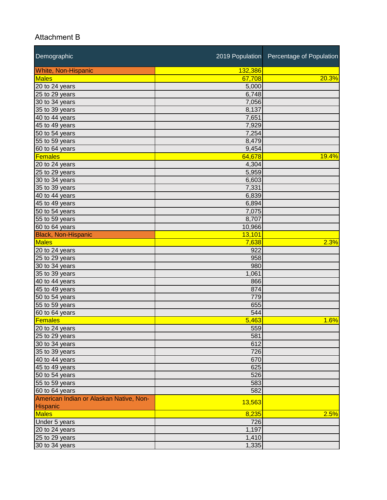# Attachment B

| 132,386<br><b>White, Non-Hispanic</b><br><b>Males</b><br>67,708<br>20 to 24 years<br>5,000<br>25 to 29 years<br>6,748<br>30 to 34 years<br>7,056<br>35 to 39 years<br>8,137<br>40 to 44 years<br>7,651<br>45 to 49 years<br>7,929<br>50 to 54 years<br>7,254<br>55 to 59 years<br>8,479<br>9,454<br>60 to 64 years<br>Females<br>64,678<br>20 to 24 years<br>4,304<br>5,959<br>25 to 29 years<br>30 to 34 years<br>6,603<br>7,331<br>35 to 39 years<br>6,839<br>40 to 44 years<br>6,894<br>45 to 49 years<br>50 to 54 years<br>7,075<br>55 to 59 years<br>8,707<br>60 to 64 years<br>10,966<br><b>Black, Non-Hispanic</b><br>13,101<br>2.3%<br><b>Males</b><br>7,638<br>20 to 24 years<br>922<br>25 to 29 years<br>958<br>980<br>30 to 34 years<br>1,061<br>35 to 39 years<br>40 to 44 years<br>866<br>45 to 49 years<br>874<br>779<br>50 to 54 years<br>655<br>55 to 59 years<br>544<br>60 to 64 years<br>5,463<br>1.6%<br>Females<br>559<br>25 to 29 years<br>581<br>612<br>30 to 34 years<br>726<br>35 to 39 years<br>40 to 44 years<br>670<br>45 to 49 years<br>625<br>526<br>50 to 54 years<br>583<br>55 to 59 years<br>582<br>60 to 64 years<br>American Indian or Alaskan Native, Non-<br>13,563<br><b>Hispanic</b><br>Males<br>8,235<br>2.5% | Demographic | 2019 Population Percentage of Population |
|------------------------------------------------------------------------------------------------------------------------------------------------------------------------------------------------------------------------------------------------------------------------------------------------------------------------------------------------------------------------------------------------------------------------------------------------------------------------------------------------------------------------------------------------------------------------------------------------------------------------------------------------------------------------------------------------------------------------------------------------------------------------------------------------------------------------------------------------------------------------------------------------------------------------------------------------------------------------------------------------------------------------------------------------------------------------------------------------------------------------------------------------------------------------------------------------------------------------------------------------------|-------------|------------------------------------------|
|                                                                                                                                                                                                                                                                                                                                                                                                                                                                                                                                                                                                                                                                                                                                                                                                                                                                                                                                                                                                                                                                                                                                                                                                                                                      |             |                                          |
|                                                                                                                                                                                                                                                                                                                                                                                                                                                                                                                                                                                                                                                                                                                                                                                                                                                                                                                                                                                                                                                                                                                                                                                                                                                      |             | 20.3%                                    |
|                                                                                                                                                                                                                                                                                                                                                                                                                                                                                                                                                                                                                                                                                                                                                                                                                                                                                                                                                                                                                                                                                                                                                                                                                                                      |             |                                          |
|                                                                                                                                                                                                                                                                                                                                                                                                                                                                                                                                                                                                                                                                                                                                                                                                                                                                                                                                                                                                                                                                                                                                                                                                                                                      |             |                                          |
|                                                                                                                                                                                                                                                                                                                                                                                                                                                                                                                                                                                                                                                                                                                                                                                                                                                                                                                                                                                                                                                                                                                                                                                                                                                      |             |                                          |
|                                                                                                                                                                                                                                                                                                                                                                                                                                                                                                                                                                                                                                                                                                                                                                                                                                                                                                                                                                                                                                                                                                                                                                                                                                                      |             |                                          |
|                                                                                                                                                                                                                                                                                                                                                                                                                                                                                                                                                                                                                                                                                                                                                                                                                                                                                                                                                                                                                                                                                                                                                                                                                                                      |             |                                          |
|                                                                                                                                                                                                                                                                                                                                                                                                                                                                                                                                                                                                                                                                                                                                                                                                                                                                                                                                                                                                                                                                                                                                                                                                                                                      |             |                                          |
|                                                                                                                                                                                                                                                                                                                                                                                                                                                                                                                                                                                                                                                                                                                                                                                                                                                                                                                                                                                                                                                                                                                                                                                                                                                      |             |                                          |
|                                                                                                                                                                                                                                                                                                                                                                                                                                                                                                                                                                                                                                                                                                                                                                                                                                                                                                                                                                                                                                                                                                                                                                                                                                                      |             |                                          |
|                                                                                                                                                                                                                                                                                                                                                                                                                                                                                                                                                                                                                                                                                                                                                                                                                                                                                                                                                                                                                                                                                                                                                                                                                                                      |             |                                          |
| 20 to 24 years                                                                                                                                                                                                                                                                                                                                                                                                                                                                                                                                                                                                                                                                                                                                                                                                                                                                                                                                                                                                                                                                                                                                                                                                                                       |             | 19.4%                                    |
|                                                                                                                                                                                                                                                                                                                                                                                                                                                                                                                                                                                                                                                                                                                                                                                                                                                                                                                                                                                                                                                                                                                                                                                                                                                      |             |                                          |
|                                                                                                                                                                                                                                                                                                                                                                                                                                                                                                                                                                                                                                                                                                                                                                                                                                                                                                                                                                                                                                                                                                                                                                                                                                                      |             |                                          |
|                                                                                                                                                                                                                                                                                                                                                                                                                                                                                                                                                                                                                                                                                                                                                                                                                                                                                                                                                                                                                                                                                                                                                                                                                                                      |             |                                          |
|                                                                                                                                                                                                                                                                                                                                                                                                                                                                                                                                                                                                                                                                                                                                                                                                                                                                                                                                                                                                                                                                                                                                                                                                                                                      |             |                                          |
|                                                                                                                                                                                                                                                                                                                                                                                                                                                                                                                                                                                                                                                                                                                                                                                                                                                                                                                                                                                                                                                                                                                                                                                                                                                      |             |                                          |
|                                                                                                                                                                                                                                                                                                                                                                                                                                                                                                                                                                                                                                                                                                                                                                                                                                                                                                                                                                                                                                                                                                                                                                                                                                                      |             |                                          |
|                                                                                                                                                                                                                                                                                                                                                                                                                                                                                                                                                                                                                                                                                                                                                                                                                                                                                                                                                                                                                                                                                                                                                                                                                                                      |             |                                          |
|                                                                                                                                                                                                                                                                                                                                                                                                                                                                                                                                                                                                                                                                                                                                                                                                                                                                                                                                                                                                                                                                                                                                                                                                                                                      |             |                                          |
|                                                                                                                                                                                                                                                                                                                                                                                                                                                                                                                                                                                                                                                                                                                                                                                                                                                                                                                                                                                                                                                                                                                                                                                                                                                      |             |                                          |
|                                                                                                                                                                                                                                                                                                                                                                                                                                                                                                                                                                                                                                                                                                                                                                                                                                                                                                                                                                                                                                                                                                                                                                                                                                                      |             |                                          |
|                                                                                                                                                                                                                                                                                                                                                                                                                                                                                                                                                                                                                                                                                                                                                                                                                                                                                                                                                                                                                                                                                                                                                                                                                                                      |             |                                          |
|                                                                                                                                                                                                                                                                                                                                                                                                                                                                                                                                                                                                                                                                                                                                                                                                                                                                                                                                                                                                                                                                                                                                                                                                                                                      |             |                                          |
|                                                                                                                                                                                                                                                                                                                                                                                                                                                                                                                                                                                                                                                                                                                                                                                                                                                                                                                                                                                                                                                                                                                                                                                                                                                      |             |                                          |
|                                                                                                                                                                                                                                                                                                                                                                                                                                                                                                                                                                                                                                                                                                                                                                                                                                                                                                                                                                                                                                                                                                                                                                                                                                                      |             |                                          |
|                                                                                                                                                                                                                                                                                                                                                                                                                                                                                                                                                                                                                                                                                                                                                                                                                                                                                                                                                                                                                                                                                                                                                                                                                                                      |             |                                          |
|                                                                                                                                                                                                                                                                                                                                                                                                                                                                                                                                                                                                                                                                                                                                                                                                                                                                                                                                                                                                                                                                                                                                                                                                                                                      |             |                                          |
|                                                                                                                                                                                                                                                                                                                                                                                                                                                                                                                                                                                                                                                                                                                                                                                                                                                                                                                                                                                                                                                                                                                                                                                                                                                      |             |                                          |
|                                                                                                                                                                                                                                                                                                                                                                                                                                                                                                                                                                                                                                                                                                                                                                                                                                                                                                                                                                                                                                                                                                                                                                                                                                                      |             |                                          |
|                                                                                                                                                                                                                                                                                                                                                                                                                                                                                                                                                                                                                                                                                                                                                                                                                                                                                                                                                                                                                                                                                                                                                                                                                                                      |             |                                          |
|                                                                                                                                                                                                                                                                                                                                                                                                                                                                                                                                                                                                                                                                                                                                                                                                                                                                                                                                                                                                                                                                                                                                                                                                                                                      |             |                                          |
|                                                                                                                                                                                                                                                                                                                                                                                                                                                                                                                                                                                                                                                                                                                                                                                                                                                                                                                                                                                                                                                                                                                                                                                                                                                      |             |                                          |
|                                                                                                                                                                                                                                                                                                                                                                                                                                                                                                                                                                                                                                                                                                                                                                                                                                                                                                                                                                                                                                                                                                                                                                                                                                                      |             |                                          |
|                                                                                                                                                                                                                                                                                                                                                                                                                                                                                                                                                                                                                                                                                                                                                                                                                                                                                                                                                                                                                                                                                                                                                                                                                                                      |             |                                          |
|                                                                                                                                                                                                                                                                                                                                                                                                                                                                                                                                                                                                                                                                                                                                                                                                                                                                                                                                                                                                                                                                                                                                                                                                                                                      |             |                                          |
|                                                                                                                                                                                                                                                                                                                                                                                                                                                                                                                                                                                                                                                                                                                                                                                                                                                                                                                                                                                                                                                                                                                                                                                                                                                      |             |                                          |
|                                                                                                                                                                                                                                                                                                                                                                                                                                                                                                                                                                                                                                                                                                                                                                                                                                                                                                                                                                                                                                                                                                                                                                                                                                                      |             |                                          |
|                                                                                                                                                                                                                                                                                                                                                                                                                                                                                                                                                                                                                                                                                                                                                                                                                                                                                                                                                                                                                                                                                                                                                                                                                                                      |             |                                          |
|                                                                                                                                                                                                                                                                                                                                                                                                                                                                                                                                                                                                                                                                                                                                                                                                                                                                                                                                                                                                                                                                                                                                                                                                                                                      |             |                                          |
|                                                                                                                                                                                                                                                                                                                                                                                                                                                                                                                                                                                                                                                                                                                                                                                                                                                                                                                                                                                                                                                                                                                                                                                                                                                      |             |                                          |
|                                                                                                                                                                                                                                                                                                                                                                                                                                                                                                                                                                                                                                                                                                                                                                                                                                                                                                                                                                                                                                                                                                                                                                                                                                                      |             |                                          |
|                                                                                                                                                                                                                                                                                                                                                                                                                                                                                                                                                                                                                                                                                                                                                                                                                                                                                                                                                                                                                                                                                                                                                                                                                                                      |             |                                          |
|                                                                                                                                                                                                                                                                                                                                                                                                                                                                                                                                                                                                                                                                                                                                                                                                                                                                                                                                                                                                                                                                                                                                                                                                                                                      |             |                                          |
| 726<br>Under 5 years                                                                                                                                                                                                                                                                                                                                                                                                                                                                                                                                                                                                                                                                                                                                                                                                                                                                                                                                                                                                                                                                                                                                                                                                                                 |             |                                          |
| 1,197<br>20 to 24 years                                                                                                                                                                                                                                                                                                                                                                                                                                                                                                                                                                                                                                                                                                                                                                                                                                                                                                                                                                                                                                                                                                                                                                                                                              |             |                                          |
| 1,410<br>25 to 29 years                                                                                                                                                                                                                                                                                                                                                                                                                                                                                                                                                                                                                                                                                                                                                                                                                                                                                                                                                                                                                                                                                                                                                                                                                              |             |                                          |
| 1,335<br>30 to 34 years                                                                                                                                                                                                                                                                                                                                                                                                                                                                                                                                                                                                                                                                                                                                                                                                                                                                                                                                                                                                                                                                                                                                                                                                                              |             |                                          |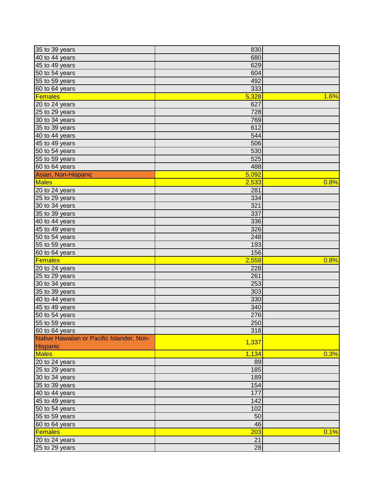| 35 to 39 years                                              | 830   |      |
|-------------------------------------------------------------|-------|------|
| 40 to 44 years                                              | 680   |      |
| 45 to 49 years                                              | 629   |      |
| 50 to 54 years                                              | 604   |      |
| 55 to 59 years                                              | 492   |      |
| 60 to 64 years                                              | 333   |      |
| Females                                                     | 5,328 | 1.6% |
| 20 to 24 years                                              | 627   |      |
| 25 to 29 years                                              | 728   |      |
| 30 to 34 years                                              | 769   |      |
| 35 to 39 years                                              | 612   |      |
| 40 to 44 years                                              | 544   |      |
| 45 to 49 years                                              | 506   |      |
| 50 to 54 years                                              | 530   |      |
| 55 to 59 years                                              | 525   |      |
| 60 to 64 years                                              | 488   |      |
| Asian, Non-Hispanic                                         | 5,092 |      |
| <b>Males</b>                                                | 2,533 | 0.8% |
| 20 to 24 years                                              | 281   |      |
| 25 to 29 years                                              | 334   |      |
| 30 to 34 years                                              | 321   |      |
| 35 to 39 years                                              | 337   |      |
| 40 to 44 years                                              | 336   |      |
| 45 to 49 years                                              | 326   |      |
| 50 to 54 years                                              | 248   |      |
| 55 to 59 years                                              | 193   |      |
| 60 to 64 years                                              | 156   |      |
| Females                                                     | 2,559 | 0.8% |
| 20 to 24 years                                              | 228   |      |
| 25 to 29 years                                              | 261   |      |
| 30 to 34 years                                              | 253   |      |
| 35 to 39 years                                              | 303   |      |
| 40 to 44 years                                              | 330   |      |
| 45 to 49 years                                              | 340   |      |
| 50 to 54 years                                              | 276   |      |
|                                                             | 250   |      |
| 55 to 59 years                                              |       |      |
| 60 to 64 years<br>Native Hawaiian or Pacific Islander, Non- | 318   |      |
| <b>Hispanic</b>                                             | 1,337 |      |
| Males                                                       | 1,134 | 0.3% |
|                                                             | 89    |      |
| 20 to 24 years<br>25 to 29 years                            |       |      |
|                                                             | 185   |      |
| 30 to 34 years                                              | 189   |      |
| 35 to 39 years                                              | 154   |      |
| 40 to 44 years                                              | 177   |      |
| 45 to 49 years                                              | 142   |      |
| 50 to 54 years                                              | 102   |      |
| 55 to 59 years                                              | 50    |      |
| 60 to 64 years                                              | 46    |      |
| Females                                                     | 203   | 0.1% |
| 20 to 24 years                                              | 21    |      |
| 25 to 29 years                                              | 28    |      |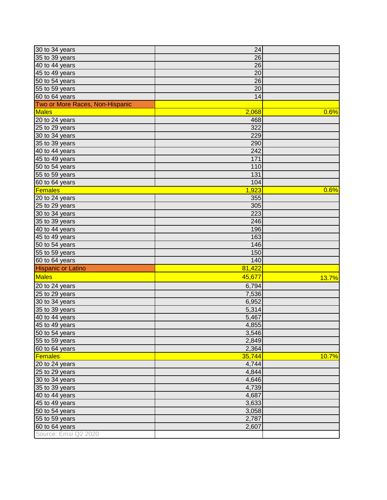| 30 to 34 years                  | 24     |              |
|---------------------------------|--------|--------------|
| 35 to 39 years                  | 26     |              |
| 40 to 44 years                  | 26     |              |
| 45 to 49 years                  | 20     |              |
| 50 to 54 years                  | 26     |              |
| 55 to 59 years                  | 20     |              |
| 60 to 64 years                  | 14     |              |
| Two or More Races, Non-Hispanic |        |              |
| <b>Males</b>                    | 2,068  | 0.6%         |
| 20 to 24 years                  | 468    |              |
| 25 to 29 years                  | 322    |              |
| 30 to 34 years                  | 229    |              |
| 35 to 39 years                  | 290    |              |
| 40 to 44 years                  | 242    |              |
| 45 to 49 years                  | 171    |              |
| 50 to 54 years                  | 110    |              |
| 55 to 59 years                  | 131    |              |
| 60 to 64 years                  | 104    |              |
| Females                         | 1,923  | 0.6%         |
| 20 to 24 years                  | 355    |              |
| 25 to 29 years                  | 305    |              |
| 30 to 34 years                  | 223    |              |
| 35 to 39 years                  | 246    |              |
| 40 to 44 years                  | 196    |              |
| 45 to 49 years                  | 163    |              |
| 50 to 54 years                  | 146    |              |
| 55 to 59 years                  | 150    |              |
| 60 to 64 years                  | 140    |              |
| <b>Hispanic or Latino</b>       | 81,422 |              |
| <b>Males</b>                    | 45,677 | <b>13.7%</b> |
| 20 to 24 years                  | 6,794  |              |
| 25 to 29 years                  | 7,536  |              |
| 30 to 34 years                  | 6,952  |              |
| 35 to 39 years                  | 5,314  |              |
| 40 to 44 years                  | 5,467  |              |
| 45 to 49 years                  | 4,855  |              |
| 50 to 54 years                  | 3,546  |              |
| 55 to 59 years                  | 2,849  |              |
| 60 to 64 years                  | 2,364  |              |
| <b>Females</b>                  | 35,744 | 10.7%        |
| 20 to 24 years                  | 4,744  |              |
| 25 to 29 years                  | 4,844  |              |
| 30 to 34 years                  | 4,646  |              |
| 35 to 39 years                  | 4,739  |              |
| 40 to 44 years                  | 4,687  |              |
| 45 to 49 years                  | 3,633  |              |
| 50 to 54 years                  | 3,058  |              |
| 55 to 59 years                  | 2,787  |              |
| 60 to 64 years                  | 2,607  |              |
| Source: Emsi Q2 2020            |        |              |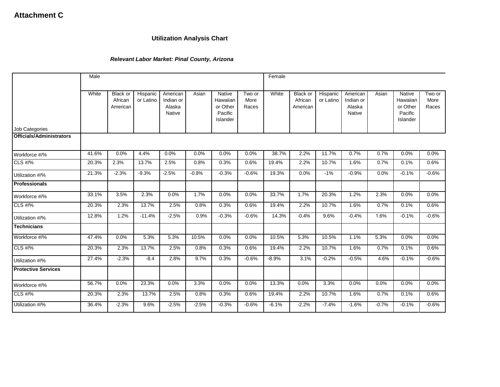# **Attachment C**

#### **Utilization Analysis Chart**

#### *Relevant Labor Market: Pinal County, Arizona*

|                                 | Male  |                                        |                       |                                           |         |                                                              |                         | Female  |                                        |                       |                                           |         |                                                              |                         |  |  |
|---------------------------------|-------|----------------------------------------|-----------------------|-------------------------------------------|---------|--------------------------------------------------------------|-------------------------|---------|----------------------------------------|-----------------------|-------------------------------------------|---------|--------------------------------------------------------------|-------------------------|--|--|
|                                 |       |                                        |                       |                                           |         |                                                              |                         |         |                                        |                       |                                           |         |                                                              |                         |  |  |
|                                 | White | <b>Black or</b><br>African<br>American | Hispanic<br>or Latino | American<br>Indian or<br>Alaska<br>Native | Asian   | <b>Native</b><br>Hawaiian<br>or Other<br>Pacific<br>Islander | Two or<br>More<br>Races | White   | <b>Black or</b><br>African<br>American | Hispanic<br>or Latino | American<br>Indian or<br>Alaska<br>Native | Asian   | <b>Native</b><br>Hawaiian<br>or Other<br>Pacific<br>Islander | Two or<br>More<br>Races |  |  |
| <b>Job Categories</b>           |       |                                        |                       |                                           |         |                                                              |                         |         |                                        |                       |                                           |         |                                                              |                         |  |  |
| <b>Officials/Administrators</b> |       |                                        |                       |                                           |         |                                                              |                         |         |                                        |                       |                                           |         |                                                              |                         |  |  |
| Workforce #/%                   | 41.6% | 0.0%                                   | 4.4%                  | 0.0%                                      | 0.0%    | 0.0%                                                         | 0.0%                    | 38.7%   | 2.2%                                   | 11.7%                 | 0.7%                                      | 0.7%    | 0.0%                                                         | 0.0%                    |  |  |
| CLS #/%                         | 20.3% | 2.3%                                   | 13.7%                 | 2.5%                                      | 0.8%    | 0.3%                                                         | 0.6%                    | 19.4%   | 2.2%                                   | 10.7%                 | 1.6%                                      | 0.7%    | 0.1%                                                         | 0.6%                    |  |  |
| Utilization #/%                 | 21.3% | $-2.3%$                                | $-9.3%$               | $-2.5%$                                   | $-0.8%$ | $-0.3%$                                                      | $-0.6%$                 | 19.3%   | 0.0%                                   | $-1%$                 | $-0.9%$                                   | 0.0%    | $-0.1%$                                                      | $-0.6%$                 |  |  |
| Professionals                   |       |                                        |                       |                                           |         |                                                              |                         |         |                                        |                       |                                           |         |                                                              |                         |  |  |
| Workforce #/%                   | 33.1% | 3.5%                                   | 2.3%                  | 0.0%                                      | 1.7%    | 0.0%                                                         | 0.0%                    | 33.7%   | 1.7%                                   | 20.3%                 | 1.2%                                      | 2.3%    | 0.0%                                                         | 0.0%                    |  |  |
| <b>CLS #/%</b>                  | 20.3% | 2.3%                                   | 13.7%                 | 2.5%                                      | 0.8%    | 0.3%                                                         | 0.6%                    | 19.4%   | 2.2%                                   | 10.7%                 | 1.6%                                      | 0.7%    | 0.1%                                                         | 0.6%                    |  |  |
| Utilization #/%                 | 12.8% | 1.2%                                   | $-11.4%$              | $-2.5%$                                   | 0.9%    | $-0.3%$                                                      | $-0.6%$                 | 14.3%   | $-0.4%$                                | 9.6%                  | $-0.4%$                                   | 1.6%    | $-0.1%$                                                      | $-0.6%$                 |  |  |
| <b>Technicians</b>              |       |                                        |                       |                                           |         |                                                              |                         |         |                                        |                       |                                           |         |                                                              |                         |  |  |
| Workforce #/%                   | 47.4% | 0.0%                                   | 5.3%                  | 5.3%                                      | 10.5%   | 0.0%                                                         | 0.0%                    | 10.5%   | 5.3%                                   | 10.5%                 | 1.1%                                      | 5.3%    | 0.0%                                                         | 0.0%                    |  |  |
| CLS #/%                         | 20.3% | 2.3%                                   | 13.7%                 | 2.5%                                      | 0.8%    | 0.3%                                                         | 0.6%                    | 19.4%   | 2.2%                                   | 10.7%                 | 1.6%                                      | 0.7%    | 0.1%                                                         | 0.6%                    |  |  |
| Utilization #/%                 | 27.4% | $-2.3%$                                | $-8.4$                | 2.8%                                      | 9.7%    | 0.3%                                                         | $-0.6%$                 | $-8.9%$ | 3.1%                                   | $-0.2%$               | $-0.5%$                                   | 4.6%    | $-0.1%$                                                      | $-0.6%$                 |  |  |
| <b>Protective Services</b>      |       |                                        |                       |                                           |         |                                                              |                         |         |                                        |                       |                                           |         |                                                              |                         |  |  |
| Workforce #/%                   | 56.7% | 0.0%                                   | 23.3%                 | 0.0%                                      | 3.3%    | 0.0%                                                         | 0.0%                    | 13.3%   | 0.0%                                   | 3.3%                  | 0.0%                                      | 0.0%    | 0.0%                                                         | 0.0%                    |  |  |
| CLS #/%                         | 20.3% | 2.3%                                   | 13.7%                 | 2.5%                                      | 0.8%    | 0.3%                                                         | 0.6%                    | 19.4%   | 2.2%                                   | 10.7%                 | 1.6%                                      | 0.7%    | 0.1%                                                         | 0.6%                    |  |  |
| Utilization #/%                 | 36.4% | $-2.3%$                                | 9.6%                  | $-2.5%$                                   | $-2.5%$ | $-0.3%$                                                      | $-0.6%$                 | $-6.1%$ | $-2.2%$                                | $-7.4%$               | $-1.6%$                                   | $-0.7%$ | $-0.1%$                                                      | $-0.6%$                 |  |  |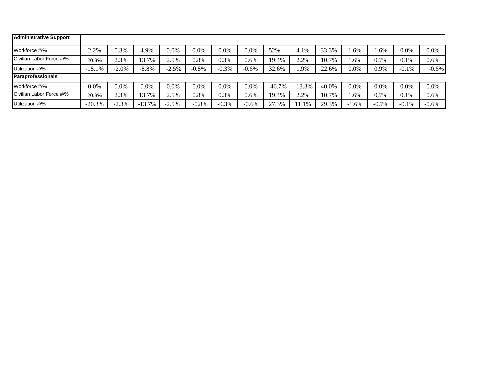| <b>Administrative Support</b> |          |         |          |         |         |         |          |       |       |       |         |          |         |         |
|-------------------------------|----------|---------|----------|---------|---------|---------|----------|-------|-------|-------|---------|----------|---------|---------|
| Workforce #/%                 | 2.2%     | 0.3%    | 4.9%     | $0.0\%$ | $0.0\%$ | $0.0\%$ | $0.0\%$  | 52%   | 4.1%  | 33.3% | $.6\%$  | $.6\%$   | 0.0%    | 0.0%    |
| Civilian Labor Force #/%      | 20.3%    | 2.3%    | 13.7%    | 2.5%    | 0.8%    | 0.3%    | 0.6%     | 19.4% | 2.2%  | 10.7% | .6%     | $0.7\%$  | 0.1%    | $0.6\%$ |
| Utilization #/%               | $-18.1%$ | $-2.0%$ | $-8.8\%$ | $-2.5%$ | $-0.8%$ | $-0.3%$ | $-0.6\%$ | 32.6% | .9%   | 22.6% | $0.0\%$ | 0.9%     | $-0.1%$ | $-0.6%$ |
| Paraprofessionals             |          |         |          |         |         |         |          |       |       |       |         |          |         |         |
| Workforce #/%                 | $0.0\%$  | 0.0%    | $0.0\%$  | $0.0\%$ | $0.0\%$ | 0.0%    | $0.0\%$  | 46.7% | 13.3% | 40.0% | $0.0\%$ | $0.0\%$  | 0.0%    | 0.0%    |
| Civilian Labor Force #/%      | 20.3%    | 2.3%    | 13.7%    | 2.5%    | 0.8%    | 0.3%    | $0.6\%$  | 19.4% | 2.2%  | 10.7% | .6%     | $0.7\%$  | 0.1%    | 0.6%    |
| Utilization #/%               | $-20.3%$ | $-2.3%$ | $-13.7%$ | $-2.5%$ | $-0.8%$ | $-0.3%$ | $-0.6%$  | 27.3% | 11.1% | 29.3% | $-1.6%$ | $-0.7\%$ | $-0.1%$ | $-0.6%$ |